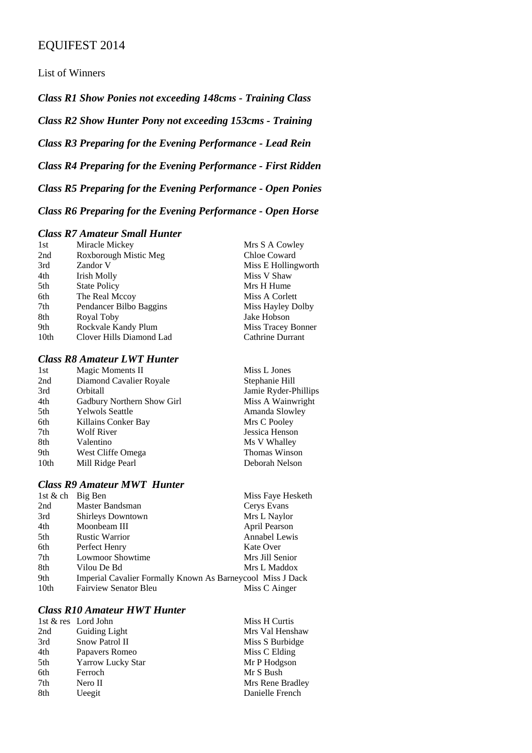# EQUIFEST 2014

List of Winners

*Class R1 Show Ponies not exceeding 148cms - Training Class Class R2 Show Hunter Pony not exceeding 153cms - Training Class R3 Preparing for the Evening Performance - Lead Rein Class R4 Preparing for the Evening Performance - First Ridden Class R5 Preparing for the Evening Performance - Open Ponies Class R6 Preparing for the Evening Performance - Open Horse* 

> Mrs S A Cowley Chloe Coward Miss E Hollingworth Miss V Shaw Mrs H Hume Miss A Corlett Miss Hayley Dolby Jake Hobson Miss Tracey Bonner Cathrine Durrant

> Miss L Jones Stephanie Hill Jamie Ryder-Phillips Miss A Wainwright Amanda Slowley Mrs C Pooley Jessica Henson Ms V Whalley Thomas Winson Deborah Nelson

#### *Class R7 Amateur Small Hunter*

| 1st  | Miracle Mickey           |
|------|--------------------------|
| 2nd  | Roxborough Mistic Meg    |
| 3rd  | Zandor V                 |
| 4th  | <b>Irish Molly</b>       |
| 5th  | <b>State Policy</b>      |
| 6th  | The Real Mccoy           |
| 7th  | Pendancer Bilbo Baggins  |
| 8th  | Royal Toby               |
| 9th  | Rockvale Kandy Plum      |
| 10th | Clover Hills Diamond Lad |

#### *Class R8 Amateur LWT Hunter*

| 1st  | Magic Moments II           |
|------|----------------------------|
| 2nd  | Diamond Cavalier Royale    |
| 3rd  | Orbitall                   |
| 4th  | Gadbury Northern Show Girl |
| 5th  | <b>Yelwols Seattle</b>     |
| 6th  | Killains Conker Bay        |
| 7th  | Wolf River                 |
| 8th  | Valentino                  |
| 9th  | West Cliffe Omega          |
| 10th | Mill Ridge Pearl           |
|      |                            |

#### *Class R9 Amateur MWT Hunter*

| 1st & ch         | Big Ben                                                    | Miss Faye Hesketh    |
|------------------|------------------------------------------------------------|----------------------|
| 2nd              | Master Bandsman                                            | Cerys Evans          |
| 3rd              | <b>Shirleys Downtown</b>                                   | Mrs L Naylor         |
| 4th              | Moonbeam III                                               | April Pearson        |
| 5th              | <b>Rustic Warrior</b>                                      | <b>Annabel Lewis</b> |
| 6th              | Perfect Henry                                              | Kate Over            |
| 7th              | <b>Lowmoor Showtime</b>                                    | Mrs Jill Senior      |
| 8th              | Vilou De Bd                                                | Mrs L Maddox         |
| 9th              | Imperial Cavalier Formally Known As Barneycool Miss J Dack |                      |
| 10 <sub>th</sub> | <b>Fairview Senator Bleu</b>                               | Miss C Ainger        |

#### *Class R10 Amateur HWT Hunter*

|     | 1st & res Lord John      | Miss H Curtis    |
|-----|--------------------------|------------------|
| 2nd | <b>Guiding Light</b>     | Mrs Val Henshaw  |
| 3rd | Snow Patrol II           | Miss S Burbidge  |
| 4th | Papavers Romeo           | Miss C Elding    |
| 5th | <b>Yarrow Lucky Star</b> | Mr P Hodgson     |
| 6th | Ferroch                  | Mr S Bush        |
| 7th | Nero II                  | Mrs Rene Bradley |
| 8th | Ueegit                   | Danielle French  |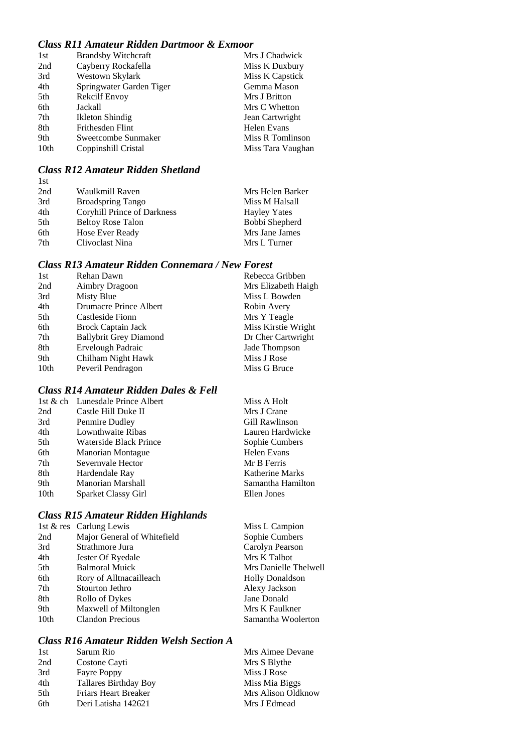## *Class R11 Amateur Ridden Dartmoor & Exmoor*

| 1st              | <b>Brandsby Witchcraft</b> | Mrs J Chadwick    |
|------------------|----------------------------|-------------------|
| 2nd              | Cayberry Rockafella        | Miss K Duxbury    |
| 3rd              | Westown Skylark            | Miss K Capstick   |
| 4th              | Springwater Garden Tiger   | Gemma Mason       |
| 5th              | Rekcilf Envoy              | Mrs J Britton     |
| 6th              | Jackall                    | Mrs C Whetton     |
| 7th              | Ikleton Shindig            | Jean Cartwright   |
| 8th              | Frithesden Flint           | Helen Evans       |
| 9th              | Sweetcombe Sunmaker        | Miss R Tomlinson  |
| 10 <sub>th</sub> | Coppinshill Cristal        | Miss Tara Vaughan |

# *Class R12 Amateur Ridden Shetland*

 $\frac{1}{2}$ st

| 10 U |                                    |                     |
|------|------------------------------------|---------------------|
| 2nd  | Waulkmill Raven                    | Mrs Helen Barker    |
| 3rd  | <b>Broadspring Tango</b>           | Miss M Halsall      |
| 4th  | <b>Coryhill Prince of Darkness</b> | <b>Hayley Yates</b> |
| 5th  | <b>Beltoy Rose Talon</b>           | Bobbi Shepherd      |
| 6th  | Hose Ever Ready                    | Mrs Jane James      |
| 7th  | Clivoclast Nina                    | Mrs L Turner        |

## *Class R13 Amateur Ridden Connemara / New Forest*

| 1st              | Rehan Dawn                    | Rebecca Gribben     |
|------------------|-------------------------------|---------------------|
| 2nd              | Aimbry Dragoon                | Mrs Elizabeth Haigh |
| 3rd              | Misty Blue                    | Miss L Bowden       |
| 4th              | Drumacre Prince Albert        | Robin Avery         |
| 5th              | Castleside Fionn              | Mrs Y Teagle        |
| 6th              | <b>Brock Captain Jack</b>     | Miss Kirstie Wright |
| 7th              | <b>Ballybrit Grey Diamond</b> | Dr Cher Cartwright  |
| 8th              | Ervelough Padraic             | Jade Thompson       |
| 9th              | Chilham Night Hawk            | Miss J Rose         |
| 10 <sub>th</sub> | Peveril Pendragon             | Miss G Bruce        |

## *Class R14 Amateur Ridden Dales & Fell*

|                  | 1st & ch Lunesdale Prince Albert | Miss A Holt            |
|------------------|----------------------------------|------------------------|
| 2nd              | Castle Hill Duke II              | Mrs J Crane            |
| 3rd              | Penmire Dudley                   | Gill Rawlinson         |
| 4th              | Lownthwaite Ribas                | Lauren Hardwicke       |
| 5th              | Waterside Black Prince           | Sophie Cumbers         |
| 6th              | Manorian Montague                | Helen Evans            |
| 7th              | Severnyale Hector                | Mr B Ferris            |
| 8th              | Hardendale Ray                   | <b>Katherine Marks</b> |
| 9th              | Manorian Marshall                | Samantha Hamilton      |
| 10 <sub>th</sub> | Sparket Classy Girl              | Ellen Jones            |

## *Class R15 Amateur Ridden Highlands*

|      | 1st & res Carlung Lewis     | Miss L Campion         |
|------|-----------------------------|------------------------|
| 2nd  | Major General of Whitefield | Sophie Cumbers         |
| 3rd  | Strathmore Jura             | Carolyn Pearson        |
| 4th  | Jester Of Ryedale           | Mrs K Talbot           |
| 5th  | <b>Balmoral Muick</b>       | Mrs Danielle Thelwell  |
| 6th  | Rory of Alltnacailleach     | <b>Holly Donaldson</b> |
| 7th  | Stourton Jethro             | Alexy Jackson          |
| 8th  | Rollo of Dykes              | Jane Donald            |
| 9th  | Maxwell of Miltonglen       | Mrs K Faulkner         |
| 10th | <b>Clandon Precious</b>     | Samantha Woolerton     |

# *Class R16 Amateur Ridden Welsh Section A*

|     | Cluss XIV Amalear Rudgen Weish Section A |                    |
|-----|------------------------------------------|--------------------|
| 1st | Sarum Rio                                | Mrs Aimee Devane   |
| 2nd | Costone Cayti                            | Mrs S Blythe       |
| 3rd | Fayre Poppy                              | Miss J Rose        |
| 4th | Tallares Birthday Boy                    | Miss Mia Biggs     |
| 5th | <b>Friars Heart Breaker</b>              | Mrs Alison Oldknow |
| 6th | Deri Latisha 142621                      | Mrs J Edmead       |
|     |                                          |                    |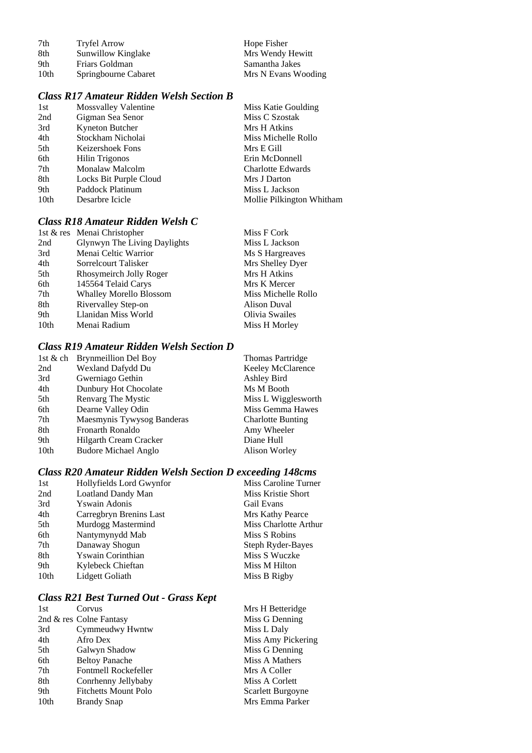| 7th  | <b>Tryfel Arrow</b>  | Hope Fisher         |
|------|----------------------|---------------------|
| 8th  | Sunwillow Kinglake   | Mrs Wendy Hewitt    |
| 9th  | Friars Goldman       | Samantha Jakes      |
| 10th | Springbourne Cabaret | Mrs N Evans Wooding |

# *Class R17 Amateur Ridden Welsh Section B*

| 1st  | <b>Mossvalley Valentine</b> | Miss Katie Goulding       |
|------|-----------------------------|---------------------------|
| 2nd  | Gigman Sea Senor            | Miss C Szostak            |
| 3rd  | Kyneton Butcher             | Mrs H Atkins              |
| 4th  | Stockham Nicholai           | Miss Michelle Rollo       |
| 5th  | Keizershoek Fons            | Mrs E Gill                |
| 6th  | <b>Hilin Trigonos</b>       | Erin McDonnell            |
| 7th  | Monalaw Malcolm             | <b>Charlotte Edwards</b>  |
| 8th  | Locks Bit Purple Cloud      | Mrs J Darton              |
| 9th  | Paddock Platinum            | Miss L Jackson            |
| 10th | Desarbre Icicle             | Mollie Pilkington Whitham |
|      |                             |                           |

# *Class R18 Amateur Ridden Welsh C*

|                  | 1st & res Menai Christopher    | Miss F Cork         |
|------------------|--------------------------------|---------------------|
| 2nd              | Glynwyn The Living Daylights   | Miss L Jackson      |
| 3rd              | Menai Celtic Warrior           | Ms S Hargreaves     |
| 4th              | Sorrelcourt Talisker           | Mrs Shelley Dyer    |
| 5th              | Rhosymeirch Jolly Roger        | Mrs H Atkins        |
| 6th              | 145564 Telaid Carys            | Mrs K Mercer        |
| 7th              | <b>Whalley Morello Blossom</b> | Miss Michelle Rollo |
| 8th              | Rivervalley Step-on            | Alison Duval        |
| 9th              | Llanidan Miss World            | Olivia Swailes      |
| 10 <sub>th</sub> | Menai Radium                   | Miss H Morley       |

# *Class R19 Amateur Ridden Welsh Section D*

| <b>Brynmeillion Del Boy</b> | Thomas Partridge         |
|-----------------------------|--------------------------|
| Wexland Dafydd Du           | Keeley McClarence        |
| Gwerniago Gethin            | <b>Ashley Bird</b>       |
| Dunbury Hot Chocolate       | Ms M Booth               |
| Renvarg The Mystic          | Miss L Wigglesworth      |
| Dearne Valley Odin          | Miss Gemma Hawes         |
| Maesmynis Tywysog Banderas  | <b>Charlotte Bunting</b> |
| Fronarth Ronaldo            | Amy Wheeler              |
| Hilgarth Cream Cracker      | Diane Hull               |
| <b>Budore Michael Anglo</b> | Alison Worley            |
|                             |                          |

# *Class R20 Amateur Ridden Welsh Section D exceeding 148cms*

| 1st              | Hollyfields Lord Gwynfor | Miss Caroline Turner  |
|------------------|--------------------------|-----------------------|
| 2nd              | Loatland Dandy Man       | Miss Kristie Short    |
| 3rd              | Yswain Adonis            | Gail Evans            |
| 4th              | Carregbryn Brenins Last  | Mrs Kathy Pearce      |
| 5th              | Murdogg Mastermind       | Miss Charlotte Arthur |
| 6th              | Nantymynydd Mab          | Miss S Robins         |
| 7th              | Danaway Shogun           | Steph Ryder-Bayes     |
| 8th              | <b>Yswain Corinthian</b> | Miss S Wuczke         |
| 9th              | Kylebeck Chieftan        | Miss M Hilton         |
| 10 <sub>th</sub> | Lidgett Goliath          | Miss B Rigby          |
|                  |                          |                       |

# *Class R21 Best Turned Out - Grass Kept*

| 1st              | Corvus                      | Mrs H Betteridge   |
|------------------|-----------------------------|--------------------|
|                  | 2nd & res Colne Fantasy     | Miss G Denning     |
| 3rd              | Cymmeudwy Hwntw             | Miss L Daly        |
| 4th              | Afro Dex                    | Miss Amy Pickering |
| 5th              | Galwyn Shadow               | Miss G Denning     |
| 6th              | <b>Beltoy Panache</b>       | Miss A Mathers     |
| 7th              | Fontmell Rockefeller        | Mrs A Coller       |
| 8th              | Conrhenny Jellybaby         | Miss A Corlett     |
| 9th              | <b>Fitchetts Mount Polo</b> | Scarlett Burgoyne  |
| 10 <sub>th</sub> | <b>Brandy Snap</b>          | Mrs Emma Parker    |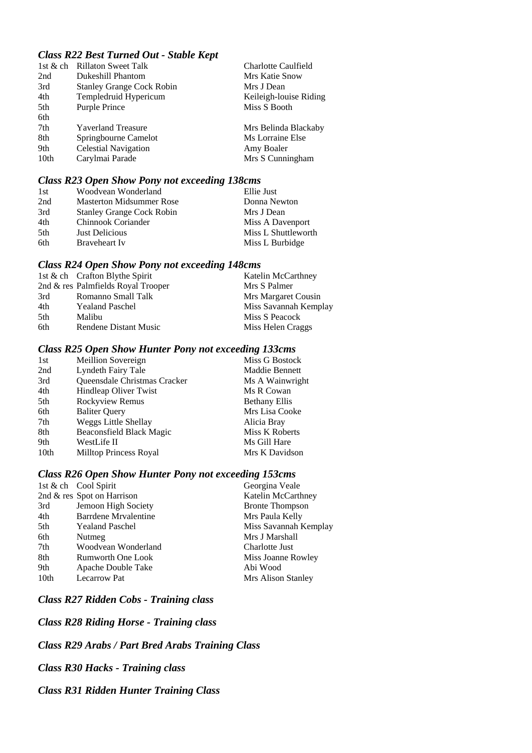## *Class R22 Best Turned Out - Stable Kept*

| <b>Rillaton Sweet Talk</b>       | Charlotte Caulfield    |
|----------------------------------|------------------------|
| Dukeshill Phantom                | Mrs Katie Snow         |
| <b>Stanley Grange Cock Robin</b> | Mrs J Dean             |
| Templedruid Hypericum            | Keileigh-louise Riding |
| Purple Prince                    | Miss S Booth           |
|                                  |                        |
| <b>Yaverland Treasure</b>        | Mrs Belinda Blackaby   |
| Springbourne Camelot             | Ms Lorraine Else       |
| <b>Celestial Navigation</b>      | Amy Boaler             |
| Carylmai Parade                  | Mrs S Cunningham       |
|                                  |                        |

### *Class R23 Open Show Pony not exceeding 138cms*

| Woodvean Wonderland              | Ellie Just          |
|----------------------------------|---------------------|
| <b>Masterton Midsummer Rose</b>  | Donna Newton        |
| <b>Stanley Grange Cock Robin</b> | Mrs J Dean          |
| Chinnook Coriander               | Miss A Davenport    |
| Just Delicious                   | Miss L Shuttleworth |
| Braveheart Iv                    | Miss L Burbidge     |
|                                  |                     |

#### *Class R24 Open Show Pony not exceeding 148cms*

|     | 1st & ch Crafton Blythe Spirit     | Katelin McCarthney    |
|-----|------------------------------------|-----------------------|
|     | 2nd & res Palmfields Royal Trooper | Mrs S Palmer          |
| 3rd | Romanno Small Talk                 | Mrs Margaret Cousin   |
| 4th | <b>Yealand Paschel</b>             | Miss Savannah Kemplay |
| 5th | Malibu                             | Miss S Peacock        |
| 6th | Rendene Distant Music              | Miss Helen Craggs     |

#### *Class R25 Open Show Hunter Pony not exceeding 133cms*

| 1st              | Meillion Sovereign            | Miss G Bostock        |
|------------------|-------------------------------|-----------------------|
| 2nd              | Lyndeth Fairy Tale            | <b>Maddie Bennett</b> |
| 3rd              | Queensdale Christmas Cracker  | Ms A Wainwright       |
| 4th              | Hindleap Oliver Twist         | Ms R Cowan            |
| 5th              | Rockyview Remus               | <b>Bethany Ellis</b>  |
| 6th              | <b>Baliter Query</b>          | Mrs Lisa Cooke        |
| 7th              | <b>Weggs Little Shellay</b>   | Alicia Bray           |
| 8th              | Beaconsfield Black Magic      | Miss K Roberts        |
| 9th              | WestLife II                   | Ms Gill Hare          |
| 10 <sub>th</sub> | <b>Milltop Princess Royal</b> | Mrs K Davidson        |
|                  |                               |                       |

#### *Class R26 Open Show Hunter Pony not exceeding 153cms*

|      | 1st $\&$ ch Cool Spirit    | Georgina Veale         |
|------|----------------------------|------------------------|
|      | 2nd & res Spot on Harrison | Katelin McCarthney     |
| 3rd  | Jemoon High Society        | <b>Bronte Thompson</b> |
| 4th  | Barrdene Mrvalentine       | Mrs Paula Kelly        |
| 5th  | <b>Yealand Paschel</b>     | Miss Savannah Kemplay  |
| 6th  | Nutmeg                     | Mrs J Marshall         |
| 7th  | Woodvean Wonderland        | Charlotte Just         |
| 8th  | <b>Rumworth One Look</b>   | Miss Joanne Rowley     |
| 9th  | Apache Double Take         | Abi Wood               |
| 10th | <b>Lecarrow Pat</b>        | Mrs Alison Stanley     |

#### *Class R27 Ridden Cobs - Training class*

*Class R28 Riding Horse - Training class* 

*Class R29 Arabs / Part Bred Arabs Training Class* 

*Class R30 Hacks - Training class* 

*Class R31 Ridden Hunter Training Class*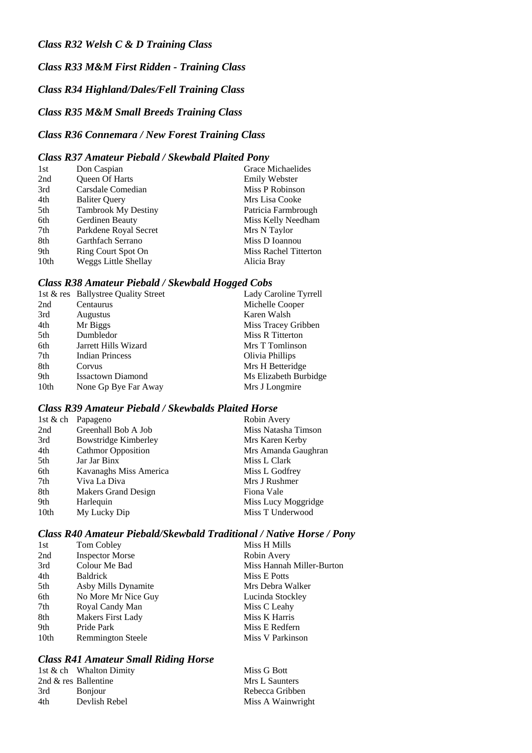# *Class R33 M&M First Ridden - Training Class Class R34 Highland/Dales/Fell Training Class*

## *Class R35 M&M Small Breeds Training Class*

# *Class R36 Connemara / New Forest Training Class*

#### *Class R37 Amateur Piebald / Skewbald Plaited Pony*

| 1st  | Don Caspian                 | Grace Michaelides     |
|------|-----------------------------|-----------------------|
| 2nd  | Queen Of Harts              | <b>Emily Webster</b>  |
| 3rd  | Carsdale Comedian           | Miss P Robinson       |
| 4th  | <b>Baliter Query</b>        | Mrs Lisa Cooke        |
| 5th  | <b>Tambrook My Destiny</b>  | Patricia Farmbrough   |
| 6th  | Gerdinen Beauty             | Miss Kelly Needham    |
| 7th  | Parkdene Royal Secret       | Mrs N Taylor          |
| 8th  | Garthfach Serrano           | Miss D Ioannou        |
| 9th  | Ring Court Spot On          | Miss Rachel Titterton |
| 10th | <b>Weggs Little Shellay</b> | Alicia Bray           |
|      |                             |                       |

#### *Class R38 Amateur Piebald / Skewbald Hogged Cobs*

|                  | 1st & res Ballystree Quality Street | Lady Caroline Tyrrell |
|------------------|-------------------------------------|-----------------------|
| 2nd              | Centaurus                           | Michelle Cooper       |
| 3rd              | Augustus                            | Karen Walsh           |
| 4th              | Mr Biggs                            | Miss Tracey Gribben   |
| 5th              | Dumbledor                           | Miss R Titterton      |
| 6th              | Jarrett Hills Wizard                | Mrs T Tomlinson       |
| 7th              | <b>Indian Princess</b>              | Olivia Phillips       |
| 8th              | Corvus                              | Mrs H Betteridge      |
| 9th              | <b>Issactown Diamond</b>            | Ms Elizabeth Burbidge |
| 10 <sub>th</sub> | None Gp Bye Far Away                | Mrs J Longmire        |
|                  |                                     |                       |

# *Class R39 Amateur Piebald / Skewbalds Plaited Horse*

|      | 1st & ch Papageno          | Robin Avery         |
|------|----------------------------|---------------------|
| 2nd  | Greenhall Bob A Job        | Miss Natasha Timson |
| 3rd  | Bowstridge Kimberley       | Mrs Karen Kerby     |
| 4th  | <b>Cathmor Opposition</b>  | Mrs Amanda Gaughran |
| 5th  | Jar Jar Binx               | Miss L Clark        |
| 6th  | Kavanaghs Miss America     | Miss L Godfrey      |
| 7th  | Viva La Diva               | Mrs J Rushmer       |
| 8th  | <b>Makers Grand Design</b> | Fiona Vale          |
| 9th  | Harlequin                  | Miss Lucy Moggridge |
| 10th | My Lucky Dip               | Miss T Underwood    |

#### *Class R40 Amateur Piebald/Skewbald Traditional / Native Horse / Pony*

| 1st              | Tom Cobley               | Miss H Mills              |
|------------------|--------------------------|---------------------------|
| 2nd              | <b>Inspector Morse</b>   | Robin Avery               |
| 3rd              | Colour Me Bad            | Miss Hannah Miller-Burton |
| 4th              | <b>Baldrick</b>          | Miss E Potts              |
| 5th              | Asby Mills Dynamite      | Mrs Debra Walker          |
| 6th              | No More Mr Nice Guy      | Lucinda Stockley          |
| 7th              | Royal Candy Man          | Miss C Leahy              |
| 8th              | Makers First Lady        | Miss K Harris             |
| 9th              | Pride Park               | Miss E Redfern            |
| 10 <sub>th</sub> | <b>Remmington Steele</b> | Miss V Parkinson          |

#### *Class R41 Amateur Small Riding Horse*

|                | Miss G Bott                                        |
|----------------|----------------------------------------------------|
|                | Mrs L Saunters                                     |
| <b>Bonjour</b> | Rebecca Gribben                                    |
| Devlish Rebel  | Miss A Wainwright                                  |
|                | 1st & ch Whalton Dimity<br>2nd $\&$ res Ballentine |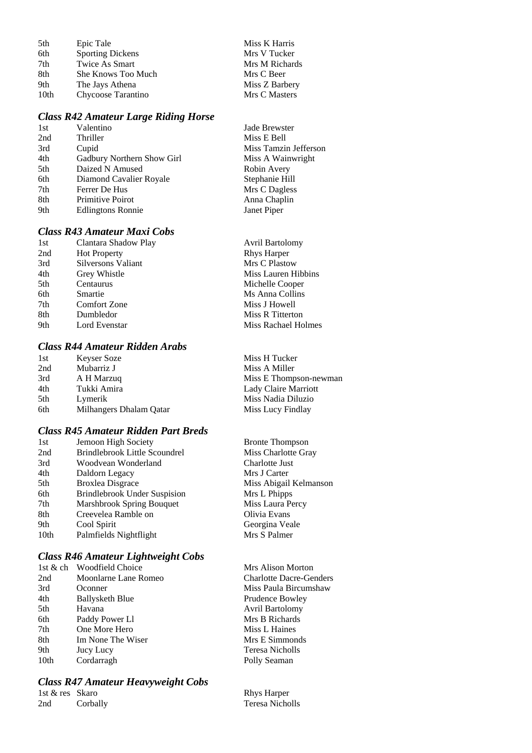| 5th  | Epic Tale               | Miss K Harris  |
|------|-------------------------|----------------|
| 6th  | <b>Sporting Dickens</b> | Mrs V Tucker   |
| 7th  | Twice As Smart          | Mrs M Richards |
| 8th  | She Knows Too Much      | Mrs C Beer     |
| 9th  | The Jays Athena         | Miss Z Barbery |
| 10th | Chycoose Tarantino      | Mrs C Masters  |

# *Class R42 Amateur Large Riding Horse*

| 1st | Valentino                  | Jade Brewster         |
|-----|----------------------------|-----------------------|
| 2nd | Thriller                   | Miss E Bell           |
| 3rd | Cupid                      | Miss Tamzin Jefferson |
| 4th | Gadbury Northern Show Girl | Miss A Wainwright     |
| 5th | Daized N Amused            | Robin Avery           |
| 6th | Diamond Cavalier Royale    | Stephanie Hill        |
| 7th | Ferrer De Hus              | Mrs C Dagless         |
| 8th | <b>Primitive Poirot</b>    | Anna Chaplin          |
| 9th | <b>Edlingtons Ronnie</b>   | Janet Piper           |
|     |                            |                       |

# *Class R43 Amateur Maxi Cobs*

| 1st | Clantara Shadow Play | <b>Avril Bartolomy</b> |
|-----|----------------------|------------------------|
| 2nd | <b>Hot Property</b>  | <b>Rhys Harper</b>     |
| 3rd | Silversons Valiant   | Mrs C Plastow          |
| 4th | Grey Whistle         | Miss Lauren Hibbins    |
| 5th | Centaurus            | Michelle Cooper        |
| 6th | Smartie              | Ms Anna Collins        |
| 7th | <b>Comfort Zone</b>  | Miss J Howell          |
| 8th | Dumbledor            | Miss R Titterton       |
| 9th | Lord Evenstar        | Miss Rachael Holmes    |
|     |                      |                        |

## *Class R44 Amateur Ridden Arabs*

| 1st | Keyser Soze             | Miss H Tucker          |
|-----|-------------------------|------------------------|
| 2nd | Mubarriz J              | Miss A Miller          |
| 3rd | A H Marzuq              | Miss E Thompson-newman |
| 4th | Tukki Amira             | Lady Claire Marriott   |
| 5th | Lymerik                 | Miss Nadia Diluzio     |
| 6th | Milhangers Dhalam Qatar | Miss Lucy Findlay      |

# *Class R45 Amateur Ridden Part Breds*

| 1st              | Jemoon High Society                 | <b>Bronte Thompson</b> |
|------------------|-------------------------------------|------------------------|
| 2nd              | Brindlebrook Little Scoundrel       | Miss Charlotte Gra     |
| 3rd              | Woodvean Wonderland                 | Charlotte Just         |
| 4th              | Daldorn Legacy                      | Mrs J Carter           |
| 5th              | <b>Broxlea Disgrace</b>             | Miss Abigail Kelm      |
| 6th              | <b>Brindlebrook Under Suspision</b> | Mrs L Phipps           |
| 7th              | <b>Marshbrook Spring Bouquet</b>    | Miss Laura Percy       |
| 8th              | Creevelea Ramble on                 | Olivia Evans           |
| 9th              | Cool Spirit                         | Georgina Veale         |
| 10 <sub>th</sub> | Palmfields Nightflight              | Mrs S Palmer           |
|                  |                                     |                        |

# *Class R46 Amateur Lightweight Cobs*

| 1st & ch         | Woodfield Choice       | Mrs Alison Morton      |
|------------------|------------------------|------------------------|
| 2nd              | Moonlarne Lane Romeo   | Charlotte Dacre-Ge     |
| 3rd              | Oconner                | Miss Paula Bircums     |
| 4th              | <b>Ballysketh Blue</b> | <b>Prudence Bowley</b> |
| 5th              | Havana                 | <b>Avril Bartolomy</b> |
| 6th              | Paddy Power Ll         | Mrs B Richards         |
| 7th              | One More Hero          | Miss L Haines          |
| 8th              | Im None The Wiser      | Mrs E Simmonds         |
| 9th              | Jucy Lucy              | Teresa Nicholls        |
| 10 <sub>th</sub> | Cordarragh             | Polly Seaman           |
|                  |                        |                        |

# *Class R47 Amateur Heavyweight Cobs*

| 1st & res Skaro |          |  |  | <b>Rhys</b> |
|-----------------|----------|--|--|-------------|
| 2nd             | Corbally |  |  | Tere        |

| Miss H Tucker          |  |
|------------------------|--|
| Miss A Miller          |  |
| Miss E Thompson-newmar |  |
| Lady Claire Marriott   |  |
| Miss Nadia Diluzio     |  |
| Miss Lucy Findlay      |  |

<sub>pte</sub> Gray il Kelmanson

acre-Genders Bircumshaw<br>owley

s Harper esa Nicholls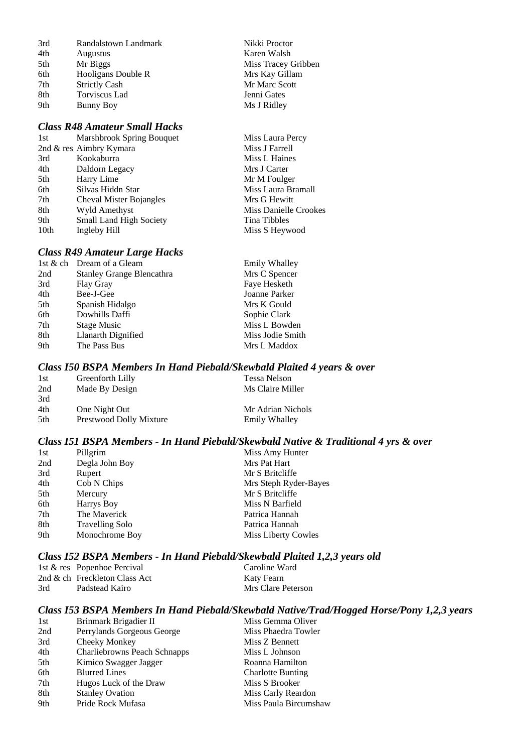| 3rd | Randalstown Landmark |
|-----|----------------------|
| 4th | Augustus             |
| 5th | Mr Biggs             |
| 6th | Hooligans Double R   |
| 7th | <b>Strictly Cash</b> |
| 8th | <b>Torviscus Lad</b> |
| 9th | <b>Bunny Boy</b>     |

# *Class R48 Amateur Small Hacks*

| 1st  | Marshbrook Spring Bouquet | Miss Laura Percy      |
|------|---------------------------|-----------------------|
|      | 2nd & res Aimbry Kymara   | Miss J Farrell        |
| 3rd  | Kookaburra                | Miss L Haines         |
| 4th  | Daldorn Legacy            | Mrs J Carter          |
| 5th  | Harry Lime                | Mr M Foulger          |
| 6th  | Silvas Hiddn Star         | Miss Laura Bramall    |
| 7th  | Cheval Mister Bojangles   | Mrs G Hewitt          |
| 8th  | Wyld Amethyst             | Miss Danielle Crookes |
| 9th  | Small Land High Society   | Tina Tibbles          |
| 10th | Ingleby Hill              | Miss S Heywood        |

#### *Class R49 Amateur Large Hacks*

| 1st & ch Dream of a Gleam        | <b>Emily Whalley</b> |
|----------------------------------|----------------------|
| <b>Stanley Grange Blencathra</b> | Mrs C Spencer        |
| Flay Gray                        | Faye Hesketh         |
| Bee-J-Gee                        | Joanne Parker        |
| Spanish Hidalgo                  | Mrs K Gould          |
| Dowhills Daffi                   | Sophie Clark         |
| <b>Stage Music</b>               | Miss L Bowden        |
| Llanarth Dignified               | Miss Jodie Smith     |
| The Pass Bus                     | Mrs L Maddox         |
|                                  |                      |

#### *Class I50 BSPA Members In Hand Piebald/Skewbald Plaited 4 years & over*

| 1st | Greenforth Lilly        | Tessa Nelson         |
|-----|-------------------------|----------------------|
| 2nd | Made By Design          | Ms Claire Miller     |
| 3rd |                         |                      |
| 4th | One Night Out           | Mr Adrian Nichols    |
| 5th | Prestwood Dolly Mixture | <b>Emily Whalley</b> |

#### *Class I51 BSPA Members - In Hand Piebald/Skewbald Native & Traditional 4 yrs & over*

Nikki Proctor Karen Walsh

Miss Tracey Gribben Mrs Kay Gillam Mr Marc Scott Jenni Gates Ms J Ridley

| 1st | Pillgrim               | Miss Amy Hunter            |
|-----|------------------------|----------------------------|
| 2nd | Degla John Boy         | Mrs Pat Hart               |
| 3rd | Rupert                 | Mr S Britcliffe            |
| 4th | Cob N Chips            | Mrs Steph Ryder-Bayes      |
| 5th | Mercury                | Mr S Britcliffe            |
| 6th | Harrys Boy             | Miss N Barfield            |
| 7th | The Maverick           | Patrica Hannah             |
| 8th | <b>Travelling Solo</b> | Patrica Hannah             |
| 9th | Monochrome Boy         | <b>Miss Liberty Cowles</b> |
|     |                        |                            |

#### *Class I52 BSPA Members - In Hand Piebald/Skewbald Plaited 1,2,3 years old*

|     | 1st & res Popenhoe Percival   | Caroline Ward      |
|-----|-------------------------------|--------------------|
|     | 2nd & ch Freckleton Class Act | Katy Fearn         |
| 3rd | Padstead Kairo                | Mrs Clare Peterson |

#### *Class I53 BSPA Members In Hand Piebald/Skewbald Native/Trad/Hogged Horse/Pony 1,2,3 years*

| 1st | Brinmark Brigadier II        | Miss Gemma Oliver        |
|-----|------------------------------|--------------------------|
| 2nd | Perrylands Gorgeous George   | Miss Phaedra Towler      |
| 3rd | Cheeky Monkey                | Miss Z Bennett           |
| 4th | Charliebrowns Peach Schnapps | Miss L Johnson           |
| 5th | Kimico Swagger Jagger        | Roanna Hamilton          |
| 6th | <b>Blurred Lines</b>         | <b>Charlotte Bunting</b> |
| 7th | Hugos Luck of the Draw       | Miss S Brooker           |
| 8th | <b>Stanley Ovation</b>       | Miss Carly Reardon       |
| 9th | Pride Rock Mufasa            | Miss Paula Bircumshaw    |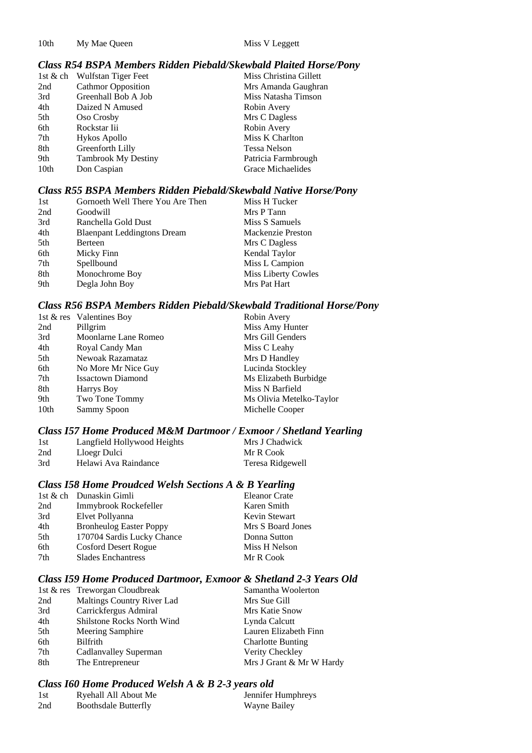#### *Class R54 BSPA Members Ridden Piebald/Skewbald Plaited Horse/Pony*

|      | 1st & ch Wulfstan Tiger Feet | Miss Christina Gillett |
|------|------------------------------|------------------------|
| 2nd  | <b>Cathmor Opposition</b>    | Mrs Amanda Gaughran    |
| 3rd  | Greenhall Bob A Job          | Miss Natasha Timson    |
| 4th  | Daized N Amused              | Robin Avery            |
| 5th  | Oso Crosby                   | Mrs C Dagless          |
| 6th  | Rockstar Iii                 | Robin Avery            |
| 7th  | Hykos Apollo                 | Miss K Charlton        |
| 8th  | Greenforth Lilly             | Tessa Nelson           |
| 9th  | <b>Tambrook My Destiny</b>   | Patricia Farmbrough    |
| 10th | Don Caspian                  | Grace Michaelides      |

## *Class R55 BSPA Members Ridden Piebald/Skewbald Native Horse/Pony*

| Gornoeth Well There You Are Then   | Miss H Tucker              |
|------------------------------------|----------------------------|
| Goodwill                           | Mrs P Tann                 |
| Ranchella Gold Dust                | Miss S Samuels             |
| <b>Blaenpant Leddingtons Dream</b> | <b>Mackenzie Preston</b>   |
| Berteen                            | Mrs C Dagless              |
| Micky Finn                         | Kendal Taylor              |
| Spellbound                         | Miss L Campion             |
| Monochrome Boy                     | <b>Miss Liberty Cowles</b> |
| Degla John Boy                     | Mrs Pat Hart               |
|                                    |                            |

#### *Class R56 BSPA Members Ridden Piebald/Skewbald Traditional Horse/Pony*

|      | 1st & res Valentines Boy | Robin Avery              |
|------|--------------------------|--------------------------|
| 2nd  | Pillgrim                 | Miss Amy Hunter          |
| 3rd  | Moonlarne Lane Romeo     | Mrs Gill Genders         |
| 4th  | Royal Candy Man          | Miss C Leahy             |
| 5th  | Newoak Razamataz         | Mrs D Handley            |
| 6th  | No More Mr Nice Guy      | Lucinda Stockley         |
| 7th  | <b>Issactown Diamond</b> | Ms Elizabeth Burbidge    |
| 8th  | Harrys Boy               | Miss N Barfield          |
| 9th  | Two Tone Tommy           | Ms Olivia Metelko-Taylor |
| 10th | Sammy Spoon              | Michelle Cooper          |

# *Class I57 Home Produced M&M Dartmoor / Exmoor / Shetland Yearling*

| 1st | Langfield Hollywood Heights | Mrs J Chadwick   |
|-----|-----------------------------|------------------|
| 2nd | Lloegr Dulci                | Mr R Cook        |
| 3rd | Helawi Ava Raindance        | Teresa Ridgewell |

## *Class I58 Home Proudced Welsh Sections A & B Yearling*

|     | 1st & ch Dunaskin Gimli        | <b>Eleanor Crate</b> |
|-----|--------------------------------|----------------------|
| 2nd | Immybrook Rockefeller          | Karen Smith          |
| 3rd | Elvet Pollyanna                | Kevin Stewart        |
| 4th | <b>Bronheulog Easter Poppy</b> | Mrs S Board Jones    |
| 5th | 170704 Sardis Lucky Chance     | Donna Sutton         |
| 6th | <b>Cosford Desert Rogue</b>    | Miss H Nelson        |
| 7th | <b>Slades Enchantress</b>      | Mr R Cook            |
|     |                                |                      |

## *Class I59 Home Produced Dartmoor, Exmoor & Shetland 2-3 Years Old*

|     | 1st & res Treworgan Cloudbreak | Samantha Woolerton       |
|-----|--------------------------------|--------------------------|
| 2nd | Maltings Country River Lad     | Mrs Sue Gill             |
| 3rd | Carrickfergus Admiral          | Mrs Katie Snow           |
| 4th | Shilstone Rocks North Wind     | Lynda Calcutt            |
| 5th | Meering Samphire               | Lauren Elizabeth Finn    |
| 6th | <b>Bilfrith</b>                | <b>Charlotte Bunting</b> |
| 7th | Cadlanvalley Superman          | Verity Checkley          |
| 8th | The Entrepreneur               | Mrs J Grant & Mr W Hardy |

### *Class I60 Home Produced Welsh A & B 2-3 years old*

| -1st | Ryehall All About Me        | Jennifer Humphreys  |
|------|-----------------------------|---------------------|
| 2nd  | <b>Boothsdale Butterfly</b> | <b>Wayne Bailey</b> |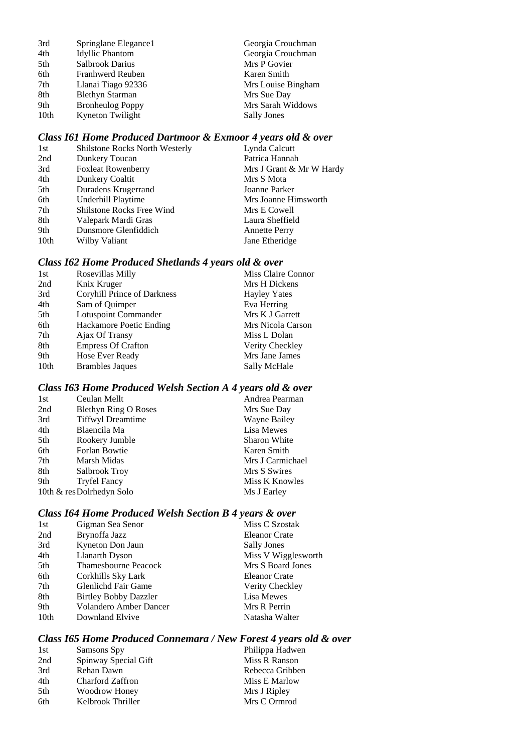| 3rd              | Springlane Elegance1    | Georgia Crouchman  |
|------------------|-------------------------|--------------------|
| 4th              | <b>Idyllic Phantom</b>  | Georgia Crouchman  |
| 5th              | Salbrook Darius         | Mrs P Govier       |
| 6th              | Franhwerd Reuben        | Karen Smith        |
| 7th              | Llanai Tiago 92336      | Mrs Louise Bingham |
| 8th              | <b>Blethyn Starman</b>  | Mrs Sue Day        |
| 9th              | <b>Bronheulog Poppy</b> | Mrs Sarah Widdows  |
| 10 <sub>th</sub> | Kyneton Twilight        | <b>Sally Jones</b> |

#### *Class I61 Home Produced Dartmoor & Exmoor 4 years old & over*

| 1st  | <b>Shilstone Rocks North Westerly</b> | Lynda Calcutt            |
|------|---------------------------------------|--------------------------|
| 2nd  | Dunkery Toucan                        | Patrica Hannah           |
| 3rd  | <b>Foxleat Rowenberry</b>             | Mrs J Grant & Mr W Hardy |
| 4th  | Dunkery Coaltit                       | Mrs S Mota               |
| 5th  | Duradens Krugerrand                   | Joanne Parker            |
| 6th  | Underhill Playtime                    | Mrs Joanne Himsworth     |
| 7th  | <b>Shilstone Rocks Free Wind</b>      | Mrs E Cowell             |
| 8th  | Valepark Mardi Gras                   | Laura Sheffield          |
| 9th  | Dunsmore Glenfiddich                  | <b>Annette Perry</b>     |
| 10th | Wilby Valiant                         | Jane Etheridge           |

# *Class I62 Home Produced Shetlands 4 years old & over*

| 1st              | Rosevillas Milly                   | <b>Miss Claire Connor</b> |
|------------------|------------------------------------|---------------------------|
| 2nd              | Knix Kruger                        | Mrs H Dickens             |
| 3rd              | <b>Coryhill Prince of Darkness</b> | <b>Hayley Yates</b>       |
| 4th              | Sam of Quimper                     | Eva Herring               |
| 5th              | Lotuspoint Commander               | Mrs K J Garrett           |
| 6th              | <b>Hackamore Poetic Ending</b>     | Mrs Nicola Carson         |
| 7th              | Ajax Of Transy                     | Miss L Dolan              |
| 8th              | <b>Empress Of Crafton</b>          | Verity Checkley           |
| 9th              | Hose Ever Ready                    | Mrs Jane James            |
| 10 <sub>th</sub> | <b>Brambles Jaques</b>             | Sally McHale              |
|                  |                                    |                           |

# *Class I63 Home Produced Welsh Section A 4 years old & over*

| Ceulan Mellt                | Andrea Pearman      |
|-----------------------------|---------------------|
| <b>Blethyn Ring O Roses</b> | Mrs Sue Day         |
| <b>Tiffwyl Dreamtime</b>    | <b>Wayne Bailey</b> |
| Blaencila Ma                | Lisa Mewes          |
| Rookery Jumble              | <b>Sharon White</b> |
| Forlan Bowtie               | Karen Smith         |
| Marsh Midas                 | Mrs J Carmichael    |
| Salbrook Troy               | Mrs S Swires        |
| <b>Tryfel Fancy</b>         | Miss K Knowles      |
| 10th & res Dolrhedyn Solo   |                     |
|                             |                     |

## *Class I64 Home Produced Welsh Section B 4 years & over*

| 1st  | Gigman Sea Senor              | Miss C Szostak       |
|------|-------------------------------|----------------------|
| 2nd  | Brynoffa Jazz                 | <b>Eleanor Crate</b> |
| 3rd  | Kyneton Don Jaun              | <b>Sally Jones</b>   |
| 4th  | Llanarth Dyson                | Miss V Wigglesworth  |
| 5th  | <b>Thamesbourne Peacock</b>   | Mrs S Board Jones    |
| 6th  | Corkhills Sky Lark            | Eleanor Crate        |
| 7th  | Glenlichd Fair Game           | Verity Checkley      |
| 8th  | <b>Birtley Bobby Dazzler</b>  | Lisa Mewes           |
| 9th  | <b>Volandero Amber Dancer</b> | Mrs R Perrin         |
| 10th | Downland Elvive               | Natasha Walter       |

# *Class I65 Home Produced Connemara / New Forest 4 years old & over*

| 1st | Samsons Spy          | Philippa Hadwen |
|-----|----------------------|-----------------|
| 2nd | Spinway Special Gift | Miss R Ranson   |
| 3rd | Rehan Dawn           | Rebecca Gribben |
| 4th | Charford Zaffron     | Miss E Marlow   |
| 5th | <b>Woodrow Honey</b> | Mrs J Ripley    |
| 6th | Kelbrook Thriller    | Mrs C Ormrod    |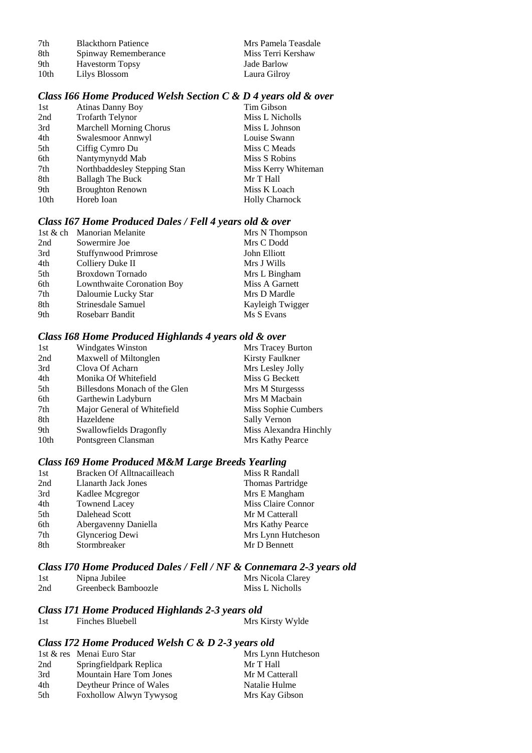| 7th  | <b>Blackthorn Patience</b> | Mrs Pamela Teasdale |
|------|----------------------------|---------------------|
| -8th | Spinway Rememberance       | Miss Terri Kershaw  |
| 9th  | <b>Havestorm Topsy</b>     | Jade Barlow         |
| 10th | Lilys Blossom              | Laura Gilroy        |

#### *Class I66 Home Produced Welsh Section C & D 4 years old & over*

| 1st              | <b>Atinas Danny Boy</b>        | Tim Gibson            |
|------------------|--------------------------------|-----------------------|
| 2nd              | <b>Trofarth Telynor</b>        | Miss L Nicholls       |
| 3rd              | <b>Marchell Morning Chorus</b> | Miss L Johnson        |
| 4th              | Swalesmoor Annwyl              | Louise Swann          |
| 5th              | Ciffig Cymro Du                | Miss C Meads          |
| 6th              | Nantymynydd Mab                | Miss S Robins         |
| 7th              | Northbaddesley Stepping Stan   | Miss Kerry Whiteman   |
| 8th              | <b>Ballagh The Buck</b>        | Mr T Hall             |
| 9th              | <b>Broughton Renown</b>        | Miss K Loach          |
| 10 <sub>th</sub> | Horeb Ioan                     | <b>Holly Charnock</b> |

# *Class I67 Home Produced Dales / Fell 4 years old & over*

| 1st $&$ ch | <b>Manorian Melanite</b>    | Mrs N Thompson   |
|------------|-----------------------------|------------------|
| 2nd        | Sowermire Joe               | Mrs C Dodd       |
| 3rd        | <b>Stuffynwood Primrose</b> | John Elliott     |
| 4th        | Colliery Duke II            | Mrs J Wills      |
| 5th        | <b>Broxdown Tornado</b>     | Mrs L Bingham    |
| 6th        | Lownthwaite Coronation Boy  | Miss A Garnett   |
| 7th        | Daloumie Lucky Star         | Mrs D Mardle     |
| 8th        | Strinesdale Samuel          | Kayleigh Twigger |
| 9th        | Rosebarr Bandit             | Ms S Evans       |

## *Class I68 Home Produced Highlands 4 years old & over*

| Windgates Winston             | Mrs Tracey Burton      |
|-------------------------------|------------------------|
| Maxwell of Miltonglen         | Kirsty Faulkner        |
| Clova Of Acharn               | Mrs Lesley Jolly       |
| Monika Of Whitefield          | Miss G Beckett         |
| Billesdons Monach of the Glen | Mrs M Sturgesss        |
| Garthewin Ladyburn            | Mrs M Macbain          |
| Major General of Whitefield   | Miss Sophie Cumbers    |
| Hazeldene                     | Sally Vernon           |
| Swallowfields Dragonfly       | Miss Alexandra Hinchly |
| Pontsgreen Clansman           | Mrs Kathy Pearce       |
|                               |                        |

#### *Class I69 Home Produced M&M Large Breeds Yearling*

| 1st | Bracken Of Alltnacailleach | Miss R Randall          |
|-----|----------------------------|-------------------------|
| 2nd | Llanarth Jack Jones        | <b>Thomas Partridge</b> |
| 3rd | Kadlee Mcgregor            | Mrs E Mangham           |
| 4th | <b>Townend Lacey</b>       | Miss Claire Connor      |
| 5th | Dalehead Scott             | Mr M Catterall          |
| 6th | Abergavenny Daniella       | Mrs Kathy Pearce        |
| 7th | Glynceriog Dewi            | Mrs Lynn Hutcheson      |
| 8th | Stormbreaker               | Mr D Bennett            |

# *Class I70 Home Produced Dales / Fell / NF & Connemara 2-3 years old*

| 1st | Nipna Jubilee       | Mrs Nicola Clarey |
|-----|---------------------|-------------------|
| 2nd | Greenbeck Bamboozle | Miss L Nicholls   |

# *Class I71 Home Produced Highlands 2-3 years old*

Mrs Kirsty Wylde

#### *Class I72 Home Produced Welsh C & D 2-3 years old*

|     | 1st & res Menai Euro Star      | Mrs Lynn Hutcheson |
|-----|--------------------------------|--------------------|
| 2nd | Springfieldpark Replica        | Mr T Hall          |
| 3rd | <b>Mountain Hare Tom Jones</b> | Mr M Catterall     |
| 4th | Deytheur Prince of Wales       | Natalie Hulme      |
| 5th | Foxhollow Alwyn Tywysog        | Mrs Kay Gibson     |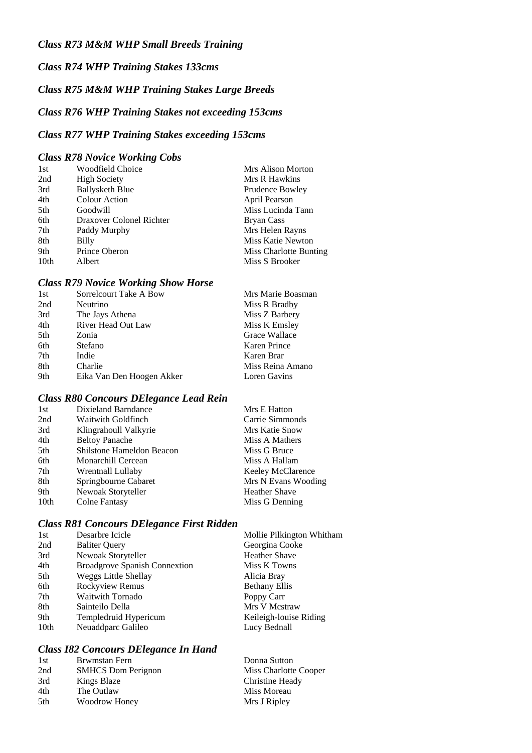# *Class R74 WHP Training Stakes 133cms*

# *Class R75 M&M WHP Training Stakes Large Breeds*

## *Class R76 WHP Training Stakes not exceeding 153cms*

# *Class R77 WHP Training Stakes exceeding 153cms*

# *Class R78 Novice Working Cobs*

| 1st              | <b>Woodfield Choice</b>  | Mrs Alison Morton        |
|------------------|--------------------------|--------------------------|
| 2nd              | <b>High Society</b>      | Mrs R Hawkins            |
| 3rd              | <b>Ballysketh Blue</b>   | Prudence Bowley          |
| 4th              | <b>Colour Action</b>     | April Pearson            |
| 5th              | Goodwill                 | Miss Lucinda Tann        |
| 6th              | Draxover Colonel Richter | <b>Bryan Cass</b>        |
| 7th              | Paddy Murphy             | Mrs Helen Rayns          |
| 8th              | Billy                    | <b>Miss Katie Newton</b> |
| 9th              | Prince Oberon            | Miss Charlotte Bunting   |
| 10 <sub>th</sub> | Albert                   | Miss S Brooker           |

# *Class R79 Novice Working Show Horse*

| 1st | Sorrelcourt Take A Bow    | Mrs Marie Boasman |
|-----|---------------------------|-------------------|
| 2nd | Neutrino                  | Miss R Bradby     |
| 3rd | The Jays Athena           | Miss Z Barbery    |
| 4th | River Head Out Law        | Miss K Emsley     |
| 5th | Zonia                     | Grace Wallace     |
| 6th | Stefano                   | Karen Prince      |
| 7th | Indie                     | Karen Brar        |
| 8th | Charlie                   | Miss Reina Amano  |
| 9th | Eika Van Den Hoogen Akker | Loren Gavins      |

# *Class R80 Concours DElegance Lead Rein*

| 1st              | Dixieland Barndance       | Mrs E Hatton         |
|------------------|---------------------------|----------------------|
| 2nd              | Waitwith Goldfinch        | Carrie Simmonds      |
| 3rd              | Klingrahoull Valkyrie     | Mrs Katie Snow       |
| 4th              | <b>Beltoy Panache</b>     | Miss A Mathers       |
| 5th              | Shilstone Hameldon Beacon | Miss G Bruce         |
| 6th              | Monarchill Cercean        | Miss A Hallam        |
| 7th              | Wrentnall Lullaby         | Keeley McClarence    |
| 8th              | Springbourne Cabaret      | Mrs N Evans Wooding  |
| 9th              | Newoak Storyteller        | <b>Heather Shave</b> |
| 10 <sub>th</sub> | Colne Fantasy             | Miss G Denning       |

# *Class R81 Concours DElegance First Ridden*

| Desarbre Icicle                      | Mollie Pilkington Whitham |
|--------------------------------------|---------------------------|
| <b>Baliter Query</b>                 | Georgina Cooke            |
| Newoak Storyteller                   | Heather Shave             |
| <b>Broadgrove Spanish Connextion</b> | Miss K Towns              |
| <b>Weggs Little Shellay</b>          | Alicia Bray               |
| Rockyview Remus                      | <b>Bethany Ellis</b>      |
| Waitwith Tornado                     | Poppy Carr                |
| Sainteilo Della                      | Mrs V Mestraw             |
| Templedruid Hypericum                | Keileigh-louise Riding    |
| Neuaddparc Galileo                   | Lucy Bednall              |
|                                      |                           |

# *Class I82 Concours DElegance In Hand*

| 1st | Brwmstan Fern             | Donna Sutton          |
|-----|---------------------------|-----------------------|
| 2nd | <b>SMHCS</b> Dom Perignon | Miss Charlotte Cooper |
| 3rd | Kings Blaze               | Christine Heady       |
| 4th | The Outlaw                | Miss Moreau           |
| 5th | Woodrow Honey             | Mrs J Ripley          |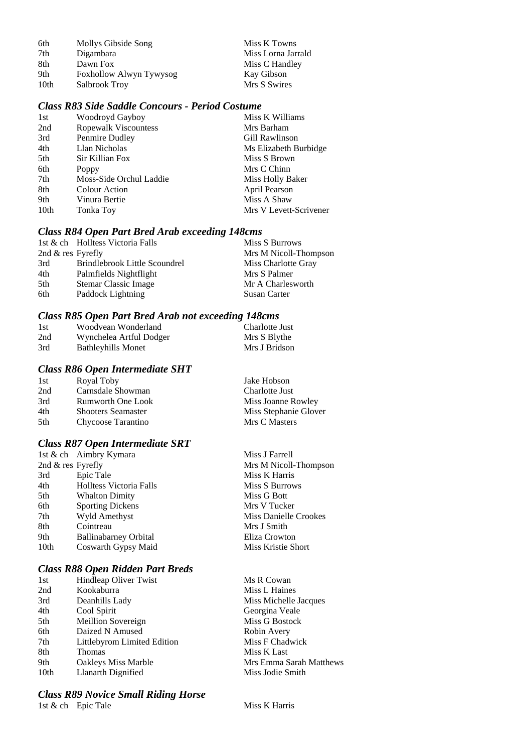| 6th  | Mollys Gibside Song     | Miss K Towns       |
|------|-------------------------|--------------------|
| 7th  | Digambara               | Miss Lorna Jarrald |
| 8th  | Dawn Fox                | Miss C Handley     |
| 9th  | Foxhollow Alwyn Tywysog | Kay Gibson         |
| 10th | Salbrook Troy           | Mrs S Swires       |

### *Class R83 Side Saddle Concours - Period Costume*

| 1st              | Woodroyd Gayboy         | Miss K Williams        |
|------------------|-------------------------|------------------------|
| 2nd              | Ropewalk Viscountess    | Mrs Barham             |
| 3rd              | Penmire Dudley          | Gill Rawlinson         |
| 4th              | Llan Nicholas           | Ms Elizabeth Burbidge  |
| 5th              | Sir Killian Fox         | Miss S Brown           |
| 6th              | Poppy                   | Mrs C Chinn            |
| 7th              | Moss-Side Orchul Laddie | Miss Holly Baker       |
| 8th              | Colour Action           | April Pearson          |
| 9th              | Vinura Bertie           | Miss A Shaw            |
| 10 <sub>th</sub> | Tonka Toy               | Mrs V Levett-Scrivener |

#### *Class R84 Open Part Bred Arab exceeding 148cms*

|                     | 1st & ch Holltess Victoria Falls | Miss S Burrows        |
|---------------------|----------------------------------|-----------------------|
| 2nd $&$ res Fyrefly |                                  | Mrs M Nicoll-Thompson |
| 3rd                 | Brindlebrook Little Scoundrel    | Miss Charlotte Gray   |
| 4th                 | Palmfields Nightflight           | Mrs S Palmer          |
| 5th                 | <b>Stemar Classic Image</b>      | Mr A Charlesworth     |
| 6th                 | Paddock Lightning                | <b>Susan Carter</b>   |

### *Class R85 Open Part Bred Arab not exceeding 148cms*

| 1st | Woodvean Wonderland       | Charlotte Just |
|-----|---------------------------|----------------|
| 2nd | Wynchelea Artful Dodger   | Mrs S Blythe   |
| 3rd | <b>Bathleyhills Monet</b> | Mrs J Bridson  |

#### *Class R86 Open Intermediate SHT*

| 1st | Royal Toby                | Jake Hobson           |
|-----|---------------------------|-----------------------|
| 2nd | Carnsdale Showman         | Charlotte Just        |
| 3rd | <b>Rumworth One Look</b>  | Miss Joanne Rowley    |
| 4th | <b>Shooters Seamaster</b> | Miss Stephanie Glover |
| 5th | Chycoose Tarantino        | Mrs C Masters         |

## *Class R87 Open Intermediate SRT*

|                     | 1st & ch Aimbry Kymara       | Miss J Farrell               |
|---------------------|------------------------------|------------------------------|
| 2nd $&$ res Fyrefly |                              | Mrs M Nicoll-Thompson        |
| 3rd                 | Epic Tale                    | Miss K Harris                |
| 4th                 | Holltess Victoria Falls      | Miss S Burrows               |
| 5th                 | <b>Whalton Dimity</b>        | Miss G Bott                  |
| 6th                 | <b>Sporting Dickens</b>      | Mrs V Tucker                 |
| 7th                 | Wyld Amethyst                | <b>Miss Danielle Crookes</b> |
| 8th                 | Cointreau                    | Mrs J Smith                  |
| 9th                 | <b>Ballinabarney Orbital</b> | Eliza Crowton                |
| 10th                | Coswarth Gypsy Maid          | Miss Kristie Short           |

#### *Class R88 Open Ridden Part Breds*

| 1st  | Hindleap Oliver Twist       | Ms R Cowan            |
|------|-----------------------------|-----------------------|
| 2nd  | Kookaburra                  | Miss L Haines         |
| 3rd  | Deanhills Lady              | Miss Michelle Jacques |
| 4th  | Cool Spirit                 | Georgina Veale        |
| 5th  | Meillion Sovereign          | Miss G Bostock        |
| 6th  | Daized N Amused             | Robin Avery           |
| 7th  | Littlebyrom Limited Edition | Miss F Chadwick       |
| 8th  | <b>Thomas</b>               | Miss K Last           |
| 9th  | <b>Oakleys Miss Marble</b>  | Mrs Emma Sarah Mattl  |
| 10th | Llanarth Dignified          | Miss Jodie Smith      |

# *Class R89 Novice Small Riding Horse*

1st & ch Epic Tale Miss K Harris

Matthews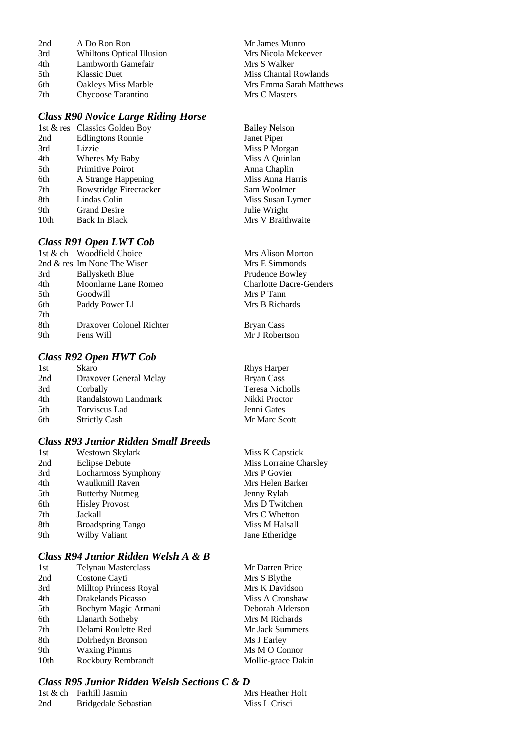| 2nd<br>A Do Ron Ron                     | Mr James Munro          |
|-----------------------------------------|-------------------------|
| 3rd<br><b>Whiltons Optical Illusion</b> | Mrs Nicola Mckeever     |
| 4th<br>Lambworth Gamefair               | Mrs S Walker            |
| 5th<br><b>Klassic Duet</b>              | Miss Chantal Rowlands   |
| 6th<br><b>Oakleys Miss Marble</b>       | Mrs Emma Sarah Matthews |
| 7th<br>Chycoose Tarantino               | Mrs C Masters           |

## *Class R90 Novice Large Riding Horse*

|                  | 1st & res Classics Golden Boy | <b>Bailey Nelson</b> |
|------------------|-------------------------------|----------------------|
| 2nd              | <b>Edlingtons Ronnie</b>      | Janet Piper          |
| 3rd              | Lizzie                        | Miss P Morgan        |
| 4th              | Wheres My Baby                | Miss A Quinlan       |
| 5th              | <b>Primitive Poirot</b>       | Anna Chaplin         |
| 6th              | A Strange Happening           | Miss Anna Harris     |
| 7th              | <b>Bowstridge Firecracker</b> | Sam Woolmer          |
| 8th              | Lindas Colin                  | Miss Susan Lymer     |
| 9th              | <b>Grand Desire</b>           | Julie Wright         |
| 10 <sub>th</sub> | Back In Black                 | Mrs V Braithwaite    |
|                  |                               |                      |

# *Class R91 Open LWT Cob*

|     | 1st & ch Woodfield Choice      | Mrs Alison Morton              |
|-----|--------------------------------|--------------------------------|
|     | 2nd $\&$ res Im None The Wiser | Mrs E Simmonds                 |
| 3rd | <b>Ballysketh Blue</b>         | Prudence Bowley                |
| 4th | Moonlarne Lane Romeo           | <b>Charlotte Dacre-Genders</b> |
| 5th | Goodwill                       | Mrs P Tann                     |
| 6th | Paddy Power Ll                 | Mrs B Richards                 |
| 7th |                                |                                |
| 8th | Draxover Colonel Richter       | Bryan Cass                     |
| 9th | Fens Will                      | Mr J Robertson                 |

#### *Class R92 Open HWT Cob*

| <b>Rhys Harper</b>                                                                                           |
|--------------------------------------------------------------------------------------------------------------|
| <b>Bryan Cass</b>                                                                                            |
| <b>Teresa Nicholls</b>                                                                                       |
| Nikki Proctor                                                                                                |
| Jenni Gates                                                                                                  |
| Mr Marc Scott                                                                                                |
| Skaro<br>Draxover General Mclay<br>Corbally<br>Randalstown Landmark<br>Torviscus Lad<br><b>Strictly Cash</b> |

### *Class R93 Junior Ridden Small Breeds*

| 1st | Westown Skylark          | Miss K Capstick        |
|-----|--------------------------|------------------------|
| 2nd | <b>Eclipse Debute</b>    | Miss Lorraine Charsley |
| 3rd | Locharmoss Symphony      | Mrs P Govier           |
| 4th | Waulkmill Raven          | Mrs Helen Barker       |
| 5th | <b>Butterby Nutmeg</b>   | Jenny Rylah            |
| 6th | <b>Hisley Provost</b>    | Mrs D Twitchen         |
| 7th | Jackall                  | Mrs C Whetton          |
| 8th | <b>Broadspring Tango</b> | Miss M Halsall         |
| 9th | Wilby Valiant            | Jane Etheridge         |
|     |                          |                        |

# *Class R94 Junior Ridden Welsh A & B*

| 1st              | Telynau Masterclass           | Mr Darren Price    |
|------------------|-------------------------------|--------------------|
| 2nd              | Costone Cayti                 | Mrs S Blythe       |
| 3rd              | <b>Milltop Princess Royal</b> | Mrs K Davidson     |
| 4th              | Drakelands Picasso            | Miss A Cronshaw    |
| 5th              | Bochym Magic Armani           | Deborah Alderson   |
| 6th              | <b>Llanarth Sotheby</b>       | Mrs M Richards     |
| 7th              | Delami Roulette Red           | Mr Jack Summers    |
| 8th              | Dolrhedyn Bronson             | Ms J Earley        |
| 9th              | <b>Waxing Pimms</b>           | Ms M O Connor      |
| 10 <sub>th</sub> | Rockbury Rembrandt            | Mollie-grace Dakin |

## *Class R95 Junior Ridden Welsh Sections C & D*

|     | 1st $\&$ ch Farhill Jasmin | Mrs Heather Holt |
|-----|----------------------------|------------------|
| 2nd | Bridgedale Sebastian       | Miss L Crisci    |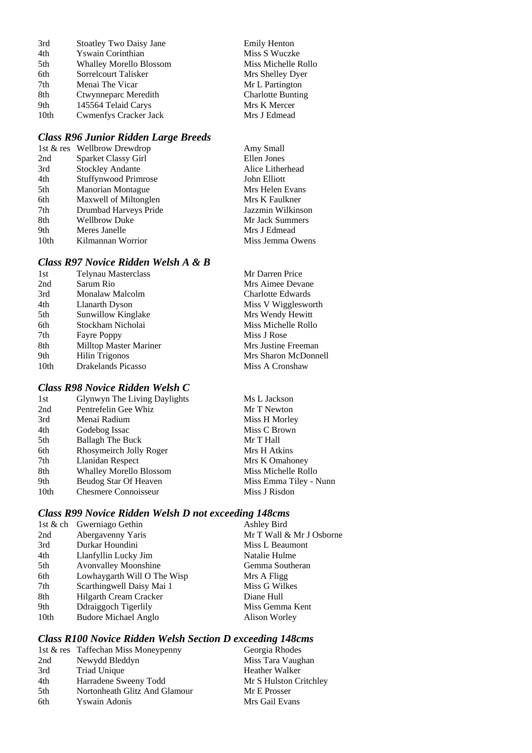| 3rd  | Stoatley Two Daisy Jane        | <b>Emily Henton</b>      |
|------|--------------------------------|--------------------------|
| 4th  | <b>Yswain Corinthian</b>       | Miss S Wuczke            |
| 5th  | <b>Whalley Morello Blossom</b> | Miss Michelle Rollo      |
| 6th  | Sorrelcourt Talisker           | Mrs Shelley Dyer         |
| 7th  | Menai The Vicar                | Mr L Partington          |
| 8th  | Ctwynneparc Meredith           | <b>Charlotte Bunting</b> |
| 9th  | 145564 Telaid Carys            | Mrs K Mercer             |
| 10th | <b>Cwmenfys Cracker Jack</b>   | Mrs J Edmead             |

# *Class R96 Junior Ridden Large Breeds*

|                  | 1st & res Wellbrow Drewdrop | Amy Small         |
|------------------|-----------------------------|-------------------|
| 2nd              | Sparket Classy Girl         | Ellen Jones       |
| 3rd              | <b>Stockley Andante</b>     | Alice Litherhead  |
| 4th              | <b>Stuffynwood Primrose</b> | John Elliott      |
| 5th              | <b>Manorian Montague</b>    | Mrs Helen Evans   |
| 6th              | Maxwell of Miltonglen       | Mrs K Faulkner    |
| 7th              | Drumbad Harveys Pride       | Jazzmin Wilkinson |
| 8th              | <b>Wellbrow Duke</b>        | Mr Jack Summers   |
| 9th              | Meres Janelle               | Mrs J Edmead      |
| 10 <sub>th</sub> | Kilmannan Worrior           | Miss Jemma Owens  |

## *Class R97 Novice Ridden Welsh A & B*

| 1st  | <b>Telynau Masterclass</b>    | Mr Darren Price      |
|------|-------------------------------|----------------------|
| 2nd  | Sarum Rio                     | Mrs Aimee Devane     |
| 3rd  | Monalaw Malcolm               | Charlotte Edwards    |
| 4th  | Llanarth Dyson                | Miss V Wigglesworth  |
| 5th  | Sunwillow Kinglake            | Mrs Wendy Hewitt     |
| 6th  | Stockham Nicholai             | Miss Michelle Rollo  |
| 7th  | <b>Fayre Poppy</b>            | Miss J Rose          |
| 8th  | <b>Milltop Master Mariner</b> | Mrs Justine Freeman  |
| 9th  | Hilin Trigonos                | Mrs Sharon McDonnell |
| 10th | Drakelands Picasso            | Miss A Cronshaw      |
|      |                               |                      |

# *Class R98 Novice Ridden Welsh C*

| 1st  | Glynwyn The Living Daylights   | Ms L Jackson           |
|------|--------------------------------|------------------------|
| 2nd  | Pentrefelin Gee Whiz           | Mr T Newton            |
| 3rd  | Menai Radium                   | Miss H Morley          |
| 4th  | Godebog Issac                  | Miss C Brown           |
| 5th  | <b>Ballagh The Buck</b>        | Mr T Hall              |
| 6th  | Rhosymeirch Jolly Roger        | Mrs H Atkins           |
| 7th  | Llanidan Respect               | Mrs K Omahoney         |
| 8th  | <b>Whalley Morello Blossom</b> | Miss Michelle Rollo    |
| 9th  | Beudog Star Of Heaven          | Miss Emma Tiley - Nunn |
| 10th | Chesmere Connoisseur           | Miss J Risdon          |
|      |                                |                        |

## *Class R99 Novice Ridden Welsh D not exceeding 148cms*

|      | 1st & ch Gwerniago Gethin   | <b>Ashley Bird</b>       |
|------|-----------------------------|--------------------------|
| 2nd  | Abergavenny Yaris           | Mr T Wall & Mr J Osborne |
| 3rd  | Durkar Houndini             | Miss L Beaumont          |
| 4th  | Llanfyllin Lucky Jim        | Natalie Hulme            |
| 5th  | <b>Avonvalley Moonshine</b> | Gemma Southeran          |
| 6th  | Lowhaygarth Will O The Wisp | Mrs A Fligg              |
| 7th  | Scarthingwell Daisy Mai 1   | Miss G Wilkes            |
| 8th  | Hilgarth Cream Cracker      | Diane Hull               |
| 9th  | Ddraiggoch Tigerlily        | Miss Gemma Kent          |
| 10th | <b>Budore Michael Anglo</b> | Alison Worley            |
|      |                             |                          |

# *Class R100 Novice Ridden Welsh Section D exceeding 148cms*

|     | 1st & res Taffechan Miss Moneypenny | Georgia Rhodes         |
|-----|-------------------------------------|------------------------|
| 2nd | Newydd Bleddyn                      | Miss Tara Vaughan      |
| 3rd | Triad Unique                        | Heather Walker         |
| 4th | Harradene Sweeny Todd               | Mr S Hulston Critchley |
| 5th | Nortonheath Glitz And Glamour       | Mr E Prosser           |
| 6th | Yswain Adonis                       | Mrs Gail Evans         |
|     |                                     |                        |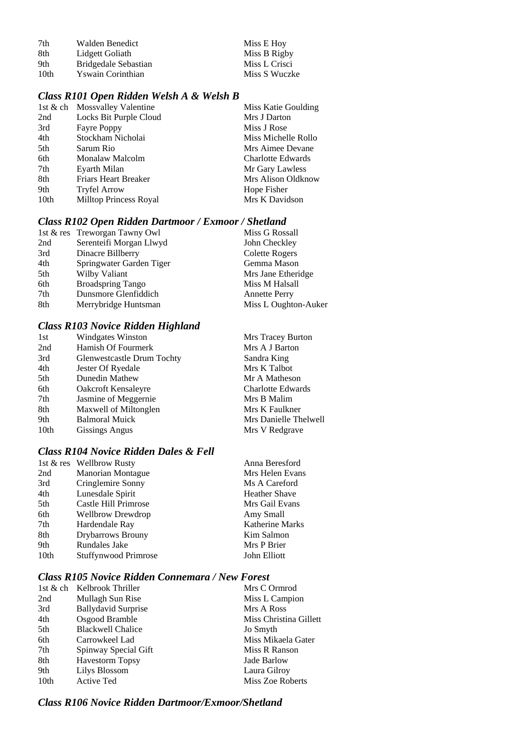| 7th              | Walden Benedict           | Miss E Hoy    |
|------------------|---------------------------|---------------|
| -8th             | Lidgett Goliath           | Miss B Rigby  |
| 9th              | Bridgedale Sebastian      | Miss L Crisci |
| 10 <sub>th</sub> | <b>Y</b> swain Corinthian | Miss S Wuczke |

# *Class R101 Open Ridden Welsh A & Welsh B*

| Miss Katie Goulding      |
|--------------------------|
| Mrs J Darton             |
| Miss J Rose              |
| Miss Michelle Rollo      |
| Mrs Aimee Devane         |
| <b>Charlotte Edwards</b> |
| Mr Gary Lawless          |
| Mrs Alison Oldknow       |
| Hope Fisher              |
| Mrs K Davidson           |
|                          |

# *Class R102 Open Ridden Dartmoor / Exmoor / Shetland*

|     | 1st & res Treworgan Tawny Owl | Miss G Rossall       |
|-----|-------------------------------|----------------------|
| 2nd | Serenteifi Morgan Llwyd       | John Checkley        |
| 3rd | Dinacre Billberry             | Colette Rogers       |
| 4th | Springwater Garden Tiger      | Gemma Mason          |
| 5th | Wilby Valiant                 | Mrs Jane Etheridge   |
| 6th | <b>Broadspring Tango</b>      | Miss M Halsall       |
| 7th | Dunsmore Glenfiddich          | <b>Annette Perry</b> |
| 8th | Merrybridge Huntsman          | Miss L Oughton-Auker |

## *Class R103 Novice Ridden Highland*

| <b>Windgates Winston</b>          | Mrs Tracey Burton        |
|-----------------------------------|--------------------------|
| Hamish Of Fourmerk                | Mrs A J Barton           |
| <b>Glenwestcastle Drum Tochty</b> | Sandra King              |
| Jester Of Ryedale                 | Mrs K Talbot             |
| Dunedin Mathew                    | Mr A Matheson            |
| Oakcroft Kensaleyre               | <b>Charlotte Edwards</b> |
| Jasmine of Meggernie              | Mrs B Malim              |
| Maxwell of Miltonglen             | Mrs K Faulkner           |
| <b>Balmoral Muick</b>             | Mrs Danielle Thelwell    |
| <b>Gissings Angus</b>             | Mrs V Redgrave           |
|                                   |                          |

## *Class R104 Novice Ridden Dales & Fell*

| 1st & res Wellbrow Rusty    | Anna Beresford         |
|-----------------------------|------------------------|
| Manorian Montague           | Mrs Helen Evans        |
| Cringlemire Sonny           | Ms A Careford          |
| Lunesdale Spirit            | <b>Heather Shave</b>   |
| Castle Hill Primrose        | Mrs Gail Evans         |
| <b>Wellbrow Drewdrop</b>    | Amy Small              |
| Hardendale Ray              | <b>Katherine Marks</b> |
| <b>Drybarrows Brouny</b>    | Kim Salmon             |
| Rundales Jake               | Mrs P Brier            |
| <b>Stuffynwood Primrose</b> | John Elliott           |
|                             |                        |

## *Class R105 Novice Ridden Connemara / New Forest*

|                  | 1st & ch Kelbrook Thriller | Mrs C Ormrod           |
|------------------|----------------------------|------------------------|
| 2nd              | Mullagh Sun Rise           | Miss L Campion         |
| 3rd              | <b>Ballydavid Surprise</b> | Mrs A Ross             |
| 4th              | Osgood Bramble             | Miss Christina Gillett |
| 5th              | <b>Blackwell Chalice</b>   | Jo Smyth               |
| 6th              | Carrowkeel Lad             | Miss Mikaela Gater     |
| 7th              | Spinway Special Gift       | Miss R Ranson          |
| 8th              | <b>Havestorm Topsy</b>     | Jade Barlow            |
| 9th              | Lilys Blossom              | Laura Gilroy           |
| 10 <sub>th</sub> | Active Ted                 | Miss Zoe Roberts       |

# *Class R106 Novice Ridden Dartmoor/Exmoor/Shetland*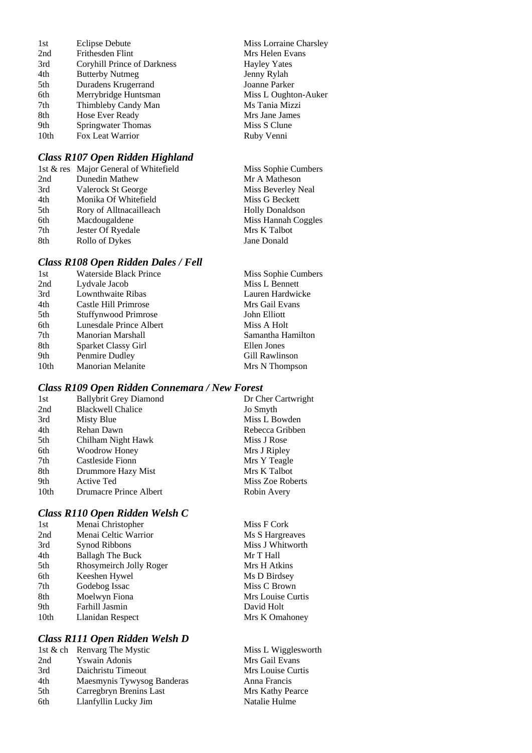| 1st  | Eclipse Debute              |
|------|-----------------------------|
| 2nd  | Frithesden Flint            |
| 3rd  | Coryhill Prince of Darkness |
| 4th  | <b>Butterby Nutmeg</b>      |
| 5th  | Duradens Krugerrand         |
| 6th  | Merrybridge Huntsman        |
| 7th  | Thimbleby Candy Man         |
| 8th  | Hose Ever Ready             |
| 9th  | <b>Springwater Thomas</b>   |
| 10th | Fox Leat Warrior            |
|      |                             |

# *Class R107 Open Ridden Highland*

|     | 1st & res Major General of Whitefield | Miss Sophie Cumbers    |
|-----|---------------------------------------|------------------------|
| 2nd | Dunedin Mathew                        | Mr A Matheson          |
| 3rd | Valerock St George                    | Miss Beverley Neal     |
| 4th | Monika Of Whitefield                  | Miss G Beckett         |
| 5th | Rory of Alltnacailleach               | <b>Holly Donaldson</b> |
| 6th | Macdougaldene                         | Miss Hannah Coggles    |
| 7th | Jester Of Ryedale                     | Mrs K Talbot           |
| 8th | Rollo of Dykes                        | Jane Donald            |

#### *Class R108 Open Ridden Dales / Fell*

| 1st              | Waterside Black Prince   | Miss Sophie Cumbers |
|------------------|--------------------------|---------------------|
| 2nd              | Lydvale Jacob            | Miss L Bennett      |
| 3rd              | Lownthwaite Ribas        | Lauren Hardwicke    |
| 4th              | Castle Hill Primrose     | Mrs Gail Evans      |
| 5th              | Stuffynwood Primrose     | John Elliott        |
| 6th              | Lunesdale Prince Albert  | Miss A Holt         |
| 7th              | Manorian Marshall        | Samantha Hamilton   |
| 8th              | Sparket Classy Girl      | Ellen Jones         |
| 9th              | Penmire Dudley           | Gill Rawlinson      |
| 10 <sub>th</sub> | <b>Manorian Melanite</b> | Mrs N Thompson      |
|                  |                          |                     |

#### *Class R109 Open Ridden Connemara / New Forest*

| 1st              | <b>Ballybrit Grey Diamond</b> | Dr Cher Cartwright |
|------------------|-------------------------------|--------------------|
| 2nd              | <b>Blackwell Chalice</b>      | Jo Smyth           |
| 3rd              | Misty Blue                    | Miss L Bowden      |
| 4th              | Rehan Dawn                    | Rebecca Gribben    |
| 5th              | Chilham Night Hawk            | Miss J Rose        |
| 6th              | Woodrow Honey                 | Mrs J Ripley       |
| 7th              | Castleside Fionn              | Mrs Y Teagle       |
| 8th              | Drummore Hazy Mist            | Mrs K Talbot       |
| 9th              | Active Ted                    | Miss Zoe Roberts   |
| 10 <sub>th</sub> | Drumacre Prince Albert        | Robin Avery        |
|                  |                               |                    |

# *Class R110 Open Ridden Welsh C*

| 1st              | Menai Christopher       | Miss F Cork       |
|------------------|-------------------------|-------------------|
| 2nd              | Menai Celtic Warrior    | Ms S Hargreaves   |
| 3rd              | Synod Ribbons           | Miss J Whitworth  |
| 4th              | <b>Ballagh The Buck</b> | Mr T Hall         |
| 5th              | Rhosymeirch Jolly Roger | Mrs H Atkins      |
| 6th              | Keeshen Hywel           | Ms D Birdsey      |
| 7th              | Godebog Issac           | Miss C Brown      |
| 8th              | Moelwyn Fiona           | Mrs Louise Curtis |
| 9th              | Farhill Jasmin          | David Holt        |
| 10 <sub>th</sub> | Llanidan Respect        | Mrs K Omahoney    |
|                  |                         |                   |

# *Class R111 Open Ridden Welsh D*

|     | 1st & ch Renvarg The Mystic |
|-----|-----------------------------|
| 2nd | <b>Yswain Adonis</b>        |
| 3rd | Daichristu Timeout          |
| 4th | Maesmynis Tywysog Banderas  |
| 5th | Carregbryn Brenins Last     |
| 6th | Llanfyllin Lucky Jim        |
|     |                             |

se Curtis nahoney

Miss Lorraine Charsley Mrs Helen Evans Hayley Yates Jenny Rylah Joanne Parker

Miss L Oughton-Auker Ms Tania Mizzi Mrs Jane James Miss S Clune Ruby Venni

Miss L Wigglesworth Mrs Gail Evans Mrs Louise Curtis Anna Francis Mrs Kathy Pearce Natalie Hulme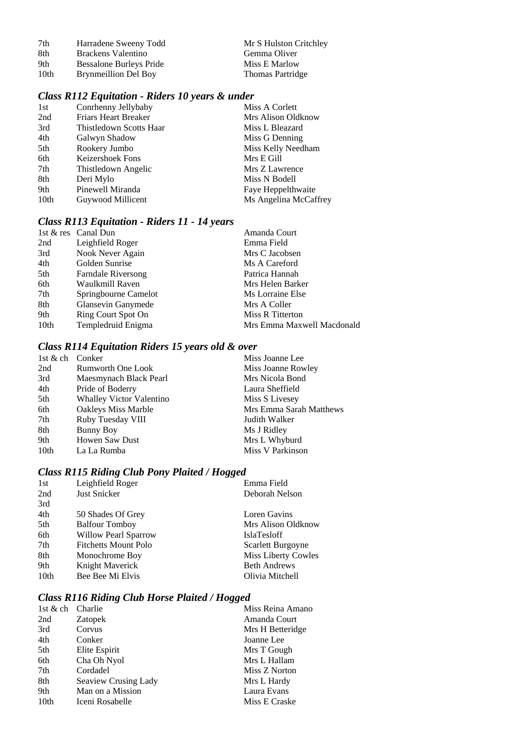| 7th  | Harradene Sweeny Todd   | Mr S Hulston Critchley |
|------|-------------------------|------------------------|
| 8th  | Brackens Valentino      | Gemma Oliver           |
| 9th  | Bessalone Burleys Pride | Miss E Marlow          |
| 10th | Brynmeillion Del Boy    | Thomas Partridge       |

# *Class R112 Equitation - Riders 10 years & under*

| 1st  | Conrhenny Jellybaby         | Miss A Corlett        |
|------|-----------------------------|-----------------------|
| 2nd  | <b>Friars Heart Breaker</b> | Mrs Alison Oldknow    |
| 3rd  | Thistledown Scotts Haar     | Miss L Bleazard       |
| 4th  | Galwyn Shadow               | Miss G Denning        |
| 5th  | Rookery Jumbo               | Miss Kelly Needham    |
| 6th  | Keizershoek Fons            | Mrs E Gill            |
| 7th  | Thistledown Angelic         | Mrs Z Lawrence        |
| 8th  | Deri Mylo                   | Miss N Bodell         |
| 9th  | Pinewell Miranda            | Faye Heppelthwaite    |
| 10th | Guywood Millicent           | Ms Angelina McCaffrey |
|      |                             |                       |

# *Class R113 Equitation - Riders 11 - 14 years*

|      | 1st & res Canal Dun       | Amanda Court               |
|------|---------------------------|----------------------------|
| 2nd  | Leighfield Roger          | Emma Field                 |
| 3rd  | Nook Never Again          | Mrs C Jacobsen             |
| 4th  | Golden Sunrise            | Ms A Careford              |
| 5th  | <b>Farndale Riversong</b> | Patrica Hannah             |
| 6th  | Waulkmill Raven           | Mrs Helen Barker           |
| 7th  | Springbourne Camelot      | Ms Lorraine Else           |
| 8th  | Glansevin Ganymede        | Mrs A Coller               |
| 9th  | Ring Court Spot On        | Miss R Titterton           |
| 10th | Templedruid Enigma        | Mrs Emma Maxwell Macdonald |
|      |                           |                            |

## *Class R114 Equitation Riders 15 years old & over*

| 1st & ch | Conker                          | Miss Joanne Lee         |
|----------|---------------------------------|-------------------------|
| 2nd      | <b>Rumworth One Look</b>        | Miss Joanne Rowley      |
| 3rd      | Maesmynach Black Pearl          | Mrs Nicola Bond         |
| 4th      | Pride of Boderry                | Laura Sheffield         |
| 5th      | <b>Whalley Victor Valentino</b> | Miss S Livesey          |
| 6th      | <b>Oakleys Miss Marble</b>      | Mrs Emma Sarah Matthews |
| 7th      | Ruby Tuesday VIII               | Judith Walker           |
| 8th      | <b>Bunny Boy</b>                | Ms J Ridley             |
| 9th      | <b>Howen Saw Dust</b>           | Mrs L Whyburd           |
| 10th     | La La Rumba                     | Miss V Parkinson        |

# *Class R115 Riding Club Pony Plaited / Hogged*

| 1st              | Leighfield Roger            | Emma Field                 |
|------------------|-----------------------------|----------------------------|
| 2nd              | <b>Just Snicker</b>         | Deborah Nelson             |
| 3rd              |                             |                            |
| 4th              | 50 Shades Of Grey           | Loren Gavins               |
| 5th              | <b>Balfour Tomboy</b>       | Mrs Alison Oldknow         |
| 6th              | <b>Willow Pearl Sparrow</b> | <b>IslaTesloff</b>         |
| 7th              | <b>Fitchetts Mount Polo</b> | Scarlett Burgoyne          |
| 8th              | Monochrome Boy              | <b>Miss Liberty Cowles</b> |
| 9th              | Knight Maverick             | <b>Beth Andrews</b>        |
| 10 <sub>th</sub> | Bee Bee Mi Elvis            | Olivia Mitchell            |

# *Class R116 Riding Club Horse Plaited / Hogged*

| 1st & ch         | Charlie              | Miss Reina Amano |
|------------------|----------------------|------------------|
| 2nd              | Zatopek              | Amanda Court     |
| 3rd              | Corvus               | Mrs H Betteridge |
| 4th              | Conker               | Joanne Lee       |
| 5th              | Elite Espirit        | Mrs T Gough      |
| 6th              | Cha Oh Nyol          | Mrs L Hallam     |
| 7th              | Cordadel             | Miss Z Norton    |
| 8th              | Seaview Crusing Lady | Mrs L Hardy      |
| 9th              | Man on a Mission     | Laura Evans      |
| 10 <sub>th</sub> | Iceni Rosabelle      | Miss E Craske    |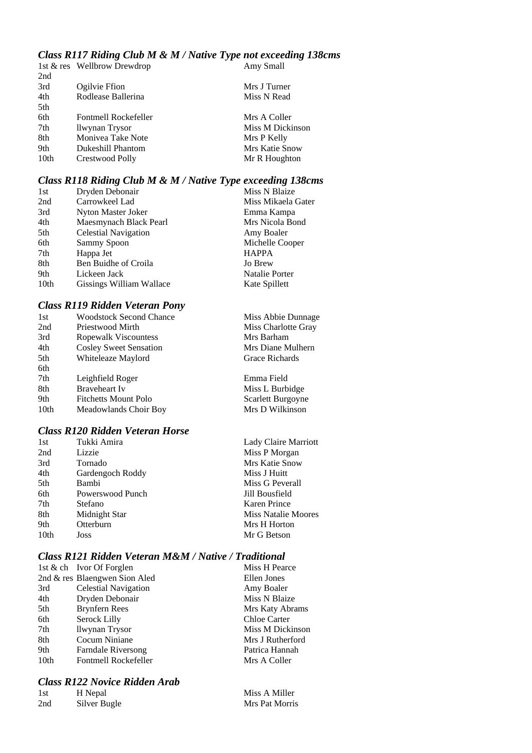# *Class R117 Riding Club M & M / Native Type not exceeding 138cms* 1st & res Wellbrow Drewdrop **Amy Small**

1st  $&$  res Wellbrow Drewdrop 2nd<br>3rd 3rd Ogilvie Ffion Mrs J Turner<br>4th Rodlease Ballerina Miss N Read Rodlease Ballerina 5th

6th Fontmell Rockefeller Mrs A Coller<br>
7th Ilwynan Trysor Miss M Dicki 7th Ilwynan Trysor Miss M Dickinson 8th Monivea Take Note Mrs P Kelly 9th Dukeshill Phantom Mrs Katie Snow 10th Crestwood Polly Mr R Houghton

#### *Class R118 Riding Club M & M / Native Type exceeding 138cms*

| 1st              | Dryden Debonair             | Miss N Blaize      |
|------------------|-----------------------------|--------------------|
| 2nd              | Carrowkeel Lad              | Miss Mikaela Gater |
| 3rd              | Nyton Master Joker          | Emma Kampa         |
| 4th              | Maesmynach Black Pearl      | Mrs Nicola Bond    |
| 5th              | <b>Celestial Navigation</b> | Amy Boaler         |
| 6th              | Sammy Spoon                 | Michelle Cooper    |
| 7th              | Happa Jet                   | <b>HAPPA</b>       |
| 8th              | Ben Buidhe of Croila        | Jo Brew            |
| 9th              | Lickeen Jack                | Natalie Porter     |
| 10 <sub>th</sub> | Gissings William Wallace    | Kate Spillett      |
|                  |                             |                    |

# *Class R119 Ridden Veteran Pony*

| <b>Woodstock Second Chance</b> | Miss Abbie Dunnage  |
|--------------------------------|---------------------|
| Priestwood Mirth               | Miss Charlotte Gray |
| Ropewalk Viscountess           | Mrs Barham          |
| <b>Cosley Sweet Sensation</b>  | Mrs Diane Mulhern   |
| Whiteleaze Maylord             | Grace Richards      |
|                                |                     |
| Leighfield Roger               | Emma Field          |
| <b>Braveheart Iv</b>           | Miss L Burbidge     |
| <b>Fitchetts Mount Polo</b>    | Scarlett Burgoyne   |
| Meadowlands Choir Boy          | Mrs D Wilkinson     |
|                                |                     |

# *Class R120 Ridden Veteran Horse*

| 1st  | Tukki Amira      | Lady Claire Marriott       |
|------|------------------|----------------------------|
| 2nd  | Lizzie           | Miss P Morgan              |
| 3rd  | Tornado          | <b>Mrs Katie Snow</b>      |
| 4th  | Gardengoch Roddy | Miss J Huitt               |
| 5th  | Bambi            | Miss G Peverall            |
| 6th  | Powerswood Punch | Jill Bousfield             |
| 7th  | Stefano          | <b>Karen Prince</b>        |
| 8th  | Midnight Star    | <b>Miss Natalie Moores</b> |
| 9th  | Otterburn        | Mrs H Horton               |
| 10th | Joss             | Mr G Betson                |
|      |                  |                            |

## *Class R121 Ridden Veteran M&M / Native / Traditional*

|      | 1st & ch Ivor Of Forglen      | Miss H Pearce    |
|------|-------------------------------|------------------|
|      | 2nd & res Blaengwen Sion Aled | Ellen Jones      |
| 3rd  | <b>Celestial Navigation</b>   | Amy Boaler       |
| 4th  | Dryden Debonair               | Miss N Blaize    |
| 5th  | <b>Brynfern Rees</b>          | Mrs Katy Abrams  |
| 6th  | Serock Lilly                  | Chloe Carter     |
| 7th  | llwynan Trysor                | Miss M Dickinson |
| 8th  | Cocum Niniane                 | Mrs J Rutherford |
| 9th  | <b>Farndale Riversong</b>     | Patrica Hannah   |
| 10th | Fontmell Rockefeller          | Mrs A Coller     |
|      |                               |                  |

## *Class R122 Novice Ridden Arab*

| 1st | H Nepal      |
|-----|--------------|
| 2nd | Silver Bugle |

Miss A Miller Mrs Pat Morris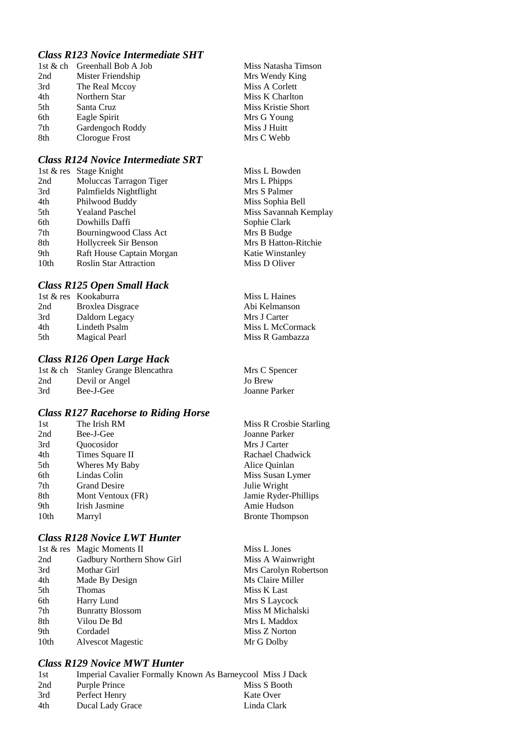## *Class R123 Novice Intermediate SHT*

|     | 1st & ch Greenhall Bob A Job | Miss Natasha Timson |
|-----|------------------------------|---------------------|
| 2nd | Mister Friendship            | Mrs Wendy King      |
| 3rd | The Real Mccoy               | Miss A Corlett      |
| 4th | Northern Star                | Miss K Charlton     |
| 5th | Santa Cruz                   | Miss Kristie Short  |
| 6th | Eagle Spirit                 | Mrs G Young         |
| 7th | Gardengoch Roddy             | Miss J Huitt        |
| 8th | Clorogue Frost               | Mrs C Webb          |

#### *Class R124 Novice Intermediate SRT*

|      | 1st & res Stage Knight        | Miss L Bowden         |
|------|-------------------------------|-----------------------|
| 2nd  | Moluccas Tarragon Tiger       | Mrs L Phipps          |
| 3rd  | Palmfields Nightflight        | Mrs S Palmer          |
| 4th  | Philwood Buddy                | Miss Sophia Bell      |
| 5th  | <b>Yealand Paschel</b>        | Miss Savannah Kemplay |
| 6th  | Dowhills Daffi                | Sophie Clark          |
| 7th  | Bourningwood Class Act        | Mrs B Budge           |
| 8th  | Hollycreek Sir Benson         | Mrs B Hatton-Ritchie  |
| 9th  | Raft House Captain Morgan     | Katie Winstanley      |
| 10th | <b>Roslin Star Attraction</b> | Miss D Oliver         |
|      |                               |                       |

## *Class R125 Open Small Hack*

|     | 1st & res Kookaburra | Miss L Haines    |
|-----|----------------------|------------------|
| 2nd | Broxlea Disgrace     | Abi Kelmanson    |
| 3rd | Daldorn Legacy       | Mrs J Carter     |
| 4th | Lindeth Psalm        | Miss L McCormack |
| 5th | Magical Pearl        | Miss R Gambazza  |
|     |                      |                  |

Mrs C Spencer Jo Brew Joanne Parker

#### *Class R126 Open Large Hack*

|     | 1st & ch Stanley Grange Blencathra |
|-----|------------------------------------|
| 2nd | Devil or Angel                     |
| 3rd | Bee-J-Gee                          |

#### *Class R127 Racehorse to Riding Horse*

| 1st              | The Irish RM        | Miss R Crosbie Starling |
|------------------|---------------------|-------------------------|
| 2nd              | Bee-J-Gee           | Joanne Parker           |
| 3rd              | Ouocosidor          | Mrs J Carter            |
| 4th              | Times Square II     | Rachael Chadwick        |
| 5th              | Wheres My Baby      | Alice Quinlan           |
| 6th              | Lindas Colin        | Miss Susan Lymer        |
| 7th              | <b>Grand Desire</b> | Julie Wright            |
| 8th              | Mont Ventoux (FR)   | Jamie Ryder-Phillips    |
| 9th              | Irish Jasmine       | Amie Hudson             |
| 10 <sub>th</sub> | Marryl              | <b>Bronte Thompson</b>  |

# *Class R128 Novice LWT Hunter*

|      | 1st & res Magic Moments II | Miss L Jones          |
|------|----------------------------|-----------------------|
| 2nd  | Gadbury Northern Show Girl | Miss A Wainwright     |
| 3rd  | Mothar Girl                | Mrs Carolyn Robertson |
| 4th  | Made By Design             | Ms Claire Miller      |
| 5th  | <b>Thomas</b>              | Miss K Last           |
| 6th  | Harry Lund                 | Mrs S Laycock         |
| 7th  | <b>Bunratty Blossom</b>    | Miss M Michalski      |
| 8th  | Vilou De Bd                | Mrs L Maddox          |
| 9th  | Cordadel                   | Miss Z Norton         |
| 10th | <b>Alvescot Magestic</b>   | Mr G Dolby            |

## *Class R129 Novice MWT Hunter*

| 1st | Imperial Cavalier Formally Known As Barneycool Miss J Dack |              |
|-----|------------------------------------------------------------|--------------|
| 2nd | Purple Prince                                              | Miss S Booth |
| 3rd | Perfect Henry                                              | Kate Over    |
| 4th | Ducal Lady Grace                                           | Linda Clark  |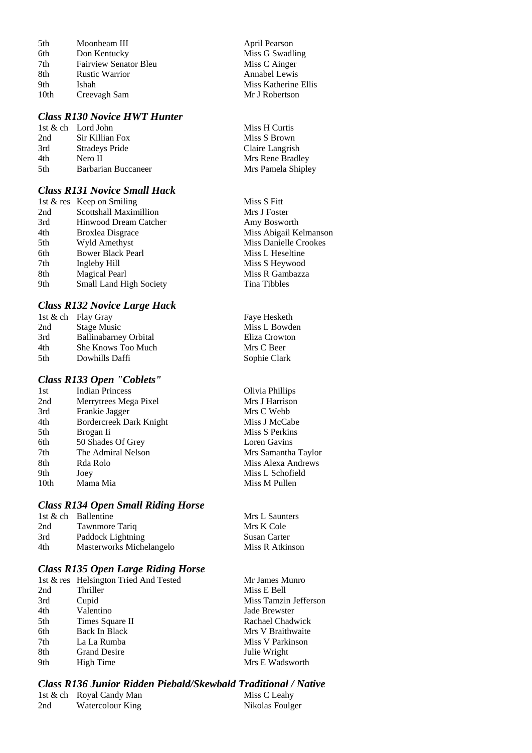| 5th  | Moonbeam III                 | April Pearson        |
|------|------------------------------|----------------------|
| 6th  | Don Kentucky                 | Miss G Swadling      |
| 7th  | <b>Fairview Senator Bleu</b> | Miss C Ainger        |
| 8th  | <b>Rustic Warrior</b>        | Annabel Lewis        |
| 9th  | Ishah                        | Miss Katherine Ellis |
| 10th | Creevagh Sam                 | Mr J Robertson       |

#### *Class R130 Novice HWT Hunter*

|      | 1st $\&$ ch Lord John | Miss H Curtis      |
|------|-----------------------|--------------------|
| 2nd  | Sir Killian Fox       | Miss S Brown       |
| 3rd  | <b>Stradevs Pride</b> | Claire Langrish    |
| 4th  | Nero II               | Mrs Rene Bradley   |
| .5th | Barbarian Buccaneer   | Mrs Pamela Shipley |

#### *Class R131 Novice Small Hack*

|     | 1st & res Keep on Smiling      | Miss S Fitt                  |
|-----|--------------------------------|------------------------------|
| 2nd | Scottshall Maximillion         | Mrs J Foster                 |
| 3rd | Hinwood Dream Catcher          | Amy Bosworth                 |
| 4th | <b>Broxlea Disgrace</b>        | Miss Abigail Kelmanson       |
| 5th | Wyld Amethyst                  | <b>Miss Danielle Crookes</b> |
| 6th | <b>Bower Black Pearl</b>       | Miss L Heseltine             |
| 7th | Ingleby Hill                   | Miss S Heywood               |
| 8th | <b>Magical Pearl</b>           | Miss R Gambazza              |
| 9th | <b>Small Land High Society</b> | Tina Tibbles                 |

#### *Class R132 Novice Large Hack*

|      | 1st & ch Flay Gray           |
|------|------------------------------|
| 2nd  | <b>Stage Music</b>           |
| 3rd  | <b>Ballinabarney Orbital</b> |
| 4th  | She Knows Too Much           |
| .5th | Dowhills Daffi               |

#### *Class R133 Open "Coblets"*

| 1st  | <b>Indian Princess</b>  |
|------|-------------------------|
| 2nd  | Merrytrees Mega Pixel   |
| 3rd  | Frankie Jagger          |
| 4th  | Bordercreek Dark Knight |
| 5th  | Brogan Ii               |
| 6th  | 50 Shades Of Grey       |
| 7th  | The Admiral Nelson      |
| 8th  | Rda Rolo                |
| 9th  | Joey                    |
| 10th | Mama Mia                |
|      |                         |

### *Class R134 Open Small Riding Horse*

|     | 1st & ch Ballentine      | Mrs L Saunters  |
|-----|--------------------------|-----------------|
| 2nd | Tawnmore Tariq           | Mrs K Cole      |
| 3rd | Paddock Lightning        | Susan Carter    |
| 4th | Masterworks Michelangelo | Miss R Atkinson |

## *Class R135 Open Large Riding Horse*

|     | 1st & res Helsington Tried And Tested | Mr James Munro        |
|-----|---------------------------------------|-----------------------|
| 2nd | Thriller                              | Miss E Bell           |
| 3rd | Cupid                                 | Miss Tamzin Jefferson |
| 4th | Valentino                             | Jade Brewster         |
| 5th | Times Square II                       | Rachael Chadwick      |
| 6th | Back In Black                         | Mrs V Braithwaite     |
| 7th | La La Rumba                           | Miss V Parkinson      |
| 8th | <b>Grand Desire</b>                   | Julie Wright          |
| 9th | High Time                             | Mrs E Wadsworth       |

## *Class R136 Junior Ridden Piebald/Skewbald Traditional / Native*

|     | 1st & ch Royal Candy Man | Miss C Leahy    |
|-----|--------------------------|-----------------|
| 2nd | Watercolour King         | Nikolas Foulger |

| April Pearson        |  |
|----------------------|--|
| Miss G Swadling      |  |
| Miss C Ainger        |  |
| Annabel Lewis        |  |
| Miss Katherine Ellis |  |
| Mr J Robertson       |  |

| Miss S Fitt            |
|------------------------|
| Mrs J Foster           |
| Amy Bosworth           |
| Miss Abigail Kelmansor |
| Miss Danielle Crookes  |
| Miss L Heseltine       |
| Miss S Heywood         |
| Miss R Gambazza        |
| Tina Tibbles           |
|                        |

Faye Hesketh Miss L Bowden Eliza Crowton Mrs C Beer Sophie Clark

**Olivia Phillips** Mrs J Harrison Mrs C Webb Miss J McCabe Miss S Perkins Loren Gavins Mrs Samantha Taylor Miss Alexa Andrews Miss L Schofield Miss M Pullen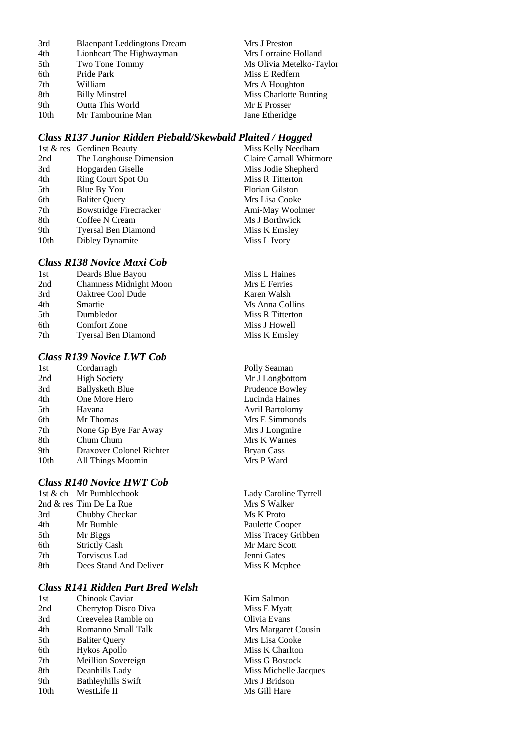| 3rd              | <b>Blaenpant Leddingtons Dream</b> | Mrs J Preston                 |
|------------------|------------------------------------|-------------------------------|
| 4th              | Lionheart The Highwayman           | Mrs Lorraine Holland          |
| 5th              | Two Tone Tommy                     | Ms Olivia Metelko-Taylor      |
| 6th              | Pride Park                         | Miss E Redfern                |
| 7th              | William                            | Mrs A Houghton                |
| 8th              | <b>Billy Minstrel</b>              | <b>Miss Charlotte Bunting</b> |
| 9th              | <b>Outta This World</b>            | Mr E Prosser                  |
| 10 <sub>th</sub> | Mr Tambourine Man                  | Jane Etheridge                |

## *Class R137 Junior Ridden Piebald/Skewbald Plaited / Hogged*

|      | 1st & res Gerdinen Beauty     |
|------|-------------------------------|
| 2nd  | The Longhouse Dimension       |
| 3rd  | Hopgarden Giselle             |
| 4th  | Ring Court Spot On            |
| 5th  | Blue By You                   |
| 6th  | <b>Baliter Query</b>          |
| 7th  | <b>Bowstridge Firecracker</b> |
| 8th  | Coffee N Cream                |
| 9th  | <b>Tyersal Ben Diamond</b>    |
| 10th | Dibley Dynamite               |

## *Class R138 Novice Maxi Cob*

| 1st | Deards Blue Bayou             | Miss L Haine  |
|-----|-------------------------------|---------------|
| 2nd | <b>Chamness Midnight Moon</b> | Mrs E Ferries |
| 3rd | Oaktree Cool Dude             | Karen Walsh   |
| 4th | Smartie                       | Ms Anna Col   |
| 5th | Dumbledor                     | Miss R Titter |
| 6th | <b>Comfort Zone</b>           | Miss J Howel  |
| 7th | <b>Tyersal Ben Diamond</b>    | Miss K Emsle  |
|     |                               |               |

### *Class R139 Novice LWT Cob*

| Cordarragh               |
|--------------------------|
| <b>High Society</b>      |
| <b>Ballysketh Blue</b>   |
| One More Hero            |
| Havana                   |
| Mr Thomas                |
| None Gp Bye Far Away     |
| Chum Chum                |
| Draxover Colonel Richter |
| All Things Moomin        |
|                          |

#### *Class R140 Novice HWT Cob*

|     | 1st & ch Mr Pumblechook    |
|-----|----------------------------|
|     | 2nd $\&$ res Tim De La Rue |
| 3rd | Chubby Checkar             |
| 4th | Mr Bumble                  |
| 5th | Mr Biggs                   |
| 6th | <b>Strictly Cash</b>       |
| 7th | <b>Torviscus Lad</b>       |
| 8th | Dees Stand And Deliver     |

#### *Class R141 Ridden Part Bred Welsh*

| 1st  | Chinook Caviar            |
|------|---------------------------|
| 2nd  | Cherrytop Disco Diva      |
| 3rd  | Creevelea Ramble on       |
| 4th  | Romanno Small Talk        |
| 5th  | <b>Baliter Query</b>      |
| 6th  | <b>Hykos Apollo</b>       |
| 7th  | Meillion Sovereign        |
| 8th  | Deanhills Lady            |
| 9th  | <b>Bathleyhills Swift</b> |
| 10th | WestLife II               |

Miss Kelly Needham Claire Carnall Whitmore Miss Jodie Shepherd **Miss R Titterton** Florian Gilston Mrs Lisa Cooke Ami-May Woolmer Ms J Borthwick Miss K Emsley Miss L Ivory

L Haines E Ferries Anna Collins R Titterton J Howell K Emsley

Polly Seaman Mr J Longbottom Prudence Bowley Lucinda Haines Avril Bartolomy Mrs E Simmonds Mrs J Longmire Mrs K Warnes Bryan Cass Mrs P Ward

Lady Caroline Tyrrell Mrs S Walker Ms K Proto Paulette Cooper Miss Tracey Gribben Mr Marc Scott Jenni Gates Miss K Mcphee

Kim Salmon Miss E Myatt Olivia Evans **Mrs Margaret Cousin** Mrs Lisa Cooke Miss K Charlton Miss G Bostock Miss Michelle Jacques Mrs J Bridson Ms Gill Hare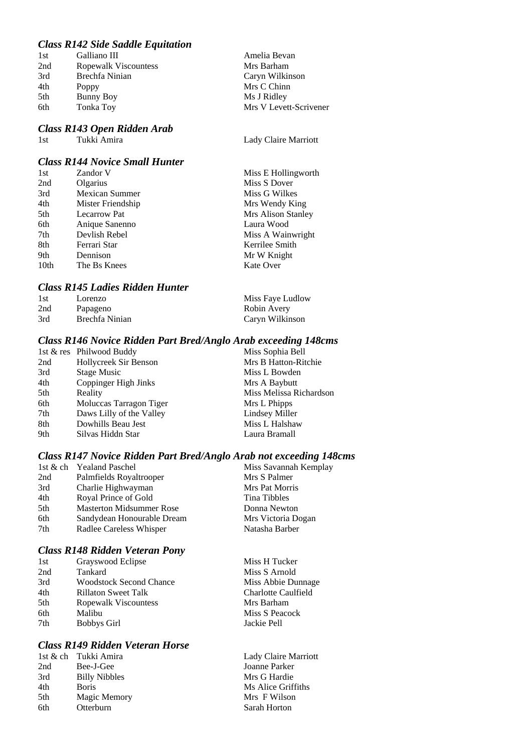## *Class R142 Side Saddle Equitation*

| 1st | Galliano III         | Amelia Bevan           |
|-----|----------------------|------------------------|
| 2nd | Ropewalk Viscountess | Mrs Barham             |
| 3rd | Brechfa Ninian       | Caryn Wilkinson        |
| 4th | Poppy                | Mrs C Chinn            |
| 5th | Bunny Boy            | Ms J Ridley            |
| 6th | Tonka Toy            | Mrs V Levett-Scrivener |
|     |                      |                        |

# *Class R143 Open Ridden Arab*

1st Tukki Amira 1988 Lady Claire Marriott

#### *Class R144 Novice Small Hunter*

| 1st              | Zandor V              | Miss E Hollingworth |
|------------------|-----------------------|---------------------|
| 2nd              | Olgarius              | Miss S Dover        |
| 3rd              | <b>Mexican Summer</b> | Miss G Wilkes       |
| 4th              | Mister Friendship     | Mrs Wendy King      |
| 5th              | <b>Lecarrow Pat</b>   | Mrs Alison Stanley  |
| 6th              | Anique Sanenno        | Laura Wood          |
| 7th              | Devlish Rebel         | Miss A Wainwright   |
| 8th              | Ferrari Star          | Kerrilee Smith      |
| 9th              | Dennison              | Mr W Knight         |
| 10 <sub>th</sub> | The Bs Knees          | Kate Over           |

#### *Class R145 Ladies Ridden Hunter*

| 1st | Lorenzo        | Miss Faye Ludlow |
|-----|----------------|------------------|
| 2nd | Papageno       | Robin Avery      |
| 3rd | Brechfa Ninian | Caryn Wilkinson  |

#### *Class R146 Novice Ridden Part Bred/Anglo Arab exceeding 148cms*

|     | 1st & res Philwood Buddy | Miss Sophia Bell        |
|-----|--------------------------|-------------------------|
| 2nd | Hollycreek Sir Benson    | Mrs B Hatton-Ritchie    |
| 3rd | <b>Stage Music</b>       | Miss L Bowden           |
| 4th | Coppinger High Jinks     | Mrs A Baybutt           |
| 5th | Reality                  | Miss Melissa Richardson |
| 6th | Moluccas Tarragon Tiger  | Mrs L Phipps            |
| 7th | Daws Lilly of the Valley | Lindsey Miller          |
| 8th | Dowhills Beau Jest       | Miss L Halshaw          |
| 9th | Silvas Hiddn Star        | Laura Bramall           |
|     |                          |                         |

### *Class R147 Novice Ridden Part Bred/Anglo Arab not exceeding 148cms*

|     | 1st & ch Yealand Paschel        | Miss Savannah Kemplay |
|-----|---------------------------------|-----------------------|
| 2nd | Palmfields Royaltrooper         | Mrs S Palmer          |
| 3rd | Charlie Highwayman              | Mrs Pat Morris        |
| 4th | Royal Prince of Gold            | Tina Tibbles          |
| 5th | <b>Masterton Midsummer Rose</b> | Donna Newton          |
| 6th | Sandydean Honourable Dream      | Mrs Victoria Dogan    |
| 7th | Radlee Careless Whisper         | Natasha Barber        |

#### *Class R148 Ridden Veteran Pony*

| 1st | Grayswood Eclipse          | Miss H Tucker       |
|-----|----------------------------|---------------------|
| 2nd | Tankard                    | Miss S Arnold       |
| 3rd | Woodstock Second Chance    | Miss Abbie Dunnage  |
| 4th | <b>Rillaton Sweet Talk</b> | Charlotte Caulfield |
| 5th | Ropewalk Viscountess       | Mrs Barham          |
| 6th | Malibu                     | Miss S Peacock      |
| 7th | <b>Bobbys Girl</b>         | Jackie Pell         |
|     |                            |                     |

# *Class R149 Ridden Veteran Horse*

|                      | Lady Claire Marriott |
|----------------------|----------------------|
| Bee-J-Gee            | Joanne Parker        |
| <b>Billy Nibbles</b> | Mrs G Hardie         |
| <b>Boris</b>         | Ms Alice Griffiths   |
| Magic Memory         | Mrs F Wilson         |
| Otterburn            | Sarah Horton         |
|                      | 1st & ch Tukki Amira |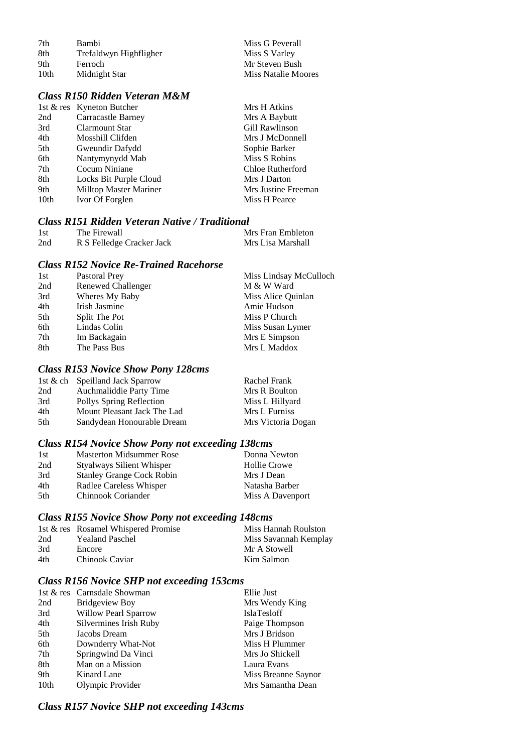| 7th  | Bambi                  | Miss G Peverall            |
|------|------------------------|----------------------------|
| 8th  | Trefaldwyn Highfligher | Miss S Varley              |
| 9th  | Ferroch                | Mr Steven Bush             |
| 10th | Midnight Star          | <b>Miss Natalie Moores</b> |

## *Class R150 Ridden Veteran M&M*

| 1st & res Kyneton Butcher     | Mrs H Atkins          |
|-------------------------------|-----------------------|
| Carracastle Barney            | Mrs A Baybutt         |
| <b>Clarmount Star</b>         | <b>Gill Rawlinson</b> |
| Mosshill Clifden              | Mrs J McDonnell       |
| Gweundir Dafydd               | Sophie Barker         |
| Nantymynydd Mab               | Miss S Robins         |
| Cocum Niniane                 | Chloe Rutherford      |
| Locks Bit Purple Cloud        | Mrs J Darton          |
| <b>Milltop Master Mariner</b> | Mrs Justine Freeman   |
| Ivor Of Forglen               | Miss H Pearce         |
|                               |                       |

#### *Class R151 Ridden Veteran Native / Traditional*

| 1st | The Firewall              | Mrs Fran Embleton |
|-----|---------------------------|-------------------|
| 2nd | R S Felledge Cracker Jack | Mrs Lisa Marshall |

#### *Class R152 Novice Re-Trained Racehorse*

#### *Class R153 Novice Show Pony 128cms*

|     | 1st & ch Speilland Jack Sparrow | Rachel Frank       |
|-----|---------------------------------|--------------------|
| 2nd | Auchmaliddie Party Time         | Mrs R Boulton      |
| 3rd | Pollys Spring Reflection        | Miss L Hillyard    |
| 4th | Mount Pleasant Jack The Lad     | Mrs L Furniss      |
| 5th | Sandydean Honourable Dream      | Mrs Victoria Dogan |

## *Class R154 Novice Show Pony not exceeding 138cms*

| <b>Masterton Midsummer Rose</b>  | Donna Newton     |
|----------------------------------|------------------|
| <b>Styalways Silient Whisper</b> | Hollie Crowe     |
| <b>Stanley Grange Cock Robin</b> | Mrs J Dean       |
| Radlee Careless Whisper          | Natasha Barber   |
| Chinnook Coriander               | Miss A Davenport |
|                                  |                  |

#### *Class R155 Novice Show Pony not exceeding 148cms*

|     | 1st & res Rosamel Whispered Promise | Miss Hannah Roulston  |
|-----|-------------------------------------|-----------------------|
| 2nd | <b>Yealand Paschel</b>              | Miss Savannah Kemplay |
| 3rd | Encore                              | Mr A Stowell          |
| 4th | Chinook Caviar                      | Kim Salmon            |

## *Class R156 Novice SHP not exceeding 153cms*

|                  | 1st & res Carnsdale Showman | Ellie Just          |
|------------------|-----------------------------|---------------------|
| 2nd              | <b>Bridgeview Boy</b>       | Mrs Wendy King      |
| 3rd              | <b>Willow Pearl Sparrow</b> | <b>IslaTesloff</b>  |
| 4th              | Silvermines Irish Ruby      | Paige Thompson      |
| 5th              | Jacobs Dream                | Mrs J Bridson       |
| 6th              | Downderry What-Not          | Miss H Plummer      |
| 7th              | Springwind Da Vinci         | Mrs Jo Shickell     |
| 8th              | Man on a Mission            | Laura Evans         |
| 9th              | Kinard Lane                 | Miss Breanne Saynor |
| 10 <sub>th</sub> | Olympic Provider            | Mrs Samantha Dean   |

#### *Class R157 Novice SHP not exceeding 143cms*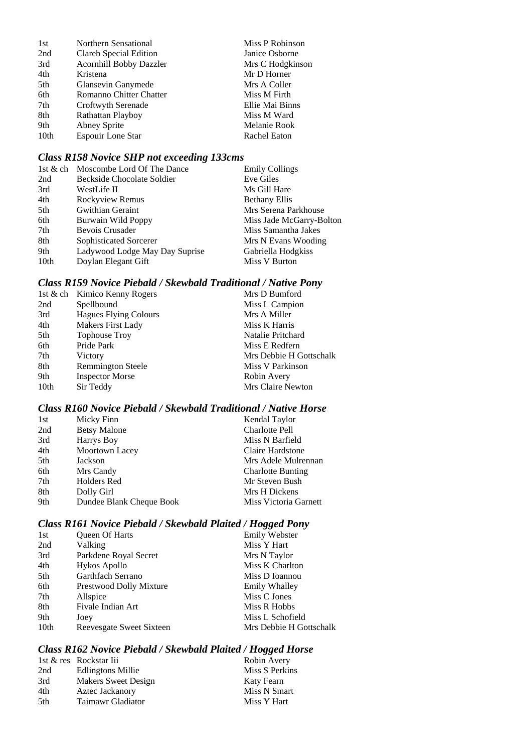| 1st              | Northern Sensational     | Miss P Robinson  |
|------------------|--------------------------|------------------|
| 2nd              | Clareb Special Edition   | Janice Osborne   |
| 3rd              | Acornhill Bobby Dazzler  | Mrs C Hodgkinson |
| 4th              | Kristena                 | Mr D Horner      |
| 5th              | Glansevin Ganymede       | Mrs A Coller     |
| 6th              | Romanno Chitter Chatter  | Miss M Firth     |
| 7th              | Croftwyth Serenade       | Ellie Mai Binns  |
| 8th              | Rathattan Playboy        | Miss M Ward      |
| 9th              | Abney Sprite             | Melanie Rook     |
| 10 <sub>th</sub> | <b>Espouir Lone Star</b> | Rachel Eaton     |

# *Class R158 Novice SHP not exceeding 133cms*

|      | 1st & ch Moscombe Lord Of The Dance | <b>Emily Collings</b>    |
|------|-------------------------------------|--------------------------|
| 2nd  | Beckside Chocolate Soldier          | Eve Giles                |
| 3rd  | WestLife II                         | Ms Gill Hare             |
| 4th  | Rockyview Remus                     | <b>Bethany Ellis</b>     |
| 5th  | Gwithian Geraint                    | Mrs Serena Parkhouse     |
| 6th  | Burwain Wild Poppy                  | Miss Jade McGarry-Bolton |
| 7th  | Bevois Crusader                     | Miss Samantha Jakes      |
| 8th  | Sophisticated Sorcerer              | Mrs N Evans Wooding      |
| 9th  | Ladywood Lodge May Day Suprise      | Gabriella Hodgkiss       |
| 10th | Doylan Elegant Gift                 | Miss V Burton            |

# *Class R159 Novice Piebald / Skewbald Traditional / Native Pony*

| 1st & ch Kimico Kenny Rogers | Mrs D Bumford           |
|------------------------------|-------------------------|
| Spellbound                   | Miss L Campion          |
| <b>Hagues Flying Colours</b> | Mrs A Miller            |
| Makers First Lady            | Miss K Harris           |
| <b>Tophouse Troy</b>         | Natalie Pritchard       |
| Pride Park                   | Miss E Redfern          |
| Victory                      | Mrs Debbie H Gottschalk |
| <b>Remmington Steele</b>     | Miss V Parkinson        |
| <b>Inspector Morse</b>       | Robin Avery             |
| Sir Teddy                    | Mrs Claire Newton       |
|                              |                         |

## *Class R160 Novice Piebald / Skewbald Traditional / Native Horse*

| 1st | Micky Finn               | Kendal Taylor            |
|-----|--------------------------|--------------------------|
| 2nd | <b>Betsy Malone</b>      | <b>Charlotte Pell</b>    |
| 3rd | Harrys Boy               | Miss N Barfield          |
| 4th | Moortown Lacey           | Claire Hardstone         |
| 5th | Jackson                  | Mrs Adele Mulrennan      |
| 6th | Mrs Candy                | <b>Charlotte Bunting</b> |
| 7th | <b>Holders Red</b>       | Mr Steven Bush           |
| 8th | Dolly Girl               | Mrs H Dickens            |
| 9th | Dundee Blank Cheque Book | Miss Victoria Garnett    |

## *Class R161 Novice Piebald / Skewbald Plaited / Hogged Pony*

| 1st  | Queen Of Harts           | <b>Emily Webster</b>    |
|------|--------------------------|-------------------------|
| 2nd  | Valking                  | Miss Y Hart             |
| 3rd  | Parkdene Royal Secret    | Mrs N Taylor            |
| 4th  | Hykos Apollo             | Miss K Charlton         |
| 5th  | Garthfach Serrano        | Miss D Ioannou          |
| 6th  | Prestwood Dolly Mixture  | <b>Emily Whalley</b>    |
| 7th  | Allspice                 | Miss C Jones            |
| 8th  | Fivale Indian Art        | Miss R Hobbs            |
| 9th  | Joey                     | Miss L Schofield        |
| 10th | Reevesgate Sweet Sixteen | Mrs Debbie H Gottschalk |
|      |                          |                         |

# *Class R162 Novice Piebald / Skewbald Plaited / Hogged Horse*

|      | 1st & res Rockstar Iii   | Robin Avery    |
|------|--------------------------|----------------|
| 2nd  | <b>Edlingtons Millie</b> | Miss S Perkins |
| 3rd  | Makers Sweet Design      | Katy Fearn     |
| 4th  | Aztec Jackanory          | Miss N Smart   |
| .5th | Taimawr Gladiator        | Miss Y Hart    |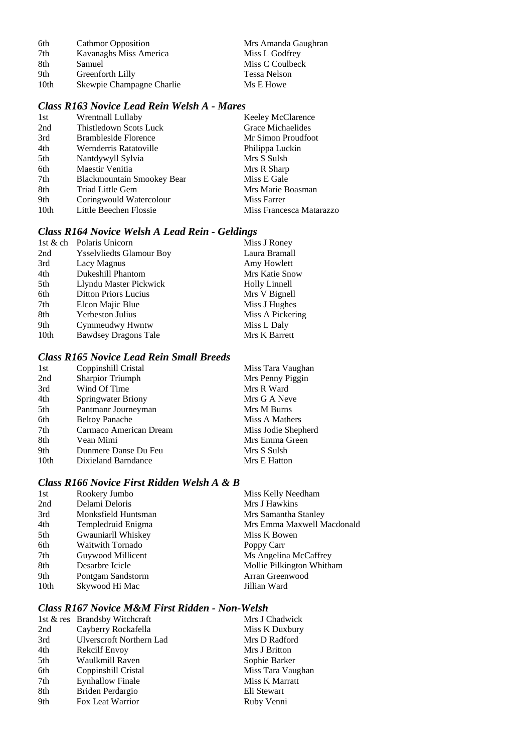| 6th  | <b>Cathmor Opposition</b> | Mrs Amanda Gaughran |
|------|---------------------------|---------------------|
| 7th  | Kavanaghs Miss America    | Miss L Godfrey      |
| 8th  | Samuel                    | Miss C Coulbeck     |
| 9th  | Greenforth Lilly          | <b>Tessa Nelson</b> |
| 10th | Skewpie Champagne Charlie | Ms E Howe           |

# *Class R163 Novice Lead Rein Welsh A - Mares*

| Wrentnall Lullaby                 | Keeley McClarence        |
|-----------------------------------|--------------------------|
| Thistledown Scots Luck            | Grace Michaelides        |
| <b>Brambleside Florence</b>       | Mr Simon Proudfoot       |
| Wernderris Ratatoville            | Philippa Luckin          |
| Nantdywyll Sylvia                 | Mrs S Sulsh              |
| Maestir Venitia                   | Mrs R Sharp              |
| <b>Blackmountain Smookey Bear</b> | Miss E Gale              |
| Triad Little Gem                  | Mrs Marie Boasman        |
| Coringwould Watercolour           | Miss Farrer              |
| Little Beechen Flossie            | Miss Francesca Matarazzo |
|                                   |                          |

# *Class R164 Novice Welsh A Lead Rein - Geldings*

| Polaris Unicorn<br>1st $&$ ch   | Miss J Roney     |
|---------------------------------|------------------|
| <b>Ysselvliedts Glamour Boy</b> | Laura Bramall    |
| Lacy Magnus                     | Amy Howlett      |
| <b>Dukeshill Phantom</b>        | Mrs Katie Snow   |
| Llyndu Master Pickwick          | Holly Linnell    |
| <b>Ditton Priors Lucius</b>     | Mrs V Bignell    |
| Elcon Majic Blue                | Miss J Hughes    |
| <b>Yerbeston Julius</b>         | Miss A Pickering |
| Cymmeudwy Hwntw                 | Miss L Daly      |
| <b>Bawdsey Dragons Tale</b>     | Mrs K Barrett    |
|                                 |                  |

#### *Class R165 Novice Lead Rein Small Breeds*

| 1st  | Coppinshill Cristal     | Miss Tara Vaughan   |
|------|-------------------------|---------------------|
| 2nd  | <b>Sharpior Triumph</b> | Mrs Penny Piggin    |
| 3rd  | Wind Of Time            | Mrs R Ward          |
| 4th  | Springwater Briony      | Mrs G A Neve        |
| 5th  | Pantmanr Journeyman     | Mrs M Burns         |
| 6th  | <b>Beltoy Panache</b>   | Miss A Mathers      |
| 7th  | Carmaco American Dream  | Miss Jodie Shepherd |
| 8th  | Vean Mimi               | Mrs Emma Green      |
| 9th  | Dunmere Danse Du Feu    | Mrs S Sulsh         |
| 10th | Dixieland Barndance     | Mrs E Hatton        |
|      |                         |                     |

### *Class R166 Novice First Ridden Welsh A & B*

| 1st  | Rookery Jumbo           | Miss Kelly Needham         |
|------|-------------------------|----------------------------|
| 2nd  | Delami Deloris          | Mrs J Hawkins              |
| 3rd  | Monksfield Huntsman     | Mrs Samantha Stanley       |
| 4th  | Templedruid Enigma      | Mrs Emma Maxwell Macdonald |
| 5th  | Gwauniarll Whiskey      | Miss K Bowen               |
| 6th  | <b>Waitwith Tornado</b> | Poppy Carr                 |
| 7th  | Guywood Millicent       | Ms Angelina McCaffrey      |
| 8th  | Desarbre Icicle         | Mollie Pilkington Whitham  |
| 9th  | Pontgam Sandstorm       | Arran Greenwood            |
| 10th | Skywood Hi Mac          | Jillian Ward               |
|      |                         |                            |

# *Class R167 Novice M&M First Ridden - Non-Welsh*

|     | 1st & res Brandsby Witchcraft   | Mrs J Chadwick    |
|-----|---------------------------------|-------------------|
| 2nd | Cayberry Rockafella             | Miss K Duxbury    |
| 3rd | <b>Ulverscroft Northern Lad</b> | Mrs D Radford     |
| 4th | <b>Rekcilf Envoy</b>            | Mrs J Britton     |
| 5th | Waulkmill Raven                 | Sophie Barker     |
| 6th | Coppinshill Cristal             | Miss Tara Vaughan |
| 7th | <b>Eynhallow Finale</b>         | Miss K Marratt    |
| 8th | Briden Perdargio                | Eli Stewart       |
| 9th | Fox Leat Warrior                | Ruby Venni        |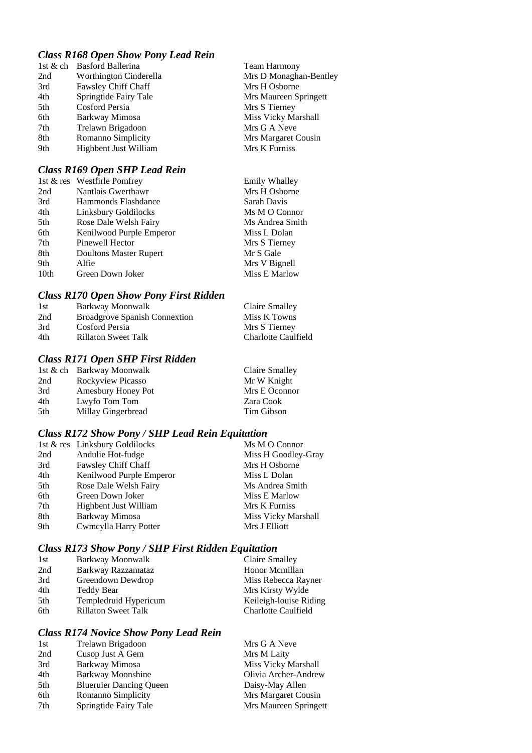## *Class R168 Open Show Pony Lead Rein*

|     | 1st & ch Basford Ballerina | <b>Team Harmony</b>    |
|-----|----------------------------|------------------------|
| 2nd | Worthington Cinderella     | Mrs D Monaghan-Bentley |
| 3rd | <b>Fawsley Chiff Chaff</b> | Mrs H Osborne          |
| 4th | Springtide Fairy Tale      | Mrs Maureen Springett  |
| 5th | Cosford Persia             | Mrs S Tierney          |
| 6th | Barkway Mimosa             | Miss Vicky Marshall    |
| 7th | Trelawn Brigadoon          | Mrs G A Neve           |
| 8th | Romanno Simplicity         | Mrs Margaret Cousin    |
| 9th | Highbent Just William      | Mrs K Furniss          |
|     |                            |                        |

## *Class R169 Open SHP Lead Rein*

|                  | 1st & res Westfirle Pomfrey | <b>Emily Whalley</b> |
|------------------|-----------------------------|----------------------|
| 2nd              | Nantlais Gwerthawr          | Mrs H Osborne        |
| 3rd              | Hammonds Flashdance         | Sarah Davis          |
| 4th              | Linksbury Goldilocks        | Ms M O Connor        |
| 5th              | Rose Dale Welsh Fairy       | Ms Andrea Smith      |
| 6th              | Kenilwood Purple Emperor    | Miss L Dolan         |
| 7th              | Pinewell Hector             | Mrs S Tierney        |
| 8th              | Doultons Master Rupert      | Mr S Gale            |
| 9th              | Alfie                       | Mrs V Bignell        |
| 10 <sub>th</sub> | Green Down Joker            | Miss E Marlow        |

# *Class R170 Open Show Pony First Ridden*

|                                      | Claire Smalley      |
|--------------------------------------|---------------------|
| <b>Broadgrove Spanish Connextion</b> | Miss K Towns        |
| Cosford Persia                       | Mrs S Tierney       |
| <b>Rillaton Sweet Talk</b>           | Charlotte Caulfield |
|                                      | Barkway Moonwalk    |

# *Class R171 Open SHP First Ridden*

| 1st & ch Barkway Moonwalk | Claire Smalley |
|---------------------------|----------------|
| Rockyview Picasso         | Mr W Knight    |
| Amesbury Honey Pot        | Mrs E Oconnor  |
| Lwyfo Tom Tom             | Zara Cook      |
| Millay Gingerbread        | Tim Gibson     |
|                           |                |

# *Class R172 Show Pony / SHP Lead Rein Equitation*

|     | 1st & res Linksbury Goldilocks | Ms M O Connor       |
|-----|--------------------------------|---------------------|
| 2nd | Andulie Hot-fudge              | Miss H Goodley-Gray |
| 3rd | Fawsley Chiff Chaff            | Mrs H Osborne       |
| 4th | Kenilwood Purple Emperor       | Miss L Dolan        |
| 5th | Rose Dale Welsh Fairy          | Ms Andrea Smith     |
| 6th | Green Down Joker               | Miss E Marlow       |
| 7th | Highbent Just William          | Mrs K Furniss       |
| 8th | Barkway Mimosa                 | Miss Vicky Marshall |
| 9th | Cwmcylla Harry Potter          | Mrs J Elliott       |

# *Class R173 Show Pony / SHP First Ridden Equitation*

| 1st | Barkway Moonwalk           | Claire Smalley         |
|-----|----------------------------|------------------------|
| 2nd | Barkway Razzamataz         | Honor Mcmillan         |
| 3rd | Greendown Dewdrop          | Miss Rebecca Rayner    |
| 4th | <b>Teddy Bear</b>          | Mrs Kirsty Wylde       |
| 5th | Templedruid Hypericum      | Keileigh-louise Riding |
| 6th | <b>Rillaton Sweet Talk</b> | Charlotte Caulfield    |

# *Class R174 Novice Show Pony Lead Rein*

| 1st | Trelawn Brigadoon              | Mrs G A Neve          |
|-----|--------------------------------|-----------------------|
| 2nd | Cusop Just A Gem               | Mrs M Laity           |
| 3rd | Barkway Mimosa                 | Miss Vicky Marshall   |
| 4th | <b>Barkway Moonshine</b>       | Olivia Archer-Andrew  |
| 5th | <b>Blueruier Dancing Queen</b> | Daisy-May Allen       |
| 6th | Romanno Simplicity             | Mrs Margaret Cousin   |
| 7th | Springtide Fairy Tale          | Mrs Maureen Springett |
|     |                                |                       |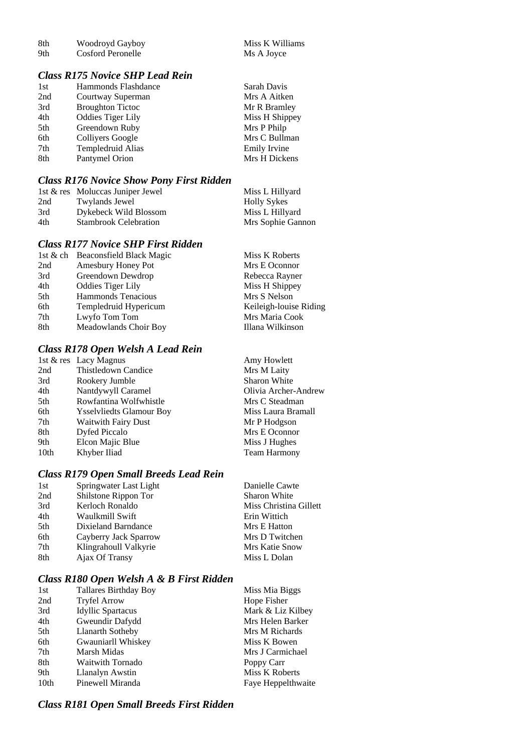| -8th | Woodroyd Gayboy   | Miss K Williams |
|------|-------------------|-----------------|
| 9th  | Cosford Peronelle | Ms A Joyce      |

### *Class R175 Novice SHP Lead Rein*

| 1st | Hammonds Flashdance      | Sarah Davis    |
|-----|--------------------------|----------------|
| 2nd | Courtway Superman        | Mrs A Aitken   |
| 3rd | <b>Broughton Tictoc</b>  | Mr R Bramley   |
| 4th | <b>Oddies Tiger Lily</b> | Miss H Shippey |
| 5th | Greendown Ruby           | Mrs P Philp    |
| 6th | <b>Colliyers Google</b>  | Mrs C Bullman  |
| 7th | Templedruid Alias        | Emily Irvine   |
| 8th | Pantymel Orion           | Mrs H Dickens  |

## *Class R176 Novice Show Pony First Ridden*

|     | 1st & res Moluccas Juniper Jewel | Miss L Hillyard    |
|-----|----------------------------------|--------------------|
| 2nd | Twylands Jewel                   | <b>Holly Sykes</b> |
| 3rd | Dykebeck Wild Blossom            | Miss L Hillyard    |
| 4th | <b>Stambrook Celebration</b>     | Mrs Sophie Gannon  |

### *Class R177 Novice SHP First Ridden*

|     | 1st & ch Beaconsfield Black Magic | Miss K Roberts         |
|-----|-----------------------------------|------------------------|
| 2nd | Amesbury Honey Pot                | Mrs E Oconnor          |
| 3rd | Greendown Dewdrop                 | Rebecca Rayner         |
| 4th | <b>Oddies Tiger Lily</b>          | Miss H Shippey         |
| 5th | <b>Hammonds Tenacious</b>         | Mrs S Nelson           |
| 6th | Templedruid Hypericum             | Keileigh-louise Riding |
| 7th | Lwyfo Tom Tom                     | Mrs Maria Cook         |
| 8th | Meadowlands Choir Boy             | Illana Wilkinson       |
|     |                                   |                        |

#### *Class R178 Open Welsh A Lead Rein*

|      | 1st $&$ res Lacy Magnus         | Amy Howlett          |
|------|---------------------------------|----------------------|
| 2nd  | <b>Thistledown Candice</b>      | Mrs M Laity          |
| 3rd  | Rookery Jumble                  | <b>Sharon White</b>  |
| 4th  | Nantdywyll Caramel              | Olivia Archer-Andrew |
| 5th  | Rowfantina Wolfwhistle          | Mrs C Steadman       |
| 6th  | <b>Ysselvliedts Glamour Boy</b> | Miss Laura Bramall   |
| 7th  | <b>Waitwith Fairy Dust</b>      | Mr P Hodgson         |
| 8th  | Dyfed Piccalo                   | Mrs E Oconnor        |
| 9th  | Elcon Majic Blue                | Miss J Hughes        |
| 10th | Khyber Iliad                    | <b>Team Harmony</b>  |

## *Class R179 Open Small Breeds Lead Rein*

| 1st | Springwater Last Light | Danielle Cawte         |
|-----|------------------------|------------------------|
| 2nd | Shilstone Rippon Tor   | <b>Sharon White</b>    |
| 3rd | Kerloch Ronaldo        | Miss Christina Gillett |
| 4th | Waulkmill Swift        | Erin Wittich           |
| 5th | Dixieland Barndance    | Mrs E Hatton           |
| 6th | Cayberry Jack Sparrow  | Mrs D Twitchen         |
| 7th | Klingrahoull Valkyrie  | Mrs Katie Snow         |
| 8th | Ajax Of Transy         | Miss L Dolan           |

# *Class R180 Open Welsh A & B First Ridden*

| 1st              | <b>Tallares Birthday Boy</b> | Miss Mia Biggs     |
|------------------|------------------------------|--------------------|
| 2nd              | <b>Tryfel Arrow</b>          | Hope Fisher        |
| 3rd              | <b>Idyllic Spartacus</b>     | Mark & Liz Kilbey  |
| 4th              | Gweundir Dafydd              | Mrs Helen Barker   |
| 5th              | Llanarth Sotheby             | Mrs M Richards     |
| 6th              | Gwauniarll Whiskey           | Miss K Bowen       |
| 7th              | Marsh Midas                  | Mrs J Carmichael   |
| 8th              | Waitwith Tornado             | Poppy Carr         |
| 9th              | Llanalyn Awstin              | Miss K Roberts     |
| 10 <sub>th</sub> | Pinewell Miranda             | Faye Heppelthwaite |

# *Class R181 Open Small Breeds First Ridden*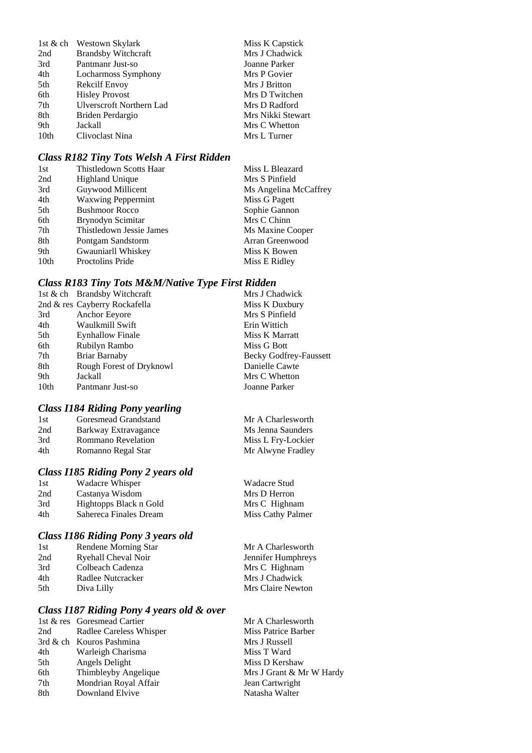|                                 | Miss K Capstick   |
|---------------------------------|-------------------|
| <b>Brandsby Witchcraft</b>      | Mrs J Chadwick    |
| Pantmanr Just-so                | Joanne Parker     |
| Locharmoss Symphony             | Mrs P Govier      |
| Rekcilf Envoy                   | Mrs J Britton     |
| <b>Hisley Provost</b>           | Mrs D Twitchen    |
| <b>Ulverscroft Northern Lad</b> | Mrs D Radford     |
| Briden Perdargio                | Mrs Nikki Stewart |
| Jackall                         | Mrs C Whetton     |
| Clivoclast Nina                 | Mrs L Turner      |
|                                 | Westown Skylark   |

#### *Class R182 Tiny Tots Welsh A First Ridden*

| 1st  | Thistledown Scotts Haar   | Miss L Bleazard       |
|------|---------------------------|-----------------------|
| 2nd  | <b>Highland Unique</b>    | Mrs S Pinfield        |
| 3rd  | Guywood Millicent         | Ms Angelina McCaffrey |
| 4th  | <b>Waxwing Peppermint</b> | Miss G Pagett         |
| 5th  | <b>Bushmoor Rocco</b>     | Sophie Gannon         |
| 6th  | Brynodyn Scimitar         | Mrs C Chinn           |
| 7th  | Thistledown Jessie James  | Ms Maxine Cooper      |
| 8th  | Pontgam Sandstorm         | Arran Greenwood       |
| 9th  | Gwauniarll Whiskey        | Miss K Bowen          |
| 10th | <b>Proctolins Pride</b>   | Miss E Ridley         |

# *Class R183 Tiny Tots M&M/Native Type First Ridden*

|      | 1st & ch Brandsby Witchcraft  | Mrs J Chadwick         |
|------|-------------------------------|------------------------|
|      | 2nd & res Cayberry Rockafella | Miss K Duxbury         |
| 3rd  | Anchor Eeyore                 | Mrs S Pinfield         |
| 4th  | Waulkmill Swift               | Erin Wittich           |
| 5th  | <b>Eynhallow Finale</b>       | Miss K Marratt         |
| 6th  | Rubilyn Rambo                 | Miss G Bott            |
| 7th  | <b>Briar Barnaby</b>          | Becky Godfrey-Faussett |
| 8th  | Rough Forest of Dryknowl      | Danielle Cawte         |
| 9th  | Jackall                       | Mrs C Whetton          |
| 10th | Pantmanr Just-so              | Joanne Parker          |

## *Class I184 Riding Pony yearling*

| 1st | Goresmead Grandstand | Mr A Charlesworth  |
|-----|----------------------|--------------------|
| 2nd | Barkway Extravagance | Ms Jenna Saunders  |
| 3rd | Rommano Revelation   | Miss L Fry-Lockier |
| 4th | Romanno Regal Star   | Mr Alwyne Fradley  |

## *Class I185 Riding Pony 2 years old*

| 1st | Wadacre Whisper        |
|-----|------------------------|
| 2nd | Castanya Wisdom        |
| 3rd | Hightopps Black n Gold |
| 4th | Sahereca Finales Dream |

## *Class I186 Riding Pony 3 years old*

| 1st | Rendene Morning Star | Mr A Charlesworth  |
|-----|----------------------|--------------------|
| 2nd | Ryehall Cheval Noir  | Jennifer Humphreys |
| 3rd | Colbeach Cadenza     | Mrs C Highnam      |
| 4th | Radlee Nutcracker    | Mrs J Chadwick     |
| 5th | Diva Lilly           | Mrs Claire Newton  |
|     |                      |                    |

Wadacre Stud Mrs D Herron Mrs C Highnam Miss Cathy Palmer

#### *Class I187 Riding Pony 4 years old & over*

|     | 1st & res Goresmead Cartier | Mr A Charlesworth        |
|-----|-----------------------------|--------------------------|
| 2nd | Radlee Careless Whisper     | Miss Patrice Barber      |
|     | 3rd & ch Kouros Pashmina    | Mrs J Russell            |
| 4th | Warleigh Charisma           | Miss T Ward              |
| 5th | Angels Delight              | Miss D Kershaw           |
| 6th | Thimbleyby Angelique        | Mrs J Grant & Mr W Hardy |
| 7th | Mondrian Royal Affair       | Jean Cartwright          |
| 8th | Downland Elvive             | Natasha Walter           |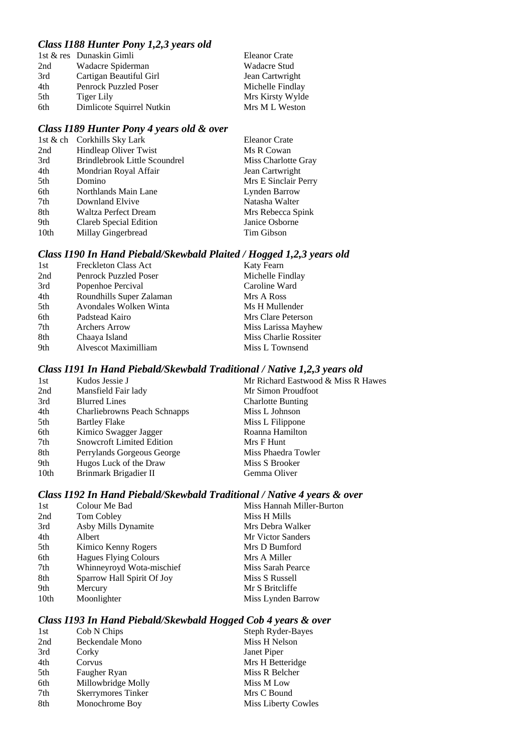## *Class I188 Hunter Pony 1,2,3 years old*

|     | 1st & res Dunaskin Gimli     | <b>Eleanor Crate</b> |
|-----|------------------------------|----------------------|
| 2nd | Wadacre Spiderman            | Wadacre Stud         |
| 3rd | Cartigan Beautiful Girl      | Jean Cartwright      |
| 4th | <b>Penrock Puzzled Poser</b> | Michelle Findlay     |
| 5th | Tiger Lily                   | Mrs Kirsty Wylde     |
| 6th | Dimlicote Squirrel Nutkin    | Mrs M L Weston       |

# *Class I189 Hunter Pony 4 years old & over*

|      | 1st & ch Corkhills Sky Lark   | <b>Eleanor Crate</b> |
|------|-------------------------------|----------------------|
| 2nd  | Hindleap Oliver Twist         | Ms R Cowan           |
| 3rd  | Brindlebrook Little Scoundrel | Miss Charlotte Gray  |
| 4th  | Mondrian Royal Affair         | Jean Cartwright      |
| 5th  | Domino                        | Mrs E Sinclair Perry |
| 6th  | Northlands Main Lane          | Lynden Barrow        |
| 7th  | Downland Elvive               | Natasha Walter       |
| 8th  | Waltza Perfect Dream          | Mrs Rebecca Spink    |
| 9th  | Clareb Special Edition        | Janice Osborne       |
| 10th | Millay Gingerbread            | Tim Gibson           |
|      |                               |                      |

#### *Class I190 In Hand Piebald/Skewbald Plaited / Hogged 1,2,3 years old*

| 1st | Freckleton Class Act        | Katy Fearn            |
|-----|-----------------------------|-----------------------|
| 2nd | Penrock Puzzled Poser       | Michelle Findlay      |
| 3rd | Popenhoe Percival           | Caroline Ward         |
| 4th | Roundhills Super Zalaman    | Mrs A Ross            |
| 5th | Avondales Wolken Winta      | Ms H Mullender        |
| 6th | Padstead Kairo              | Mrs Clare Peterson    |
| 7th | <b>Archers Arrow</b>        | Miss Larissa Mayhew   |
| 8th | Chaaya Island               | Miss Charlie Rossiter |
| 9th | <b>Alvescot Maximilliam</b> | Miss L Townsend       |

# *Class I191 In Hand Piebald/Skewbald Traditional / Native 1,2,3 years old*

| Kudos Jessie J                   | Mr Richard Eastwood & Miss R Hawes |
|----------------------------------|------------------------------------|
| Mansfield Fair lady              | Mr Simon Proudfoot                 |
| <b>Blurred Lines</b>             | <b>Charlotte Bunting</b>           |
| Charliebrowns Peach Schnapps     | Miss L Johnson                     |
| <b>Bartley Flake</b>             | Miss L Filippone                   |
| Kimico Swagger Jagger            | Roanna Hamilton                    |
| <b>Snowcroft Limited Edition</b> | Mrs F Hunt                         |
| Perrylands Gorgeous George       | Miss Phaedra Towler                |
| Hugos Luck of the Draw           | Miss S Brooker                     |
| Brinmark Brigadier II            | Gemma Oliver                       |
|                                  |                                    |

### *Class I192 In Hand Piebald/Skewbald Traditional / Native 4 years & over*

| 1st<br>2nd | Colour Me Bad<br>Tom Cobley  | Miss Hannah Miller-Burton<br>Miss H Mills |
|------------|------------------------------|-------------------------------------------|
| 3rd        | Asby Mills Dynamite          | Mrs Debra Walker                          |
| 4th        | Albert                       | Mr Victor Sanders                         |
| 5th        | Kimico Kenny Rogers          | Mrs D Bumford                             |
| 6th        | <b>Hagues Flying Colours</b> | Mrs A Miller                              |
| 7th        | Whinneyroyd Wota-mischief    | Miss Sarah Pearce                         |
| 8th        | Sparrow Hall Spirit Of Joy   | Miss S Russell                            |
| 9th        | Mercury                      | Mr S Britcliffe                           |
| 10th       | Moonlighter                  | Miss Lynden Barrow                        |

#### *Class I193 In Hand Piebald/Skewbald Hogged Cob 4 years & over*

| 1st | Cob N Chips               | Steph Ryder-Bayes          |  |
|-----|---------------------------|----------------------------|--|
| 2nd | Beckendale Mono           | Miss H Nelson              |  |
| 3rd | Corky                     | Janet Piper                |  |
| 4th | Corvus                    | Mrs H Betteridge           |  |
| 5th | Faugher Ryan              | Miss R Belcher             |  |
| 6th | Millowbridge Molly        | Miss M Low                 |  |
| 7th | <b>Skerrymores Tinker</b> | Mrs C Bound                |  |
| 8th | Monochrome Boy            | <b>Miss Liberty Cowles</b> |  |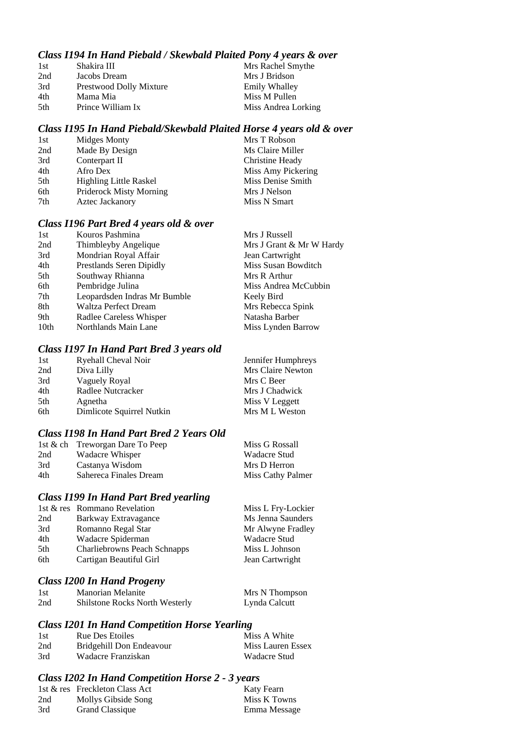## *Class I194 In Hand Piebald / Skewbald Plaited Pony 4 years & over*

| 1st  | Shakira III             | Mrs Rachel Smythe    |
|------|-------------------------|----------------------|
| 2nd  | Jacobs Dream            | Mrs J Bridson        |
| 3rd  | Prestwood Dolly Mixture | <b>Emily Whalley</b> |
| 4th  | Mama Mia                | Miss M Pullen        |
| .5th | Prince William Ix       | Miss Andrea Lorking  |

#### *Class I195 In Hand Piebald/Skewbald Plaited Horse 4 years old & over*

| 1st | Midges Monty                   | Mrs T Robson       |
|-----|--------------------------------|--------------------|
| 2nd | Made By Design                 | Ms Claire Miller   |
| 3rd | Conterpart II                  | Christine Heady    |
| 4th | Afro Dex                       | Miss Amy Pickering |
| 5th | <b>Highling Little Raskel</b>  | Miss Denise Smith  |
| 6th | <b>Priderock Misty Morning</b> | Mrs J Nelson       |
| 7th | <b>Aztec Jackanory</b>         | Miss N Smart       |

#### *Class I196 Part Bred 4 years old & over*

| 1st  | Kouros Pashmina                 | Mrs J Russell            |
|------|---------------------------------|--------------------------|
| 2nd  | Thimbleyby Angelique            | Mrs J Grant & Mr W Hardy |
| 3rd  | Mondrian Royal Affair           | Jean Cartwright          |
| 4th  | <b>Prestlands Seren Dipidly</b> | Miss Susan Bowditch      |
| 5th  | Southway Rhianna                | Mrs R Arthur             |
| 6th  | Pembridge Julina                | Miss Andrea McCubbin     |
| 7th  | Leopardsden Indras Mr Bumble    | Keely Bird               |
| 8th  | Waltza Perfect Dream            | Mrs Rebecca Spink        |
| 9th  | Radlee Careless Whisper         | Natasha Barber           |
| 10th | Northlands Main Lane            | Miss Lynden Barrow       |

#### *Class I197 In Hand Part Bred 3 years old*

| 1st | Ryehall Cheval Noir       | Jennifer Humphreys |
|-----|---------------------------|--------------------|
| 2nd | Diva Lilly                | Mrs Claire Newton  |
| 3rd | Vaguely Royal             | Mrs C Beer         |
| 4th | Radlee Nutcracker         | Mrs J Chadwick     |
| 5th | Agnetha                   | Miss V Leggett     |
| 6th | Dimlicote Squirrel Nutkin | Mrs M L Weston     |

#### *Class I198 In Hand Part Bred 2 Years Old*

|     | 1st & ch Treworgan Dare To Peep | Miss G Rossall    |
|-----|---------------------------------|-------------------|
| 2nd | Wadacre Whisper                 | Wadacre Stud      |
| 3rd | Castanya Wisdom                 | Mrs D Herron      |
| 4th | Sahereca Finales Dream          | Miss Cathy Palmer |

#### *Class I199 In Hand Part Bred yearling*

|     | 1st & res Rommano Revelation        | Miss L Fry-Lockier |
|-----|-------------------------------------|--------------------|
| 2nd | Barkway Extravagance                | Ms Jenna Saunders  |
| 3rd | Romanno Regal Star                  | Mr Alwyne Fradley  |
| 4th | Wadacre Spiderman                   | Wadacre Stud       |
| 5th | <b>Charliebrowns Peach Schnapps</b> | Miss L Johnson     |
| 6th | Cartigan Beautiful Girl             | Jean Cartwright    |
|     |                                     |                    |

#### *Class I200 In Hand Progeny*

| 1st | Manorian Melanite                     | Mrs N Thompson |
|-----|---------------------------------------|----------------|
| 2nd | <b>Shilstone Rocks North Westerly</b> | Lynda Calcutt  |

#### *Class I201 In Hand Competition Horse Yearling*

| 1st | <b>Rue Des Etoiles</b>   | Miss A White      |
|-----|--------------------------|-------------------|
| 2nd | Bridgehill Don Endeavour | Miss Lauren Essex |
| 3rd | Wadacre Franziskan       | Wadacre Stud      |

#### *Class I202 In Hand Competition Horse 2 - 3 years*

|     | 1st & res Freckleton Class Act | Katy Fearn   |
|-----|--------------------------------|--------------|
| 2nd | Mollys Gibside Song            | Miss K Towns |
| 3rd | Grand Classique                | Emma Message |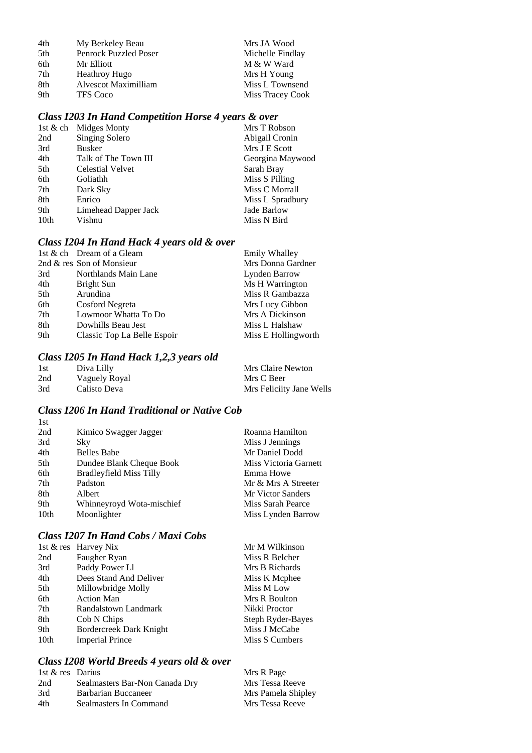| 4th | My Berkeley Beau             | Mrs JA Wood      |
|-----|------------------------------|------------------|
| 5th | <b>Penrock Puzzled Poser</b> | Michelle Findlay |
| 6th | Mr Elliott                   | M & W Ward       |
| 7th | <b>Heathroy Hugo</b>         | Mrs H Young      |
| 8th | Alvescot Maximilliam         | Miss L Townsend  |
| 9th | <b>TFS</b> Coco              | Miss Tracey Cook |

# *Class I203 In Hand Competition Horse 4 years & over*

| 1st & ch | Midges Monty            | Mrs T Robson     |
|----------|-------------------------|------------------|
| 2nd      | <b>Singing Solero</b>   | Abigail Cronin   |
| 3rd      | <b>Busker</b>           | Mrs J E Scott    |
| 4th      | Talk of The Town III    | Georgina Maywood |
| 5th      | <b>Celestial Velvet</b> | Sarah Bray       |
| 6th      | Goliathh                | Miss S Pilling   |
| 7th      | Dark Sky                | Miss C Morrall   |
| 8th      | Enrico                  | Miss L Spradbury |
| 9th      | Limehead Dapper Jack    | Jade Barlow      |
| 10th     | Vishnu                  | Miss N Bird      |

# *Class I204 In Hand Hack 4 years old & over*

| 1st & ch Dream of a Gleam   | <b>Emily Whalley</b> |
|-----------------------------|----------------------|
| 2nd & res Son of Monsieur   | Mrs Donna Gardner    |
| Northlands Main Lane        | Lynden Barrow        |
| Bright Sun                  | Ms H Warrington      |
| Arundina                    | Miss R Gambazza      |
| Cosford Negreta             | Mrs Lucy Gibbon      |
| Lowmoor Whatta To Do        | Mrs A Dickinson      |
| Dowhills Beau Jest          | Miss L Halshaw       |
| Classic Top La Belle Espoir | Miss E Hollingworth  |
|                             |                      |

## *Class I205 In Hand Hack 1,2,3 years old*

| 1st | Diva Lilly    | Mrs Claire Newton        |
|-----|---------------|--------------------------|
| 2nd | Vaguely Royal | Mrs C Beer               |
| 3rd | Calisto Deva  | Mrs Feliciity Jane Wells |

#### *Class I206 In Hand Traditional or Native Cob*  1st

| .    |                                |                       |
|------|--------------------------------|-----------------------|
| 2nd  | Kimico Swagger Jagger          | Roanna Hamilton       |
| 3rd  | Sky                            | Miss J Jennings       |
| 4th  | <b>Belles Babe</b>             | Mr Daniel Dodd        |
| 5th  | Dundee Blank Cheque Book       | Miss Victoria Garnett |
| 6th  | <b>Bradleyfield Miss Tilly</b> | Emma Howe             |
| 7th  | Padston                        | Mr & Mrs A Streeter   |
| 8th  | Albert                         | Mr Victor Sanders     |
| 9th  | Whinneyroyd Wota-mischief      | Miss Sarah Pearce     |
| 10th | Moonlighter                    | Miss Lynden Barrow    |
|      |                                |                       |

# *Class I207 In Hand Cobs / Maxi Cobs*

|                  | 1st & res Harvey Nix    | Mr M Wilkinson    |
|------------------|-------------------------|-------------------|
| 2nd              | Faugher Ryan            | Miss R Belcher    |
| 3rd              | Paddy Power Ll          | Mrs B Richards    |
| 4th              | Dees Stand And Deliver  | Miss K Mcphee     |
| 5th              | Millowbridge Molly      | Miss M Low        |
| 6th              | <b>Action Man</b>       | Mrs R Boulton     |
| 7th              | Randalstown Landmark    | Nikki Proctor     |
| 8th              | Cob N Chips             | Steph Ryder-Bayes |
| 9th              | Bordercreek Dark Knight | Miss J McCabe     |
| 10 <sub>th</sub> | <b>Imperial Prince</b>  | Miss S Cumbers    |

# *Class I208 World Breeds 4 years old & over*

| 1st & res Darius |                                | Mrs R Page         |
|------------------|--------------------------------|--------------------|
| 2nd              | Sealmasters Bar-Non Canada Dry | Mrs Tessa Reeve    |
| 3rd              | Barbarian Buccaneer            | Mrs Pamela Shipley |
| 4th              | Sealmasters In Command         | Mrs Tessa Reeve    |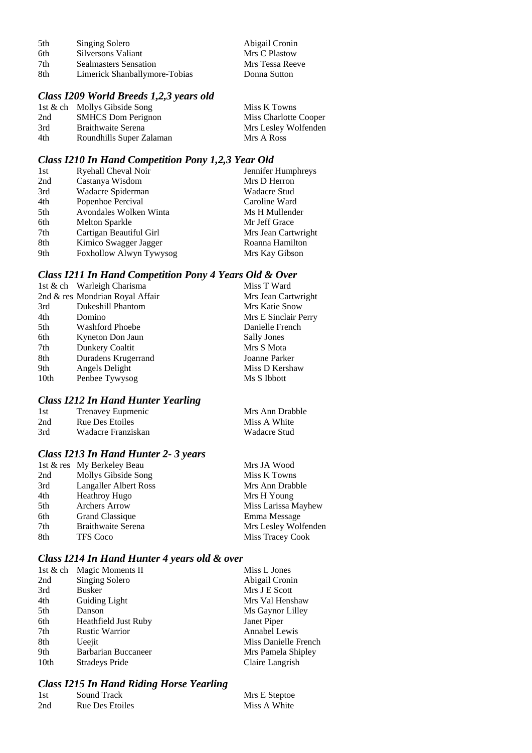| 5th | Singing Solero                | Abigail Cronin  |
|-----|-------------------------------|-----------------|
| 6th | Silversons Valiant            | Mrs C Plastow   |
| 7th | <b>Sealmasters Sensation</b>  | Mrs Tessa Reeve |
| 8th | Limerick Shanballymore-Tobias | Donna Sutton    |

#### *Class I209 World Breeds 1,2,3 years old*

|     | 1st & ch Mollys Gibside Song | Miss K Towns          |
|-----|------------------------------|-----------------------|
| 2nd | <b>SMHCS</b> Dom Perignon    | Miss Charlotte Cooper |
| 3rd | <b>Braithwaite Serena</b>    | Mrs Lesley Wolfenden  |
| 4th | Roundhills Super Zalaman     | Mrs A Ross            |

#### *Class I210 In Hand Competition Pony 1,2,3 Year Old*

| 1st | Ryehall Cheval Noir     | Jennifer Humphreys  |
|-----|-------------------------|---------------------|
| 2nd | Castanya Wisdom         | Mrs D Herron        |
| 3rd | Wadacre Spiderman       | Wadacre Stud        |
| 4th | Popenhoe Percival       | Caroline Ward       |
| 5th | Avondales Wolken Winta  | Ms H Mullender      |
| 6th | <b>Melton Sparkle</b>   | Mr Jeff Grace       |
| 7th | Cartigan Beautiful Girl | Mrs Jean Cartwright |
| 8th | Kimico Swagger Jagger   | Roanna Hamilton     |
| 9th | Foxhollow Alwyn Tywysog | Mrs Kay Gibson      |
|     |                         |                     |

## *Class I211 In Hand Competition Pony 4 Years Old & Over*

|      | 1st & ch Warleigh Charisma      | Miss T Ward          |
|------|---------------------------------|----------------------|
|      | 2nd & res Mondrian Royal Affair | Mrs Jean Cartwright  |
| 3rd  | <b>Dukeshill Phantom</b>        | Mrs Katie Snow       |
| 4th  | Domino                          | Mrs E Sinclair Perry |
| 5th  | <b>Washford Phoebe</b>          | Danielle French      |
| 6th  | Kyneton Don Jaun                | <b>Sally Jones</b>   |
| 7th  | Dunkery Coaltit                 | Mrs S Mota           |
| 8th  | Duradens Krugerrand             | Joanne Parker        |
| 9th  | Angels Delight                  | Miss D Kershaw       |
| 10th | Penbee Tywysog                  | Ms S Ibbott          |
|      |                                 |                      |

## *Class I212 In Hand Hunter Yearling*

| -1st | <b>Trenavey Eupmenic</b> | Mrs Ann Drabble |
|------|--------------------------|-----------------|
| 2nd  | Rue Des Etoiles          | Miss A White    |
| 3rd  | Wadacre Franziskan       | Wadacre Stud    |

# *Class I213 In Hand Hunter 2- 3 years*

|     | 1st & res My Berkeley Beau   | Mrs JA Wood          |
|-----|------------------------------|----------------------|
| 2nd | Mollys Gibside Song          | Miss K Towns         |
| 3rd | <b>Langaller Albert Ross</b> | Mrs Ann Drabble      |
| 4th | <b>Heathroy Hugo</b>         | Mrs H Young          |
| 5th | <b>Archers Arrow</b>         | Miss Larissa Mayhew  |
| 6th | Grand Classique              | Emma Message         |
| 7th | <b>Braithwaite Serena</b>    | Mrs Lesley Wolfenden |
| 8th | <b>TFS</b> Coco              | Miss Tracey Cook     |

# *Class I214 In Hand Hunter 4 years old & over*

|                  | 1st & ch Magic Moments II  | Miss L Jones         |
|------------------|----------------------------|----------------------|
| 2nd              | <b>Singing Solero</b>      | Abigail Cronin       |
| 3rd              | <b>Busker</b>              | Mrs J E Scott        |
| 4th              | <b>Guiding Light</b>       | Mrs Val Henshaw      |
| 5th              | Danson                     | Ms Gaynor Lilley     |
| 6th              | Heathfield Just Ruby       | Janet Piper          |
| 7th              | <b>Rustic Warrior</b>      | <b>Annabel Lewis</b> |
| 8th              | Ueejit                     | Miss Danielle French |
| 9th              | <b>Barbarian Buccaneer</b> | Mrs Pamela Shipley   |
| 10 <sub>th</sub> | <b>Stradeys Pride</b>      | Claire Langrish      |

# *Class I215 In Hand Riding Horse Yearling*

| -1st | Sound Track     | Mrs E Steptoe |
|------|-----------------|---------------|
| 2nd  | Rue Des Etoiles | Miss A White  |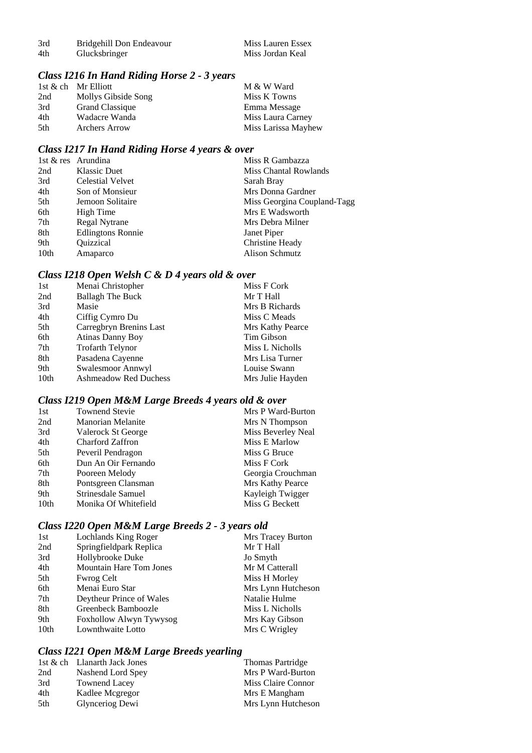| 3rd | Bridgehill Don Endeavour | Miss Lauren Essex |
|-----|--------------------------|-------------------|
| 4th | Glucksbringer            | Miss Jordan Keal  |

# *Class I216 In Hand Riding Horse 2 - 3 years*

|     | 1st & ch Mr Elliott  | M & W Ward          |
|-----|----------------------|---------------------|
| 2nd | Mollys Gibside Song  | Miss K Towns        |
| 3rd | Grand Classique      | Emma Message        |
| 4th | Wadacre Wanda        | Miss Laura Carney   |
| 5th | <b>Archers Arrow</b> | Miss Larissa Mayhew |

# *Class I217 In Hand Riding Horse 4 years & over*

|                          | Miss R Gambazza             |
|--------------------------|-----------------------------|
| <b>Klassic Duet</b>      | Miss Chantal Rowlands       |
| <b>Celestial Velvet</b>  | Sarah Bray                  |
| Son of Monsieur          | Mrs Donna Gardner           |
| Jemoon Solitaire         | Miss Georgina Coupland-Tagg |
| High Time                | Mrs E Wadsworth             |
| Regal Nytrane            | Mrs Debra Milner            |
| <b>Edlingtons Ronnie</b> | Janet Piper                 |
| Quizzical                | Christine Heady             |
| Amaparco                 | Alison Schmutz              |
|                          | 1st & res Arundina          |

# *Class I218 Open Welsh C & D 4 years old & over*

| 1st              | Menai Christopher            | Miss F Cork      |
|------------------|------------------------------|------------------|
| 2nd              | <b>Ballagh The Buck</b>      | Mr T Hall        |
| 3rd              | Masie                        | Mrs B Richards   |
| 4th              | Ciffig Cymro Du              | Miss C Meads     |
| 5th              | Carregbryn Brenins Last      | Mrs Kathy Pearce |
| 6th              | <b>Atinas Danny Boy</b>      | Tim Gibson       |
| 7th              | <b>Trofarth Telynor</b>      | Miss L Nicholls  |
| 8th              | Pasadena Cayenne             | Mrs Lisa Turner  |
| 9th              | Swalesmoor Annwyl            | Louise Swann     |
| 10 <sub>th</sub> | <b>Ashmeadow Red Duchess</b> | Mrs Julie Hayden |

# *Class I219 Open M&M Large Breeds 4 years old & over*

| 1st              | <b>Townend Stevie</b> | Mrs P Ward-Burton  |
|------------------|-----------------------|--------------------|
| 2nd              | Manorian Melanite     | Mrs N Thompson     |
| 3rd              | Valerock St George    | Miss Beverley Neal |
| 4th              | Charford Zaffron      | Miss E Marlow      |
| 5th              | Peveril Pendragon     | Miss G Bruce       |
| 6th              | Dun An Oir Fernando   | Miss F Cork        |
| 7th              | Pooreen Melody        | Georgia Crouchman  |
| 8th              | Pontsgreen Clansman   | Mrs Kathy Pearce   |
| 9th              | Strinesdale Samuel    | Kayleigh Twigger   |
| 10 <sub>th</sub> | Monika Of Whitefield  | Miss G Beckett     |

# *Class I220 Open M&M Large Breeds 2 - 3 years old*

| Mrs Tracey Burton                                                                                                                                                                                 |
|---------------------------------------------------------------------------------------------------------------------------------------------------------------------------------------------------|
| Mr T Hall                                                                                                                                                                                         |
| Jo Smyth                                                                                                                                                                                          |
| Mr M Catterall                                                                                                                                                                                    |
| Miss H Morley                                                                                                                                                                                     |
| Mrs Lynn Hutcheson                                                                                                                                                                                |
| Natalie Hulme                                                                                                                                                                                     |
| Miss L Nicholls                                                                                                                                                                                   |
| Mrs Kay Gibson                                                                                                                                                                                    |
| Mrs C Wrigley                                                                                                                                                                                     |
| Lochlands King Roger<br>Springfieldpark Replica<br>Hollybrooke Duke<br>Mountain Hare Tom Jones<br>Deytheur Prince of Wales<br>Greenbeck Bamboozle<br>Foxhollow Alwyn Tywysog<br>Lownthwaite Lotto |

# *Class I221 Open M&M Large Breeds yearling*

|      | 1st & ch Llanarth Jack Jones | Thomas Partridge   |
|------|------------------------------|--------------------|
| 2nd  | Nashend Lord Spey            | Mrs P Ward-Burton  |
| 3rd  | <b>Townend Lacey</b>         | Miss Claire Connor |
| 4th  | Kadlee Mcgregor              | Mrs E Mangham      |
| .5th | Glynceriog Dewi              | Mrs Lynn Hutcheson |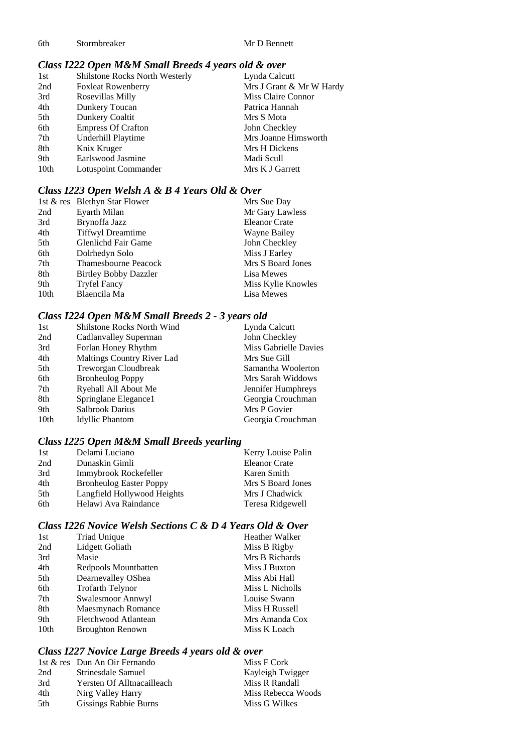6th Stormbreaker Mr D Bennett

# *Class I222 Open M&M Small Breeds 4 years old & over*

| 1st  | <b>Shilstone Rocks North Westerly</b> | Lynda Calcutt            |
|------|---------------------------------------|--------------------------|
| 2nd  | <b>Foxleat Rowenberry</b>             | Mrs J Grant & Mr W Hardy |
| 3rd  | Rosevillas Milly                      | Miss Claire Connor       |
| 4th  | Dunkery Toucan                        | Patrica Hannah           |
| 5th  | Dunkery Coaltit                       | Mrs S Mota               |
| 6th  | <b>Empress Of Crafton</b>             | John Checkley            |
| 7th  | Underhill Playtime                    | Mrs Joanne Himsworth     |
| 8th  | Knix Kruger                           | Mrs H Dickens            |
| 9th  | Earlswood Jasmine                     | Madi Scull               |
| 10th | Lotuspoint Commander                  | Mrs K J Garrett          |

## *Class I223 Open Welsh A & B 4 Years Old & Over*

|                  | 1st & res Blethyn Star Flower | Mrs Sue Day          |
|------------------|-------------------------------|----------------------|
| 2nd              | Eyarth Milan                  | Mr Gary Lawless      |
| 3rd              | Brynoffa Jazz                 | <b>Eleanor Crate</b> |
| 4th              | <b>Tiffwyl Dreamtime</b>      | <b>Wayne Bailey</b>  |
| 5th              | Glenlichd Fair Game           | John Checkley        |
| 6th              | Dolrhedyn Solo                | Miss J Earley        |
| 7th              | Thamesbourne Peacock          | Mrs S Board Jones    |
| 8th              | <b>Birtley Bobby Dazzler</b>  | Lisa Mewes           |
| 9th              | <b>Tryfel Fancy</b>           | Miss Kylie Knowles   |
| 10 <sub>th</sub> | Blaencila Ma                  | Lisa Mewes           |
|                  |                               |                      |

# *Class I224 Open M&M Small Breeds 2 - 3 years old*

| 1st              | Shilstone Rocks North Wind | Lynda Calcutt         |
|------------------|----------------------------|-----------------------|
| 2nd              | Cadlanvalley Superman      | John Checkley         |
| 3rd              | Forlan Honey Rhythm        | Miss Gabrielle Davies |
| 4th              | Maltings Country River Lad | Mrs Sue Gill          |
| 5th              | Treworgan Cloudbreak       | Samantha Woolerton    |
| 6th              | <b>Bronheulog Poppy</b>    | Mrs Sarah Widdows     |
| 7th              | Ryehall All About Me       | Jennifer Humphreys    |
| 8th              | Springlane Elegance1       | Georgia Crouchman     |
| 9th              | Salbrook Darius            | Mrs P Govier          |
| 10 <sub>th</sub> | <b>Idyllic Phantom</b>     | Georgia Crouchman     |

# *Class I225 Open M&M Small Breeds yearling*

| 1st | Delami Luciano                 | Kerry Louise Palin   |
|-----|--------------------------------|----------------------|
| 2nd | Dunaskin Gimli                 | <b>Eleanor Crate</b> |
| 3rd | Immybrook Rockefeller          | Karen Smith          |
| 4th | <b>Bronheulog Easter Poppy</b> | Mrs S Board Jones    |
| 5th | Langfield Hollywood Heights    | Mrs J Chadwick       |
| 6th | Helawi Ava Raindance           | Teresa Ridgewell     |

# *Class I226 Novice Welsh Sections C & D 4 Years Old & Over*

| 1st              | <b>Triad Unique</b>     | <b>Heather Walker</b> |
|------------------|-------------------------|-----------------------|
| 2nd              | Lidgett Goliath         | Miss B Rigby          |
| 3rd              | Masie                   | Mrs B Richards        |
| 4th              | Redpools Mountbatten    | Miss J Buxton         |
| 5th              | Dearnevalley OShea      | Miss Abi Hall         |
| 6th              | <b>Trofarth Telynor</b> | Miss L Nicholls       |
| 7th              | Swalesmoor Annwyl       | Louise Swann          |
| 8th              | Maesmynach Romance      | Miss H Russell        |
| 9th              | Fletchwood Atlantean    | Mrs Amanda Cox        |
| 10 <sub>th</sub> | <b>Broughton Renown</b> | Miss K Loach          |

# *Class I227 Novice Large Breeds 4 years old & over*

|      | 1st & res Dun An Oir Fernando | Miss F Cork        |
|------|-------------------------------|--------------------|
| 2nd  | Strinesdale Samuel            | Kayleigh Twigger   |
| 3rd  | Yersten Of Alltnacailleach    | Miss R Randall     |
| 4th  | Nirg Valley Harry             | Miss Rebecca Woods |
| .5th | Gissings Rabbie Burns         | Miss G Wilkes      |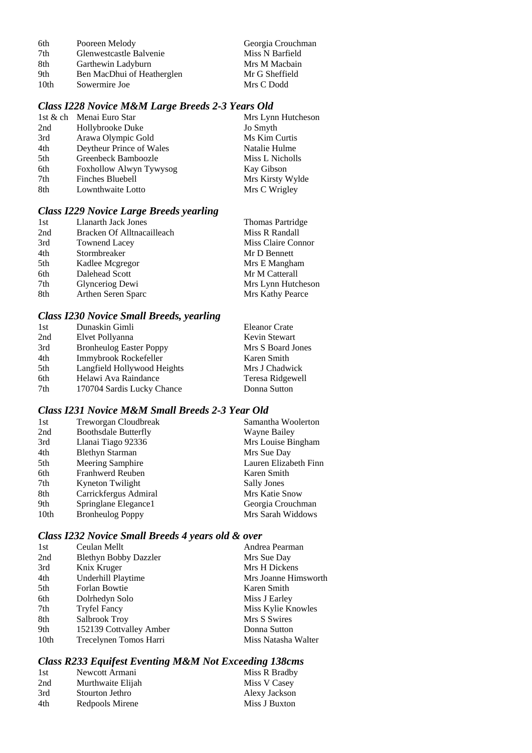| 6th              | Pooreen Melody             | Georgia Crouchman |
|------------------|----------------------------|-------------------|
| 7th              | Glenwestcastle Balvenie    | Miss N Barfield   |
| 8th              | Garthewin Ladyburn         | Mrs M Macbain     |
| 9th              | Ben MacDhui of Heatherglen | Mr G Sheffield    |
| 10 <sub>th</sub> | Sowermire Joe              | Mrs C Dodd        |

# *Class I228 Novice M&M Large Breeds 2-3 Years Old*

|     | 1st & ch Menai Euro Star | Mrs Lynn Hutcheson |
|-----|--------------------------|--------------------|
| 2nd | Hollybrooke Duke         | Jo Smyth           |
| 3rd | Arawa Olympic Gold       | Ms Kim Curtis      |
| 4th | Deytheur Prince of Wales | Natalie Hulme      |
| 5th | Greenbeck Bamboozle      | Miss L Nicholls    |
| 6th | Foxhollow Alwyn Tywysog  | Kay Gibson         |
| 7th | Finches Bluebell         | Mrs Kirsty Wylde   |
| 8th | Lownthwaite Lotto        | Mrs C Wrigley      |

## *Class I229 Novice Large Breeds yearling*

| 1st | <b>Llanarth Jack Jones</b> | <b>Thomas Partridge</b> |
|-----|----------------------------|-------------------------|
| 2nd | Bracken Of Alltnacailleach | Miss R Randall          |
| 3rd | <b>Townend Lacey</b>       | Miss Claire Connor      |
| 4th | Stormbreaker               | Mr D Bennett            |
| 5th | Kadlee Mcgregor            | Mrs E Mangham           |
| 6th | Dalehead Scott             | Mr M Catterall          |
| 7th | Glynceriog Dewi            | Mrs Lynn Hutcheson      |
| 8th | Arthen Seren Sparc         | Mrs Kathy Pearce        |

# *Class I230 Novice Small Breeds, yearling*

| 1st | Dunaskin Gimli                 | <b>Eleanor Crate</b> |
|-----|--------------------------------|----------------------|
| 2nd | Elvet Pollyanna                | Kevin Stewart        |
| 3rd | <b>Bronheulog Easter Poppy</b> | Mrs S Board Jones    |
| 4th | Immybrook Rockefeller          | Karen Smith          |
| 5th | Langfield Hollywood Heights    | Mrs J Chadwick       |
| 6th | Helawi Ava Raindance           | Teresa Ridgewell     |
| 7th | 170704 Sardis Lucky Chance     | Donna Sutton         |

## *Class I231 Novice M&M Small Breeds 2-3 Year Old*

| Treworgan Cloudbreak        | Samantha Woolerton    |
|-----------------------------|-----------------------|
| <b>Boothsdale Butterfly</b> | Wayne Bailey          |
| Llanai Tiago 92336          | Mrs Louise Bingham    |
| <b>Blethyn Starman</b>      | Mrs Sue Day           |
| Meering Samphire            | Lauren Elizabeth Finn |
| <b>Franhwerd Reuben</b>     | Karen Smith           |
| Kyneton Twilight            | <b>Sally Jones</b>    |
| Carrickfergus Admiral       | Mrs Katie Snow        |
| Springlane Elegance1        | Georgia Crouchman     |
| <b>Bronheulog Poppy</b>     | Mrs Sarah Widdows     |
|                             |                       |

# *Class I232 Novice Small Breeds 4 years old & over*

| Ceulan Mellt                 | Andrea Pearman       |
|------------------------------|----------------------|
| <b>Blethyn Bobby Dazzler</b> | Mrs Sue Day          |
| Knix Kruger                  | Mrs H Dickens        |
| Underhill Playtime           | Mrs Joanne Himsworth |
| Forlan Bowtie                | Karen Smith          |
| Dolrhedyn Solo               | Miss J Earley        |
| <b>Tryfel Fancy</b>          | Miss Kylie Knowles   |
| Salbrook Troy                | Mrs S Swires         |
| 152139 Cottvalley Amber      | Donna Sutton         |
| Trecelynen Tomos Harri       | Miss Natasha Walter  |
|                              |                      |

# *Class R233 Equifest Eventing M&M Not Exceeding 138cms*

| 1st | Newcott Armani    | Miss R Bradby |
|-----|-------------------|---------------|
| 2nd | Murthwaite Elijah | Miss V Casey  |
| 3rd | Stourton Jethro   | Alexy Jackson |
| 4th | Redpools Mirene   | Miss J Buxton |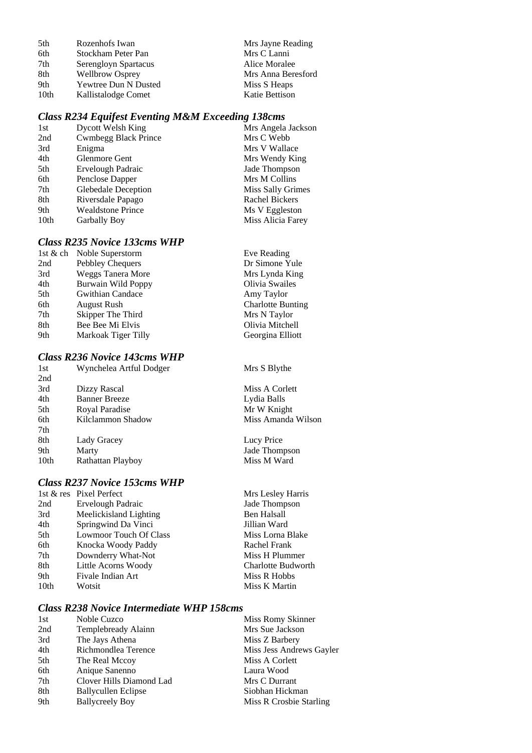| .5th | Rozenhofs Iwan              | Mrs Jayne Reading  |
|------|-----------------------------|--------------------|
| 6th  | Stockham Peter Pan          | Mrs C Lanni        |
| 7th  | Serengloyn Spartacus        | Alice Moralee      |
| 8th  | <b>Wellbrow Osprey</b>      | Mrs Anna Beresford |
| 9th  | <b>Yewtree Dun N Dusted</b> | Miss S Heaps       |
| 10th | Kallistalodge Comet         | Katie Bettison     |

# *Class R234 Equifest Eventing M&M Exceeding 138cms*

| 1st              | Dycott Welsh King           | Mrs Angela Jackson |
|------------------|-----------------------------|--------------------|
| 2nd              | <b>Cwmbegg Black Prince</b> | Mrs C Webb         |
| 3rd              | Enigma                      | Mrs V Wallace      |
| 4th              | <b>Glenmore Gent</b>        | Mrs Wendy King     |
| 5th              | Ervelough Padraic           | Jade Thompson      |
| 6th              | Penclose Dapper             | Mrs M Collins      |
| 7th              | Glebedale Deception         | Miss Sally Grimes  |
| 8th              | Riversdale Papago           | Rachel Bickers     |
| 9th              | <b>Wealdstone Prince</b>    | Ms V Eggleston     |
| 10 <sub>th</sub> | <b>Garbally Boy</b>         | Miss Alicia Farey  |
|                  |                             |                    |

# *Class R235 Novice 133cms WHP*

|     | 1st & ch Noble Superstorm | Eve Reading              |
|-----|---------------------------|--------------------------|
| 2nd | Pebbley Chequers          | Dr Simone Yule           |
| 3rd | <b>Weggs Tanera More</b>  | Mrs Lynda King           |
| 4th | Burwain Wild Poppy        | Olivia Swailes           |
| 5th | <b>Gwithian Candace</b>   | Amy Taylor               |
| 6th | <b>August Rush</b>        | <b>Charlotte Bunting</b> |
| 7th | Skipper The Third         | Mrs N Taylor             |
| 8th | Bee Bee Mi Elvis          | Olivia Mitchell          |
| 9th | Markoak Tiger Tilly       | Georgina Elliott         |
|     |                           |                          |

## *Class R236 Novice 143cms WHP*

| 1st  | Wynchelea Artful Dodger | Mrs S Blythe       |
|------|-------------------------|--------------------|
| 2nd  |                         |                    |
| 3rd  | Dizzy Rascal            | Miss A Corlett     |
| 4th  | <b>Banner Breeze</b>    | Lydia Balls        |
| 5th  | Royal Paradise          | Mr W Knight        |
| 6th  | Kilclammon Shadow       | Miss Amanda Wilson |
| 7th  |                         |                    |
| 8th  | Lady Gracey             | Lucy Price         |
| 9th  | Marty                   | Jade Thompson      |
| 10th | Rathattan Playboy       | Miss M Ward        |
|      |                         |                    |

### *Class R237 Novice 153cms WHP*

|      | 1st & res Pixel Perfect       | Mrs Lesley Harris  |
|------|-------------------------------|--------------------|
| 2nd  | Ervelough Padraic             | Jade Thompson      |
| 3rd  | Meelickisland Lighting        | Ben Halsall        |
| 4th  | Springwind Da Vinci           | Jillian Ward       |
| 5th  | <b>Lowmoor Touch Of Class</b> | Miss Lorna Blake   |
| 6th  | Knocka Woody Paddy            | Rachel Frank       |
| 7th  | Downderry What-Not            | Miss H Plummer     |
| 8th  | Little Acorns Woody           | Charlotte Budworth |
| 9th  | Fivale Indian Art             | Miss R Hobbs       |
| 10th | Wotsit                        | Miss K Martin      |
|      |                               |                    |

#### *Class R238 Novice Intermediate WHP 158cms*

| 1st | Noble Cuzco                | Miss Romy Skinner        |
|-----|----------------------------|--------------------------|
| 2nd | Templebready Alainn        | Mrs Sue Jackson          |
| 3rd | The Jays Athena            | Miss Z Barbery           |
| 4th | Richmondlea Terence        | Miss Jess Andrews Gayler |
| 5th | The Real Mccoy             | Miss A Corlett           |
| 6th | Anique Sanenno             | Laura Wood               |
| 7th | Clover Hills Diamond Lad   | Mrs C Durrant            |
| 8th | <b>Ballycullen Eclipse</b> | Siobhan Hickman          |
| 9th | <b>Ballycreely Boy</b>     | Miss R Crosbie Starling  |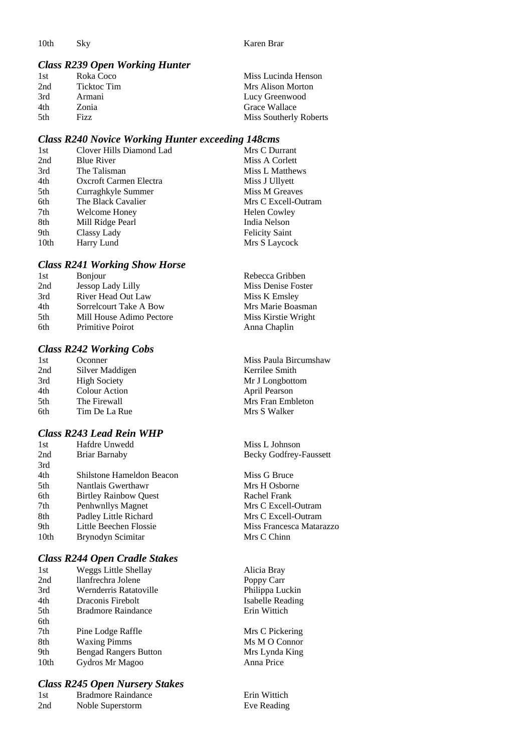10th Sky Karen Brar

#### *Class R239 Open Working Hunter*

| 1st  | Roka Coco   | Miss Lucinda Henson    |
|------|-------------|------------------------|
| 2nd  | Ticktoc Tim | Mrs Alison Morton      |
| 3rd  | Armani      | Lucy Greenwood         |
| 4th  | Zonia       | Grace Wallace          |
| .5th | Fizz.       | Miss Southerly Roberts |

#### *Class R240 Novice Working Hunter exceeding 148cms*

| Clover Hills Diamond Lad | Mrs C Durrant         |
|--------------------------|-----------------------|
| <b>Blue River</b>        | Miss A Corlett        |
| The Talisman             | Miss L Matthews       |
| Oxcroft Carmen Electra   | Miss J Ullyett        |
| Curraghkyle Summer       | Miss M Greaves        |
| The Black Cavalier       | Mrs C Excell-Outram   |
| Welcome Honey            | <b>Helen Cowley</b>   |
| Mill Ridge Pearl         | India Nelson          |
| Classy Lady              | <b>Felicity Saint</b> |
| Harry Lund               | Mrs S Laycock         |
|                          |                       |

#### *Class R241 Working Show Horse*

| 1st | <b>Bonjour</b>           | Rebecca Gribben     |
|-----|--------------------------|---------------------|
| 2nd | Jessop Lady Lilly        | Miss Denise Foster  |
| 3rd | River Head Out Law       | Miss K Emsley       |
| 4th | Sorrelcourt Take A Bow   | Mrs Marie Boasmar   |
| 5th | Mill House Adimo Pectore | Miss Kirstie Wright |
| 6th | Primitive Poirot         | Anna Chaplin        |
|     |                          |                     |

#### *Class R242 Working Cobs*

| 1st | Oconner              | Miss Paula Biro |
|-----|----------------------|-----------------|
| 2nd | Silver Maddigen      | Kerrilee Smith  |
| 3rd | <b>High Society</b>  | Mr J Longbotto  |
| 4th | <b>Colour Action</b> | April Pearson   |
| 5th | The Firewall         | Mrs Fran Embl   |
| 6th | Tim De La Rue        | Mrs S Walker    |
|     |                      |                 |

#### *Class R243 Lead Rein WHP*

| Hafdre Unwedd<br>1st                | Miss L Johnson       |
|-------------------------------------|----------------------|
| 2nd<br>Briar Barnaby                | Becky Godfrey-Fausse |
| 3rd                                 |                      |
| 4th<br>Shilstone Hameldon Beacon    | Miss G Bruce         |
| 5th<br>Nantlais Gwerthawr           | Mrs H Osborne        |
| <b>Birtley Rainbow Ouest</b><br>6th | Rachel Frank         |
| Penhwnllys Magnet<br>7th            | Mrs C Excell-Outram  |
| Padley Little Richard<br>8th        | Mrs C Excell-Outram  |
| Little Beechen Flossie<br>9th       | Miss Francesca Matar |
| 10th<br>Brynodyn Scimitar           | Mrs C Chinn          |

#### *Class R244 Open Cradle Stakes*

| 1st  | <b>Weggs Little Shellay</b>  |
|------|------------------------------|
| 2nd  | llanfrechra Jolene           |
| 3rd  | Wernderris Ratatoville       |
| 4th  | Draconis Firebolt            |
| 5th  | <b>Bradmore Raindance</b>    |
| 6th  |                              |
| 7th  | Pine Lodge Raffle            |
| 8th  | <b>Waxing Pimms</b>          |
| 9th  | <b>Bengad Rangers Button</b> |
| 10th | Gydros Mr Magoo              |
|      |                              |

#### *Class R245 Open Nursery Stakes*

| 1st | <b>Bradmore Raindance</b> |
|-----|---------------------------|
| 2nd | Noble Superstorm          |

la Bircumshaw gbottom **Embleton** 

ey-Faussett

ta Matarazzo

Alicia Bray Poppy Carr Philippa Luckin Isabelle Reading Erin Wittich

Mrs C Pickering Ms M O Connor Mrs Lynda King Anna Price

Erin Wittich Eve Reading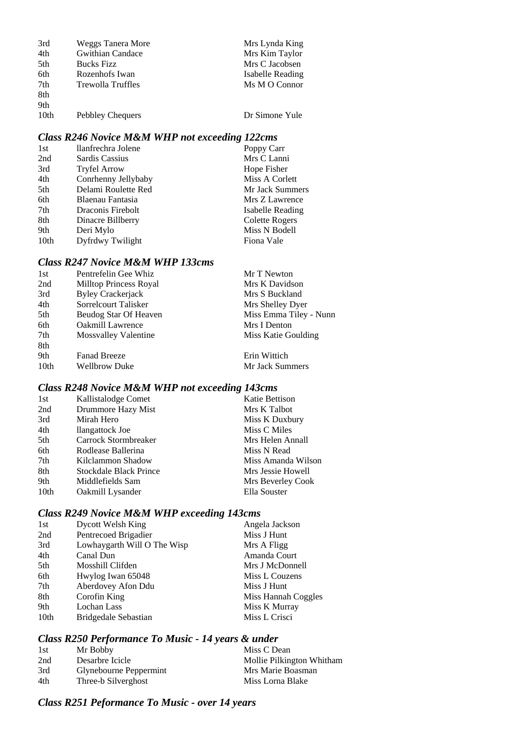| 3rd  | Weggs Tanera More        | Mrs Lynda King   |
|------|--------------------------|------------------|
| 4th  | <b>Gwithian Candace</b>  | Mrs Kim Taylor   |
| 5th  | <b>Bucks Fizz</b>        | Mrs C Jacobsen   |
| 6th  | Rozenhofs Iwan           | Isabelle Reading |
| 7th  | <b>Trewolla Truffles</b> | Ms M O Connor    |
| 8th  |                          |                  |
| 9th  |                          |                  |
| 10th | Pebbley Chequers         | Dr Simone Yule   |

## *Class R246 Novice M&M WHP not exceeding 122cms*

| 1st              | llanfrechra Jolene  | Poppy Carr       |
|------------------|---------------------|------------------|
| 2nd              | Sardis Cassius      | Mrs C Lanni      |
| 3rd              | <b>Tryfel Arrow</b> | Hope Fisher      |
| 4th              | Conrhenny Jellybaby | Miss A Corlett   |
| 5th              | Delami Roulette Red | Mr Jack Summers  |
| 6th              | Blaenau Fantasia    | Mrs Z Lawrence   |
| 7th              | Draconis Firebolt   | Isabelle Reading |
| 8th              | Dinacre Billberry   | Colette Rogers   |
| 9th              | Deri Mylo           | Miss N Bodell    |
| 10 <sub>th</sub> | Dyfrdwy Twilight    | Fiona Vale       |

### *Class R247 Novice M&M WHP 133cms*

| Pentrefelin Gee Whiz          | Mr T Newton            |
|-------------------------------|------------------------|
| <b>Milltop Princess Royal</b> | Mrs K Davidson         |
| <b>Byley Crackerjack</b>      | Mrs S Buckland         |
| Sorrelcourt Talisker          | Mrs Shelley Dyer       |
| Beudog Star Of Heaven         | Miss Emma Tiley - Nunn |
| <b>Oakmill Lawrence</b>       | Mrs I Denton           |
| <b>Mossvalley Valentine</b>   | Miss Katie Goulding    |
|                               |                        |
| <b>Fanad Breeze</b>           | Erin Wittich           |
| <b>Wellbrow Duke</b>          | Mr Jack Summers        |
|                               |                        |

## *Class R248 Novice M&M WHP not exceeding 143cms*

| Kallistalodge Comet    | <b>Katie Bettison</b> |
|------------------------|-----------------------|
| Drummore Hazy Mist     | Mrs K Talbot          |
| Mirah Hero             | Miss K Duxbury        |
| llangattock Joe        | Miss C Miles          |
| Carrock Stormbreaker   | Mrs Helen Annall      |
| Rodlease Ballerina     | Miss N Read           |
| Kilclammon Shadow      | Miss Amanda Wilson    |
| Stockdale Black Prince | Mrs Jessie Howell     |
| Middlefields Sam       | Mrs Beverley Cook     |
| Oakmill Lysander       | Ella Souster          |
|                        |                       |

#### *Class R249 Novice M&M WHP exceeding 143cms*

| Dycott Welsh King           | Angela Jackson      |
|-----------------------------|---------------------|
| Pentrecoed Brigadier        | Miss J Hunt         |
| Lowhaygarth Will O The Wisp | Mrs A Fligg         |
| Canal Dun                   | Amanda Court        |
| Mosshill Clifden            | Mrs J McDonnell     |
| Hwylog Iwan 65048           | Miss L Couzens      |
| Aberdovey Afon Ddu          | Miss J Hunt         |
| Corofin King                | Miss Hannah Coggles |
| Lochan Lass                 | Miss K Murray       |
| Bridgedale Sebastian        | Miss L Crisci       |
|                             |                     |

## *Class R250 Performance To Music - 14 years & under*

| -1st | Mr Bobby               | Miss C Dean               |
|------|------------------------|---------------------------|
| 2nd  | Desarbre Icicle        | Mollie Pilkington Whitham |
| 3rd  | Glynebourne Peppermint | Mrs Marie Boasman         |
| 4th  | Three-b Silverghost    | Miss Lorna Blake          |

## *Class R251 Peformance To Music - over 14 years*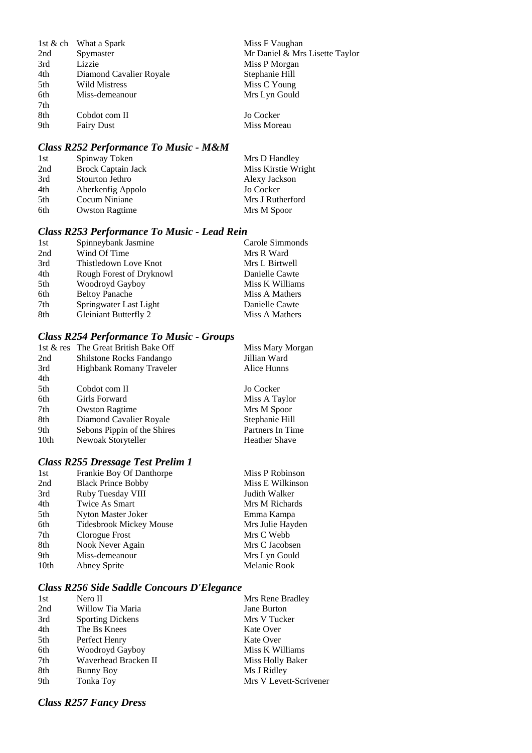|     | 1st & ch What a Spark   | Miss F Vaughan                 |
|-----|-------------------------|--------------------------------|
| 2nd | Spymaster               | Mr Daniel & Mrs Lisette Taylor |
| 3rd | Lizzie                  | Miss P Morgan                  |
| 4th | Diamond Cavalier Royale | Stephanie Hill                 |
| 5th | <b>Wild Mistress</b>    | Miss C Young                   |
| 6th | Miss-demeanour          | Mrs Lyn Gould                  |
| 7th |                         |                                |
| 8th | Cobdot com II           | Jo Cocker                      |
| 9th | <b>Fairy Dust</b>       | Miss Moreau                    |

## *Class R252 Performance To Music - M&M*

| 1st | Spinway Token             | Mrs D Handley       |
|-----|---------------------------|---------------------|
| 2nd | <b>Brock Captain Jack</b> | Miss Kirstie Wright |
| 3rd | Stourton Jethro           | Alexy Jackson       |
| 4th | Aberkenfig Appolo         | Jo Cocker           |
| 5th | Cocum Niniane             | Mrs J Rutherford    |
| 6th | <b>Owston Ragtime</b>     | Mrs M Spoor         |

## *Class R253 Performance To Music - Lead Rein*

| 1st | Spinneybank Jasmine          | Carole Simmonds |
|-----|------------------------------|-----------------|
| 2nd | Wind Of Time                 | Mrs R Ward      |
| 3rd | Thistledown Love Knot        | Mrs L Birtwell  |
| 4th | Rough Forest of Dryknowl     | Danielle Cawte  |
| 5th | Woodroyd Gayboy              | Miss K Williams |
| 6th | <b>Beltoy Panache</b>        | Miss A Mathers  |
| 7th | Springwater Last Light       | Danielle Cawte  |
| 8th | <b>Gleiniant Butterfly 2</b> | Miss A Mathers  |

#### *Class R254 Performance To Music - Groups*

|                  | 1st & res The Great British Bake Off | Miss Mary Morgan     |
|------------------|--------------------------------------|----------------------|
| 2nd              | Shilstone Rocks Fandango             | Jillian Ward         |
| 3rd              | Highbank Romany Traveler             | Alice Hunns          |
| 4th              |                                      |                      |
| 5th              | Cobdot com II                        | Jo Cocker            |
| 6th              | Girls Forward                        | Miss A Taylor        |
| 7th              | <b>Owston Ragtime</b>                | Mrs M Spoor          |
| 8th              | Diamond Cavalier Royale              | Stephanie Hill       |
| 9th              | Sebons Pippin of the Shires          | Partners In Time     |
| 10 <sub>th</sub> | Newoak Storyteller                   | <b>Heather Shave</b> |

## *Class R255 Dressage Test Prelim 1*

| 1st  | Frankie Boy Of Danthorpe       | Miss P Robinson  |
|------|--------------------------------|------------------|
| 2nd  | <b>Black Prince Bobby</b>      | Miss E Wilkinson |
| 3rd  | Ruby Tuesday VIII              | Judith Walker    |
| 4th  | <b>Twice As Smart</b>          | Mrs M Richards   |
| 5th  | Nyton Master Joker             | Emma Kampa       |
| 6th  | <b>Tidesbrook Mickey Mouse</b> | Mrs Julie Hayden |
| 7th  | Clorogue Frost                 | Mrs C Webb       |
| 8th  | Nook Never Again               | Mrs C Jacobsen   |
| 9th  | Miss-demeanour                 | Mrs Lyn Gould    |
| 10th | Abney Sprite                   | Melanie Rook     |
|      |                                |                  |

## *Class R256 Side Saddle Concours D'Elegance*

| 1st | Nero II                 | Mrs Rene Bradley       |
|-----|-------------------------|------------------------|
| 2nd | Willow Tia Maria        | Jane Burton            |
| 3rd | <b>Sporting Dickens</b> | Mrs V Tucker           |
| 4th | The Bs Knees            | Kate Over              |
| 5th | Perfect Henry           | Kate Over              |
| 6th | Woodroyd Gayboy         | Miss K Williams        |
| 7th | Waverhead Bracken II    | Miss Holly Baker       |
| 8th | <b>Bunny Boy</b>        | Ms J Ridley            |
| 9th | Tonka Toy               | Mrs V Levett-Scrivener |

## *Class R257 Fancy Dress*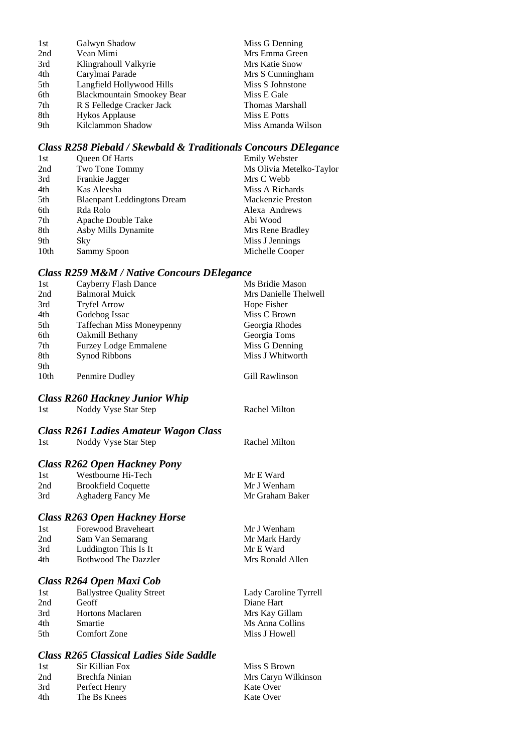| 1st | Galwyn Shadow                     | Miss G Denning         |
|-----|-----------------------------------|------------------------|
| 2nd | Vean Mimi                         | Mrs Emma Green         |
| 3rd | Klingrahoull Valkyrie             | Mrs Katie Snow         |
| 4th | Carylmai Parade                   | Mrs S Cunningham       |
| 5th | Langfield Hollywood Hills         | Miss S Johnstone       |
| 6th | <b>Blackmountain Smookey Bear</b> | Miss E Gale            |
| 7th | R S Felledge Cracker Jack         | <b>Thomas Marshall</b> |
| 8th | <b>Hykos Applause</b>             | Miss E Potts           |
| 9th | Kilclammon Shadow                 | Miss Amanda Wilson     |

## *Class R258 Piebald / Skewbald & Traditionals Concours DElegance*

| 1st  | Queen Of Harts                     | <b>Emily Webster</b>     |
|------|------------------------------------|--------------------------|
| 2nd  | Two Tone Tommy                     | Ms Olivia Metelko-Taylor |
| 3rd  | Frankie Jagger                     | Mrs C Webb               |
| 4th  | Kas Aleesha                        | Miss A Richards          |
| 5th  | <b>Blaenpant Leddingtons Dream</b> | Mackenzie Preston        |
| 6th  | Rda Rolo                           | Alexa Andrews            |
| 7th  | Apache Double Take                 | Abi Wood                 |
| 8th  | Asby Mills Dynamite                | Mrs Rene Bradley         |
| 9th  | Sky                                | Miss J Jennings          |
| 10th | Sammy Spoon                        | Michelle Cooper          |

#### *Class R259 M&M / Native Concours DElegance*

| 1st              | Cayberry Flash Dance                  | Ms Bridie Mason       |
|------------------|---------------------------------------|-----------------------|
| 2nd              | <b>Balmoral Muick</b>                 | Mrs Danielle Thelwell |
| 3rd              | <b>Tryfel Arrow</b>                   | Hope Fisher           |
| 4th              | Godebog Issac                         | Miss C Brown          |
| 5th              | <b>Taffechan Miss Moneypenny</b>      | Georgia Rhodes        |
| 6th              | Oakmill Bethany                       | Georgia Toms          |
| 7th              | <b>Furzey Lodge Emmalene</b>          | Miss G Denning        |
| 8th              | <b>Synod Ribbons</b>                  | Miss J Whitworth      |
| 9th              |                                       |                       |
| 10 <sub>th</sub> | Penmire Dudley                        | Gill Rawlinson        |
|                  | <b>Class R260 Hackney Junior Whip</b> |                       |
| 1st              | Noddy Vyse Star Step                  | Rachel Milton         |
|                  | Class R261 Ladies Amateur Wagon Class |                       |
| 1st              | Noddy Vyse Star Step                  | Rachel Milton         |
|                  |                                       |                       |
|                  | <b>Class R262 Open Hackney Pony</b>   |                       |
| 1st              | Westbourne Hi-Tech                    | Mr E Ward             |
| 2nd              | <b>Brookfield Coquette</b>            | Mr J Wenham           |
| 3rd              | Aghaderg Fancy Me                     | Mr Graham Baker       |
|                  | <b>Class R263 Open Hackney Horse</b>  |                       |
| 1st              | Forewood Braveheart                   | Mr J Wenham           |
| 2nd              | Sam Van Semarang                      | Mr Mark Hardy         |
| 3rd              | Luddington This Is It                 | Mr E Ward             |
| 4th              | <b>Bothwood The Dazzler</b>           | Mrs Ronald Allen      |
|                  | Class R264 Open Maxi Cob              |                       |
| 1st              | <b>Ballystree Quality Street</b>      | Lady Caroline Tyrrell |
| 2nd              | Geoff                                 | Diane Hart            |
| 3rd              | <b>Hortons Maclaren</b>               | Mrs Kay Gillam        |
| 4th              | Smartie                               | Ms Anna Collins       |
| 5th              | <b>Comfort Zone</b>                   | Miss J Howell         |

#### *Class R265 Classical Ladies Side Saddle*

| 1st | Sir Killian Fox |
|-----|-----------------|
| 2nd | Brechfa Ninian  |
| 3rd | Perfect Henry   |
| 4th | The Bs Knees    |

Miss S Brown Mrs Caryn Wilkinson Kate Over Kate Over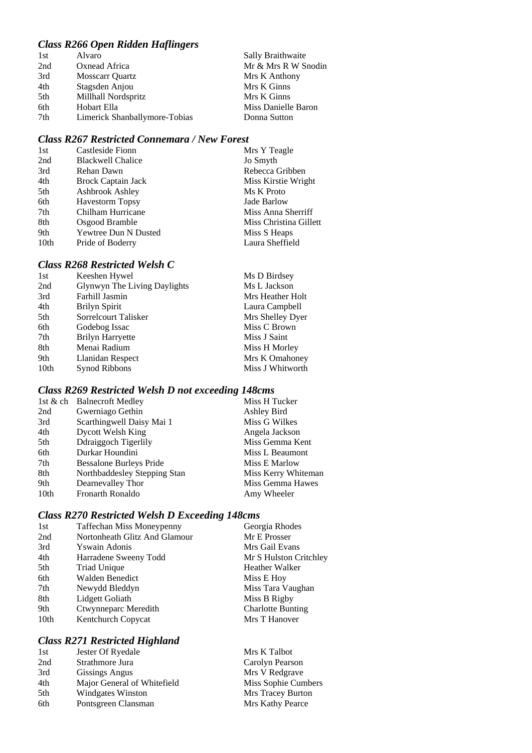#### *Class R266 Open Ridden Haflingers*

| 1st | Alvaro                        | Sally Braithwaite   |
|-----|-------------------------------|---------------------|
| 2nd | Oxnead Africa                 | Mr & Mrs R W Snodin |
| 3rd | <b>Mosscarr Quartz</b>        | Mrs K Anthony       |
| 4th | Stagsden Anjou                | Mrs K Ginns         |
| 5th | Millhall Nordspritz           | Mrs K Ginns         |
| 6th | Hobart Ella                   | Miss Danielle Baron |
| 7th | Limerick Shanballymore-Tobias | Donna Sutton        |
|     |                               |                     |

#### *Class R267 Restricted Connemara / New Forest*

| 1st  | Castleside Fionn         | Mrs Y Teagle           |
|------|--------------------------|------------------------|
| 2nd  | <b>Blackwell Chalice</b> | Jo Smyth               |
| 3rd  | Rehan Dawn               | Rebecca Gribben        |
| 4th  | Brock Captain Jack       | Miss Kirstie Wright    |
| 5th  | Ashbrook Ashley          | Ms K Proto             |
| 6th  | <b>Havestorm Topsy</b>   | Jade Barlow            |
| 7th  | Chilham Hurricane        | Miss Anna Sherriff     |
| 8th  | Osgood Bramble           | Miss Christina Gillett |
| 9th  | Yewtree Dun N Dusted     | Miss S Heaps           |
| 10th | Pride of Boderry         | Laura Sheffield        |

#### *Class R268 Restricted Welsh C*

| 1st              | Keeshen Hywel                | Ms D Birdsey     |
|------------------|------------------------------|------------------|
| 2nd              | Glynwyn The Living Daylights | Ms L Jackson     |
| 3rd              | Farhill Jasmin               | Mrs Heather Holt |
| 4th              | Brilyn Spirit                | Laura Campbell   |
| 5th              | Sorrelcourt Talisker         | Mrs Shelley Dyer |
| 6th              | Godebog Issac                | Miss C Brown     |
| 7th              | <b>Brilyn Harryette</b>      | Miss J Saint     |
| 8th              | Menai Radium                 | Miss H Morley    |
| 9th              | Llanidan Respect             | Mrs K Omahoney   |
| 10 <sub>th</sub> | Synod Ribbons                | Miss J Whitworth |

## *Class R269 Restricted Welsh D not exceeding 148cms*

|                  | 1st & ch Balnecroft Medley     | Miss H Tucker       |
|------------------|--------------------------------|---------------------|
| 2nd              | Gwerniago Gethin               | Ashley Bird         |
| 3rd              | Scarthingwell Daisy Mai 1      | Miss G Wilkes       |
| 4th              | Dycott Welsh King              | Angela Jackson      |
| 5th              | Ddraiggoch Tigerlily           | Miss Gemma Kent     |
| 6th              | Durkar Houndini                | Miss L Beaumont     |
| 7th              | <b>Bessalone Burleys Pride</b> | Miss E Marlow       |
| 8th              | Northbaddesley Stepping Stan   | Miss Kerry Whiteman |
| 9th              | Dearnevalley Thor              | Miss Gemma Hawes    |
| 10 <sub>th</sub> | Fronarth Ronaldo               | Amy Wheeler         |

## *Class R270 Restricted Welsh D Exceeding 148cms*

| 1st              | <b>Taffechan Miss Moneypenny</b> | Georgia Rhodes           |
|------------------|----------------------------------|--------------------------|
| 2nd              | Nortonheath Glitz And Glamour    | Mr E Prosser             |
| 3rd              | <b>Y</b> swain Adonis            | Mrs Gail Evans           |
| 4th              | Harradene Sweeny Todd            | Mr S Hulston Critchley   |
| 5th              | Triad Unique                     | <b>Heather Walker</b>    |
| 6th              | <b>Walden Benedict</b>           | Miss E Hoy               |
| 7th              | Newydd Bleddyn                   | Miss Tara Vaughan        |
| 8th              | Lidgett Goliath                  | Miss B Rigby             |
| 9th              | Ctwynneparc Meredith             | <b>Charlotte Bunting</b> |
| 10 <sub>th</sub> | Kentchurch Copycat               | Mrs T Hanover            |

## *Class R271 Restricted Highland*

| Jester Of Ryedale           | Mrs K Talbot        |
|-----------------------------|---------------------|
| Strathmore Jura             | Carolyn Pearson     |
| Gissings Angus              | Mrs V Redgrave      |
| Major General of Whitefield | Miss Sophie Cumbers |
| <b>Windgates Winston</b>    | Mrs Tracey Burton   |
| Pontsgreen Clansman         | Mrs Kathy Pearce    |
|                             |                     |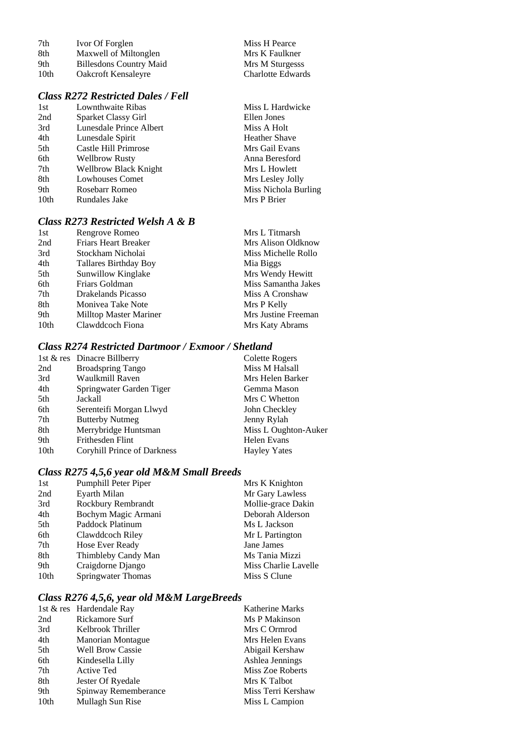| Miss H Pearce            |
|--------------------------|
| Mrs K Faulkner           |
| Mrs M Sturgesss          |
| <b>Charlotte Edwards</b> |
|                          |
|                          |
| Miss L Hardwicke         |
|                          |
|                          |
| <b>Heather Shave</b>     |
| Mrs Gail Evans           |
| Anna Beresford           |
| Mrs L Howlett            |
|                          |

Miss Nichola Burling<br>Mrs P Brier

## 8th Lowhouses Comet Mrs Lesley Jolly<br>9th Rosebarr Romeo Miss Nichola Bu 10th Rundales Jake

## *Class R273 Restricted Welsh A & B*

| 1st  | Rengrove Romeo                | Mrs L Titmarsh      |
|------|-------------------------------|---------------------|
| 2nd  | <b>Friars Heart Breaker</b>   | Mrs Alison Oldknow  |
| 3rd  | Stockham Nicholai             | Miss Michelle Rollo |
| 4th  | <b>Tallares Birthday Boy</b>  | Mia Biggs           |
| 5th  | Sunwillow Kinglake            | Mrs Wendy Hewitt    |
| 6th  | Friars Goldman                | Miss Samantha Jakes |
| 7th  | Drakelands Picasso            | Miss A Cronshaw     |
| 8th  | Monivea Take Note             | Mrs P Kelly         |
| 9th  | <b>Milltop Master Mariner</b> | Mrs Justine Freeman |
| 10th | Clawddcoch Fiona              | Mrs Katy Abrams     |
|      |                               |                     |

#### *Class R274 Restricted Dartmoor / Exmoor / Shetland*

|                  | 1st & res Dinacre Billberry | Colette Rogers       |
|------------------|-----------------------------|----------------------|
| 2nd              | <b>Broadspring Tango</b>    | Miss M Halsall       |
| 3rd              | Waulkmill Raven             | Mrs Helen Barker     |
| 4th              | Springwater Garden Tiger    | Gemma Mason          |
| 5th              | Jackall                     | Mrs C Whetton        |
| 6th              | Serenteifi Morgan Llwyd     | John Checkley        |
| 7th              | <b>Butterby Nutmeg</b>      | Jenny Rylah          |
| 8th              | Merrybridge Huntsman        | Miss L Oughton-Auker |
| 9th              | Frithesden Flint            | <b>Helen</b> Evans   |
| 10 <sub>th</sub> | Coryhill Prince of Darkness | <b>Hayley Yates</b>  |

## *Class R275 4,5,6 year old M&M Small Breeds*

| Pumphill Peter Piper      | Mrs K Knighton       |
|---------------------------|----------------------|
| Eyarth Milan              | Mr Gary Lawless      |
| Rockbury Rembrandt        | Mollie-grace Dakin   |
| Bochym Magic Armani       | Deborah Alderson     |
| Paddock Platinum          | Ms L Jackson         |
| Clawddcoch Riley          | Mr L Partington      |
| Hose Ever Ready           | Jane James           |
| Thimbleby Candy Man       | Ms Tania Mizzi       |
| Craigdorne Django         | Miss Charlie Lavelle |
| <b>Springwater Thomas</b> | Miss S Clune         |
|                           |                      |

## *Class R276 4,5,6, year old M&M LargeBreeds*

|                  | 1st & res Hardendale Ray | <b>Katherine Marks</b> |
|------------------|--------------------------|------------------------|
| 2nd              | Rickamore Surf           | Ms P Makinson          |
| 3rd              | Kelbrook Thriller        | Mrs C Ormrod           |
| 4th              | Manorian Montague        | Mrs Helen Evans        |
| 5th              | <b>Well Brow Cassie</b>  | Abigail Kershaw        |
| 6th              | Kindesella Lilly         | Ashlea Jennings        |
| 7th              | Active Ted               | Miss Zoe Roberts       |
| 8th              | Jester Of Ryedale        | Mrs K Talbot           |
| 9th              | Spinway Rememberance     | Miss Terri Kershaw     |
| 10 <sub>th</sub> | Mullagh Sun Rise         | Miss L Campion         |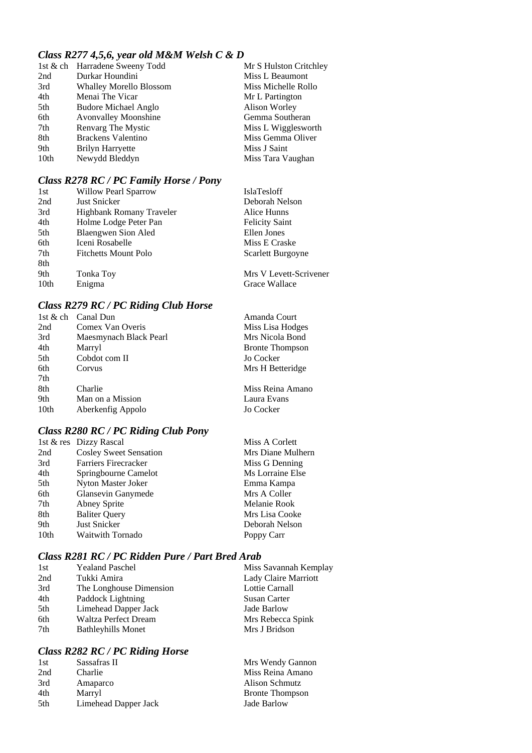## *Class R277 4,5,6, year old M&M Welsh C & D*

|                  | 1st & ch Harradene Sweeny Todd | Mr S Hulston Critchley |
|------------------|--------------------------------|------------------------|
| 2nd              | Durkar Houndini                | Miss L Beaumont        |
| 3rd              | <b>Whalley Morello Blossom</b> | Miss Michelle Rollo    |
| 4th              | Menai The Vicar                | Mr L Partington        |
| 5th              | <b>Budore Michael Anglo</b>    | Alison Worley          |
| 6th              | <b>Avonvalley Moonshine</b>    | Gemma Southeran        |
| 7th              | Renvarg The Mystic             | Miss L Wigglesworth    |
| 8th              | <b>Brackens Valentino</b>      | Miss Gemma Oliver      |
| 9th              | <b>Brilyn Harryette</b>        | Miss J Saint           |
| 10 <sub>th</sub> | Newydd Bleddyn                 | Miss Tara Vaughan      |
|                  |                                |                        |

#### *Class R278 RC / PC Family Horse / Pony*

| <b>Willow Pearl Sparrow</b> | <b>IslaTesloff</b>     |
|-----------------------------|------------------------|
| Just Snicker                | Deborah Nelson         |
| Highbank Romany Traveler    | Alice Hunns            |
| Holme Lodge Peter Pan       | <b>Felicity Saint</b>  |
| Blaengwen Sion Aled         | Ellen Jones            |
| Iceni Rosabelle             | Miss E Craske          |
| <b>Fitchetts Mount Polo</b> | Scarlett Burgoyne      |
|                             |                        |
| <b>Tonka Toy</b>            | Mrs V Levett-Scrivener |
| Enigma                      | Grace Wallace          |
|                             |                        |

## *Class R279 RC / PC Riding Club Horse*

|                  | 1st & ch Canal Dun     | Amanda Court           |
|------------------|------------------------|------------------------|
| 2nd              | Comex Van Overis       | Miss Lisa Hodges       |
| 3rd              | Maesmynach Black Pearl | Mrs Nicola Bond        |
| 4th              | Marryl                 | <b>Bronte Thompson</b> |
| 5th              | Cobdot com II          | Jo Cocker              |
| 6th              | Corvus                 | Mrs H Betteridge       |
| 7th              |                        |                        |
| 8th              | Charlie                | Miss Reina Amano       |
| 9th              | Man on a Mission       | Laura Evans            |
| 10 <sub>th</sub> | Aberkenfig Appolo      | Jo Cocker              |

## *Class R280 RC / PC Riding Club Pony*

|                  | 1st & res Dizzy Rascal        | Miss A Corlett    |
|------------------|-------------------------------|-------------------|
| 2nd              | <b>Cosley Sweet Sensation</b> | Mrs Diane Mulhern |
| 3rd              | Farriers Firecracker          | Miss G Denning    |
| 4th              | Springbourne Camelot          | Ms Lorraine Else  |
| 5th              | Nyton Master Joker            | Emma Kampa        |
| 6th              | Glansevin Ganymede            | Mrs A Coller      |
| 7th              | Abney Sprite                  | Melanie Rook      |
| 8th              | <b>Baliter Query</b>          | Mrs Lisa Cooke    |
| 9th              | <b>Just Snicker</b>           | Deborah Nelson    |
| 10 <sub>th</sub> | Waitwith Tornado              | Poppy Carr        |

## *Class R281 RC / PC Ridden Pure / Part Bred Arab*

| 1st | <b>Yealand Paschel</b>    | Miss Savannah Kemplay |
|-----|---------------------------|-----------------------|
| 2nd | Tukki Amira               | Lady Claire Marriott  |
| 3rd | The Longhouse Dimension   | Lottie Carnall        |
| 4th | Paddock Lightning         | Susan Carter          |
| 5th | Limehead Dapper Jack      | Jade Barlow           |
| 6th | Waltza Perfect Dream      | Mrs Rebecca Spink     |
| 7th | <b>Bathleyhills Monet</b> | Mrs J Bridson         |

#### *Class R282 RC / PC Riding Horse*

| 1st | Sassafras II         | Mrs Wendy Gannon       |
|-----|----------------------|------------------------|
| 2nd | <b>Charlie</b>       | Miss Reina Amano       |
| 3rd | Amaparco             | Alison Schmutz         |
| 4th | Marryl               | <b>Bronte Thompson</b> |
| 5th | Limehead Dapper Jack | Jade Barlow            |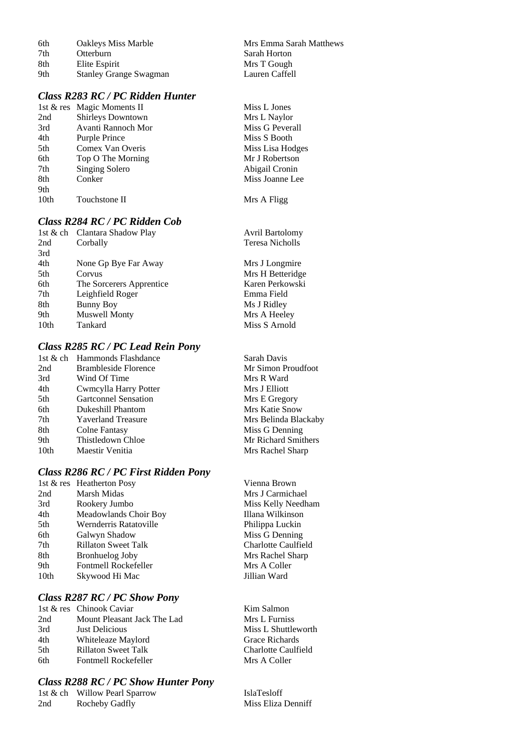| 6th | <b>Oakleys Miss Marble</b>    | Mrs Emma Sarah Matthews |
|-----|-------------------------------|-------------------------|
| 7th | <b>Otterburn</b>              | Sarah Horton            |
| 8th | Elite Espirit                 | Mrs T Gough             |
| 9th | <b>Stanley Grange Swagman</b> | Lauren Caffell          |

## *Class R283 RC / PC Ridden Hunter*

|      | 1st & res Magic Moments II | Miss L Jones     |
|------|----------------------------|------------------|
| 2nd  | Shirleys Downtown          | Mrs L Naylor     |
| 3rd  | Avanti Rannoch Mor         | Miss G Peverall  |
| 4th  | Purple Prince              | Miss S Booth     |
| 5th  | Comex Van Overis           | Miss Lisa Hodges |
| 6th  | Top O The Morning          | Mr J Robertson   |
| 7th  | Singing Solero             | Abigail Cronin   |
| 8th  | Conker                     | Miss Joanne Lee  |
| 9th  |                            |                  |
| 10th | Touchstone II              | Mrs A Fligg      |
|      |                            |                  |

## *Class R284 RC / PC Ridden Cob*

|      | 1st & ch Clantara Shadow Play | <b>Avril Bartolomy</b> |
|------|-------------------------------|------------------------|
| 2nd  | Corbally                      | <b>Teresa Nicholls</b> |
| 3rd  |                               |                        |
| 4th  | None Gp Bye Far Away          | Mrs J Longmire         |
| 5th  | Corvus                        | Mrs H Betteridge       |
| 6th  | The Sorcerers Apprentice      | Karen Perkowski        |
| 7th  | Leighfield Roger              | Emma Field             |
| 8th  | <b>Bunny Boy</b>              | Ms J Ridley            |
| 9th  | <b>Muswell Monty</b>          | Mrs A Heeley           |
| 10th | Tankard                       | Miss S Arnold          |

## *Class R285 RC / PC Lead Rein Pony*

|                  | 1st & ch Hammonds Flashdance | Sarah Davis           |
|------------------|------------------------------|-----------------------|
| 2nd              | <b>Brambleside Florence</b>  | Mr Simon Proudfoot    |
| 3rd              | Wind Of Time                 | Mrs R Ward            |
| 4th              | Cwmcylla Harry Potter        | Mrs J Elliott         |
| 5th              | <b>Gartconnel Sensation</b>  | Mrs E Gregory         |
| 6th              | Dukeshill Phantom            | <b>Mrs Katie Snow</b> |
| 7th              | <b>Yaverland Treasure</b>    | Mrs Belinda Blackaby  |
| 8th              | Colne Fantasy                | Miss G Denning        |
| 9th              | Thistledown Chloe            | Mr Richard Smithers   |
| 10 <sub>th</sub> | Maestir Venitia              | Mrs Rachel Sharp      |

## *Class R286 RC / PC First Ridden Pony*

|      | 1st & res Heatherton Posy  | Vienna Brown        |
|------|----------------------------|---------------------|
| 2nd  | Marsh Midas                | Mrs J Carmichael    |
| 3rd  | Rookery Jumbo              | Miss Kelly Needham  |
| 4th  | Meadowlands Choir Boy      | Illana Wilkinson    |
| 5th  | Wernderris Ratatoville     | Philippa Luckin     |
| 6th  | Galwyn Shadow              | Miss G Denning      |
| 7th  | <b>Rillaton Sweet Talk</b> | Charlotte Caulfield |
| 8th  | Bronhuelog Joby            | Mrs Rachel Sharp    |
| 9th  | Fontmell Rockefeller       | Mrs A Coller        |
| 10th | Skywood Hi Mac             | Jillian Ward        |
|      |                            |                     |

## *Class R287 RC / PC Show Pony*

|     | 1st & res Chinook Caviar    | Kim Salmon          |
|-----|-----------------------------|---------------------|
| 2nd | Mount Pleasant Jack The Lad | Mrs L Furniss       |
| 3rd | Just Delicious              | Miss L Shuttleworth |
| 4th | Whiteleaze Maylord          | Grace Richards      |
| 5th | <b>Rillaton Sweet Talk</b>  | Charlotte Caulfield |
| 6th | Fontmell Rockefeller        | Mrs A Coller        |
|     |                             |                     |

## *Class R288 RC / PC Show Hunter Pony*

|     | 1st & ch Willow Pearl Sparrow | <b>IslaTesloff</b> |
|-----|-------------------------------|--------------------|
| 2nd | Rocheby Gadfly                | Miss Eliza Denniff |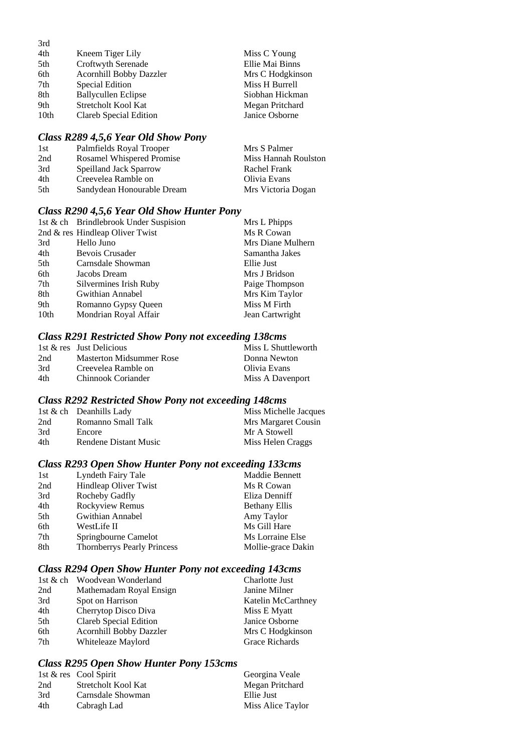| 3rd              |                            |                  |
|------------------|----------------------------|------------------|
| 4th              | Kneem Tiger Lily           | Miss C Young     |
| 5th              | Croftwyth Serenade         | Ellie Mai Binns  |
| 6th              | Acornhill Bobby Dazzler    | Mrs C Hodgkinson |
| 7th              | Special Edition            | Miss H Burrell   |
| 8th              | <b>Ballycullen Eclipse</b> | Siobhan Hickman  |
| 9th              | Stretcholt Kool Kat        | Megan Pritchard  |
| 10 <sub>th</sub> | Clareb Special Edition     | Janice Osborne   |

#### *Class R289 4,5,6 Year Old Show Pony*

| 1st  | Palmfields Royal Trooper      | Mrs S Palmer         |
|------|-------------------------------|----------------------|
| 2nd  | Rosamel Whispered Promise     | Miss Hannah Roulston |
| 3rd  | <b>Speilland Jack Sparrow</b> | Rachel Frank         |
| 4th  | Creevelea Ramble on           | Olivia Evans         |
| .5th | Sandydean Honourable Dream    | Mrs Victoria Dogan   |

#### *Class R290 4,5,6 Year Old Show Hunter Pony*

|                  | 1st & ch Brindlebrook Under Suspision | Mrs L Phipps      |
|------------------|---------------------------------------|-------------------|
|                  | 2nd $\&$ res Hindleap Oliver Twist    | Ms R Cowan        |
| 3rd              | Hello Juno                            | Mrs Diane Mulhern |
| 4th              | Bevois Crusader                       | Samantha Jakes    |
| 5th              | Carnsdale Showman                     | Ellie Just        |
| 6th              | Jacobs Dream                          | Mrs J Bridson     |
| 7th              | Silvermines Irish Ruby                | Paige Thompson    |
| 8th              | Gwithian Annabel                      | Mrs Kim Taylor    |
| 9th              | Romanno Gypsy Queen                   | Miss M Firth      |
| 10 <sub>th</sub> | Mondrian Royal Affair                 | Jean Cartwright   |

#### *Class R291 Restricted Show Pony not exceeding 138cms*

|     | 1st & res Just Delicious        | Miss L Shuttleworth |
|-----|---------------------------------|---------------------|
| 2nd | <b>Masterton Midsummer Rose</b> | Donna Newton        |
| 3rd | Creevelea Ramble on             | Olivia Evans        |
| 4th | Chinnook Coriander              | Miss A Davenport    |

#### *Class R292 Restricted Show Pony not exceeding 148cms*

|     | 1st & ch Deanhills Lady | Miss Michelle Jacques |
|-----|-------------------------|-----------------------|
| 2nd | Romanno Small Talk      | Mrs Margaret Cousin   |
| 3rd | Encore                  | Mr A Stowell          |
| 4th | Rendene Distant Music   | Miss Helen Craggs     |

#### *Class R293 Open Show Hunter Pony not exceeding 133cms*

| 1st | Lyndeth Fairy Tale                 | Maddie Bennett       |
|-----|------------------------------------|----------------------|
| 2nd | Hindleap Oliver Twist              | Ms R Cowan           |
| 3rd | Rocheby Gadfly                     | Eliza Denniff        |
| 4th | Rockyview Remus                    | <b>Bethany Ellis</b> |
| 5th | Gwithian Annabel                   | Amy Taylor           |
| 6th | WestLife II                        | Ms Gill Hare         |
| 7th | Springbourne Camelot               | Ms Lorraine Else     |
| 8th | <b>Thornberrys Pearly Princess</b> | Mollie-grace Dakin   |
|     |                                    |                      |

## *Class R294 Open Show Hunter Pony not exceeding 143cms*

|     | 1st & ch Woodvean Wonderland | Charlotte Just     |
|-----|------------------------------|--------------------|
| 2nd | Mathemadam Royal Ensign      | Janine Milner      |
| 3rd | Spot on Harrison             | Katelin McCarthney |
| 4th | Cherrytop Disco Diva         | Miss E Myatt       |
| 5th | Clareb Special Edition       | Janice Osborne     |
| 6th | Acornhill Bobby Dazzler      | Mrs C Hodgkinson   |
| 7th | Whiteleaze Maylord           | Grace Richards     |

## *Class R295 Open Show Hunter Pony 153cms*

|     | 1st & res Cool Spirit | Georgina Veale    |
|-----|-----------------------|-------------------|
| 2nd | Stretcholt Kool Kat   | Megan Pritchard   |
| 3rd | Carnsdale Showman     | Ellie Just        |
| 4th | Cabragh Lad           | Miss Alice Taylor |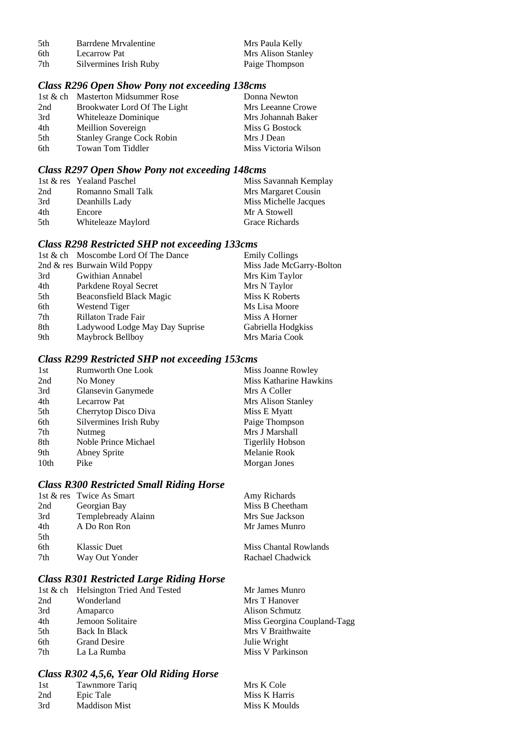| .5th | Barrdene Mrvalentine   | Mrs Paula Kelly    |
|------|------------------------|--------------------|
| 6th  | Lecarrow Pat           | Mrs Alison Stanley |
| 7th  | Silvermines Irish Ruby | Paige Thompson     |

## *Class R296 Open Show Pony not exceeding 138cms*

|     | 1st & ch Masterton Midsummer Rose | Donna Newton         |
|-----|-----------------------------------|----------------------|
| 2nd | Brookwater Lord Of The Light      | Mrs Leeanne Crowe    |
| 3rd | Whiteleaze Dominique              | Mrs Johannah Baker   |
| 4th | Meillion Sovereign                | Miss G Bostock       |
| 5th | <b>Stanley Grange Cock Robin</b>  | Mrs J Dean           |
| 6th | Towan Tom Tiddler                 | Miss Victoria Wilson |

#### *Class R297 Open Show Pony not exceeding 148cms*

|     | 1st & res Yealand Paschel | Miss Savannah Kemplay |
|-----|---------------------------|-----------------------|
| 2nd | Romanno Small Talk        | Mrs Margaret Cousin   |
| 3rd | Deanhills Lady            | Miss Michelle Jacques |
| 4th | Encore                    | Mr A Stowell          |
| 5th | Whiteleaze Maylord        | Grace Richards        |

## *Class R298 Restricted SHP not exceeding 133cms*

|     | 1st & ch Moscombe Lord Of The Dance | <b>Emily Collings</b>    |
|-----|-------------------------------------|--------------------------|
|     | 2nd & res Burwain Wild Poppy        | Miss Jade McGarry-Bolton |
| 3rd | <b>Gwithian Annabel</b>             | Mrs Kim Taylor           |
| 4th | Parkdene Royal Secret               | Mrs N Taylor             |
| 5th | Beaconsfield Black Magic            | Miss K Roberts           |
| 6th | Westend Tiger                       | Ms Lisa Moore            |
| 7th | Rillaton Trade Fair                 | Miss A Horner            |
| 8th | Ladywood Lodge May Day Suprise      | Gabriella Hodgkiss       |
| 9th | Maybrock Bellboy                    | Mrs Maria Cook           |

## *Class R299 Restricted SHP not exceeding 153cms*

| 1st              | <b>Rumworth One Look</b> | Miss Joanne Rowley      |
|------------------|--------------------------|-------------------------|
| 2nd              | No Money                 | Miss Katharine Hawkins  |
| 3rd              | Glansevin Ganymede       | Mrs A Coller            |
| 4th              | <b>Lecarrow Pat</b>      | Mrs Alison Stanley      |
| 5th              | Cherrytop Disco Diva     | Miss E Myatt            |
| 6th              | Silvermines Irish Ruby   | Paige Thompson          |
| 7th              | Nutmeg                   | Mrs J Marshall          |
| 8th              | Noble Prince Michael     | <b>Tigerlily Hobson</b> |
| 9th              | Abney Sprite             | Melanie Rook            |
| 10 <sub>th</sub> | Pike                     | Morgan Jones            |
|                  |                          |                         |

#### *Class R300 Restricted Small Riding Horse*

|     | 1st & res Twice As Smart | Amy Richards          |
|-----|--------------------------|-----------------------|
| 2nd | Georgian Bay             | Miss B Cheetham       |
| 3rd | Templebready Alainn      | Mrs Sue Jackson       |
| 4th | A Do Ron Ron             | Mr James Munro        |
| 5th |                          |                       |
| 6th | Klassic Duet             | Miss Chantal Rowlands |
| 7th | Way Out Yonder           | Rachael Chadwick      |
|     |                          |                       |

## *Class R301 Restricted Large Riding Horse*

|     | 1st & ch Helsington Tried And Tested | Mr James Munro              |
|-----|--------------------------------------|-----------------------------|
| 2nd | Wonderland                           | Mrs T Hanover               |
| 3rd | Amaparco                             | Alison Schmutz              |
| 4th | Jemoon Solitaire                     | Miss Georgina Coupland-Tagg |
| 5th | Back In Black                        | Mrs V Braithwaite           |
| 6th | <b>Grand Desire</b>                  | Julie Wright                |
| 7th | La La Rumba                          | Miss V Parkinson            |

## *Class R302 4,5,6, Year Old Riding Horse*

| 1st | Tawnmore Tariq       | Mrs K Cole    |
|-----|----------------------|---------------|
| 2nd | Epic Tale            | Miss K Harris |
| 3rd | <b>Maddison Mist</b> | Miss K Moulds |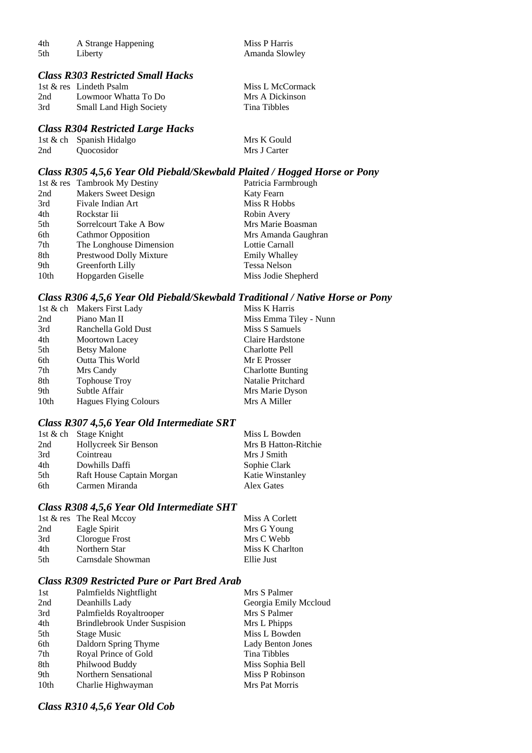| 4th | A Strange Happening | Miss P Harris  |
|-----|---------------------|----------------|
| 5th | Liberty             | Amanda Slowley |

#### *Class R303 Restricted Small Hacks*

|     | 1st & res Lindeth Psalm        | Miss L McCormack |
|-----|--------------------------------|------------------|
| 2nd | Lowmoor Whatta To Do           | Mrs A Dickinson  |
| 3rd | <b>Small Land High Society</b> | Tina Tibbles     |

#### *Class R304 Restricted Large Hacks*

|     | 1st $\&$ ch Spanish Hidalgo     | Mrs K Gould  |
|-----|---------------------------------|--------------|
| 2nd | <i><u><b>Ouocosidor</b></u></i> | Mrs J Carter |

## *Class R305 4,5,6 Year Old Piebald/Skewbald Plaited / Hogged Horse or Pony*

|                  | 1st & res Tambrook My Destiny | Patricia Farmbrough |
|------------------|-------------------------------|---------------------|
| 2nd              | Makers Sweet Design           | Katy Fearn          |
| 3rd              | Fivale Indian Art             | Miss R Hobbs        |
| 4th              | Rockstar Iii                  | Robin Avery         |
| 5th              | Sorrelcourt Take A Bow        | Mrs Marie Boasman   |
| 6th              | <b>Cathmor Opposition</b>     | Mrs Amanda Gaughran |
| 7th              | The Longhouse Dimension       | Lottie Carnall      |
| 8th              | Prestwood Dolly Mixture       | Emily Whalley       |
| 9th              | Greenforth Lilly              | <b>Tessa Nelson</b> |
| 10 <sub>th</sub> | Hopgarden Giselle             | Miss Jodie Shepherd |

#### *Class R306 4,5,6 Year Old Piebald/Skewbald Traditional / Native Horse or Pony*

| 1st & ch Makers First Lady   | Miss K Harris            |
|------------------------------|--------------------------|
| Piano Man II                 | Miss Emma Tiley - Nunn   |
| Ranchella Gold Dust          | Miss S Samuels           |
| Moortown Lacey               | Claire Hardstone         |
| <b>Betsy Malone</b>          | <b>Charlotte Pell</b>    |
| <b>Outta This World</b>      | Mr E Prosser             |
| Mrs Candy                    | <b>Charlotte Bunting</b> |
| <b>Tophouse Troy</b>         | Natalie Pritchard        |
| Subtle Affair                | Mrs Marie Dyson          |
| <b>Hagues Flying Colours</b> | Mrs A Miller             |
|                              |                          |

#### *Class R307 4,5,6 Year Old Intermediate SRT*

|     | 1st & ch Stage Knight     | Miss L Bowden        |
|-----|---------------------------|----------------------|
| 2nd | Hollycreek Sir Benson     | Mrs B Hatton-Ritchie |
| 3rd | Cointreau                 | Mrs J Smith          |
| 4th | Dowhills Daffi            | Sophie Clark         |
| 5th | Raft House Captain Morgan | Katie Winstanley     |
| 6th | Carmen Miranda            | Alex Gates           |

#### *Class R308 4,5,6 Year Old Intermediate SHT*

|     | 1st $&$ res The Real Mccoy | Miss A Corlett  |
|-----|----------------------------|-----------------|
| 2nd | Eagle Spirit               | Mrs G Young     |
| 3rd | Clorogue Frost             | Mrs C Webb      |
| 4th | Northern Star              | Miss K Charlton |
| 5th | Carnsdale Showman          | Ellie Just      |

#### *Class R309 Restricted Pure or Part Bred Arab*

| 1st              | Palmfields Nightflight              | Mrs S Palmer          |
|------------------|-------------------------------------|-----------------------|
| 2nd              | Deanhills Lady                      | Georgia Emily Mccloud |
| 3rd              | Palmfields Royaltrooper             | Mrs S Palmer          |
| 4th              | <b>Brindlebrook Under Suspision</b> | Mrs L Phipps          |
| 5th              | <b>Stage Music</b>                  | Miss L Bowden         |
| 6th              | Daldorn Spring Thyme                | Lady Benton Jones     |
| 7th              | Royal Prince of Gold                | Tina Tibbles          |
| 8th              | Philwood Buddy                      | Miss Sophia Bell      |
| 9th              | Northern Sensational                | Miss P Robinson       |
| 10 <sub>th</sub> | Charlie Highwayman                  | Mrs Pat Morris        |

#### *Class R310 4,5,6 Year Old Cob*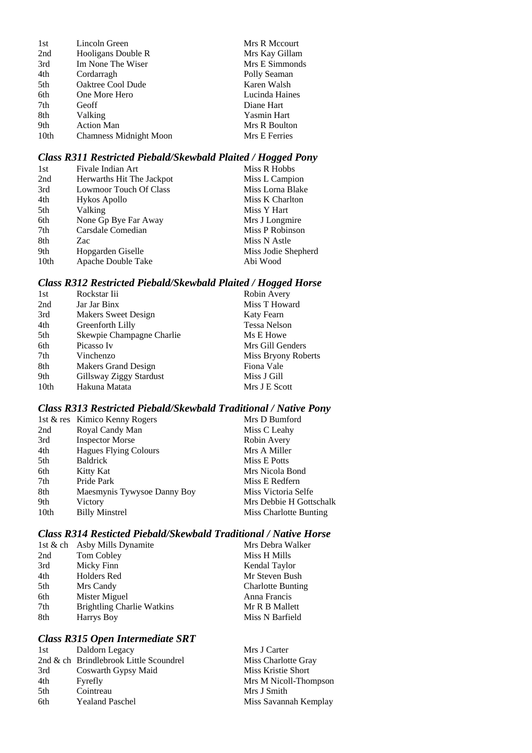| 1st              | Lincoln Green                 | Mrs R Mccourt      |
|------------------|-------------------------------|--------------------|
| 2nd              | Hooligans Double R            | Mrs Kay Gillam     |
| 3rd              | Im None The Wiser             | Mrs E Simmonds     |
| 4th              | Cordarragh                    | Polly Seaman       |
| 5th              | Oaktree Cool Dude             | Karen Walsh        |
| 6th              | One More Hero                 | Lucinda Haines     |
| 7th              | Geoff                         | Diane Hart         |
| 8th              | Valking                       | <b>Yasmin Hart</b> |
| 9th              | <b>Action Man</b>             | Mrs R Boulton      |
| 10 <sub>th</sub> | <b>Chamness Midnight Moon</b> | Mrs E Ferries      |

## *Class R311 Restricted Piebald/Skewbald Plaited / Hogged Pony*

| Fivale Indian Art             | Miss R Hobbs        |
|-------------------------------|---------------------|
| Herwarths Hit The Jackpot     | Miss L Campion      |
| <b>Lowmoor Touch Of Class</b> | Miss Lorna Blake    |
| Hykos Apollo                  | Miss K Charlton     |
| Valking                       | Miss Y Hart         |
| None Gp Bye Far Away          | Mrs J Longmire      |
| Carsdale Comedian             | Miss P Robinson     |
| Zac                           | Miss N Astle        |
| Hopgarden Giselle             | Miss Jodie Shepherd |
| Apache Double Take            | Abi Wood            |
|                               |                     |

## *Class R312 Restricted Piebald/Skewbald Plaited / Hogged Horse*

| 1st  | Rockstar Iii              | Robin Avery         |
|------|---------------------------|---------------------|
| 2nd  | Jar Jar Binx              | Miss T Howard       |
| 3rd  | Makers Sweet Design       | <b>Katy Fearn</b>   |
| 4th  | Greenforth Lilly          | Tessa Nelson        |
| 5th  | Skewpie Champagne Charlie | Ms E Howe           |
| 6th  | Picasso Iv                | Mrs Gill Genders    |
| 7th  | Vinchenzo                 | Miss Bryony Roberts |
| 8th  | Makers Grand Design       | Fiona Vale          |
| 9th  | Gillsway Ziggy Stardust   | Miss J Gill         |
| 10th | Hakuna Matata             | Mrs J E Scott       |

## *Class R313 Restricted Piebald/Skewbald Traditional / Native Pony*

|      | 1st & res Kimico Kenny Rogers | Mrs D Bumford           |
|------|-------------------------------|-------------------------|
| 2nd  | Royal Candy Man               | Miss C Leahy            |
| 3rd  | <b>Inspector Morse</b>        | Robin Avery             |
| 4th  | <b>Hagues Flying Colours</b>  | Mrs A Miller            |
| 5th  | <b>Baldrick</b>               | Miss E Potts            |
| 6th  | Kitty Kat                     | Mrs Nicola Bond         |
| 7th  | Pride Park                    | Miss E Redfern          |
| 8th  | Maesmynis Tywysoe Danny Boy   | Miss Victoria Selfe     |
| 9th  | Victory                       | Mrs Debbie H Gottschalk |
| 10th | <b>Billy Minstrel</b>         | Miss Charlotte Bunting  |

## *Class R314 Resticted Piebald/Skewbald Traditional / Native Horse*

|     | 1st & ch Asby Mills Dynamite      | Mrs Debra Walker         |
|-----|-----------------------------------|--------------------------|
| 2nd | Tom Cobley                        | Miss H Mills             |
| 3rd | Micky Finn                        | Kendal Taylor            |
| 4th | <b>Holders Red</b>                | Mr Steven Bush           |
| 5th | Mrs Candy                         | <b>Charlotte Bunting</b> |
| 6th | Mister Miguel                     | Anna Francis             |
| 7th | <b>Brightling Charlie Watkins</b> | Mr R B Mallett           |
| 8th | Harrys Boy                        | Miss N Barfield          |
|     |                                   |                          |

## *Class R315 Open Intermediate SRT*

| 1st | Daldorn Legacy                         | Mrs J Carter          |
|-----|----------------------------------------|-----------------------|
|     | 2nd & ch Brindlebrook Little Scoundrel | Miss Charlotte Gray   |
| 3rd | Coswarth Gypsy Maid                    | Miss Kristie Short    |
| 4th | Fyrefly                                | Mrs M Nicoll-Thompson |
| 5th | Cointreau                              | Mrs J Smith           |
| 6th | <b>Yealand Paschel</b>                 | Miss Savannah Kemplay |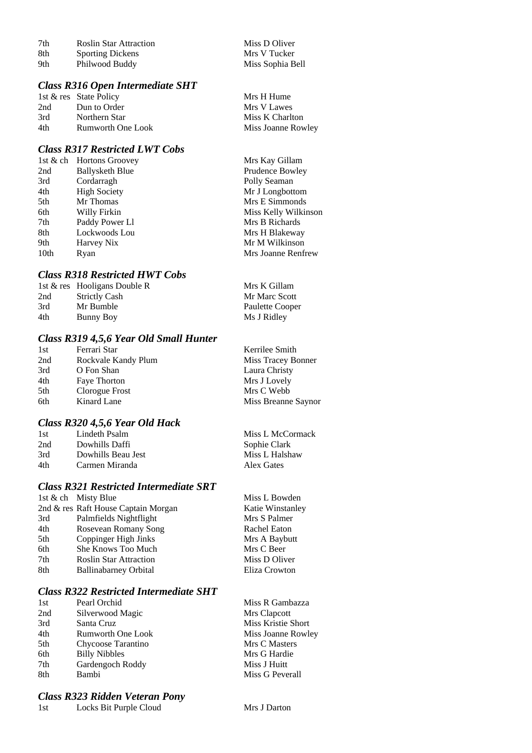| 7th  | <b>Roslin Star Attraction</b> | Miss D Oliver    |
|------|-------------------------------|------------------|
| -8th | <b>Sporting Dickens</b>       | Mrs V Tucker     |
| 9th  | Philwood Buddy                | Miss Sophia Bell |

#### *Class R316 Open Intermediate SHT*

| 1st & res State Policy | Mrs H Hume         |
|------------------------|--------------------|
| Dun to Order           | Mrs V Lawes        |
| Northern Star          | Miss K Charlton    |
| Rumworth One Look      | Miss Joanne Rowley |
|                        |                    |

## *Class R317 Restricted LWT Cobs*

| 1st & ch Hortons Groovey | Mrs Kay Gillam       |
|--------------------------|----------------------|
| <b>Ballysketh Blue</b>   | Prudence Bowley      |
| Cordarragh               | Polly Seaman         |
| <b>High Society</b>      | Mr J Longbottom      |
| Mr Thomas                | Mrs E Simmonds       |
| Willy Firkin             | Miss Kelly Wilkinson |
| Paddy Power Ll           | Mrs B Richards       |
| Lockwoods Lou            | Mrs H Blakeway       |
| Harvey Nix               | Mr M Wilkinson       |
| Ryan                     | Mrs Joanne Renfrew   |
|                          |                      |

## *Class R318 Restricted HWT Cobs*

|     | 1st & res Hooligans Double R | Mrs K Gillam    |
|-----|------------------------------|-----------------|
| 2nd | <b>Strictly Cash</b>         | Mr Marc Scott   |
| 3rd | Mr Bumble                    | Paulette Cooper |
| 4th | Bunny Boy                    | Ms J Ridley     |

## *Class R319 4,5,6 Year Old Small Hunter*

| 1st | Ferrari Star        | Kerrilee Smith      |
|-----|---------------------|---------------------|
| 2nd | Rockvale Kandy Plum | Miss Tracey Bonner  |
| 3rd | O Fon Shan          | Laura Christy       |
| 4th | <b>Faye Thorton</b> | Mrs J Lovely        |
| 5th | Clorogue Frost      | Mrs C Webb          |
| 6th | Kinard Lane         | Miss Breanne Saynor |

#### *Class R320 4,5,6 Year Old Hack*

| 1st | Lindeth Psalm      | Miss L McCormack |
|-----|--------------------|------------------|
| 2nd | Dowhills Daffi     | Sophie Clark     |
| 3rd | Dowhills Beau Jest | Miss L Halshaw   |
| 4th | Carmen Miranda     | Alex Gates       |
|     |                    |                  |

## *Class R321 Restricted Intermediate SRT*

|     | 1st & ch Misty Blue                 | Miss L Bowden    |
|-----|-------------------------------------|------------------|
|     | 2nd & res Raft House Captain Morgan | Katie Winstanley |
| 3rd | Palmfields Nightflight              | Mrs S Palmer     |
| 4th | Rosevean Romany Song                | Rachel Eaton     |
| 5th | Coppinger High Jinks                | Mrs A Baybutt    |
| 6th | She Knows Too Much                  | Mrs C Beer       |
| 7th | <b>Roslin Star Attraction</b>       | Miss D Oliver    |
| 8th | <b>Ballinabarney Orbital</b>        | Eliza Crowton    |
|     |                                     |                  |

#### *Class R322 Restricted Intermediate SHT*

| 1st | Pearl Orchid             | Miss R Gambazza    |
|-----|--------------------------|--------------------|
| 2nd | Silverwood Magic         | Mrs Clapcott       |
| 3rd | Santa Cruz               | Miss Kristie Short |
| 4th | <b>Rumworth One Look</b> | Miss Joanne Rowley |
| 5th | Chycoose Tarantino       | Mrs C Masters      |
| 6th | <b>Billy Nibbles</b>     | Mrs G Hardie       |
| 7th | Gardengoch Roddy         | Miss J Huitt       |
| 8th | Bambi                    | Miss G Peverall    |

## *Class R323 Ridden Veteran Pony*

1st Locks Bit Purple Cloud Mrs J Darton

| Miss L Bowden    |
|------------------|
| Katie Winstanley |
| Mrs S Palmer     |
| Rachel Eaton     |
| Mrs A Baybutt    |
| Mrs C Beer       |
| Miss D Oliver    |
| Eliza Crowton    |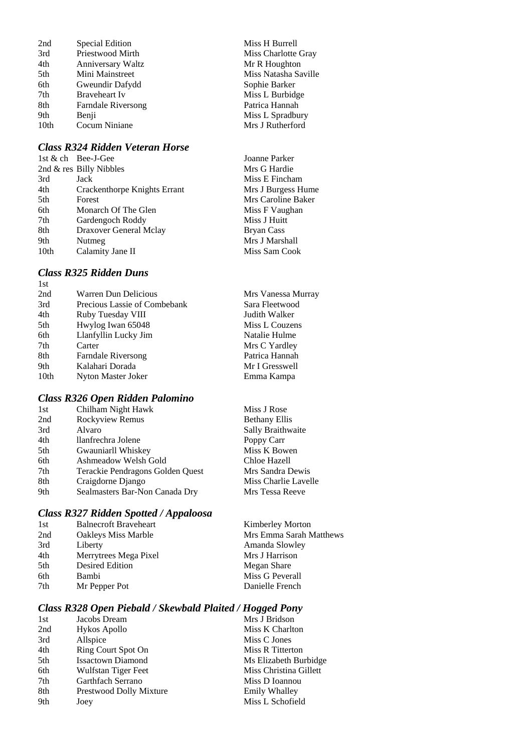| 2nd  | Special Edition           |
|------|---------------------------|
| 3rd  | Priestwood Mirth          |
| 4th  | Anniversary Waltz         |
| 5th  | Mini Mainstreet           |
| 6th  | Gweundir Dafydd           |
| 7th  | <b>Braveheart Iv</b>      |
| 8th  | <b>Farndale Riversong</b> |
| 9th  | Benji                     |
| 10th | Cocum Niniane             |

## *Class R324 Ridden Veteran Horse*

|                  | 1st & ch Bee-J-Gee           | Joanne Parker   |
|------------------|------------------------------|-----------------|
|                  | 2nd $&$ res Billy Nibbles    | Mrs G Hardie    |
| 3rd              | Jack                         | Miss E Fincham  |
| 4th              | Crackenthorpe Knights Errant | Mrs J Burgess H |
| 5th              | Forest                       | Mrs Caroline Ba |
| 6th              | Monarch Of The Glen          | Miss F Vaughan  |
| 7th              | Gardengoch Roddy             | Miss J Huitt    |
| 8th              | Draxover General Mclay       | Bryan Cass      |
| 9th              | Nutmeg                       | Mrs J Marshall  |
| 10 <sub>th</sub> | Calamity Jane II             | Miss Sam Cook   |
|                  |                              |                 |

#### *Class R325 Ridden Duns*

| 1st  |                              |                    |
|------|------------------------------|--------------------|
| 2nd  | Warren Dun Delicious         | Mrs Vanessa Murray |
| 3rd  | Precious Lassie of Combebank | Sara Fleetwood     |
| 4th  | Ruby Tuesday VIII            | Judith Walker      |
| 5th  | Hwylog Iwan 65048            | Miss L Couzens     |
| 6th  | Llanfyllin Lucky Jim         | Natalie Hulme      |
| 7th  | Carter                       | Mrs C Yardley      |
| 8th  | <b>Farndale Riversong</b>    | Patrica Hannah     |
| 9th  | Kalahari Dorada              | Mr I Gresswell     |
| 10th | Nyton Master Joker           | Emma Kampa         |
|      |                              |                    |

Miss H Burrell Miss Charlotte Gray Mr R Houghton Miss Natasha Saville Sophie Barker Miss L Burbidge Patrica Hannah Miss L Spradbury Mrs J Rutherford

Joanne Parker Mrs G Hardie Miss E Fincham Mrs J Burgess Hume Mrs Caroline Baker Miss F Vaughan Miss J Huitt Bryan Cass Mrs J Marshall

#### *Class R326 Open Ridden Palomino*

| Miss Charlie Lavelle |
|----------------------|
|                      |
|                      |

#### *Class R327 Ridden Spotted / Appaloosa*

| 1st | <b>Balnecroft Braveheart</b> | Kimberley Morton        |
|-----|------------------------------|-------------------------|
| 2nd | <b>Oakleys Miss Marble</b>   | Mrs Emma Sarah Matthews |
| 3rd | Liberty                      | Amanda Slowley          |
| 4th | Merrytrees Mega Pixel        | Mrs J Harrison          |
| 5th | Desired Edition              | Megan Share             |
| 6th | Bambi                        | Miss G Peverall         |
| 7th | Mr Pepper Pot                | Danielle French         |
|     |                              |                         |

#### *Class R328 Open Piebald / Skewbald Plaited / Hogged Pony*

| 1st | Jacobs Dream             | Mrs J Bridson          |
|-----|--------------------------|------------------------|
| 2nd | Hykos Apollo             | Miss K Charlton        |
| 3rd | Allspice                 | Miss C Jones           |
| 4th | Ring Court Spot On       | Miss R Titterton       |
| 5th | <b>Issactown Diamond</b> | Ms Elizabeth Burbidge  |
| 6th | Wulfstan Tiger Feet      | Miss Christina Gillett |
| 7th | Garthfach Serrano        | Miss D Ioannou         |
| 8th | Prestwood Dolly Mixture  | <b>Emily Whalley</b>   |
| 9th | Joey                     | Miss L Schofield       |
|     |                          |                        |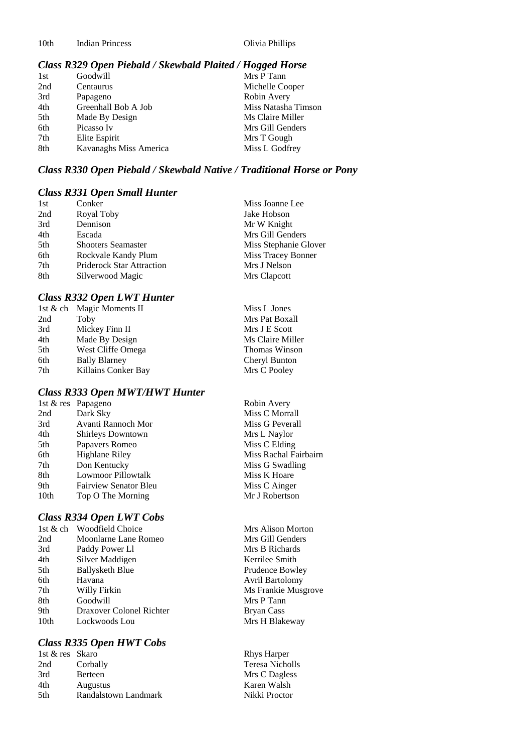#### *Class R329 Open Piebald / Skewbald Plaited / Hogged Horse*

| 1st | Goodwill               | Mrs P Tann          |
|-----|------------------------|---------------------|
| 2nd | Centaurus              | Michelle Cooper     |
| 3rd | Papageno               | Robin Avery         |
| 4th | Greenhall Bob A Job    | Miss Natasha Timson |
| 5th | Made By Design         | Ms Claire Miller    |
| 6th | Picasso Iv             | Mrs Gill Genders    |
| 7th | Elite Espirit          | Mrs T Gough         |
| 8th | Kavanaghs Miss America | Miss L Godfrey      |
|     |                        |                     |

#### *Class R330 Open Piebald / Skewbald Native / Traditional Horse or Pony*

#### *Class R331 Open Small Hunter*

| 1st | Conker                           | Miss Joanne Lee       |
|-----|----------------------------------|-----------------------|
| 2nd | Royal Toby                       | Jake Hobson           |
| 3rd | Dennison                         | Mr W Knight           |
| 4th | Escada                           | Mrs Gill Genders      |
| 5th | <b>Shooters Seamaster</b>        | Miss Stephanie Glover |
| 6th | Rockvale Kandy Plum              | Miss Tracey Bonner    |
| 7th | <b>Priderock Star Attraction</b> | Mrs J Nelson          |
| 8th | Silverwood Magic                 | Mrs Clapcott          |

#### *Class R332 Open LWT Hunter*

|     | 1st & ch Magic Moments II | Miss L Jones         |
|-----|---------------------------|----------------------|
| 2nd | Toby                      | Mrs Pat Boxall       |
| 3rd | Mickey Finn II            | Mrs J E Scott        |
| 4th | Made By Design            | Ms Claire Miller     |
| 5th | West Cliffe Omega         | <b>Thomas Winson</b> |
| 6th | <b>Bally Blarney</b>      | Cheryl Bunton        |
| 7th | Killains Conker Bay       | Mrs C Pooley         |
|     |                           |                      |

#### *Class R333 Open MWT/HWT Hunter*

|                  | 1st & res Papageno           | Robin Avery       |
|------------------|------------------------------|-------------------|
| 2nd              | Dark Sky                     | Miss C Morrall    |
| 3rd              | Avanti Rannoch Mor           | Miss G Peverall   |
| 4th              | <b>Shirleys Downtown</b>     | Mrs L Naylor      |
| 5th              | Papavers Romeo               | Miss C Elding     |
| 6th              | Highlane Riley               | Miss Rachal Fairb |
| 7th              | Don Kentucky                 | Miss G Swadling   |
| 8th              | Lowmoor Pillowtalk           | Miss K Hoare      |
| 9th              | <b>Fairview Senator Bleu</b> | Miss C Ainger     |
| 10 <sub>th</sub> | Top O The Morning            | Mr J Robertson    |
|                  |                              |                   |

#### *Class R334 Open LWT Cobs*

| 1st $\&$ ch      | <b>Woodfield Choice</b>  |
|------------------|--------------------------|
| 2nd              | Moonlarne Lane Romeo     |
| 3rd              | Paddy Power Ll           |
| 4th              | Silver Maddigen          |
| 5th              | <b>Ballysketh Blue</b>   |
| 6th              | Havana                   |
| 7th              | Willy Firkin             |
| 8th              | Goodwill                 |
| 9th              | Draxover Colonel Richter |
| 10 <sub>th</sub> | Lockwoods Lou            |

#### *Class R335 Open HWT Cobs*

| 1st & res Skaro |                      |
|-----------------|----------------------|
| 2nd             | Corbally             |
| 3rd             | Berteen              |
| 4th             | Augustus             |
| 5th             | Randalstown Landmark |

d Fairbairn

Mrs Alison Morton Mrs Gill Genders Mrs B Richards Kerrilee Smith Prudence Bowley Avril Bartolomy Ms Frankie Musgrove Mrs P Tann Bryan Cass Mrs H Blakeway

Rhys Harper Teresa Nicholls Mrs C Dagless Karen Walsh Nikki Proctor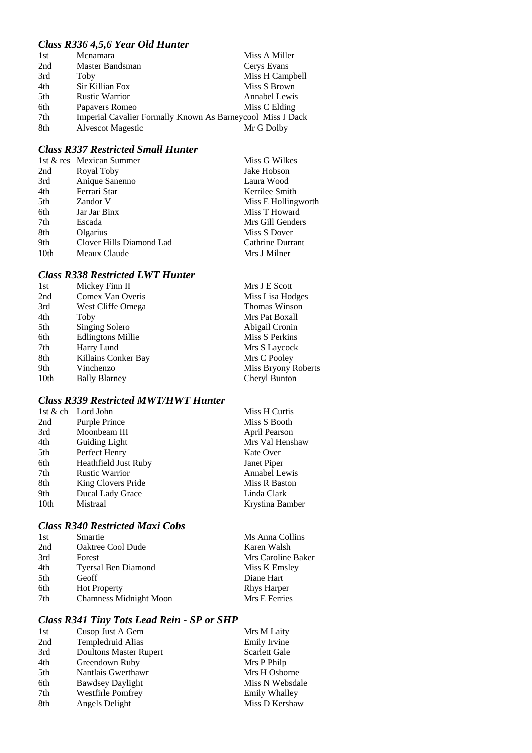## *Class R336 4,5,6 Year Old Hunter*

| 1st | Mcnamara                                                   | Miss A Miller   |
|-----|------------------------------------------------------------|-----------------|
| 2nd | Master Bandsman                                            | Cerys Evans     |
| 3rd | Toby                                                       | Miss H Campbell |
| 4th | Sir Killian Fox                                            | Miss S Brown    |
| 5th | <b>Rustic Warrior</b>                                      | Annabel Lewis   |
| 6th | Papavers Romeo                                             | Miss C Elding   |
| 7th | Imperial Cavalier Formally Known As Barneycool Miss J Dack |                 |
| 8th | Alvescot Magestic                                          | Mr G Dolby      |

#### *Class R337 Restricted Small Hunter*

|                  | 1st & res Mexican Summer | Miss G Wilkes       |
|------------------|--------------------------|---------------------|
| 2nd              | Royal Toby               | Jake Hobson         |
| 3rd              | Anique Sanenno           | Laura Wood          |
| 4th              | Ferrari Star             | Kerrilee Smith      |
| 5th              | Zandor V                 | Miss E Hollingworth |
| 6th              | Jar Jar Binx             | Miss T Howard       |
| 7th              | Escada                   | Mrs Gill Genders    |
| 8th              | Olgarius                 | Miss S Dover        |
| 9th              | Clover Hills Diamond Lad | Cathrine Durrant    |
| 10 <sub>th</sub> | Meaux Claude             | Mrs J Milner        |

#### *Class R338 Restricted LWT Hunter*

| Mickey Finn II           | Mrs J E Scott        |
|--------------------------|----------------------|
| Comex Van Overis         | Miss Lisa Hodges     |
| West Cliffe Omega        | <b>Thomas Winson</b> |
| Toby                     | Mrs Pat Boxall       |
| Singing Solero           | Abigail Cronin       |
| <b>Edlingtons Millie</b> | Miss S Perkins       |
| Harry Lund               | Mrs S Laycock        |
| Killains Conker Bay      | Mrs C Pooley         |
| Vinchenzo                | Miss Bryony Roberts  |
| <b>Bally Blarney</b>     | Cheryl Bunton        |
|                          |                      |

#### *Class R339 Restricted MWT/HWT Hunter*

|                  | 1st & ch Lord John          | Miss H Curtis   |
|------------------|-----------------------------|-----------------|
| 2nd              | Purple Prince               | Miss S Booth    |
| 3rd              | Moonbeam III                | April Pearson   |
| 4th              | <b>Guiding Light</b>        | Mrs Val Henshaw |
| 5th              | Perfect Henry               | Kate Over       |
| 6th              | <b>Heathfield Just Ruby</b> | Janet Piper     |
| 7th              | <b>Rustic Warrior</b>       | Annabel Lewis   |
| 8th              | King Clovers Pride          | Miss R Baston   |
| 9th              | Ducal Lady Grace            | Linda Clark     |
| 10 <sub>th</sub> | Mistraal                    | Krystina Bamber |

#### *Class R340 Restricted Maxi Cobs*

| 1st | Smartie                       | Ms Anna Collins    |
|-----|-------------------------------|--------------------|
| 2nd | Oaktree Cool Dude             | Karen Walsh        |
| 3rd | Forest                        | Mrs Caroline Baker |
| 4th | <b>Tyersal Ben Diamond</b>    | Miss K Emsley      |
| 5th | Geoff                         | Diane Hart         |
| 6th | <b>Hot Property</b>           | <b>Rhys Harper</b> |
| 7th | <b>Chamness Midnight Moon</b> | Mrs E Ferries      |
|     |                               |                    |

## *Class R341 Tiny Tots Lead Rein - SP or SHP*

| 1st | Cusop Just A Gem              | Mrs M Laity          |
|-----|-------------------------------|----------------------|
| 2nd | Templedruid Alias             | Emily Irvine         |
| 3rd | <b>Doultons Master Rupert</b> | <b>Scarlett Gale</b> |
| 4th | Greendown Ruby                | Mrs P Philp          |
| 5th | Nantlais Gwerthawr            | Mrs H Osborne        |
| 6th | Bawdsey Daylight              | Miss N Websdale      |
| 7th | <b>Westfirle Pomfrey</b>      | <b>Emily Whalley</b> |
| 8th | Angels Delight                | Miss D Kershaw       |
|     |                               |                      |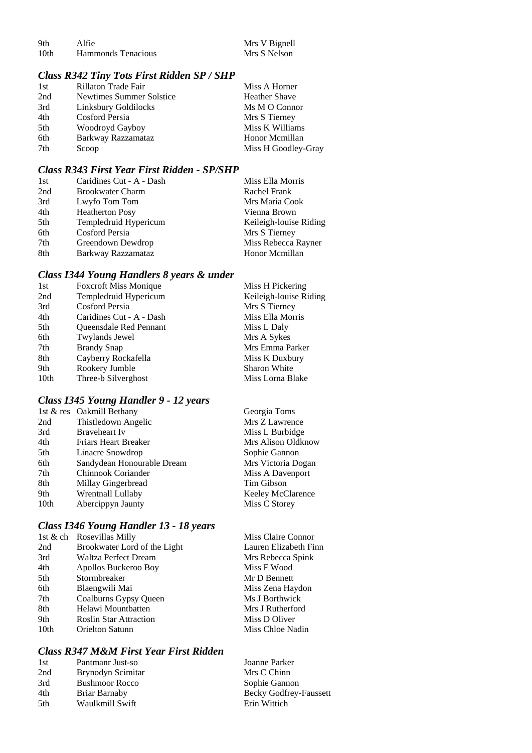| -9th | Alfie              | Mrs V Bignell |
|------|--------------------|---------------|
| 10th | Hammonds Tenacious | Mrs S Nelson  |

## *Class R342 Tiny Tots First Ridden SP / SHP*

| 1st | Rillaton Trade Fair      | Miss A Horner        |
|-----|--------------------------|----------------------|
| 2nd | Newtimes Summer Solstice | <b>Heather Shave</b> |
| 3rd | Linksbury Goldilocks     | Ms M O Connor        |
| 4th | Cosford Persia           | Mrs S Tierney        |
| 5th | Woodroyd Gayboy          | Miss K Williams      |
| 6th | Barkway Razzamataz       | Honor Memillan       |
| 7th | Scoop                    | Miss H Goodley-Gray  |

#### *Class R343 First Year First Ridden - SP/SHP*

| 1st | Caridines Cut - A - Dash | Miss Ella Morris       |
|-----|--------------------------|------------------------|
| 2nd | <b>Brookwater Charm</b>  | Rachel Frank           |
| 3rd | Lwyfo Tom Tom            | Mrs Maria Cook         |
| 4th | <b>Heatherton Posy</b>   | Vienna Brown           |
| 5th | Templedruid Hypericum    | Keileigh-louise Riding |
| 6th | Cosford Persia           | Mrs S Tierney          |
| 7th | Greendown Dewdrop        | Miss Rebecca Rayner    |
| 8th | Barkway Razzamataz       | Honor Memillan         |

## *Class I344 Young Handlers 8 years & under*

| <b>Foxcroft Miss Monique</b>  | Miss H Pickering       |
|-------------------------------|------------------------|
| Templedruid Hypericum         | Keileigh-louise Riding |
| Cosford Persia                | Mrs S Tierney          |
| Caridines Cut - A - Dash      | Miss Ella Morris       |
| <b>Oueensdale Red Pennant</b> | Miss L Daly            |
| Twylands Jewel                | Mrs A Sykes            |
| <b>Brandy Snap</b>            | Mrs Emma Parker        |
| Cayberry Rockafella           | Miss K Duxbury         |
| Rookery Jumble                | <b>Sharon White</b>    |
| Three-b Silverghost           | Miss Lorna Blake       |
|                               |                        |

## *Class I345 Young Handler 9 - 12 years*

| 1st & res Oakmill Bethany   | Georgia Toms       |
|-----------------------------|--------------------|
| Thistledown Angelic         | Mrs Z Lawrence     |
| Braveheart Iv               | Miss L Burbidge    |
| <b>Friars Heart Breaker</b> | Mrs Alison Oldknow |
| Linacre Snowdrop            | Sophie Gannon      |
| Sandydean Honourable Dream  | Mrs Victoria Dogan |
| Chinnook Coriander          | Miss A Davenport   |
| Millay Gingerbread          | Tim Gibson         |
| Wrentnall Lullaby           | Keeley McClarence  |
| Abercippyn Jaunty           | Miss C Storey      |
|                             |                    |

## *Class I346 Young Handler 13 - 18 years*

|      | 1st & ch Rosevillas Milly     | Miss Claire Connor    |
|------|-------------------------------|-----------------------|
| 2nd  | Brookwater Lord of the Light  | Lauren Elizabeth Finn |
| 3rd  | <b>Waltza Perfect Dream</b>   | Mrs Rebecca Spink     |
| 4th  | Apollos Buckeroo Boy          | Miss F Wood           |
| 5th  | Stormbreaker                  | Mr D Bennett          |
| 6th  | Blaengwili Mai                | Miss Zena Haydon      |
| 7th  | Coalburns Gypsy Queen         | Ms J Borthwick        |
| 8th  | Helawi Mountbatten            | Mrs J Rutherford      |
| 9th  | <b>Roslin Star Attraction</b> | Miss D Oliver         |
| 10th | <b>Orielton Satunn</b>        | Miss Chloe Nadin      |
|      |                               |                       |

#### *Class R347 M&M First Year First Ridden*

| Pantmanr Just-so      | Joanne Parker          |
|-----------------------|------------------------|
| Brynodyn Scimitar     | Mrs C Chinn            |
| <b>Bushmoor Rocco</b> | Sophie Gannon          |
| Briar Barnaby         | Becky Godfrey-Faussett |
| Waulkmill Swift       | Erin Wittich           |
|                       |                        |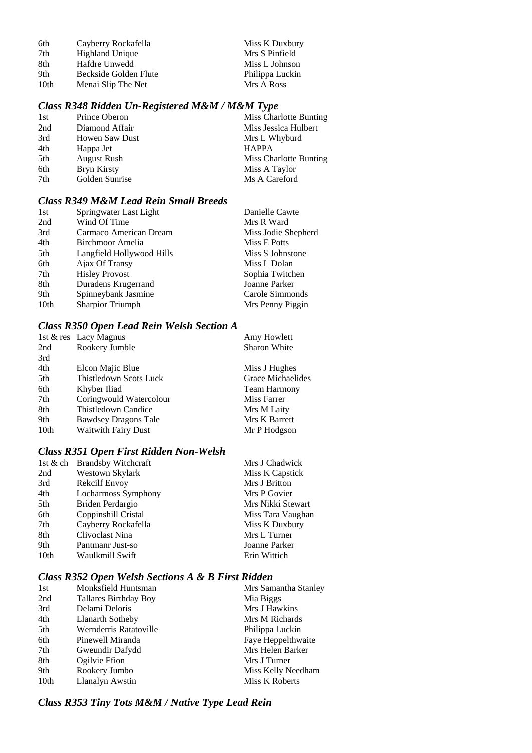| 6th  | Cayberry Rockafella    | Miss K Duxbury  |
|------|------------------------|-----------------|
| 7th  | <b>Highland Unique</b> | Mrs S Pinfield  |
| 8th  | Hafdre Unwedd          | Miss L Johnson  |
| 9th  | Beckside Golden Flute  | Philippa Luckin |
| 10th | Menai Slip The Net     | Mrs A Ross      |

## *Class R348 Ridden Un-Registered M&M / M&M Type*

| 1st | Prince Oberon         | Miss Charlotte Bunting        |
|-----|-----------------------|-------------------------------|
| 2nd | Diamond Affair        | Miss Jessica Hulbert          |
| 3rd | <b>Howen Saw Dust</b> | Mrs L Whyburd                 |
| 4th | Happa Jet             | <b>HAPPA</b>                  |
| 5th | <b>August Rush</b>    | <b>Miss Charlotte Bunting</b> |
| 6th | <b>Bryn Kirsty</b>    | Miss A Taylor                 |
| 7th | Golden Sunrise        | Ms A Careford                 |

#### *Class R349 M&M Lead Rein Small Breeds*

| 1st              | Springwater Last Light    | Danielle Cawte      |
|------------------|---------------------------|---------------------|
| 2nd              | Wind Of Time              | Mrs R Ward          |
| 3rd              | Carmaco American Dream    | Miss Jodie Shepherd |
| 4th              | Birchmoor Amelia          | Miss E Potts        |
| 5th              | Langfield Hollywood Hills | Miss S Johnstone    |
| 6th              | Ajax Of Transy            | Miss L Dolan        |
| 7th              | <b>Hisley Provost</b>     | Sophia Twitchen     |
| 8th              | Duradens Krugerrand       | Joanne Parker       |
| 9th              | Spinneybank Jasmine       | Carole Simmonds     |
| 10 <sub>th</sub> | <b>Sharpior Triumph</b>   | Mrs Penny Piggin    |

## *Class R350 Open Lead Rein Welsh Section A*

|                  | 1st & res Lacy Magnus         | Amy Howlett         |
|------------------|-------------------------------|---------------------|
| 2nd              | Rookery Jumble                | <b>Sharon White</b> |
| 3rd              |                               |                     |
| 4th              | Elcon Majic Blue              | Miss J Hughes       |
| 5th              | <b>Thistledown Scots Luck</b> | Grace Michaelides   |
| 6th              | Khyber Iliad                  | <b>Team Harmony</b> |
| 7th              | Coringwould Watercolour       | Miss Farrer         |
| 8th              | Thistledown Candice           | Mrs M Laity         |
| 9th              | <b>Bawdsey Dragons Tale</b>   | Mrs K Barrett       |
| 10 <sup>th</sup> | <b>Waitwith Fairy Dust</b>    | Mr P Hodgson        |
|                  |                               |                     |

## *Class R351 Open First Ridden Non-Welsh*

| 1st & ch         | <b>Brandsby Witchcraft</b> | Mrs J Chadwick    |
|------------------|----------------------------|-------------------|
| 2nd              | Westown Skylark            | Miss K Capstick   |
| 3rd              | Rekcilf Envoy              | Mrs J Britton     |
| 4th              | Locharmoss Symphony        | Mrs P Govier      |
| 5th              | Briden Perdargio           | Mrs Nikki Stewart |
| 6th              | Coppinshill Cristal        | Miss Tara Vaughan |
| 7th              | Cayberry Rockafella        | Miss K Duxbury    |
| 8th              | Clivoclast Nina            | Mrs L Turner      |
| 9th              | Pantmanr Just-so           | Joanne Parker     |
| 10 <sub>th</sub> | Waulkmill Swift            | Erin Wittich      |
|                  |                            |                   |

#### *Class R352 Open Welsh Sections A & B First Ridden*

| 1st  | Monksfield Huntsman    | Mrs Samantha Stanley |
|------|------------------------|----------------------|
| 2nd  | Tallares Birthday Boy  | Mia Biggs            |
| 3rd  | Delami Deloris         | Mrs J Hawkins        |
| 4th  | Llanarth Sotheby       | Mrs M Richards       |
| 5th  | Wernderris Ratatoville | Philippa Luckin      |
| 6th  | Pinewell Miranda       | Faye Heppelthwaite   |
| 7th  | Gweundir Dafydd        | Mrs Helen Barker     |
| 8th  | Ogilvie Ffion          | Mrs J Turner         |
| 9th  | Rookery Jumbo          | Miss Kelly Needham   |
| 10th | Llanalyn Awstin        | Miss K Roberts       |

## *Class R353 Tiny Tots M&M / Native Type Lead Rein*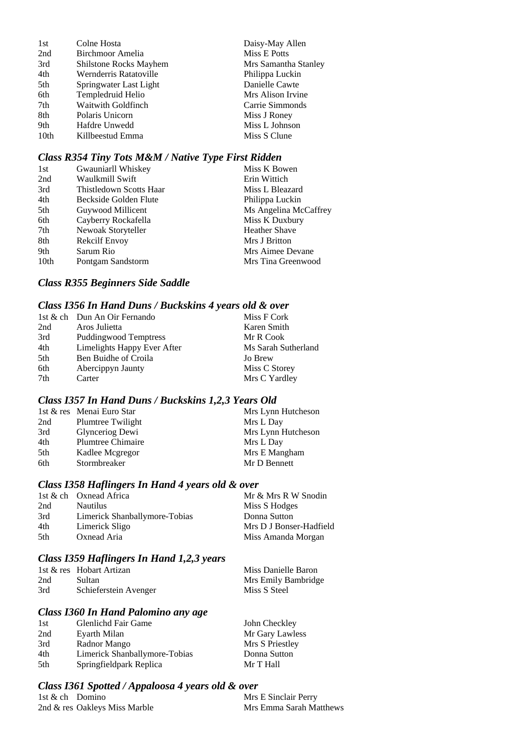| 1st              | Colne Hosta            | Daisy-May Allen      |
|------------------|------------------------|----------------------|
| 2nd              | Birchmoor Amelia       | Miss E Potts         |
| 3rd              | Shilstone Rocks Mayhem | Mrs Samantha Stanley |
| 4th              | Wernderris Ratatoville | Philippa Luckin      |
| 5th              | Springwater Last Light | Danielle Cawte       |
| 6th              | Templedruid Helio      | Mrs Alison Irvine    |
| 7th              | Waitwith Goldfinch     | Carrie Simmonds      |
| 8th              | Polaris Unicorn        | Miss J Roney         |
| 9th              | Hafdre Unwedd          | Miss L Johnson       |
| 10 <sub>th</sub> | Killbeestud Emma       | Miss S Clune         |

## *Class R354 Tiny Tots M&M / Native Type First Ridden*

| 1st              | Gwauniarll Whiskey      | Miss K Bowen          |
|------------------|-------------------------|-----------------------|
| 2nd              | Waulkmill Swift         | Erin Wittich          |
| 3rd              | Thistledown Scotts Haar | Miss L Bleazard       |
| 4th              | Beckside Golden Flute   | Philippa Luckin       |
| 5th              | Guywood Millicent       | Ms Angelina McCaffrey |
| 6th              | Cayberry Rockafella     | Miss K Duxbury        |
| 7th              | Newoak Storyteller      | <b>Heather Shave</b>  |
| 8th              | Rekcilf Envoy           | Mrs J Britton         |
| 9th              | Sarum Rio               | Mrs Aimee Devane      |
| 10 <sub>th</sub> | Pontgam Sandstorm       | Mrs Tina Greenwood    |

## *Class R355 Beginners Side Saddle*

#### *Class I356 In Hand Duns / Buckskins 4 years old & over*

|     | 1st & ch Dun An Oir Fernando | Miss F Cork         |
|-----|------------------------------|---------------------|
| 2nd | Aros Julietta                | Karen Smith         |
| 3rd | <b>Puddingwood Temptress</b> | Mr R Cook           |
| 4th | Limelights Happy Ever After  | Ms Sarah Sutherland |
| 5th | Ben Buidhe of Croila         | Jo Brew             |
| 6th | Abercippyn Jaunty            | Miss C Storey       |
| 7th | Carter                       | Mrs C Yardley       |

## *Class I357 In Hand Duns / Buckskins 1,2,3 Years Old*

|     | 1st & res Menai Euro Star | Mrs Lynn Hutcheson |
|-----|---------------------------|--------------------|
| 2nd | Plumtree Twilight         | Mrs L Day          |
| 3rd | Glynceriog Dewi           | Mrs Lynn Hutcheson |
| 4th | <b>Plumtree Chimaire</b>  | Mrs L Day          |
| 5th | Kadlee Mcgregor           | Mrs E Mangham      |
| 6th | Stormbreaker              | Mr D Bennett       |

#### *Class I358 Haflingers In Hand 4 years old & over*

|     | 1st & ch Oxnead Africa        | Mr & Mrs R W Snodin     |
|-----|-------------------------------|-------------------------|
| 2nd | <b>Nautilus</b>               | Miss S Hodges           |
| 3rd | Limerick Shanballymore-Tobias | Donna Sutton            |
| 4th | Limerick Sligo                | Mrs D J Bonser-Hadfield |
| 5th | Oxnead Aria                   | Miss Amanda Morgan      |

## *Class I359 Haflingers In Hand 1,2,3 years*

|     | 1st & res Hobart Artizan | Miss Danielle Baron |
|-----|--------------------------|---------------------|
| 2nd | <b>Sultan</b>            | Mrs Emily Bambridge |
| 3rd | Schieferstein Avenger    | Miss S Steel        |

#### *Class I360 In Hand Palomino any age*

| 1st | Glenlichd Fair Game           | John Checkley   |
|-----|-------------------------------|-----------------|
| 2nd | Evarth Milan                  | Mr Gary Lawless |
| 3rd | Radnor Mango                  | Mrs S Priestley |
| 4th | Limerick Shanballymore-Tobias | Donna Sutton    |
| 5th | Springfieldpark Replica       | Mr T Hall       |

#### *Class I361 Spotted / Appaloosa 4 years old & over*

| 1st & ch Domino |                               |  | Mrs E Sinclair Perry    |
|-----------------|-------------------------------|--|-------------------------|
|                 | 2nd & res Oakleys Miss Marble |  | Mrs Emma Sarah Matthews |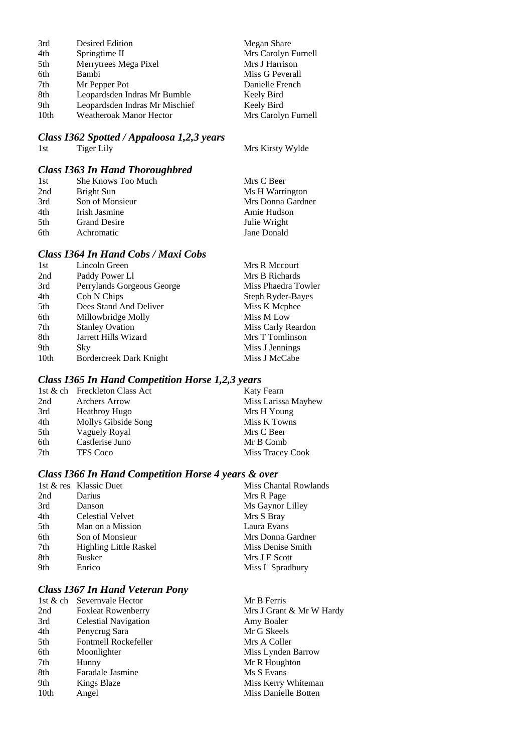| 3rd              | Desired Edition                | Megan Share         |
|------------------|--------------------------------|---------------------|
| 4th              | Springtime II                  | Mrs Carolyn Furnell |
| 5th              | Merrytrees Mega Pixel          | Mrs J Harrison      |
| 6th              | Bambi                          | Miss G Peverall     |
| 7th              | Mr Pepper Pot                  | Danielle French     |
| 8th              | Leopardsden Indras Mr Bumble   | Keely Bird          |
| 9th              | Leopardsden Indras Mr Mischief | Keely Bird          |
| 10 <sub>th</sub> | Weatheroak Manor Hector        | Mrs Carolyn Furnell |

#### *Class I362 Spotted / Appaloosa 1,2,3 years*

1st Tiger Lily Mrs Kirsty Wylde

| <b>Class I363 In Hand Thoroughbred</b> |                     |                   |  |
|----------------------------------------|---------------------|-------------------|--|
| 1st                                    | She Knows Too Much  | Mrs C Beer        |  |
| 2nd                                    | Bright Sun          | Ms H Warrington   |  |
| 3rd                                    | Son of Monsieur     | Mrs Donna Gardner |  |
| 4th                                    | Irish Jasmine       | Amie Hudson       |  |
| 5th                                    | <b>Grand Desire</b> | Julie Wright      |  |
| 6th                                    | Achromatic          | Jane Donald       |  |

#### *Class I364 In Hand Cobs / Maxi Cobs*

| 1st              | Lincoln Green              | Mrs R Mccourt       |
|------------------|----------------------------|---------------------|
| 2nd              | Paddy Power Ll             | Mrs B Richards      |
| 3rd              | Perrylands Gorgeous George | Miss Phaedra Towler |
| 4th              | Cob N Chips                | Steph Ryder-Bayes   |
| 5th              | Dees Stand And Deliver     | Miss K Mcphee       |
| 6th              | Millowbridge Molly         | Miss M Low          |
| 7th              | <b>Stanley Ovation</b>     | Miss Carly Reardon  |
| 8th              | Jarrett Hills Wizard       | Mrs T Tomlinson     |
| 9th              | Sky                        | Miss J Jennings     |
| 10 <sub>th</sub> | Bordercreek Dark Knight    | Miss J McCabe       |
|                  |                            |                     |

## *Class I365 In Hand Competition Horse 1,2,3 years*

| 1st & ch Freckleton Class Act | Katy Fearn          |
|-------------------------------|---------------------|
| <b>Archers Arrow</b>          | Miss Larissa Mayhew |
| <b>Heathroy Hugo</b>          | Mrs H Young         |
| Mollys Gibside Song           | Miss K Towns        |
| Vaguely Royal                 | Mrs C Beer          |
| Castlerise Juno               | Mr B Comb           |
| <b>TFS Coco</b>               | Miss Tracey Cook    |
|                               |                     |

## *Class I366 In Hand Competition Horse 4 years & over*

|     | 1st & res Klassic Duet        | Miss Chantal Rowlands |
|-----|-------------------------------|-----------------------|
| 2nd | Darius                        | Mrs R Page            |
| 3rd | Danson                        | Ms Gaynor Lilley      |
| 4th | Celestial Velvet              | Mrs S Bray            |
| 5th | Man on a Mission              | Laura Evans           |
| 6th | Son of Monsieur               | Mrs Donna Gardner     |
| 7th | <b>Highling Little Raskel</b> | Miss Denise Smith     |
| 8th | <b>Busker</b>                 | Mrs J E Scott         |
| 9th | Enrico                        | Miss L Spradbury      |
|     |                               |                       |

## *Class I367 In Hand Veteran Pony*

|      | 1st & ch Severnyale Hector  | Mr B Ferris              |
|------|-----------------------------|--------------------------|
| 2nd  | <b>Foxleat Rowenberry</b>   | Mrs J Grant & Mr W Hardy |
| 3rd  | Celestial Navigation        | Amy Boaler               |
| 4th  | Penycrug Sara               | Mr G Skeels              |
| 5th  | <b>Fontmell Rockefeller</b> | Mrs A Coller             |
| 6th  | Moonlighter                 | Miss Lynden Barrow       |
| 7th  | Hunny                       | Mr R Houghton            |
| 8th  | Faradale Jasmine            | Ms S Evans               |
| 9th  | Kings Blaze                 | Miss Kerry Whiteman      |
| 10th | Angel                       | Miss Danielle Botten     |
|      |                             |                          |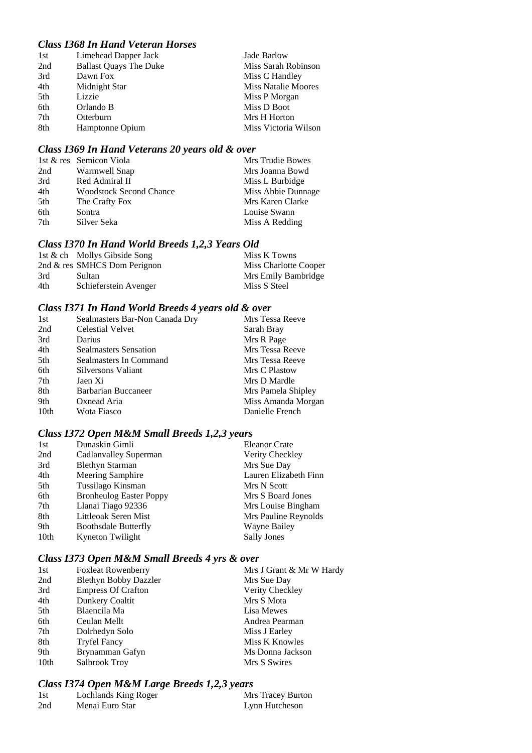#### *Class I368 In Hand Veteran Horses*

| 1st | Limehead Dapper Jack          | Jade Barlow                |
|-----|-------------------------------|----------------------------|
| 2nd | <b>Ballast Quays The Duke</b> | Miss Sarah Robinson        |
| 3rd | Dawn Fox                      | Miss C Handley             |
| 4th | Midnight Star                 | <b>Miss Natalie Moores</b> |
| 5th | Lizzie                        | Miss P Morgan              |
| 6th | Orlando B                     | Miss D Boot                |
| 7th | Otterburn                     | Mrs H Horton               |
| 8th | Hamptonne Opium               | Miss Victoria Wilson       |

## *Class I369 In Hand Veterans 20 years old & over*

|     | 1st & res Semicon Viola        | Mrs Trudie Bowes   |
|-----|--------------------------------|--------------------|
| 2nd | Warmwell Snap                  | Mrs Joanna Bowd    |
| 3rd | Red Admiral II                 | Miss L Burbidge    |
| 4th | <b>Woodstock Second Chance</b> | Miss Abbie Dunnage |
| 5th | The Crafty Fox                 | Mrs Karen Clarke   |
| 6th | Sontra                         | Louise Swann       |
| 7th | Silver Seka                    | Miss A Redding     |

#### *Class I370 In Hand World Breeds 1,2,3 Years Old*

|     | 1st & ch Mollys Gibside Song    | Miss K Towns          |
|-----|---------------------------------|-----------------------|
|     | 2nd $\&$ res SMHCS Dom Perignon | Miss Charlotte Cooper |
| 3rd | <b>Sultan</b>                   | Mrs Emily Bambridge   |
| 4th | Schieferstein Avenger           | Miss S Steel          |

#### *Class I371 In Hand World Breeds 4 years old & over*

| 1st  | Sealmasters Bar-Non Canada Dry | Mrs Tessa Reeve    |
|------|--------------------------------|--------------------|
| 2nd  | Celestial Velvet               | Sarah Bray         |
| 3rd  | Darius                         | Mrs R Page         |
| 4th  | <b>Sealmasters Sensation</b>   | Mrs Tessa Reeve    |
| 5th  | Sealmasters In Command         | Mrs Tessa Reeve    |
| 6th  | Silversons Valiant             | Mrs C Plastow      |
| 7th  | Jaen Xi                        | Mrs D Mardle       |
| 8th  | Barbarian Buccaneer            | Mrs Pamela Shipley |
| 9th  | Oxnead Aria                    | Miss Amanda Morgan |
| 10th | Wota Fiasco                    | Danielle French    |
|      |                                |                    |

#### *Class I372 Open M&M Small Breeds 1,2,3 years*

| 1st  | Dunaskin Gimli                 | <b>Eleanor Crate</b>  |
|------|--------------------------------|-----------------------|
| 2nd  | Cadlanvalley Superman          | Verity Checkley       |
| 3rd  | <b>Blethyn Starman</b>         | Mrs Sue Day           |
| 4th  | Meering Samphire               | Lauren Elizabeth Finn |
| 5th  | Tussilago Kinsman              | Mrs N Scott           |
| 6th  | <b>Bronheulog Easter Poppy</b> | Mrs S Board Jones     |
| 7th  | Llanai Tiago 92336             | Mrs Louise Bingham    |
| 8th  | Littleoak Seren Mist           | Mrs Pauline Reynolds  |
| 9th  | <b>Boothsdale Butterfly</b>    | Wayne Bailey          |
| 10th | Kyneton Twilight               | <b>Sally Jones</b>    |
|      |                                |                       |

#### *Class I373 Open M&M Small Breeds 4 yrs & over*

| 1st  | <b>Foxleat Rowenberry</b>    | Mrs J Grant & Mr W Hardy |
|------|------------------------------|--------------------------|
| 2nd  | <b>Blethyn Bobby Dazzler</b> | Mrs Sue Day              |
| 3rd  | <b>Empress Of Crafton</b>    | Verity Checkley          |
| 4th  | Dunkery Coaltit              | Mrs S Mota               |
| 5th  | Blaencila Ma                 | Lisa Mewes               |
| 6th  | Ceulan Mellt                 | Andrea Pearman           |
| 7th  | Dolrhedyn Solo               | Miss J Earley            |
| 8th  | <b>Tryfel Fancy</b>          | Miss K Knowles           |
| 9th  | Brynamman Gafyn              | Ms Donna Jackson         |
| 10th | Salbrook Troy                | Mrs S Swires             |
|      |                              |                          |

## *Class I374 Open M&M Large Breeds 1,2,3 years*

| 1st | Lochlands King Roger | <b>Mrs Tracey Burton</b> |
|-----|----------------------|--------------------------|
| 2nd | Menai Euro Star      | Lynn Hutcheson           |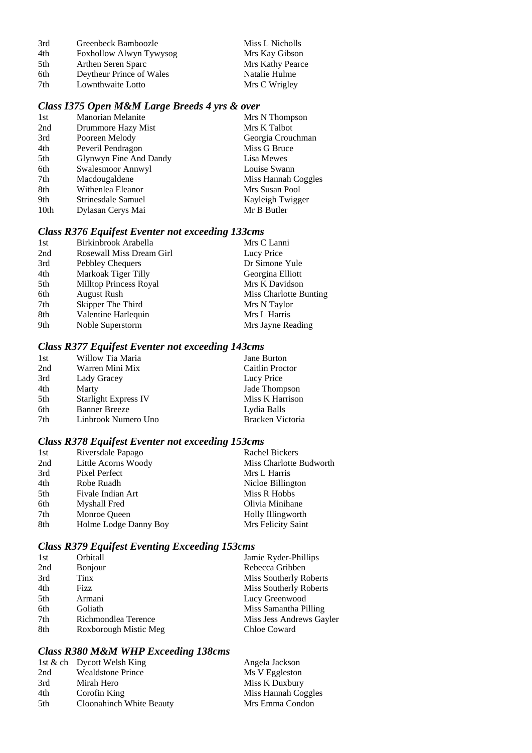| 3rd | Greenbeck Bamboozle      | Miss L Nicholls  |
|-----|--------------------------|------------------|
| 4th | Foxhollow Alwyn Tywysog  | Mrs Kay Gibson   |
| 5th | Arthen Seren Sparc       | Mrs Kathy Pearce |
| 6th | Deytheur Prince of Wales | Natalie Hulme    |
| 7th | Lownthwaite Lotto        | Mrs C Wrigley    |

## *Class I375 Open M&M Large Breeds 4 yrs & over*

| 1st              | Manorian Melanite      | Mrs N Thompson      |
|------------------|------------------------|---------------------|
| 2nd              | Drummore Hazy Mist     | Mrs K Talbot        |
| 3rd              | Pooreen Melody         | Georgia Crouchman   |
| 4th              | Peveril Pendragon      | Miss G Bruce        |
| 5th              | Glynwyn Fine And Dandy | Lisa Mewes          |
| 6th              | Swalesmoor Annwyl      | Louise Swann        |
| 7th              | Macdougaldene          | Miss Hannah Coggles |
| 8th              | Withenlea Eleanor      | Mrs Susan Pool      |
| 9th              | Strinesdale Samuel     | Kayleigh Twigger    |
| 10 <sub>th</sub> | Dylasan Cerys Mai      | Mr B Butler         |

## *Class R376 Equifest Eventer not exceeding 133cms*

| Miss Charlotte Bunting |
|------------------------|
|                        |
|                        |
|                        |
|                        |

#### *Class R377 Equifest Eventer not exceeding 143cms*

| 1st | Willow Tia Maria            | Jane Burton      |
|-----|-----------------------------|------------------|
| 2nd | Warren Mini Mix             | Caitlin Proctor  |
| 3rd | Lady Gracey                 | Lucy Price       |
| 4th | Marty                       | Jade Thompson    |
| 5th | <b>Starlight Express IV</b> | Miss K Harrison  |
| 6th | <b>Banner Breeze</b>        | Lydia Balls      |
| 7th | Linbrook Numero Uno         | Bracken Victoria |

#### *Class R378 Equifest Eventer not exceeding 153cms*

| 1st | Riversdale Papago     | Rachel Bickers          |
|-----|-----------------------|-------------------------|
| 2nd | Little Acorns Woody   | Miss Charlotte Budworth |
| 3rd | Pixel Perfect         | Mrs L Harris            |
| 4th | Robe Ruadh            | Nicloe Billington       |
| 5th | Fivale Indian Art     | Miss R Hobbs            |
| 6th | Myshall Fred          | Olivia Minihane         |
| 7th | Monroe Queen          | Holly Illingworth       |
| 8th | Holme Lodge Danny Boy | Mrs Felicity Saint      |

## *Class R379 Equifest Eventing Exceeding 153cms*

| 1st | Orbitall              | Jamie Ryder-Phillips     |
|-----|-----------------------|--------------------------|
| 2nd | <b>Bonjour</b>        | Rebecca Gribben          |
| 3rd | Tinx                  | Miss Southerly Roberts   |
| 4th | <b>Fizz</b>           | Miss Southerly Roberts   |
| 5th | Armani                | Lucy Greenwood           |
| 6th | Goliath               | Miss Samantha Pilling    |
| 7th | Richmondlea Terence   | Miss Jess Andrews Gayler |
| 8th | Roxborough Mistic Meg | Chloe Coward             |
|     |                       |                          |

## *Class R380 M&M WHP Exceeding 138cms*

|     | 1st & ch Dycott Welsh King | Angela Jackson      |
|-----|----------------------------|---------------------|
| 2nd | <b>Wealdstone Prince</b>   | Ms V Eggleston      |
| 3rd | Mirah Hero                 | Miss K Duxbury      |
| 4th | Corofin King               | Miss Hannah Coggles |
| 5th | Cloonahinch White Beauty   | Mrs Emma Condon     |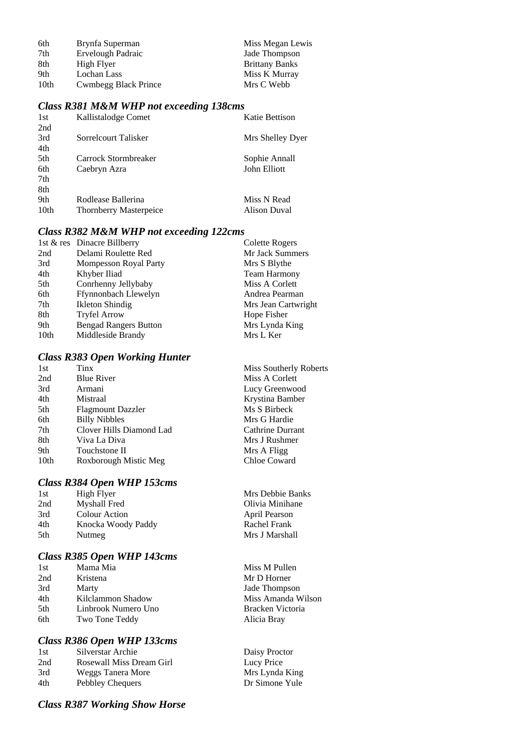| 6th  | Brynfa Superman      | Miss Megan Lewis      |
|------|----------------------|-----------------------|
| 7th  | Ervelough Padraic    | Jade Thompson         |
| 8th  | High Flyer           | <b>Brittany Banks</b> |
| 9th  | Lochan Lass          | Miss K Murray         |
| 10th | Cwmbegg Black Prince | Mrs C Webb            |

#### *Class R381 M&M WHP not exceeding 138cms*

| 1st              | Kallistalodge Comet           | Katie Bettison   |
|------------------|-------------------------------|------------------|
| 2nd              |                               |                  |
| 3rd              | Sorrelcourt Talisker          | Mrs Shelley Dyer |
| 4th              |                               |                  |
| 5th              | Carrock Stormbreaker          | Sophie Annall    |
| 6th              | Caebryn Azra                  | John Elliott     |
| 7th              |                               |                  |
| 8th              |                               |                  |
| 9th              | Rodlease Ballerina            | Miss N Read      |
| 10 <sub>th</sub> | <b>Thornberry Masterpeice</b> | Alison Duval     |
|                  |                               |                  |

#### *Class R382 M&M WHP not exceeding 122cms*

| 1st & res Dinacre Billberry  | Colette Rogers      |
|------------------------------|---------------------|
| Delami Roulette Red          | Mr Jack Summers     |
| <b>Mompesson Royal Party</b> | Mrs S Blythe        |
| Khyber Iliad                 | <b>Team Harmony</b> |
| Conrhenny Jellybaby          | Miss A Corlett      |
| Ffynnonbach Llewelyn         | Andrea Pearman      |
| Ikleton Shindig              | Mrs Jean Cartwright |
| <b>Tryfel Arrow</b>          | Hope Fisher         |
| <b>Bengad Rangers Button</b> | Mrs Lynda King      |
| Middleside Brandy            | Mrs L Ker           |
|                              |                     |

#### *Class R383 Open Working Hunter*

| 1st  | Tinx                     | Miss Southerly Roberts |
|------|--------------------------|------------------------|
| 2nd  | <b>Blue River</b>        | Miss A Corlett         |
| 3rd  | Armani                   | Lucy Greenwood         |
| 4th  | Mistraal                 | Krystina Bamber        |
| 5th  | <b>Flagmount Dazzler</b> | Ms S Birbeck           |
| 6th  | <b>Billy Nibbles</b>     | Mrs G Hardie           |
| 7th  | Clover Hills Diamond Lad | Cathrine Durrant       |
| 8th  | Viva La Diva             | Mrs J Rushmer          |
| 9th  | Touchstone II            | Mrs A Fligg            |
| 10th | Roxborough Mistic Meg    | Chloe Coward           |
|      |                          |                        |

#### *Class R384 Open WHP 153cms*

| 1st | High Flyer         |
|-----|--------------------|
| 2nd | Myshall Fred       |
| 3rd | Colour Action      |
| 4th | Knocka Woody Paddy |
| 5th | Nutmeg             |

#### *Class R385 Open WHP 143cms*

| 1st | Mama Mia            |  |
|-----|---------------------|--|
| 2nd | Kristena            |  |
| 3rd | Marty               |  |
| 4th | Kilclammon Shadow   |  |
| 5th | Linbrook Numero Uno |  |
| 6th | Two Tone Teddy      |  |

#### *Class R386 Open WHP 133cms*

| 1st | Silverstar Archie        |
|-----|--------------------------|
| 2nd | Rosewall Miss Dream Girl |
| 3rd | Weggs Tanera More        |
| 4th | Pebbley Chequers         |

#### *Class R387 Working Show Horse*

| Miss Southerly Rober |  |
|----------------------|--|
| Miss A Corlett       |  |
| Lucy Greenwood       |  |
| Krystina Bamber      |  |
| Ms S Birbeck         |  |
| Mrs G Hardie         |  |
| Cathrine Durrant     |  |
| Mrs J Rushmer        |  |
| Mrs A Fligg          |  |
| <b>Chloe Coward</b>  |  |
|                      |  |

Mrs Debbie Banks Olivia Minihane April Pearson Rachel Frank Mrs J Marshall

Miss M Pullen Mr D Horner Jade Thompson Miss Amanda Wilson Bracken Victoria Alicia Bray

Daisy Proctor Lucy Price Mrs Lynda King Dr Simone Yule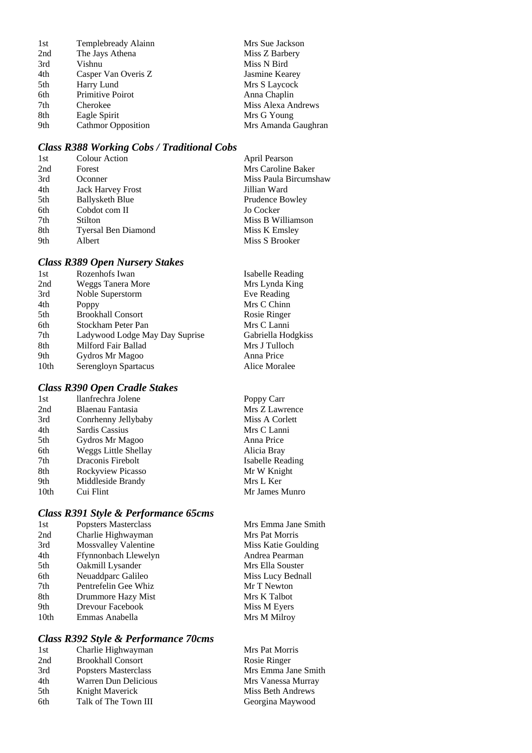| 1st | Templebready Alainn       | Mrs Sue Jackson     |
|-----|---------------------------|---------------------|
| 2nd | The Jays Athena           | Miss Z Barbery      |
| 3rd | Vishnu                    | Miss N Bird         |
| 4th | Casper Van Overis Z       | Jasmine Kearey      |
| 5th | Harry Lund                | Mrs S Laycock       |
| 6th | Primitive Poirot          | Anna Chaplin        |
| 7th | Cherokee                  | Miss Alexa Andrews  |
| 8th | Eagle Spirit              | Mrs G Young         |
| 9th | <b>Cathmor Opposition</b> | Mrs Amanda Gaughran |

## *Class R388 Working Cobs / Traditional Cobs*

| 1st | <b>Colour Action</b>       | April Pearson         |
|-----|----------------------------|-----------------------|
| 2nd | Forest                     | Mrs Caroline Baker    |
| 3rd | Oconner                    | Miss Paula Bircumshaw |
| 4th | <b>Jack Harvey Frost</b>   | Jillian Ward          |
| 5th | <b>Ballysketh Blue</b>     | Prudence Bowley       |
| 6th | Cobdot com II              | Jo Cocker             |
| 7th | Stilton                    | Miss B Williamson     |
| 8th | <b>Tyersal Ben Diamond</b> | Miss K Emsley         |
| 9th | Albert                     | Miss S Brooker        |

## *Class R389 Open Nursery Stakes*

| 1st              | Rozenhofs Iwan                 | <b>Isabelle Reading</b> |
|------------------|--------------------------------|-------------------------|
| 2nd              | <b>Weggs Tanera More</b>       | Mrs Lynda King          |
| 3rd              | Noble Superstorm               | Eve Reading             |
| 4th              | Poppy                          | Mrs C Chinn             |
| 5th              | <b>Brookhall Consort</b>       | Rosie Ringer            |
| 6th              | Stockham Peter Pan             | Mrs C Lanni             |
| 7th              | Ladywood Lodge May Day Suprise | Gabriella Hodgkiss      |
| 8th              | Milford Fair Ballad            | Mrs J Tulloch           |
| 9th              | Gydros Mr Magoo                | Anna Price              |
| 10 <sub>th</sub> | Serengloyn Spartacus           | Alice Moralee           |
|                  |                                |                         |

### *Class R390 Open Cradle Stakes*

| 2nd<br>Blaenau Fantasia<br>3rd<br>Conrhenny Jellybaby<br>Miss A Corlett<br>4th<br>Sardis Cassius<br>Mrs C Lanni<br>5th<br>Gydros Mr Magoo<br>Anna Price<br><b>Weggs Little Shellay</b><br>6th<br>Alicia Bray<br>Draconis Firebolt<br>7th<br>8th<br>Mr W Knight<br>Rockyview Picasso<br>9th<br>Middleside Brandy<br>Mrs L Ker<br>10th<br>Cui Flint | 1st | llanfrechra Jolene | Poppy Carr       |
|---------------------------------------------------------------------------------------------------------------------------------------------------------------------------------------------------------------------------------------------------------------------------------------------------------------------------------------------------|-----|--------------------|------------------|
|                                                                                                                                                                                                                                                                                                                                                   |     |                    | Mrs Z Lawrence   |
|                                                                                                                                                                                                                                                                                                                                                   |     |                    |                  |
|                                                                                                                                                                                                                                                                                                                                                   |     |                    |                  |
|                                                                                                                                                                                                                                                                                                                                                   |     |                    |                  |
|                                                                                                                                                                                                                                                                                                                                                   |     |                    |                  |
|                                                                                                                                                                                                                                                                                                                                                   |     |                    | Isabelle Reading |
|                                                                                                                                                                                                                                                                                                                                                   |     |                    |                  |
|                                                                                                                                                                                                                                                                                                                                                   |     |                    |                  |
|                                                                                                                                                                                                                                                                                                                                                   |     |                    | Mr James Munro   |

## *Class R391 Style & Performance 65cms*

| 1st              | Popsters Masterclass        | Mrs Emma Jane Smith |
|------------------|-----------------------------|---------------------|
| 2nd              | Charlie Highwayman          | Mrs Pat Morris      |
| 3rd              | <b>Mossvalley Valentine</b> | Miss Katie Goulding |
| 4th              | Ffynnonbach Llewelyn        | Andrea Pearman      |
| 5th              | Oakmill Lysander            | Mrs Ella Souster    |
| 6th              | Neuaddparc Galileo          | Miss Lucy Bednall   |
| 7th              | Pentrefelin Gee Whiz        | Mr T Newton         |
| 8th              | Drummore Hazy Mist          | Mrs K Talbot        |
| 9th              | Drevour Facebook            | Miss M Eyers        |
| 10 <sub>th</sub> | Emmas Anabella              | Mrs M Milroy        |
|                  |                             |                     |

## *Class R392 Style & Performance 70cms*

| Charlie Highwayman       | Mrs Pat Morris      |
|--------------------------|---------------------|
| <b>Brookhall Consort</b> | Rosie Ringer        |
| Popsters Masterclass     | Mrs Emma Jane Smith |
| Warren Dun Delicious     | Mrs Vanessa Murray  |
| Knight Maverick          | Miss Beth Andrews   |
| Talk of The Town III     | Georgina Maywood    |
|                          |                     |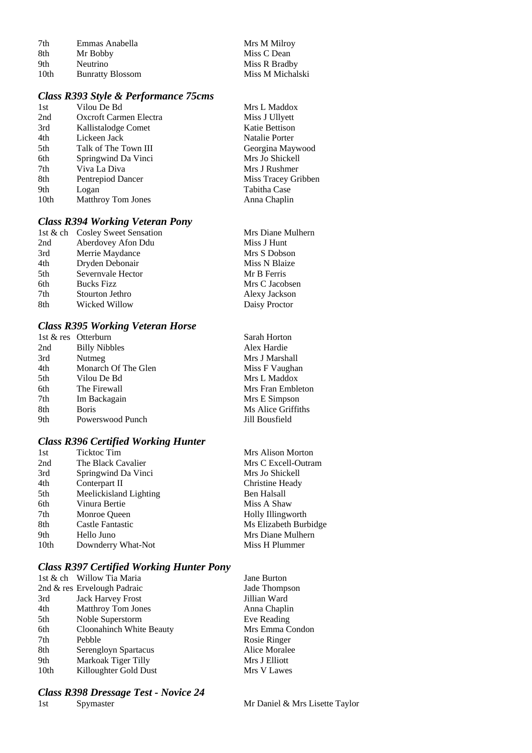| 7th              | Emmas Anabella          | Mrs M Milroy     |
|------------------|-------------------------|------------------|
| -8th             | Mr Bobby                | Miss C Dean      |
| 9th              | Neutrino                | Miss R Bradby    |
| 10 <sub>th</sub> | <b>Bunratty Blossom</b> | Miss M Michalski |

#### *Class R393 Style & Performance 75cms*

| 1st  | Vilou De Bd               | Mrs L Maddox        |
|------|---------------------------|---------------------|
| 2nd  | Oxcroft Carmen Electra    | Miss J Ullyett      |
| 3rd  | Kallistalodge Comet       | Katie Bettison      |
| 4th  | Lickeen Jack              | Natalie Porter      |
| 5th  | Talk of The Town III      | Georgina Maywood    |
| 6th  | Springwind Da Vinci       | Mrs Jo Shickell     |
| 7th  | Viva La Diva              | Mrs J Rushmer       |
| 8th  | Pentrepiod Dancer         | Miss Tracey Gribben |
| 9th  | Logan                     | Tabitha Case        |
| 10th | <b>Matthroy Tom Jones</b> | Anna Chaplin        |
|      |                           |                     |

#### *Class R394 Working Veteran Pony*

|                    | Mrs Diane Mulhern               |
|--------------------|---------------------------------|
| Aberdovey Afon Ddu | Miss J Hunt                     |
| Merrie Maydance    | Mrs S Dobson                    |
| Dryden Debonair    | Miss N Blaize                   |
| Severnyale Hector  | Mr B Ferris                     |
| <b>Bucks Fizz</b>  | Mrs C Jacobsen                  |
| Stourton Jethro    | Alexy Jackson                   |
| Wicked Willow      | Daisy Proctor                   |
|                    | 1st & ch Cosley Sweet Sensation |

#### *Class R395 Working Veteran Horse*

|     | 1st & res Otterburn  | Sarah Horton       |
|-----|----------------------|--------------------|
| 2nd | <b>Billy Nibbles</b> | Alex Hardie        |
| 3rd | Nutmeg               | Mrs J Marshall     |
| 4th | Monarch Of The Glen  | Miss F Vaughan     |
| 5th | Vilou De Bd          | Mrs L Maddox       |
| 6th | The Firewall         | Mrs Fran Embleton  |
| 7th | Im Backagain         | Mrs E Simpson      |
| 8th | <b>Boris</b>         | Ms Alice Griffiths |
| 9th | Powerswood Punch     | Jill Bousfield     |

#### *Class R396 Certified Working Hunter*

| 1st              | <b>Ticktoc Tim</b>     | Mrs Alison Morton     |
|------------------|------------------------|-----------------------|
| 2nd              | The Black Cavalier     | Mrs C Excell-Outram   |
| 3rd              | Springwind Da Vinci    | Mrs Jo Shickell       |
| 4th              | Conterpart II          | Christine Heady       |
| 5th              | Meelickisland Lighting | Ben Halsall           |
| 6th              | Vinura Bertie          | Miss A Shaw           |
| 7th              | Monroe Queen           | Holly Illingworth     |
| 8th              | Castle Fantastic       | Ms Elizabeth Burbidge |
| 9th              | Hello Juno             | Mrs Diane Mulhern     |
| 10 <sub>th</sub> | Downderry What-Not     | Miss H Plummer        |
|                  |                        |                       |

## *Class R397 Certified Working Hunter Pony*

|                  | 1st & ch Willow Tia Maria   | Jane Burton   |
|------------------|-----------------------------|---------------|
|                  | 2nd & res Ervelough Padraic | Jade Thompso  |
| 3rd              | <b>Jack Harvey Frost</b>    | Jillian Ward  |
| 4th              | <b>Matthroy Tom Jones</b>   | Anna Chaplin  |
| 5th              | Noble Superstorm            | Eve Reading   |
| 6th              | Cloonahinch White Beauty    | Mrs Emma Co   |
| 7th              | Pebble                      | Rosie Ringer  |
| 8th              | Serengloyn Spartacus        | Alice Moralee |
| 9th              | Markoak Tiger Tilly         | Mrs J Elliott |
| 10 <sub>th</sub> | Killoughter Gold Dust       | Mrs V Lawes   |
|                  |                             |               |

## *Class R398 Dressage Test - Novice 24*

1st Spymaster Mr Daniel & Mrs Lisette Taylor

Jane Burton Jade Thompson Jillian Ward Anna Chaplin Eve Reading Mrs Emma Condon Rosie Ringer Alice Moralee Mrs J Elliott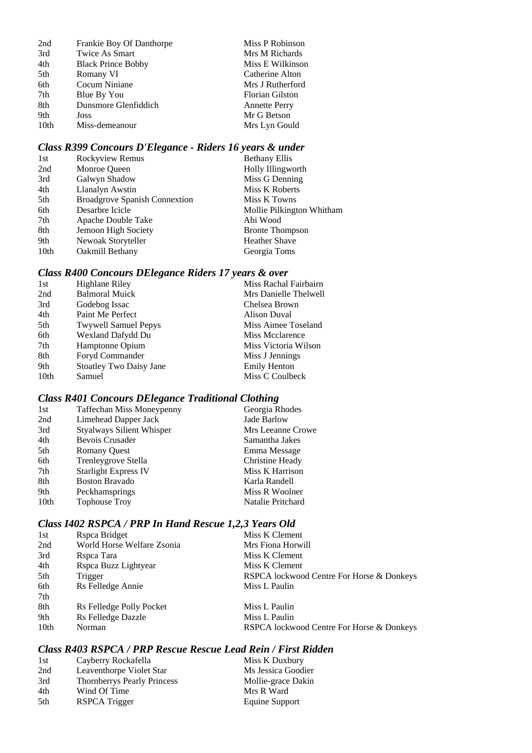| 2nd              | Frankie Boy Of Danthorpe  | Miss P Robinson        |
|------------------|---------------------------|------------------------|
| 3rd              | Twice As Smart            | Mrs M Richards         |
| 4th              | <b>Black Prince Bobby</b> | Miss E Wilkinson       |
| 5th              | Romany VI                 | Catherine Alton        |
| 6th              | Cocum Niniane             | Mrs J Rutherford       |
| 7th              | Blue By You               | <b>Florian Gilston</b> |
| 8th              | Dunsmore Glenfiddich      | <b>Annette Perry</b>   |
| 9th              | Joss                      | Mr G Betson            |
| 10 <sub>th</sub> | Miss-demeanour            | Mrs Lyn Gould          |

## *Class R399 Concours D'Elegance - Riders 16 years & under*

| 1st              | Rockyview Remus                      | <b>Bethany Ellis</b>      |
|------------------|--------------------------------------|---------------------------|
| 2nd              | Monroe Queen                         | Holly Illingworth         |
| 3rd              | Galwyn Shadow                        | Miss G Denning            |
| 4th              | Llanalyn Awstin                      | Miss K Roberts            |
| 5th              | <b>Broadgrove Spanish Connextion</b> | Miss K Towns              |
| 6th              | Desarbre Icicle                      | Mollie Pilkington Whitham |
| 7th              | Apache Double Take                   | Abi Wood                  |
| 8th              | Jemoon High Society                  | <b>Bronte Thompson</b>    |
| 9th              | Newoak Storyteller                   | <b>Heather Shave</b>      |
| 10 <sub>th</sub> | Oakmill Bethany                      | Georgia Toms              |
|                  |                                      |                           |

## *Class R400 Concours DElegance Riders 17 years & over*

| 1st  | Highlane Riley                 | Miss Rachal Fairbairn |
|------|--------------------------------|-----------------------|
| 2nd  | <b>Balmoral Muick</b>          | Mrs Danielle Thelwell |
| 3rd  | Godebog Issac                  | Chelsea Brown         |
| 4th  | Paint Me Perfect               | <b>Alison Duval</b>   |
| 5th  | <b>Twywell Samuel Pepys</b>    | Miss Aimee Toseland   |
| 6th  | Wexland Dafydd Du              | Miss Mcclarence       |
| 7th  | Hamptonne Opium                | Miss Victoria Wilson  |
| 8th  | Foryd Commander                | Miss J Jennings       |
| 9th  | <b>Stoatley Two Daisy Jane</b> | <b>Emily Henton</b>   |
| 10th | Samuel                         | Miss C Coulbeck       |

## *Class R401 Concours DElegance Traditional Clothing*

| 1st  | <b>Taffechan Miss Moneypenny</b> | Georgia Rhodes    |
|------|----------------------------------|-------------------|
| 2nd  | Limehead Dapper Jack             | Jade Barlow       |
| 3rd  | <b>Styalways Silient Whisper</b> | Mrs Leeanne Crowe |
| 4th  | Bevois Crusader                  | Samantha Jakes    |
| 5th  | <b>Romany Quest</b>              | Emma Message      |
| 6th  | Trenleygrove Stella              | Christine Heady   |
| 7th  | <b>Starlight Express IV</b>      | Miss K Harrison   |
| 8th  | <b>Boston Bravado</b>            | Karla Randell     |
| 9th  | Peckhamsprings                   | Miss R Woolner    |
| 10th | <b>Tophouse Troy</b>             | Natalie Pritchard |

#### *Class I402 RSPCA / PRP In Hand Rescue 1,2,3 Years Old*

| 1st  | Rspca Bridget              | Miss K Clement                            |
|------|----------------------------|-------------------------------------------|
| 2nd  | World Horse Welfare Zsonia | Mrs Fiona Horwill                         |
| 3rd  | Rspea Tara                 | Miss K Clement                            |
| 4th  | Rspca Buzz Lightyear       | Miss K Clement                            |
| 5th  | Trigger                    | RSPCA lockwood Centre For Horse & Donkeys |
| 6th  | Rs Felledge Annie          | Miss L Paulin                             |
| 7th  |                            |                                           |
| 8th  | Rs Felledge Polly Pocket   | Miss L Paulin                             |
| 9th  | Rs Felledge Dazzle         | Miss L Paulin                             |
| 10th | Norman                     | RSPCA lockwood Centre For Horse & Donkeys |

## *Class R403 RSPCA / PRP Rescue Rescue Lead Rein / First Ridden*

| 1st  | Cayberry Rockafella                | Miss K Duxbury     |
|------|------------------------------------|--------------------|
| 2nd  | Leaventhorpe Violet Star           | Ms Jessica Goodier |
| 3rd  | <b>Thornberrys Pearly Princess</b> | Mollie-grace Dakin |
| 4th  | Wind Of Time                       | Mrs R Ward         |
| .5th | RSPCA Trigger                      | Equine Support     |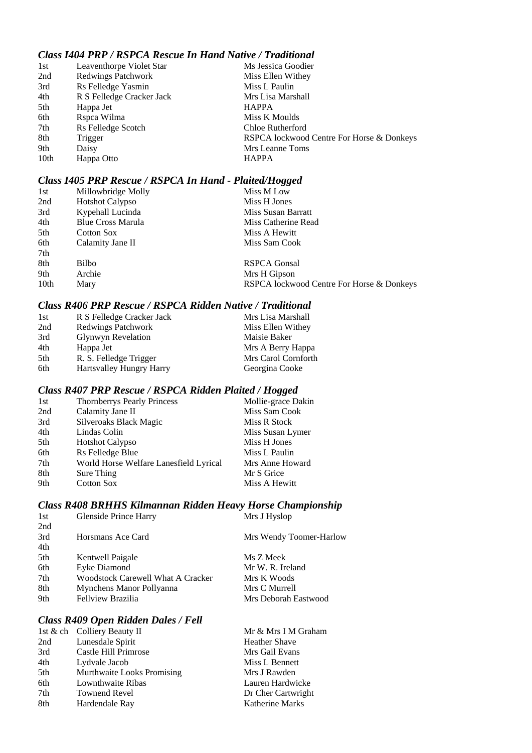## *Class I404 PRP / RSPCA Rescue In Hand Native / Traditional*

| 1st<br>2nd | Leaventhorpe Violet Star<br><b>Redwings Patchwork</b> | Ms Jessica Goodier<br>Miss Ellen Withey   |
|------------|-------------------------------------------------------|-------------------------------------------|
| 3rd        | Rs Felledge Yasmin                                    | Miss L Paulin                             |
| 4th        | R S Felledge Cracker Jack                             | Mrs Lisa Marshall                         |
| 5th        | Happa Jet                                             | <b>HAPPA</b>                              |
| 6th        | Rspca Wilma                                           | Miss K Moulds                             |
| 7th        | Rs Felledge Scotch                                    | Chloe Rutherford                          |
| 8th        | Trigger                                               | RSPCA lockwood Centre For Horse & Donkeys |
| 9th        | Daisy                                                 | Mrs Leanne Toms                           |
| 10th       | Happa Otto                                            | <b>HAPPA</b>                              |

#### *Class I405 PRP Rescue / RSPCA In Hand - Plaited/Hogged*

|      |                          | .                                         |
|------|--------------------------|-------------------------------------------|
| 1st  | Millowbridge Molly       | Miss M Low                                |
| 2nd  | <b>Hotshot Calypso</b>   | Miss H Jones                              |
| 3rd  | Kypehall Lucinda         | Miss Susan Barratt                        |
| 4th  | <b>Blue Cross Marula</b> | Miss Catherine Read                       |
| 5th  | Cotton Sox               | Miss A Hewitt                             |
| 6th  | Calamity Jane II         | Miss Sam Cook                             |
| 7th  |                          |                                           |
| 8th  | Bilbo                    | <b>RSPCA Gonsal</b>                       |
| 9th  | Archie                   | Mrs H Gipson                              |
| 10th | Mary                     | RSPCA lockwood Centre For Horse & Donkeys |
|      |                          |                                           |

#### *Class R406 PRP Rescue / RSPCA Ridden Native / Traditional*

| 1st | R S Felledge Cracker Jack | Mrs Lisa Marshall   |
|-----|---------------------------|---------------------|
| 2nd | <b>Redwings Patchwork</b> | Miss Ellen Withey   |
| 3rd | <b>Glynwyn Revelation</b> | Maisie Baker        |
| 4th | Happa Jet                 | Mrs A Berry Happa   |
| 5th | R. S. Felledge Trigger    | Mrs Carol Cornforth |
| 6th | Hartsvalley Hungry Harry  | Georgina Cooke      |

#### *Class R407 PRP Rescue / RSPCA Ridden Plaited / Hogged*

| 1st | <b>Thornberrys Pearly Princess</b>     | Mollie-grace Dakin |
|-----|----------------------------------------|--------------------|
| 2nd | Calamity Jane II                       | Miss Sam Cook      |
| 3rd | Silveroaks Black Magic                 | Miss R Stock       |
| 4th | Lindas Colin                           | Miss Susan Lymer   |
| 5th | <b>Hotshot Calypso</b>                 | Miss H Jones       |
| 6th | Rs Felledge Blue                       | Miss L Paulin      |
| 7th | World Horse Welfare Lanesfield Lyrical | Mrs Anne Howard    |
| 8th | Sure Thing                             | Mr S Grice         |
| 9th | <b>Cotton Sox</b>                      | Miss A Hewitt      |
|     |                                        |                    |

## *Class R408 BRHHS Kilmannan Ridden Heavy Horse Championship*

| 1st | Glenside Prince Harry             | Mrs J Hyslop            |
|-----|-----------------------------------|-------------------------|
| 2nd |                                   |                         |
| 3rd | Horsmans Ace Card                 | Mrs Wendy Toomer-Harlow |
| 4th |                                   |                         |
| 5th | Kentwell Paigale                  | Ms Z Meek               |
| 6th | Eyke Diamond                      | Mr W. R. Ireland        |
| 7th | Woodstock Carewell What A Cracker | Mrs K Woods             |
| 8th | Mynchens Manor Pollyanna          | Mrs C Murrell           |
| 9th | Fellview Brazilia                 | Mrs Deborah Eastwood    |
|     |                                   |                         |

## *Class R409 Open Ridden Dales / Fell*

|     | 1st & ch Colliery Beauty II | Mr & Mrs I M Graham    |
|-----|-----------------------------|------------------------|
| 2nd | Lunesdale Spirit            | <b>Heather Shave</b>   |
| 3rd | Castle Hill Primrose        | Mrs Gail Evans         |
| 4th | Lydvale Jacob               | Miss L Bennett         |
| 5th | Murthwaite Looks Promising  | Mrs J Rawden           |
| 6th | Lownthwaite Ribas           | Lauren Hardwicke       |
| 7th | <b>Townend Revel</b>        | Dr Cher Cartwright     |
| 8th | Hardendale Ray              | <b>Katherine Marks</b> |
|     |                             |                        |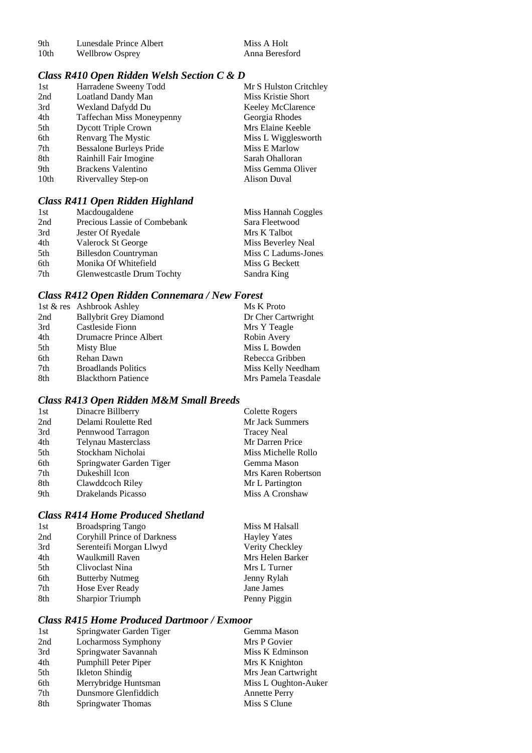| 9th              | Lunesdale Prince Albert | Miss A Holt    |
|------------------|-------------------------|----------------|
| 10 <sub>th</sub> | <b>Wellbrow Osprey</b>  | Anna Beresford |

## *Class R410 Open Ridden Welsh Section C & D*

| 1st  | Harradene Sweeny Todd          | Mr S Hulston Critchley |
|------|--------------------------------|------------------------|
| 2nd  | Loatland Dandy Man             | Miss Kristie Short     |
| 3rd  | Wexland Dafydd Du              | Keeley McClarence      |
| 4th  | Taffechan Miss Moneypenny      | Georgia Rhodes         |
| 5th  | <b>Dycott Triple Crown</b>     | Mrs Elaine Keeble      |
| 6th  | Renvarg The Mystic             | Miss L Wigglesworth    |
| 7th  | <b>Bessalone Burleys Pride</b> | Miss E Marlow          |
| 8th  | Rainhill Fair Imogine          | Sarah Ohalloran        |
| 9th  | <b>Brackens Valentino</b>      | Miss Gemma Oliver      |
| 10th | Rivervalley Step-on            | Alison Duval           |

## *Class R411 Open Ridden Highland*

| 1st | Macdougaldene                | Miss Hannah Coggles |
|-----|------------------------------|---------------------|
| 2nd | Precious Lassie of Combebank | Sara Fleetwood      |
| 3rd | Jester Of Ryedale            | Mrs K Talbot        |
| 4th | Valerock St George           | Miss Beverley Neal  |
| 5th | Billesdon Countryman         | Miss C Ladums-Jones |
| 6th | Monika Of Whitefield         | Miss G Beckett      |
| 7th | Glenwestcastle Drum Tochty   | Sandra King         |

## *Class R412 Open Ridden Connemara / New Forest*

|     | 1st & res Ashbrook Ashley     | Ms K Proto          |
|-----|-------------------------------|---------------------|
| 2nd | <b>Ballybrit Grey Diamond</b> | Dr Cher Cartwright  |
| 3rd | Castleside Fionn              | Mrs Y Teagle        |
| 4th | Drumacre Prince Albert        | Robin Avery         |
| 5th | Misty Blue                    | Miss L Bowden       |
| 6th | Rehan Dawn                    | Rebecca Gribben     |
| 7th | <b>Broadlands Politics</b>    | Miss Kelly Needham  |
| 8th | <b>Blackthorn Patience</b>    | Mrs Pamela Teasdale |

## *Class R413 Open Ridden M&M Small Breeds*

| 1st | Dinacre Billberry        | Colette Rogers      |
|-----|--------------------------|---------------------|
| 2nd | Delami Roulette Red      | Mr Jack Summers     |
| 3rd | Pennwood Tarragon        | <b>Tracey Neal</b>  |
| 4th | Telynau Masterclass      | Mr Darren Price     |
| 5th | Stockham Nicholai        | Miss Michelle Rollo |
| 6th | Springwater Garden Tiger | Gemma Mason         |
| 7th | Dukeshill Icon           | Mrs Karen Robertson |
| 8th | Clawddcoch Riley         | Mr L Partington     |
| 9th | Drakelands Picasso       | Miss A Cronshaw     |

#### *Class R414 Home Produced Shetland*

| 1st | <b>Broadspring Tango</b>           | Miss M Halsall      |
|-----|------------------------------------|---------------------|
| 2nd | <b>Coryhill Prince of Darkness</b> | <b>Hayley Yates</b> |
| 3rd | Serenteifi Morgan Llwyd            | Verity Checkley     |
| 4th | Waulkmill Raven                    | Mrs Helen Barker    |
| 5th | Clivoclast Nina                    | Mrs L Turner        |
| 6th | <b>Butterby Nutmeg</b>             | Jenny Rylah         |
| 7th | Hose Ever Ready                    | Jane James          |
| 8th | <b>Sharpior Triumph</b>            | Penny Piggin        |
|     |                                    |                     |

#### *Class R415 Home Produced Dartmoor / Exmoor*

| Springwater Garden Tiger | Gemma Mason          |
|--------------------------|----------------------|
| Locharmoss Symphony      | Mrs P Govier         |
| Springwater Savannah     | Miss K Edminson      |
| Pumphill Peter Piper     | Mrs K Knighton       |
| <b>Ikleton Shindig</b>   | Mrs Jean Cartwright  |
| Merrybridge Huntsman     | Miss L Oughton-Auker |
| Dunsmore Glenfiddich     | <b>Annette Perry</b> |
| Springwater Thomas       | Miss S Clune         |
|                          |                      |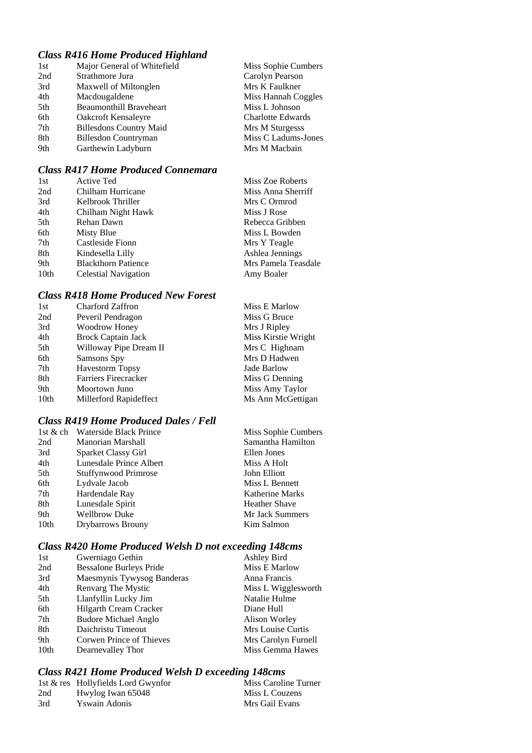## *Class R416 Home Produced Highland*

| 1st | Major General of Whitefield    | Miss Sophie Cumbers      |
|-----|--------------------------------|--------------------------|
| 2nd | Strathmore Jura                | Carolyn Pearson          |
| 3rd | Maxwell of Miltonglen          | Mrs K Faulkner           |
| 4th | Macdougaldene                  | Miss Hannah Coggles      |
| 5th | <b>Beaumonthill Braveheart</b> | Miss L Johnson           |
| 6th | Oakcroft Kensaleyre            | <b>Charlotte Edwards</b> |
| 7th | <b>Billesdons Country Maid</b> | Mrs M Sturgesss          |
| 8th | <b>Billesdon Countryman</b>    | Miss C Ladums-Jones      |
| 9th | Garthewin Ladyburn             | Mrs M Macbain            |

#### *Class R417 Home Produced Connemara*

| 1st              | Active Ted                  | Miss Zoe Roberts    |
|------------------|-----------------------------|---------------------|
| 2nd              | Chilham Hurricane           | Miss Anna Sherriff  |
| 3rd              | Kelbrook Thriller           | Mrs C Ormrod        |
| 4th              | Chilham Night Hawk          | Miss J Rose         |
| 5th              | Rehan Dawn                  | Rebecca Gribben     |
| 6th              | Misty Blue                  | Miss L Bowden       |
| 7th              | Castleside Fionn            | Mrs Y Teagle        |
| 8th              | Kindesella Lilly            | Ashlea Jennings     |
| 9th              | <b>Blackthorn Patience</b>  | Mrs Pamela Teasdale |
| 10 <sub>th</sub> | <b>Celestial Navigation</b> | Amy Boaler          |

#### *Class R418 Home Produced New Forest*

| <b>Charford Zaffron</b>   | Miss E Marlow       |
|---------------------------|---------------------|
| Peveril Pendragon         | Miss G Bruce        |
| <b>Woodrow Honey</b>      | Mrs J Ripley        |
| <b>Brock Captain Jack</b> | Miss Kirstie Wright |
| Willoway Pipe Dream II    | Mrs C Highnam       |
| Samsons Spy               | Mrs D Hadwen        |
| <b>Havestorm Topsy</b>    | Jade Barlow         |
| Farriers Firecracker      | Miss G Denning      |
| Moortown Juno             | Miss Amy Taylor     |
| Millerford Rapideffect    | Ms Ann McGettigan   |
|                           |                     |

## *Class R419 Home Produced Dales / Fell*

| 1st $\&$ ch | <b>Waterside Black Prince</b> | Miss Sophie Cumbers    |
|-------------|-------------------------------|------------------------|
| 2nd         | Manorian Marshall             | Samantha Hamilton      |
| 3rd         | Sparket Classy Girl           | Ellen Jones            |
| 4th         | Lunesdale Prince Albert       | Miss A Holt            |
| 5th         | <b>Stuffynwood Primrose</b>   | John Elliott           |
| 6th         | Lydvale Jacob                 | Miss L Bennett         |
| 7th         | Hardendale Ray                | <b>Katherine Marks</b> |
| 8th         | Lunesdale Spirit              | <b>Heather Shave</b>   |
| 9th         | <b>Wellbrow Duke</b>          | Mr Jack Summers        |
| 10th        | <b>Drybarrows Brouny</b>      | Kim Salmon             |

## *Class R420 Home Produced Welsh D not exceeding 148cms*

| 1st  | Gwerniago Gethin               | Ashley Bird         |
|------|--------------------------------|---------------------|
| 2nd  | <b>Bessalone Burleys Pride</b> | Miss E Marlow       |
| 3rd  | Maesmynis Tywysog Banderas     | Anna Francis        |
| 4th  | Renvarg The Mystic             | Miss L Wigglesworth |
| 5th  | Llanfyllin Lucky Jim           | Natalie Hulme       |
| 6th  | Hilgarth Cream Cracker         | Diane Hull          |
| 7th  | <b>Budore Michael Anglo</b>    | Alison Worley       |
| 8th  | Daichristu Timeout             | Mrs Louise Curtis   |
| 9th  | Corwen Prince of Thieves       | Mrs Carolyn Furnell |
| 10th | Dearnevalley Thor              | Miss Gemma Hawes    |

## *Class R421 Home Produced Welsh D exceeding 148cms*

|     | 1st & res Hollyfields Lord Gwynfor | Miss Caroline Turner |
|-----|------------------------------------|----------------------|
| 2nd | Hwylog Iwan 65048                  | Miss L Couzens       |
| 3rd | Yswain Adonis                      | Mrs Gail Evans       |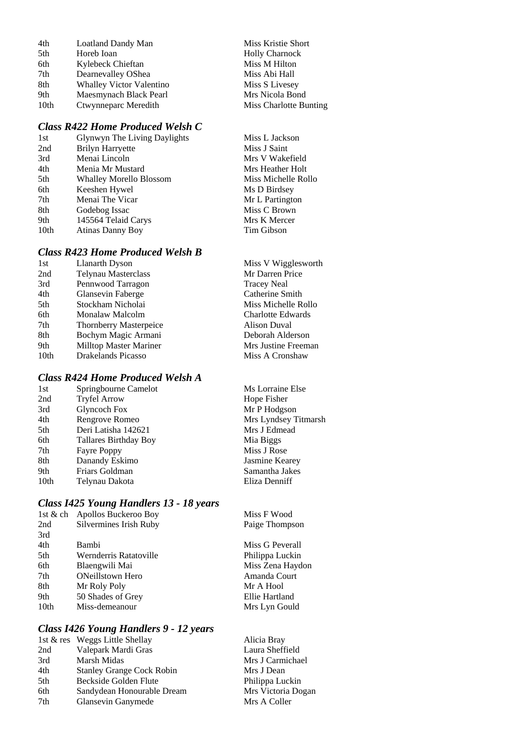| 4th  | Loatland Dandy Man              | Miss Kristie Short     |
|------|---------------------------------|------------------------|
| 5th  | Horeb Ioan                      | <b>Holly Charnock</b>  |
| 6th  | Kylebeck Chieftan               | Miss M Hilton          |
| 7th  | Dearnevalley OShea              | Miss Abi Hall          |
| 8th  | <b>Whalley Victor Valentino</b> | Miss S Livesey         |
| 9th  | Maesmynach Black Pearl          | Mrs Nicola Bond        |
| 10th | Ctwynneparc Meredith            | Miss Charlotte Bunting |

## *Class R422 Home Produced Welsh C*

| 1st              | Glynwyn The Living Daylights   | Miss L Jackson      |
|------------------|--------------------------------|---------------------|
| 2nd              | <b>Brilyn Harryette</b>        | Miss J Saint        |
| 3rd              | Menai Lincoln                  | Mrs V Wakefield     |
| 4th              | Menia Mr Mustard               | Mrs Heather Holt    |
| 5th              | <b>Whalley Morello Blossom</b> | Miss Michelle Rollo |
| 6th              | Keeshen Hywel                  | Ms D Birdsey        |
| 7th              | Menai The Vicar                | Mr L Partington     |
| 8th              | Godebog Issac                  | Miss C Brown        |
| 9th              | 145564 Telaid Carys            | Mrs K Mercer        |
| 10 <sub>th</sub> | <b>Atinas Danny Boy</b>        | Tim Gibson          |

## *Class R423 Home Produced Welsh B*

| 1st  | Llanarth Dyson                | Miss V Wigglesworth      |
|------|-------------------------------|--------------------------|
| 2nd  | <b>Telynau Masterclass</b>    | Mr Darren Price          |
| 3rd  | Pennwood Tarragon             | <b>Tracey Neal</b>       |
| 4th  | Glansevin Faberge             | Catherine Smith          |
| 5th  | Stockham Nicholai             | Miss Michelle Rollo      |
| 6th  | Monalaw Malcolm               | <b>Charlotte Edwards</b> |
| 7th  | <b>Thornberry Masterpeice</b> | Alison Duval             |
| 8th  | Bochym Magic Armani           | Deborah Alderson         |
| 9th  | <b>Milltop Master Mariner</b> | Mrs Justine Freeman      |
| 10th | Drakelands Picasso            | Miss A Cronshaw          |
|      |                               |                          |

## *Class R424 Home Produced Welsh A*

| Springbourne Camelot         | Ms Lorraine Else     |
|------------------------------|----------------------|
| <b>Tryfel Arrow</b>          | Hope Fisher          |
| Glyncoch Fox                 | Mr P Hodgson         |
| Rengrove Romeo               | Mrs Lyndsey Titmarsh |
| Deri Latisha 142621          | Mrs J Edmead         |
| <b>Tallares Birthday Boy</b> | Mia Biggs            |
| Fayre Poppy                  | Miss J Rose          |
| Danandy Eskimo               | Jasmine Kearey       |
| Friars Goldman               | Samantha Jakes       |
| Telynau Dakota               | Eliza Denniff        |
|                              |                      |

## *Class I425 Young Handlers 13 - 18 years*

| 1st $&$ ch       | Apollos Buckeroo Boy    | Miss F Wood      |
|------------------|-------------------------|------------------|
| 2nd              | Silvermines Irish Ruby  | Paige Thompson   |
| 3rd              |                         |                  |
| 4th              | Bambi                   | Miss G Peverall  |
| 5th              | Wernderris Ratatoville  | Philippa Luckin  |
| 6th              | Blaengwili Mai          | Miss Zena Haydon |
| 7th              | <b>ONeillstown Hero</b> | Amanda Court     |
| 8th              | Mr Roly Poly            | Mr A Hool        |
| 9th              | 50 Shades of Grey       | Ellie Hartland   |
| 10 <sub>th</sub> | Miss-demeanour          | Mrs Lyn Gould    |
|                  |                         |                  |

## *Class I426 Young Handlers 9 - 12 years*

|     | 1st & res Weggs Little Shellay   | Alicia Bray        |
|-----|----------------------------------|--------------------|
| 2nd | Valepark Mardi Gras              | Laura Sheffield    |
| 3rd | Marsh Midas                      | Mrs J Carmichael   |
| 4th | <b>Stanley Grange Cock Robin</b> | Mrs J Dean         |
| 5th | Beckside Golden Flute            | Philippa Luckin    |
| 6th | Sandydean Honourable Dream       | Mrs Victoria Dogan |
| 7th | Glansevin Ganymede               | Mrs A Coller       |
|     |                                  |                    |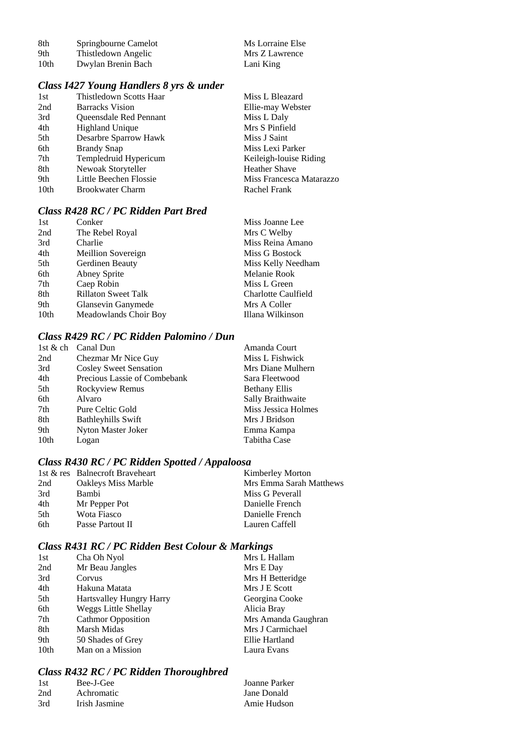| -8th | Springbourne Camelot | Ms Lorraine Else |
|------|----------------------|------------------|
| 9th  | Thistledown Angelic  | Mrs Z Lawrence   |
| 10th | Dwylan Brenin Bach   | Lani King        |

## *Class I427 Young Handlers 8 yrs & under*

| 1st  | Thistledown Scotts Haar       | Miss L Bleazard          |
|------|-------------------------------|--------------------------|
| 2nd  | <b>Barracks Vision</b>        | Ellie-may Webster        |
| 3rd  | <b>Oueensdale Red Pennant</b> | Miss L Daly              |
| 4th  | <b>Highland Unique</b>        | Mrs S Pinfield           |
| 5th  | Desarbre Sparrow Hawk         | Miss J Saint             |
| 6th  | <b>Brandy Snap</b>            | Miss Lexi Parker         |
| 7th  | Templedruid Hypericum         | Keileigh-louise Riding   |
| 8th  | Newoak Storyteller            | <b>Heather Shave</b>     |
| 9th  | Little Beechen Flossie        | Miss Francesca Matarazzo |
| 10th | <b>Brookwater Charm</b>       | Rachel Frank             |
|      |                               |                          |

#### *Class R428 RC / PC Ridden Part Bred*

| 1st              | Conker                     | Miss Joanne Lee     |
|------------------|----------------------------|---------------------|
| 2nd              | The Rebel Royal            | Mrs C Welby         |
| 3rd              | Charlie                    | Miss Reina Amano    |
| 4th              | Meillion Sovereign         | Miss G Bostock      |
| 5th              | Gerdinen Beauty            | Miss Kelly Needham  |
| 6th              | Abney Sprite               | Melanie Rook        |
| 7th              | Caep Robin                 | Miss L Green        |
| 8th              | <b>Rillaton Sweet Talk</b> | Charlotte Caulfield |
| 9th              | Glansevin Ganymede         | Mrs A Coller        |
| 10 <sub>th</sub> | Meadowlands Choir Boy      | Illana Wilkinson    |

#### *Class R429 RC / PC Ridden Palomino / Dun*

|                  | 1st & ch Canal Dun            | Amanda Court         |
|------------------|-------------------------------|----------------------|
| 2nd              | Chezmar Mr Nice Guy           | Miss L Fishwick      |
| 3rd              | <b>Cosley Sweet Sensation</b> | Mrs Diane Mulhern    |
| 4th              | Precious Lassie of Combebank  | Sara Fleetwood       |
| 5th              | Rockyview Remus               | <b>Bethany Ellis</b> |
| 6th              | Alvaro                        | Sally Braithwaite    |
| 7th              | Pure Celtic Gold              | Miss Jessica Holmes  |
| 8th              | <b>Bathleyhills Swift</b>     | Mrs J Bridson        |
| 9th              | Nyton Master Joker            | Emma Kampa           |
| 10 <sub>th</sub> | Logan                         | Tabitha Case         |

## *Class R430 RC / PC Ridden Spotted / Appaloosa*

|      | 1st & res Balnecroft Braveheart | Kimberley Morton        |
|------|---------------------------------|-------------------------|
| 2nd  | <b>Oakleys Miss Marble</b>      | Mrs Emma Sarah Matthews |
| 3rd  | <b>Bambi</b>                    | Miss G Peverall         |
| 4th  | Mr Pepper Pot                   | Danielle French         |
| .5th | Wota Fiasco                     | Danielle French         |
| 6th  | Passe Partout II                | Lauren Caffell          |

## *Class R431 RC / PC Ridden Best Colour & Markings*

| Cha Oh Nyol                     | Mrs L Hallam        |
|---------------------------------|---------------------|
| Mr Beau Jangles                 | Mrs E Day           |
| Corvus                          | Mrs H Betteridge    |
| Hakuna Matata                   | Mrs J E Scott       |
| <b>Hartsvalley Hungry Harry</b> | Georgina Cooke      |
| Weggs Little Shellay            | Alicia Bray         |
| <b>Cathmor Opposition</b>       | Mrs Amanda Gaughran |
| Marsh Midas                     | Mrs J Carmichael    |
| 50 Shades of Grey               | Ellie Hartland      |
| Man on a Mission                | Laura Evans         |
|                                 |                     |

## *Class R432 RC / PC Ridden Thoroughbred*

| 1st | Bee-J-Gee     | Joanne Parker |
|-----|---------------|---------------|
| 2nd | Achromatic    | Jane Donald   |
| 3rd | Irish Jasmine | Amie Hudson   |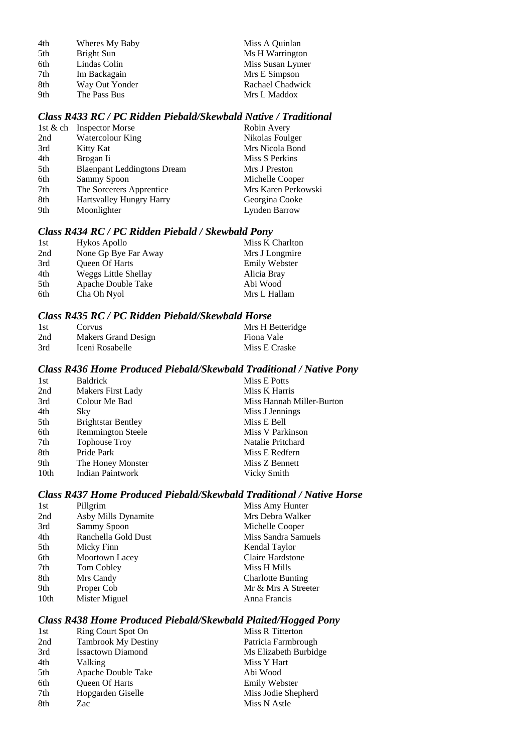| 4th | Wheres My Baby | Miss A Quinlan   |
|-----|----------------|------------------|
| 5th | Bright Sun     | Ms H Warrington  |
| 6th | Lindas Colin   | Miss Susan Lymer |
| 7th | Im Backagain   | Mrs E Simpson    |
| 8th | Way Out Yonder | Rachael Chadwick |
| 9th | The Pass Bus   | Mrs L Maddox     |

#### *Class R433 RC / PC Ridden Piebald/Skewbald Native / Traditional*

| 1st & ch Inspector Morse           | Robin Avery         |
|------------------------------------|---------------------|
| Watercolour King                   | Nikolas Foulger     |
| Kitty Kat                          | Mrs Nicola Bond     |
| Brogan Ii                          | Miss S Perkins      |
| <b>Blaenpant Leddingtons Dream</b> | Mrs J Preston       |
| Sammy Spoon                        | Michelle Cooper     |
| The Sorcerers Apprentice           | Mrs Karen Perkowski |
| <b>Hartsvalley Hungry Harry</b>    | Georgina Cooke      |
| Moonlighter                        | Lynden Barrow       |
|                                    |                     |

## *Class R434 RC / PC Ridden Piebald / Skewbald Pony*

| 1st | Hykos Apollo          | Miss K Charlton      |
|-----|-----------------------|----------------------|
| 2nd | None Gp Bye Far Away  | Mrs J Longmire       |
| 3rd | <b>Oueen Of Harts</b> | <b>Emily Webster</b> |
| 4th | Weggs Little Shellay  | Alicia Bray          |
| 5th | Apache Double Take    | Abi Wood             |
| 6th | Cha Oh Nyol           | Mrs L Hallam         |

#### *Class R435 RC / PC Ridden Piebald/Skewbald Horse*

| -1st | Corvus              | Mrs H Betteridge |
|------|---------------------|------------------|
| 2nd  | Makers Grand Design | Fiona Vale       |
| 3rd  | Iceni Rosabelle     | Miss E Craske    |

## *Class R436 Home Produced Piebald/Skewbald Traditional / Native Pony*

| 1st  | <b>Baldrick</b>           | Miss E Potts              |
|------|---------------------------|---------------------------|
| 2nd  | Makers First Lady         | Miss K Harris             |
| 3rd  | Colour Me Bad             | Miss Hannah Miller-Burton |
| 4th  | Sky                       | Miss J Jennings           |
| 5th  | <b>Brightstar Bentley</b> | Miss E Bell               |
| 6th  | <b>Remmington Steele</b>  | Miss V Parkinson          |
| 7th  | <b>Tophouse Troy</b>      | Natalie Pritchard         |
| 8th  | Pride Park                | Miss E Redfern            |
| 9th  | The Honey Monster         | Miss Z Bennett            |
| 10th | <b>Indian Paintwork</b>   | Vicky Smith               |
|      |                           |                           |

#### *Class R437 Home Produced Piebald/Skewbald Traditional / Native Horse*

| 1st  | Pillgrim            | Miss Amy Hunter          |
|------|---------------------|--------------------------|
| 2nd  | Asby Mills Dynamite | Mrs Debra Walker         |
| 3rd  | Sammy Spoon         | Michelle Cooper          |
| 4th  | Ranchella Gold Dust | Miss Sandra Samuels      |
| 5th  | Micky Finn          | Kendal Taylor            |
| 6th  | Moortown Lacey      | Claire Hardstone         |
| 7th  | Tom Cobley          | Miss H Mills             |
| 8th  | Mrs Candy           | <b>Charlotte Bunting</b> |
| 9th  | Proper Cob          | Mr & Mrs A Streeter      |
| 10th | Mister Miguel       | Anna Francis             |

#### *Class R438 Home Produced Piebald/Skewbald Plaited/Hogged Pony*

| 1st | <b>Ring Court Spot On</b>  | Miss R Titterton      |
|-----|----------------------------|-----------------------|
| 2nd | <b>Tambrook My Destiny</b> | Patricia Farmbrough   |
| 3rd | <b>Issactown Diamond</b>   | Ms Elizabeth Burbidge |
| 4th | Valking                    | Miss Y Hart           |
| 5th | Apache Double Take         | Abi Wood              |
| 6th | Queen Of Harts             | <b>Emily Webster</b>  |
| 7th | Hopgarden Giselle          | Miss Jodie Shepherd   |
| 8th | Zac                        | Miss N Astle          |
|     |                            |                       |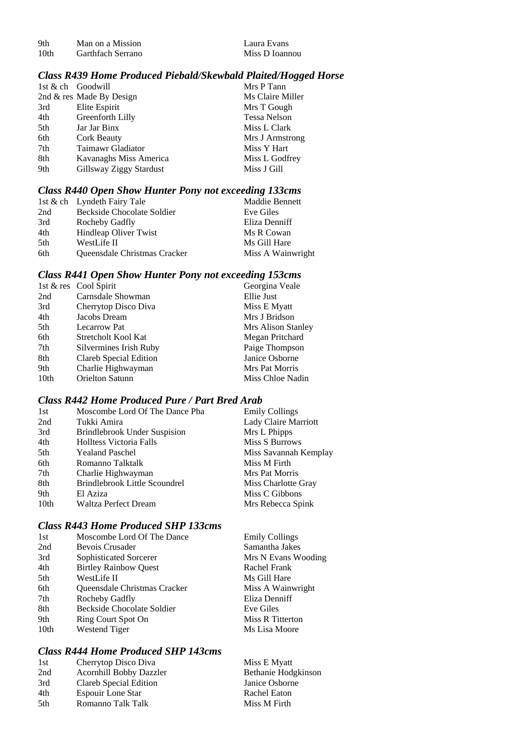| 9th              | Man on a Mission  |
|------------------|-------------------|
| 10 <sup>th</sup> | Garthfach Serrano |

Laura Evans Miss D Ioannou

#### *Class R439 Home Produced Piebald/Skewbald Plaited/Hogged Horse*

| 1st & ch Goodwill |                          | Mrs P Tann          |
|-------------------|--------------------------|---------------------|
|                   | 2nd & res Made By Design | Ms Claire Miller    |
| 3rd               | Elite Espirit            | Mrs T Gough         |
| 4th               | Greenforth Lilly         | <b>Tessa Nelson</b> |
| 5th               | Jar Jar Binx             | Miss L Clark        |
| 6th               | <b>Cork Beauty</b>       | Mrs J Armstrong     |
| 7th               | Taimawr Gladiator        | Miss Y Hart         |
| 8th               | Kavanaghs Miss America   | Miss L Godfrey      |
| 9th               | Gillsway Ziggy Stardust  | Miss J Gill         |

#### *Class R440 Open Show Hunter Pony not exceeding 133cms*

|      | 1st & ch Lyndeth Fairy Tale  | Maddie Bennett    |
|------|------------------------------|-------------------|
| 2nd  | Beckside Chocolate Soldier   | Eve Giles         |
| 3rd  | Rocheby Gadfly               | Eliza Denniff     |
| 4th  | Hindleap Oliver Twist        | Ms R Cowan        |
| .5th | WestLife II                  | Ms Gill Hare      |
| 6th  | Queensdale Christmas Cracker | Miss A Wainwright |

## *Class R441 Open Show Hunter Pony not exceeding 153cms*

|      | 1st & res Cool Spirit  | Georgina Veale     |
|------|------------------------|--------------------|
| 2nd  | Carnsdale Showman      | Ellie Just         |
| 3rd  | Cherrytop Disco Diva   | Miss E Myatt       |
| 4th  | Jacobs Dream           | Mrs J Bridson      |
| 5th  | Lecarrow Pat           | Mrs Alison Stanley |
| 6th  | Stretcholt Kool Kat    | Megan Pritchard    |
| 7th  | Silvermines Irish Ruby | Paige Thompson     |
| 8th  | Clareb Special Edition | Janice Osborne     |
| 9th  | Charlie Highwayman     | Mrs Pat Morris     |
| 10th | Orielton Satunn        | Miss Chloe Nadin   |

#### *Class R442 Home Produced Pure / Part Bred Arab*

| 1st              | Moscombe Lord Of The Dance Pba | <b>Emily Collings</b> |
|------------------|--------------------------------|-----------------------|
| 2nd              | Tukki Amira                    | Lady Claire Marriott  |
| 3rd              | Brindlebrook Under Suspision   | Mrs L Phipps          |
| 4th              | <b>Holltess Victoria Falls</b> | Miss S Burrows        |
| 5th              | <b>Yealand Paschel</b>         | Miss Savannah Kemplay |
| 6th              | Romanno Talktalk               | Miss M Firth          |
| 7th              | Charlie Highwayman             | Mrs Pat Morris        |
| 8th              | Brindlebrook Little Scoundrel  | Miss Charlotte Gray   |
| 9th              | El Aziza                       | Miss C Gibbons        |
| 10 <sub>th</sub> | Waltza Perfect Dream           | Mrs Rebecca Spink     |

#### *Class R443 Home Produced SHP 133cms*

| 1st  | Moscombe Lord Of The Dance   | <b>Emily Collings</b> |
|------|------------------------------|-----------------------|
| 2nd  | Bevois Crusader              | Samantha Jakes        |
| 3rd  | Sophisticated Sorcerer       | Mrs N Evans Wooding   |
| 4th  | <b>Birtley Rainbow Quest</b> | Rachel Frank          |
| 5th  | WestLife II                  | Ms Gill Hare          |
| 6th  | Queensdale Christmas Cracker | Miss A Wainwright     |
| 7th  | Rocheby Gadfly               | Eliza Denniff         |
| 8th  | Beckside Chocolate Soldier   | Eve Giles             |
| 9th  | Ring Court Spot On           | Miss R Titterton      |
| 10th | Westend Tiger                | Ms Lisa Moore         |

## *Class R444 Home Produced SHP 143cms*

| 1st | Cherrytop Disco Diva           | Miss E Myatt        |
|-----|--------------------------------|---------------------|
| 2nd | <b>Acornhill Bobby Dazzler</b> | Bethanie Hodgkinson |
| 3rd | Clareb Special Edition         | Janice Osborne      |
| 4th | <b>Espouir Lone Star</b>       | Rachel Eaton        |
| 5th | Romanno Talk Talk              | Miss M Firth        |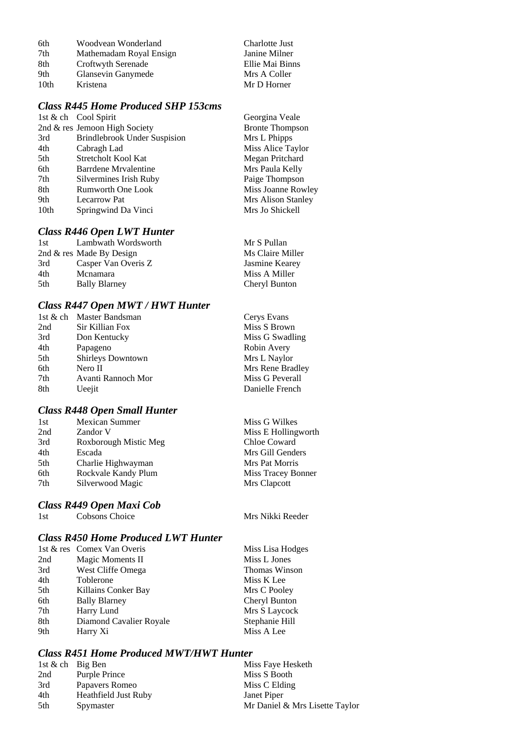| 6th              | Woodvean Wonderland     | Charlotte Just  |
|------------------|-------------------------|-----------------|
| 7th              | Mathemadam Royal Ensign | Janine Milner   |
| 8th              | Croftwyth Serenade      | Ellie Mai Binns |
| 9th              | Glansevin Ganymede      | Mrs A Coller    |
| 10 <sub>th</sub> | Kristena                | Mr D Horner     |

## *Class R445 Home Produced SHP 153cms*

|                  | 1st & ch Cool Spirit                | Georgina Veale         |
|------------------|-------------------------------------|------------------------|
|                  | 2nd & res Jemoon High Society       | <b>Bronte Thompson</b> |
| 3rd              | <b>Brindlebrook Under Suspision</b> | Mrs L Phipps           |
| 4th              | Cabragh Lad                         | Miss Alice Taylor      |
| 5th              | Stretcholt Kool Kat                 | Megan Pritchard        |
| 6th              | Barrdene Mrvalentine                | Mrs Paula Kelly        |
| 7th              | Silvermines Irish Ruby              | Paige Thompson         |
| 8th              | <b>Rumworth One Look</b>            | Miss Joanne Rowley     |
| 9th              | <b>Lecarrow Pat</b>                 | Mrs Alison Stanley     |
| 10 <sub>th</sub> | Springwind Da Vinci                 | Mrs Jo Shickell        |
|                  |                                     |                        |

## *Class R446 Open LWT Hunter*

| 1st | Lambwath Wordsworth      | Mr S Pullan      |
|-----|--------------------------|------------------|
|     | 2nd & res Made By Design | Ms Claire Miller |
| 3rd | Casper Van Overis Z      | Jasmine Kearey   |
| 4th | Mcnamara                 | Miss A Miller    |
| 5th | <b>Bally Blarney</b>     | Cheryl Bunton    |

## *Class R447 Open MWT / HWT Hunter*

|     | 1st & ch Master Bandsman | Cerys Evans      |
|-----|--------------------------|------------------|
| 2nd | Sir Killian Fox          | Miss S Brown     |
| 3rd | Don Kentucky             | Miss G Swadling  |
| 4th | Papageno                 | Robin Avery      |
| 5th | Shirleys Downtown        | Mrs L Naylor     |
| 6th | Nero II                  | Mrs Rene Bradley |
| 7th | Avanti Rannoch Mor       | Miss G Peverall  |
| 8th | Ueejit                   | Danielle French  |
|     |                          |                  |

### *Class R448 Open Small Hunter*

| 1st | <b>Mexican Summer</b> | Miss G Wilkes       |
|-----|-----------------------|---------------------|
| 2nd | Zandor V              | Miss E Hollingworth |
| 3rd | Roxborough Mistic Meg | Chloe Coward        |
| 4th | Escada                | Mrs Gill Genders    |
| 5th | Charlie Highwayman    | Mrs Pat Morris      |
| 6th | Rockvale Kandy Plum   | Miss Tracey Bonner  |
| 7th | Silverwood Magic      | Mrs Clapcott        |
|     |                       |                     |

# *Class R449 Open Maxi Cob*

Mrs Nikki Reeder

#### *Class R450 Home Produced LWT Hunter*

|     | 1st & res Comex Van Overis | Miss Lisa Hodges     |
|-----|----------------------------|----------------------|
| 2nd | Magic Moments II           | Miss L Jones         |
| 3rd | West Cliffe Omega          | <b>Thomas Winson</b> |
| 4th | Toblerone                  | Miss K Lee           |
| 5th | Killains Conker Bay        | Mrs C Pooley         |
| 6th | <b>Bally Blarney</b>       | Cheryl Bunton        |
| 7th | Harry Lund                 | Mrs S Laycock        |
| 8th | Diamond Cavalier Royale    | Stephanie Hill       |
| 9th | Harry Xi                   | Miss A Lee           |

#### *Class R451 Home Produced MWT/HWT Hunter*

| 1st $\&$ ch Big Ben |                      | Miss Faye Hesketh              |
|---------------------|----------------------|--------------------------------|
| 2nd                 | Purple Prince        | Miss S Booth                   |
| 3rd                 | Papavers Romeo       | Miss C Elding                  |
| 4th                 | Heathfield Just Ruby | Janet Piper                    |
| 5th                 | Spymaster            | Mr Daniel & Mrs Lisette Taylor |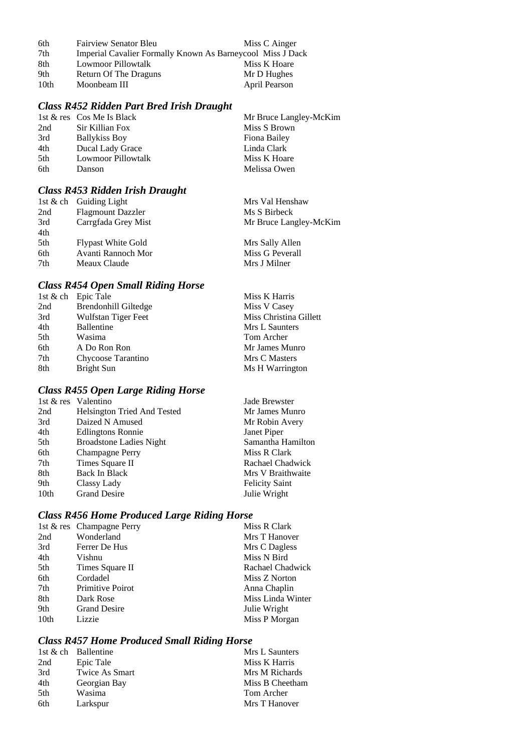| 6th  | <b>Fairview Senator Bleu</b>                               | Miss C Ainger |
|------|------------------------------------------------------------|---------------|
| 7th  | Imperial Cavalier Formally Known As Barneycool Miss J Dack |               |
| 8th  | Lowmoor Pillowtalk                                         | Miss K Hoare  |
| 9th  | <b>Return Of The Draguns</b>                               | Mr D Hughes   |
| 10th | Moonbeam III                                               | April Pearson |

## *Class R452 Ridden Part Bred Irish Draught*

|     | 1st & res Cos Me Is Black | Mr Bruce Langley-McKim |
|-----|---------------------------|------------------------|
| 2nd | Sir Killian Fox           | Miss S Brown           |
| 3rd | <b>Ballykiss Boy</b>      | Fiona Bailey           |
| 4th | Ducal Lady Grace          | Linda Clark            |
| 5th | Lowmoor Pillowtalk        | Miss K Hoare           |
| 6th | Danson                    | Melissa Owen           |
|     |                           |                        |

## *Class R453 Ridden Irish Draught*

|     | 1st $\&$ ch Guiding Light | Mrs Val Henshaw        |
|-----|---------------------------|------------------------|
| 2nd | <b>Flagmount Dazzler</b>  | Ms S Birbeck           |
| 3rd | Carrgfada Grey Mist       | Mr Bruce Langley-McKim |
| 4th |                           |                        |
| 5th | <b>Flypast White Gold</b> | Mrs Sally Allen        |
| 6th | Avanti Rannoch Mor        | Miss G Peverall        |
| 7th | Meaux Claude              | Mrs J Milner           |

## *Class R454 Open Small Riding Horse*

|     | 1st $&$ ch Epic Tale        | Miss K Harris          |
|-----|-----------------------------|------------------------|
| 2nd | <b>Brendonhill Giltedge</b> | Miss V Casey           |
| 3rd | Wulfstan Tiger Feet         | Miss Christina Gillett |
| 4th | Ballentine                  | Mrs L Saunters         |
| 5th | Wasima                      | Tom Archer             |
| 6th | A Do Ron Ron                | Mr James Munro         |
| 7th | Chycoose Tarantino          | Mrs C Masters          |
| 8th | Bright Sun                  | Ms H Warrington        |

## *Class R455 Open Large Riding Horse*

|                  | 1st & res Valentino            | Jade Brewster         |
|------------------|--------------------------------|-----------------------|
| 2nd              | Helsington Tried And Tested    | Mr James Munro        |
| 3rd              | Daized N Amused                | Mr Robin Avery        |
| 4th              | <b>Edlingtons Ronnie</b>       | Janet Piper           |
| 5th              | <b>Broadstone Ladies Night</b> | Samantha Hamilton     |
| 6th              | Champagne Perry                | Miss R Clark          |
| 7th              | Times Square II                | Rachael Chadwick      |
| 8th              | Back In Black                  | Mrs V Braithwaite     |
| 9th              | Classy Lady                    | <b>Felicity Saint</b> |
| 10 <sub>th</sub> | <b>Grand Desire</b>            | Julie Wright          |

## *Class R456 Home Produced Large Riding Horse*

|      | 1st & res Champagne Perry | Miss R Clark      |
|------|---------------------------|-------------------|
| 2nd  | Wonderland                | Mrs T Hanover     |
| 3rd  | Ferrer De Hus             | Mrs C Dagless     |
| 4th  | Vishnu                    | Miss N Bird       |
| 5th  | Times Square II           | Rachael Chadwick  |
| 6th  | Cordadel                  | Miss Z Norton     |
| 7th  | Primitive Poirot          | Anna Chaplin      |
| 8th  | Dark Rose                 | Miss Linda Winter |
| 9th  | <b>Grand Desire</b>       | Julie Wright      |
| 10th | Lizzie                    | Miss P Morgan     |

## *Class R457 Home Produced Small Riding Horse*

|     | 1st & ch Ballentine | Mrs L Saunters  |
|-----|---------------------|-----------------|
| 2nd | Epic Tale           | Miss K Harris   |
| 3rd | Twice As Smart      | Mrs M Richards  |
| 4th | Georgian Bay        | Miss B Cheetham |
| 5th | Wasima              | Tom Archer      |
| 6th | Larkspur            | Mrs T Hanover   |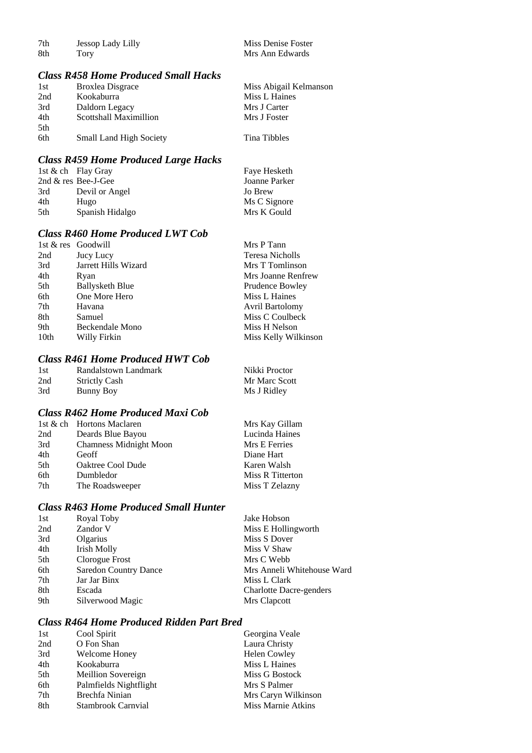7th Jessop Lady Lilly Miss Denise Foster<br>8th Tory Miss Ann Edwards

Mrs Ann Edwards

#### *Class R458 Home Produced Small Hacks*

| 1st | <b>Broxlea Disgrace</b> | Miss Abigail Kelmanson |
|-----|-------------------------|------------------------|
| 2nd | Kookaburra              | Miss L Haines          |
| 3rd | Daldorn Legacy          | Mrs J Carter           |
| 4th | Scottshall Maximillion  | Mrs J Foster           |
| 5th |                         |                        |
| 6th | Small Land High Society | Tina Tibbles           |

#### *Class R459 Home Produced Large Hacks*

|     | 1st & ch Flay Gray    | Faye Hesketh  |
|-----|-----------------------|---------------|
|     | 2nd $&$ res Bee-J-Gee | Joanne Parker |
| 3rd | Devil or Angel        | Jo Brew       |
| 4th | Hugo                  | Ms C Signore  |
| 5th | Spanish Hidalgo       | Mrs K Gould   |

## *Class R460 Home Produced LWT Cob*

|                  | 1st & res Goodwill     | Mrs P Tann             |
|------------------|------------------------|------------------------|
| 2nd              | Jucy Lucy              | Teresa Nicholls        |
| 3rd              | Jarrett Hills Wizard   | Mrs T Tomlinson        |
| 4th              | Ryan                   | Mrs Joanne Renfrew     |
| 5th              | <b>Ballysketh Blue</b> | <b>Prudence Bowley</b> |
| 6th              | One More Hero          | Miss L Haines          |
| 7th              | Havana                 | <b>Avril Bartolomy</b> |
| 8th              | Samuel                 | Miss C Coulbeck        |
| 9th              | Beckendale Mono        | Miss H Nelson          |
| 10 <sub>th</sub> | Willy Firkin           | Miss Kelly Wilkinson   |

#### *Class R461 Home Produced HWT Cob*

| 1st | Randalstown Landmark | Nikki Proctor |
|-----|----------------------|---------------|
| 2nd | <b>Strictly Cash</b> | Mr Marc Scott |
| 3rd | Bunny Boy            | Ms J Ridley   |

#### *Class R462 Home Produced Maxi Cob*

|     | 1st & ch Hortons Maclaren     | Mrs Kay Gillam   |
|-----|-------------------------------|------------------|
| 2nd | Deards Blue Bayou             | Lucinda Haines   |
| 3rd | <b>Chamness Midnight Moon</b> | Mrs E Ferries    |
| 4th | Geoff                         | Diane Hart       |
| 5th | Oaktree Cool Dude             | Karen Walsh      |
| 6th | Dumbledor                     | Miss R Titterton |
| 7th | The Roadsweeper               | Miss T Zelazny   |

#### *Class R463 Home Produced Small Hunter*

| 1st | Royal Toby                   | Jake Hobson                    |
|-----|------------------------------|--------------------------------|
| 2nd | Zandor V                     | Miss E Hollingworth            |
| 3rd | Olgarius                     | Miss S Dover                   |
| 4th | <b>Irish Molly</b>           | Miss V Shaw                    |
| 5th | Clorogue Frost               | Mrs C Webb                     |
| 6th | <b>Saredon Country Dance</b> | Mrs Anneli Whitehouse Ward     |
| 7th | Jar Jar Binx                 | Miss L Clark                   |
| 8th | Escada                       | <b>Charlotte Dacre-genders</b> |
| 9th | Silverwood Magic             | Mrs Clapcott                   |

## *Class R464 Home Produced Ridden Part Bred*

| 1st | Cool Spirit            | Georgina Veale            |
|-----|------------------------|---------------------------|
| 2nd | O Fon Shan             | Laura Christy             |
| 3rd | Welcome Honey          | <b>Helen Cowley</b>       |
| 4th | Kookaburra             | Miss L Haines             |
| 5th | Meillion Sovereign     | Miss G Bostock            |
| 6th | Palmfields Nightflight | Mrs S Palmer              |
| 7th | Brechfa Ninian         | Mrs Caryn Wilkinson       |
| 8th | Stambrook Carnvial     | <b>Miss Marnie Atkins</b> |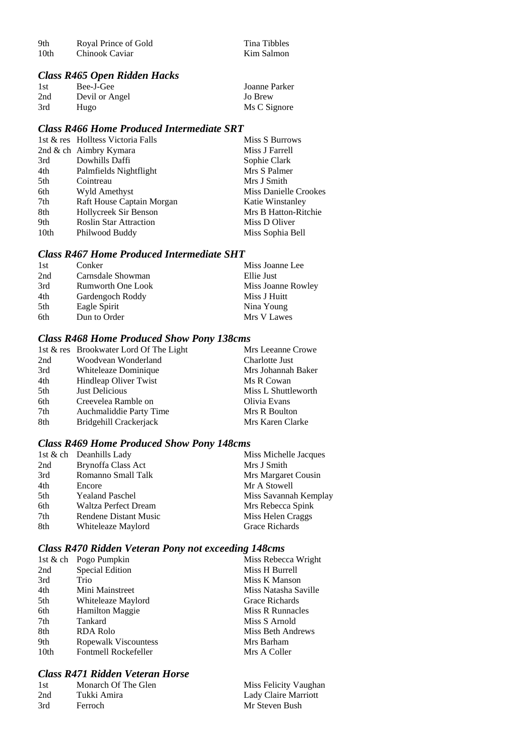| 9th              | Royal Prince of Gold | Tina Tibbles |
|------------------|----------------------|--------------|
| 10 <sub>th</sub> | Chinook Caviar       | Kim Salmon   |

#### *Class R465 Open Ridden Hacks*

| 1st | Bee-J-Gee      | Joanne Parker |
|-----|----------------|---------------|
| 2nd | Devil or Angel | Jo Brew       |
| 3rd | Hugo           | Ms C Signore  |

### *Class R466 Home Produced Intermediate SRT*

|                  | 1st & res Holltess Victoria Falls | Miss S Burrows        |
|------------------|-----------------------------------|-----------------------|
|                  | 2nd & ch Aimbry Kymara            | Miss J Farrell        |
| 3rd              | Dowhills Daffi                    | Sophie Clark          |
| 4th              | Palmfields Nightflight            | Mrs S Palmer          |
| 5th              | Cointreau                         | Mrs J Smith           |
| 6th              | Wyld Amethyst                     | Miss Danielle Crookes |
| 7th              | Raft House Captain Morgan         | Katie Winstanley      |
| 8th              | Hollycreek Sir Benson             | Mrs B Hatton-Ritchie  |
| 9th              | <b>Roslin Star Attraction</b>     | Miss D Oliver         |
| 10 <sub>th</sub> | Philwood Buddy                    | Miss Sophia Bell      |
|                  |                                   |                       |

#### *Class R467 Home Produced Intermediate SHT*

| 1st | Conker                   | Miss Joanne Lee    |
|-----|--------------------------|--------------------|
| 2nd | Carnsdale Showman        | Ellie Just         |
| 3rd | <b>Rumworth One Look</b> | Miss Joanne Rowley |
| 4th | Gardengoch Roddy         | Miss J Huitt       |
| 5th | Eagle Spirit             | Nina Young         |
| 6th | Dun to Order             | Mrs V Lawes        |

# *Class R468 Home Produced Show Pony 138cms*

|     | 1st & res Brookwater Lord Of The Light | Mrs Leeanne Crowe   |
|-----|----------------------------------------|---------------------|
| 2nd | Woodvean Wonderland                    | Charlotte Just      |
| 3rd | Whiteleaze Dominique                   | Mrs Johannah Baker  |
| 4th | Hindleap Oliver Twist                  | Ms R Cowan          |
| 5th | Just Delicious                         | Miss L Shuttleworth |
| 6th | Creevelea Ramble on                    | Olivia Evans        |
| 7th | Auchmaliddie Party Time                | Mrs R Boulton       |
| 8th | Bridgehill Crackerjack                 | Mrs Karen Clarke    |

### *Class R469 Home Produced Show Pony 148cms*

|     | 1st & ch Deanhills Lady | Miss Michelle Jacques |
|-----|-------------------------|-----------------------|
| 2nd | Brynoffa Class Act      | Mrs J Smith           |
| 3rd | Romanno Small Talk      | Mrs Margaret Cousin   |
| 4th | Encore                  | Mr A Stowell          |
| 5th | <b>Yealand Paschel</b>  | Miss Savannah Kemplay |
| 6th | Waltza Perfect Dream    | Mrs Rebecca Spink     |
| 7th | Rendene Distant Music   | Miss Helen Craggs     |
| 8th | Whiteleaze Maylord      | Grace Richards        |

### *Class R470 Ridden Veteran Pony not exceeding 148cms*

|                  | 1st & ch Pogo Pumpkin  | Miss Rebecca Wright  |
|------------------|------------------------|----------------------|
| 2nd              | Special Edition        | Miss H Burrell       |
| 3rd              | Trio                   | Miss K Manson        |
| 4th              | Mini Mainstreet        | Miss Natasha Saville |
| 5th              | Whiteleaze Maylord     | Grace Richards       |
| 6th              | <b>Hamilton Maggie</b> | Miss R Runnacles     |
| 7th              | Tankard                | Miss S Arnold        |
| 8th              | RDA Rolo               | Miss Beth Andrews    |
| 9th              | Ropewalk Viscountess   | Mrs Barham           |
| 10 <sub>th</sub> | Fontmell Rockefeller   | Mrs A Coller         |
|                  |                        |                      |

#### *Class R471 Ridden Veteran Horse*

| 1st | Monarch Of The Glen | Miss Felicity Vaughan |
|-----|---------------------|-----------------------|
| 2nd | Tukki Amira         | Lady Claire Marriott  |
| 3rd | Ferroch             | Mr Steven Bush        |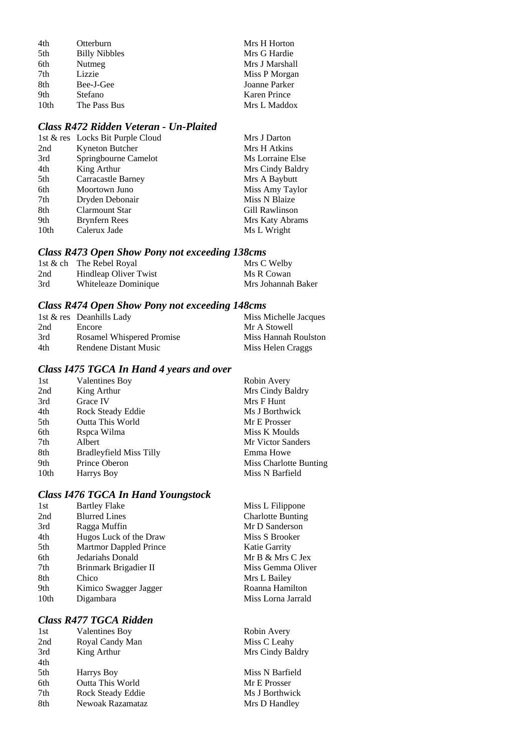| 4th              | Otterburn            | Mrs H Horton        |
|------------------|----------------------|---------------------|
| 5th              | <b>Billy Nibbles</b> | Mrs G Hardie        |
| 6th              | Nutmeg               | Mrs J Marshall      |
| 7th              | Lizzie               | Miss P Morgan       |
| 8th              | Bee-J-Gee            | Joanne Parker       |
| 9th              | Stefano              | <b>Karen Prince</b> |
| 10 <sub>th</sub> | The Pass Bus         | Mrs L Maddox        |

# *Class R472 Ridden Veteran - Un-Plaited*

| 1st & res Locks Bit Purple Cloud | Mrs J Darton     |
|----------------------------------|------------------|
| Kyneton Butcher                  | Mrs H Atkins     |
| Springbourne Camelot             | Ms Lorraine Else |
| King Arthur                      | Mrs Cindy Baldry |
| Carracastle Barney               | Mrs A Baybutt    |
| Moortown Juno                    | Miss Amy Taylor  |
| Dryden Debonair                  | Miss N Blaize    |
| <b>Clarmount Star</b>            | Gill Rawlinson   |
| <b>Brynfern Rees</b>             | Mrs Katy Abrams  |
| Calerux Jade                     | Ms L Wright      |
|                                  |                  |

# *Class R473 Open Show Pony not exceeding 138cms*

|     | 1st $\&$ ch The Rebel Royal | Mrs C Welby        |
|-----|-----------------------------|--------------------|
| 2nd | Hindleap Oliver Twist       | Ms R Cowan         |
| 3rd | Whiteleaze Dominique        | Mrs Johannah Baker |

# *Class R474 Open Show Pony not exceeding 148cms*

|     | 1st $\&$ res Deanhills Lady | Miss Michelle Jacques |
|-----|-----------------------------|-----------------------|
| 2nd | Encore                      | Mr A Stowell          |
| 3rd | Rosamel Whispered Promise   | Miss Hannah Roulston  |
| 4th | Rendene Distant Music       | Miss Helen Craggs     |

# *Class I475 TGCA In Hand 4 years and over*

| 1st  | <b>Valentines Boy</b>          | Robin Avery            |
|------|--------------------------------|------------------------|
| 2nd  | King Arthur                    | Mrs Cindy Baldry       |
| 3rd  | Grace IV                       | Mrs F Hunt             |
| 4th  | Rock Steady Eddie              | Ms J Borthwick         |
| 5th  | <b>Outta This World</b>        | Mr E Prosser           |
| 6th  | Rspca Wilma                    | Miss K Moulds          |
| 7th  | Albert                         | Mr Victor Sanders      |
| 8th  | <b>Bradleyfield Miss Tilly</b> | Emma Howe              |
| 9th  | Prince Oberon                  | Miss Charlotte Bunting |
| 10th | Harrys Boy                     | Miss N Barfield        |
|      |                                |                        |

### *Class I476 TGCA In Hand Youngstock*

| 1st  | <b>Bartley Flake</b>   | Miss L Filippone         |
|------|------------------------|--------------------------|
| 2nd  | <b>Blurred Lines</b>   | <b>Charlotte Bunting</b> |
| 3rd  | Ragga Muffin           | Mr D Sanderson           |
| 4th  | Hugos Luck of the Draw | Miss S Brooker           |
| 5th  | Martmor Dappled Prince | <b>Katie Garrity</b>     |
| 6th  | Jedariahs Donald       | Mr B & Mrs C Jex         |
| 7th  | Brinmark Brigadier II  | Miss Gemma Oliver        |
| 8th  | Chico                  | Mrs L Bailey             |
| 9th  | Kimico Swagger Jagger  | Roanna Hamilton          |
| 10th | Digambara              | Miss Lorna Jarrald       |
|      |                        |                          |

### *Class R477 TGCA Ridden*

| 1st | <b>Valentines Boy</b> | Robin Avery      |
|-----|-----------------------|------------------|
| 2nd | Royal Candy Man       | Miss C Leahy     |
| 3rd | King Arthur           | Mrs Cindy Baldry |
| 4th |                       |                  |
| 5th | Harrys Boy            | Miss N Barfield  |
| 6th | Outta This World      | Mr E Prosser     |
| 7th | Rock Steady Eddie     | Ms J Borthwick   |
| 8th | Newoak Razamataz      | Mrs D Handley    |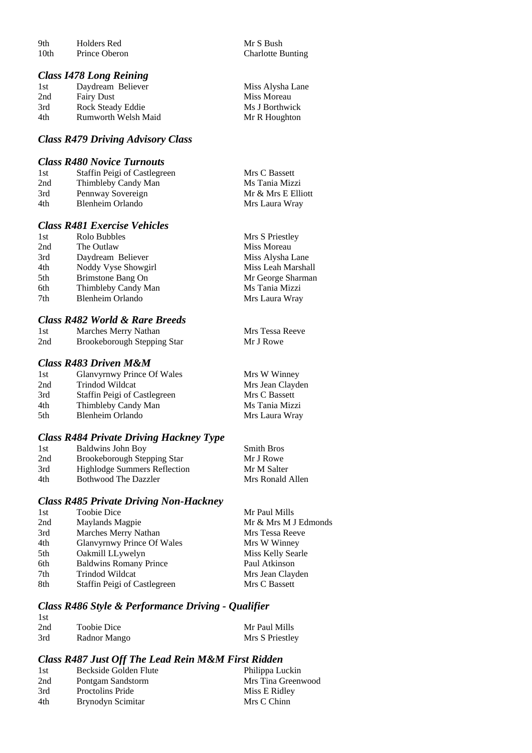9th Holders Red Mr S Bush<br>10th Prince Oberon Charlotte B

#### *Class I478 Long Reining*

1st Daydream Believer Miss Alysha Lane<br>
2nd Fairy Dust Miss Moreau 2nd Fairy Dust Miss Moreau<br>
3rd Rock Steady Eddie Ms J Borthwick 3rd Rock Steady Eddie Ms J Borthwick<br>
4th Rumworth Welsh Maid Mr R Houghton 4th Rumworth Welsh Maid

### *Class R479 Driving Advisory Class*

#### *Class R480 Novice Turnouts*

| 1st | Staffin Peigi of Castlegreen | Mrs C Bassett      |
|-----|------------------------------|--------------------|
| 2nd | Thimbleby Candy Man          | Ms Tania Mizzi     |
| 3rd | Pennway Sovereign            | Mr & Mrs E Elliott |
| 4th | Blenheim Orlando             | Mrs Laura Wray     |
|     |                              |                    |

### *Class R481 Exercise Vehicles*

| 1st | Rolo Bubbles        | Mrs S Priestley    |
|-----|---------------------|--------------------|
| 2nd | The Outlaw          | Miss Moreau        |
| 3rd | Daydream Believer   | Miss Alysha Lane   |
| 4th | Noddy Vyse Showgirl | Miss Leah Marshall |
| 5th | Brimstone Bang On   | Mr George Sharman  |
| 6th | Thimbleby Candy Man | Ms Tania Mizzi     |
| 7th | Blenheim Orlando    | Mrs Laura Wray     |
|     |                     |                    |

### *Class R482 World & Rare Breeds*

| 1st | Marches Merry Nathan        | Mrs Tessa Reeve |
|-----|-----------------------------|-----------------|
| 2nd | Brookeborough Stepping Star | Mr J Rowe       |

#### *Class R483 Driven M&M*

| 1st | Glanvyrnwy Prince Of Wales   | Mrs W Winney     |
|-----|------------------------------|------------------|
| 2nd | Trindod Wildcat              | Mrs Jean Clayden |
| 3rd | Staffin Peigi of Castlegreen | Mrs C Bassett    |
| 4th | Thimbleby Candy Man          | Ms Tania Mizzi   |
| 5th | Blenheim Orlando             | Mrs Laura Wray   |

### *Class R484 Private Driving Hackney Type*

| 1st | Baldwins John Boy            | <b>Smith Bros</b> |
|-----|------------------------------|-------------------|
| 2nd | Brookeborough Stepping Star  | Mr J Rowe         |
| 3rd | Highlodge Summers Reflection | Mr M Salter       |
| 4th | <b>Bothwood The Dazzler</b>  | Mrs Ronald Allen  |

#### *Class R485 Private Driving Non-Hackney*

| 1st | <b>Toobie Dice</b>            | Mr Paul Mills        |
|-----|-------------------------------|----------------------|
| 2nd | Maylands Magpie               | Mr & Mrs M J Edmonds |
| 3rd | Marches Merry Nathan          | Mrs Tessa Reeve      |
| 4th | Glanvyrnwy Prince Of Wales    | Mrs W Winney         |
| 5th | Oakmill LLywelyn              | Miss Kelly Searle    |
| 6th | <b>Baldwins Romany Prince</b> | Paul Atkinson        |
| 7th | Trindod Wildcat               | Mrs Jean Clayden     |
| 8th | Staffin Peigi of Castlegreen  | Mrs C Bassett        |
|     |                               |                      |

#### *Class R486 Style & Performance Driving - Qualifier*   $1st$

| 10 U |              |                 |
|------|--------------|-----------------|
| 2nd  | Toobie Dice  | Mr Paul Mills   |
| 3rd  | Radnor Mango | Mrs S Priestley |

# *Class R487 Just Off The Lead Rein M&M First Ridden*

| 1st | Beckside Golden Flute | Philippa Luckin    |
|-----|-----------------------|--------------------|
| 2nd | Pontgam Sandstorm     | Mrs Tina Greenwood |
| 3rd | Proctolins Pride      | Miss E Ridley      |
| 4th | Brynodyn Scimitar     | Mrs C Chinn        |

**Charlotte Bunting**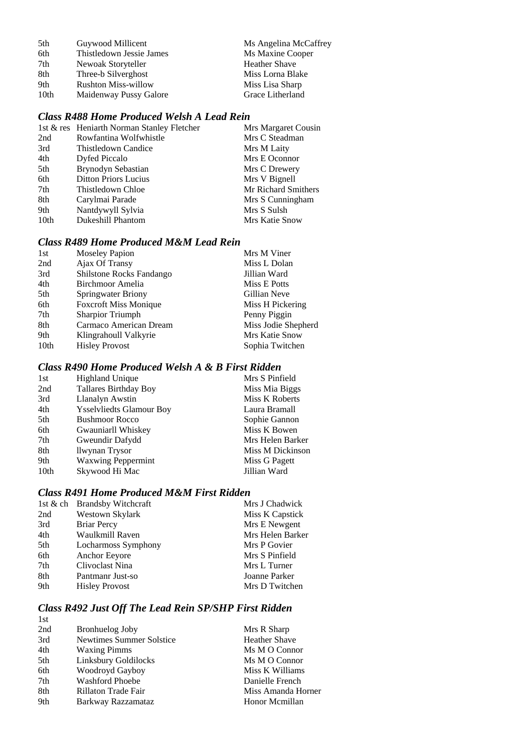| Guywood Millicent          | Ms Angelina McCaffrey |
|----------------------------|-----------------------|
| Thistledown Jessie James   | Ms Maxine Cooper      |
| Newoak Storyteller         | <b>Heather Shave</b>  |
| Three-b Silverghost        | Miss Lorna Blake      |
| <b>Rushton Miss-willow</b> | Miss Lisa Sharp       |
| Maidenway Pussy Galore     | Grace Litherland      |
|                            |                       |

### *Class R488 Home Produced Welsh A Lead Rein*

|                  | 1st & res Heniarth Norman Stanley Fletcher | Mrs Margaret Cousin |
|------------------|--------------------------------------------|---------------------|
| 2nd              | Rowfantina Wolfwhistle                     | Mrs C Steadman      |
| 3rd              | Thistledown Candice                        | Mrs M Laity         |
| 4th              | Dyfed Piccalo                              | Mrs E Oconnor       |
| 5th              | Brynodyn Sebastian                         | Mrs C Drewery       |
| 6th              | <b>Ditton Priors Lucius</b>                | Mrs V Bignell       |
| 7th              | Thistledown Chloe                          | Mr Richard Smithers |
| 8th              | Carylmai Parade                            | Mrs S Cunningham    |
| 9th              | Nantdywyll Sylvia                          | Mrs S Sulsh         |
| 10 <sub>th</sub> | <b>Dukeshill Phantom</b>                   | Mrs Katie Snow      |

# *Class R489 Home Produced M&M Lead Rein*

| <b>Moseley Papion</b>        | Mrs M Viner         |
|------------------------------|---------------------|
| Ajax Of Transy               | Miss L Dolan        |
| Shilstone Rocks Fandango     | Jillian Ward        |
| Birchmoor Amelia             | Miss E Potts        |
| Springwater Briony           | Gillian Neve        |
| <b>Foxcroft Miss Monique</b> | Miss H Pickering    |
| <b>Sharpior Triumph</b>      | Penny Piggin        |
| Carmaco American Dream       | Miss Jodie Shepherd |
| Klingrahoull Valkyrie        | Mrs Katie Snow      |
| <b>Hisley Provost</b>        | Sophia Twitchen     |
|                              |                     |

### *Class R490 Home Produced Welsh A & B First Ridden*

| 1st              | <b>Highland Unique</b>          | Mrs S Pinfield   |
|------------------|---------------------------------|------------------|
| 2nd              | <b>Tallares Birthday Boy</b>    | Miss Mia Biggs   |
| 3rd              | Llanalyn Awstin                 | Miss K Roberts   |
| 4th              | <b>Ysselvliedts Glamour Boy</b> | Laura Bramall    |
| 5th              | <b>Bushmoor Rocco</b>           | Sophie Gannon    |
| 6th              | Gwauniarll Whiskey              | Miss K Bowen     |
| 7th              | Gweundir Dafydd                 | Mrs Helen Barker |
| 8th              | llwynan Trysor                  | Miss M Dickinson |
| 9th              | <b>Waxwing Peppermint</b>       | Miss G Pagett    |
| 10 <sup>th</sup> | Skywood Hi Mac                  | Jillian Ward     |

### *Class R491 Home Produced M&M First Ridden*

|     | 1st & ch Brandsby Witchcraft | Mrs J Chadwick   |
|-----|------------------------------|------------------|
| 2nd | Westown Skylark              | Miss K Capstick  |
| 3rd | <b>Briar Percy</b>           | Mrs E Newgent    |
| 4th | Waulkmill Raven              | Mrs Helen Barker |
| 5th | Locharmoss Symphony          | Mrs P Govier     |
| 6th | Anchor Eeyore                | Mrs S Pinfield   |
| 7th | Clivoclast Nina              | Mrs L Turner     |
| 8th | Pantmanr Just-so             | Joanne Parker    |
| 9th | <b>Hisley Provost</b>        | Mrs D Twitchen   |
|     |                              |                  |

# *Class R492 Just Off The Lead Rein SP/SHP First Ridden*

| 1st |                             |                      |
|-----|-----------------------------|----------------------|
| 2nd | <b>Bronhuelog Joby</b>      | Mrs R Sharp          |
| 3rd | Newtimes Summer Solstice    | <b>Heather Shave</b> |
| 4th | <b>Waxing Pimms</b>         | Ms M O Connor        |
| 5th | <b>Linksbury Goldilocks</b> | Ms M O Connor        |
| 6th | Woodroyd Gayboy             | Miss K Williams      |
| 7th | <b>Washford Phoebe</b>      | Danielle French      |
| 8th | Rillaton Trade Fair         | Miss Amanda Horner   |
| 9th | Barkway Razzamataz          | Honor Memillan       |
|     |                             |                      |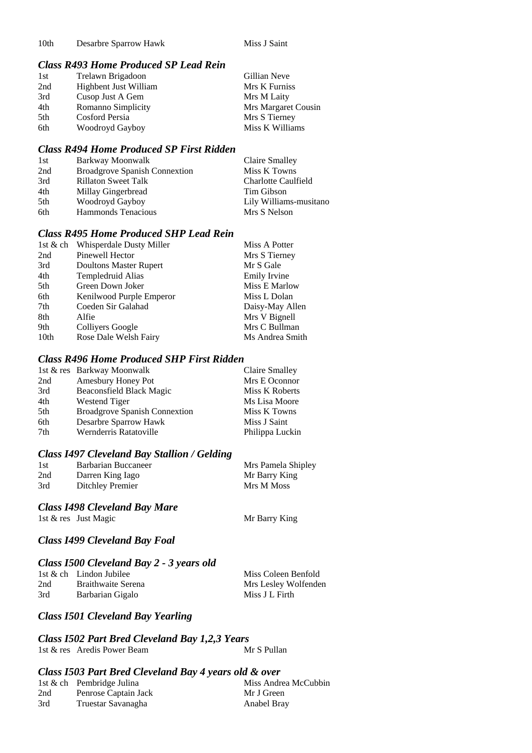### *Class R493 Home Produced SP Lead Rein*

| 1st | Trelawn Brigadoon     | Gillian Neve        |
|-----|-----------------------|---------------------|
| 2nd | Highbent Just William | Mrs K Furniss       |
| 3rd | Cusop Just A Gem      | Mrs M Laity         |
| 4th | Romanno Simplicity    | Mrs Margaret Cousin |
| 5th | Cosford Persia        | Mrs S Tierney       |
| 6th | Woodroyd Gayboy       | Miss K Williams     |

#### *Class R494 Home Produced SP First Ridden*

| 1st | Barkway Moonwalk                     | Claire Smalley         |
|-----|--------------------------------------|------------------------|
| 2nd | <b>Broadgrove Spanish Connextion</b> | Miss K Towns           |
| 3rd | <b>Rillaton Sweet Talk</b>           | Charlotte Caulfield    |
| 4th | Millay Gingerbread                   | Tim Gibson             |
| 5th | Woodroyd Gayboy                      | Lily Williams-musitano |
| 6th | Hammonds Tenacious                   | Mrs S Nelson           |

### *Class R495 Home Produced SHP Lead Rein*

| 1st & ch | Whisperdale Dusty Miller | Miss A Potter   |
|----------|--------------------------|-----------------|
| 2nd      | Pinewell Hector          | Mrs S Tierney   |
| 3rd      | Doultons Master Rupert   | Mr S Gale       |
| 4th      | Templedruid Alias        | Emily Irvine    |
| 5th      | Green Down Joker         | Miss E Marlow   |
| 6th      | Kenilwood Purple Emperor | Miss L Dolan    |
| 7th      | Coeden Sir Galahad       | Daisy-May Allen |
| 8th      | Alfie                    | Mrs V Bignell   |
| 9th      | Colliyers Google         | Mrs C Bullman   |
| 10th     | Rose Dale Welsh Fairy    | Ms Andrea Smith |

#### *Class R496 Home Produced SHP First Ridden*

|     | 1st & res Barkway Moonwalk           | Claire Smalley  |
|-----|--------------------------------------|-----------------|
| 2nd | Amesbury Honey Pot                   | Mrs E Oconnor   |
| 3rd | Beaconsfield Black Magic             | Miss K Roberts  |
| 4th | Westend Tiger                        | Ms Lisa Moore   |
| 5th | <b>Broadgrove Spanish Connextion</b> | Miss K Towns    |
| 6th | Desarbre Sparrow Hawk                | Miss J Saint    |
| 7th | Wernderris Ratatoville               | Philippa Luckin |

#### *Class I497 Cleveland Bay Stallion / Gelding*

| 1st | Barbarian Buccaneer | Mrs Pamela Shipley |
|-----|---------------------|--------------------|
| 2nd | Darren King Iago    | Mr Barry King      |
| 3rd | Ditchley Premier    | Mrs M Moss         |

#### *Class I498 Cleveland Bay Mare*

1st & res Just Magic Mr Barry King

#### *Class I499 Cleveland Bay Foal*

### *Class I500 Cleveland Bay 2 - 3 years old*

|     | 1st & ch Lindon Jubilee | Miss Coleen Benfold  |
|-----|-------------------------|----------------------|
| 2nd | Braithwaite Serena      | Mrs Lesley Wolfenden |
| 3rd | Barbarian Gigalo        | Miss J L Firth       |

### *Class I501 Cleveland Bay Yearling*

*Class I502 Part Bred Cleveland Bay 1,2,3 Years* 

1st & res Aredis Power Beam Mr S Pullan

### *Class I503 Part Bred Cleveland Bay 4 years old & over*

|     | 1st & ch Pembridge Julina | Miss Andrea McCubbin |
|-----|---------------------------|----------------------|
| 2nd | Penrose Captain Jack      | Mr J Green           |
| 3rd | Truestar Savanagha        | Anabel Bray          |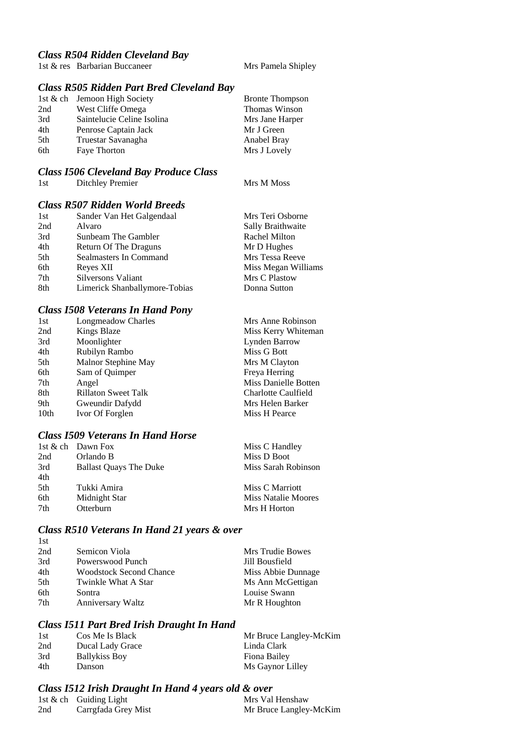#### *Class R504 Ridden Cleveland Bay*

1st & res Barbarian Buccaneer Mrs Pamela Shipley

#### *Class R505 Ridden Part Bred Cleveland Bay*

|     | 1st & ch Jemoon High Society | <b>Bronte Thompson</b> |
|-----|------------------------------|------------------------|
| 2nd | West Cliffe Omega            | <b>Thomas Winson</b>   |
| 3rd | Saintelucie Celine Isolina   | Mrs Jane Harper        |
| 4th | Penrose Captain Jack         | Mr J Green             |
| 5th | Truestar Savanagha           | Anabel Bray            |
| 6th | Faye Thorton                 | Mrs J Lovely           |

### *Class I506 Cleveland Bay Produce Class*

1st Ditchley Premier Mrs M Moss

|     | <b>Class R507 Ridden World Breeds</b> |                     |
|-----|---------------------------------------|---------------------|
| 1st | Sander Van Het Galgendaal             | Mrs Teri Osborne    |
| 2nd | Alvaro                                | Sally Braithwaite   |
| 3rd | Sunbeam The Gambler                   | Rachel Milton       |
| 4th | Return Of The Draguns                 | Mr D Hughes         |
| 5th | Sealmasters In Command                | Mrs Tessa Reeve     |
| 6th | Reyes XII                             | Miss Megan Williams |
| 7th | Silversons Valiant                    | Mrs C Plastow       |
| 8th | Limerick Shanballymore-Tobias         | Donna Sutton        |

### *Class I508 Veterans In Hand Pony*

| 1st              | Longmeadow Charles         | Mrs Anne Robinson    |
|------------------|----------------------------|----------------------|
| 2nd              | <b>Kings Blaze</b>         | Miss Kerry Whiteman  |
| 3rd              | Moonlighter                | Lynden Barrow        |
| 4th              | Rubilyn Rambo              | Miss G Bott          |
| 5th              | Malnor Stephine May        | Mrs M Clayton        |
| 6th              | Sam of Quimper             | Freya Herring        |
| 7th              | Angel                      | Miss Danielle Botten |
| 8th              | <b>Rillaton Sweet Talk</b> | Charlotte Caulfield  |
| 9th              | Gweundir Dafydd            | Mrs Helen Barker     |
| 10 <sub>th</sub> | Ivor Of Forglen            | Miss H Pearce        |
|                  |                            |                      |

#### *Class I509 Veterans In Hand Horse*

|      | 1st & ch Dawn Fox             | Miss C Handley             |
|------|-------------------------------|----------------------------|
| 2nd  | Orlando B                     | Miss D Boot                |
| 3rd  | <b>Ballast Quays The Duke</b> | Miss Sarah Robinson        |
| 4th  |                               |                            |
| .5th | Tukki Amira                   | Miss C Marriott            |
| 6th  | Midnight Star                 | <b>Miss Natalie Moores</b> |
| 7th  | Otterburn                     | Mrs H Horton               |

#### *Class R510 Veterans In Hand 21 years & over*  1st

| . I N.L. |                                |                    |
|----------|--------------------------------|--------------------|
| 2nd      | Semicon Viola                  | Mrs Trudie Bowes   |
| 3rd      | Powerswood Punch               | Jill Bousfield     |
| 4th      | <b>Woodstock Second Chance</b> | Miss Abbie Dunnage |
| 5th      | Twinkle What A Star            | Ms Ann McGettigan  |
| 6th      | Sontra                         | Louise Swann       |
| 7th      | Anniversary Waltz              | Mr R Houghton      |
|          |                                |                    |

### *Class I511 Part Bred Irish Draught In Hand*

| 1st | Cos Me Is Black      | Mr Bruce Langley-McKim |
|-----|----------------------|------------------------|
| 2nd | Ducal Lady Grace     | Linda Clark            |
| 3rd | <b>Ballykiss Boy</b> | Fiona Bailey           |
| 4th | Danson               | Ms Gaynor Lilley       |

### *Class I512 Irish Draught In Hand 4 years old & over*

|     | 1st & ch Guiding Light | Mrs Val Henshaw        |
|-----|------------------------|------------------------|
| 2nd | Carrgfada Grey Mist    | Mr Bruce Langley-McKim |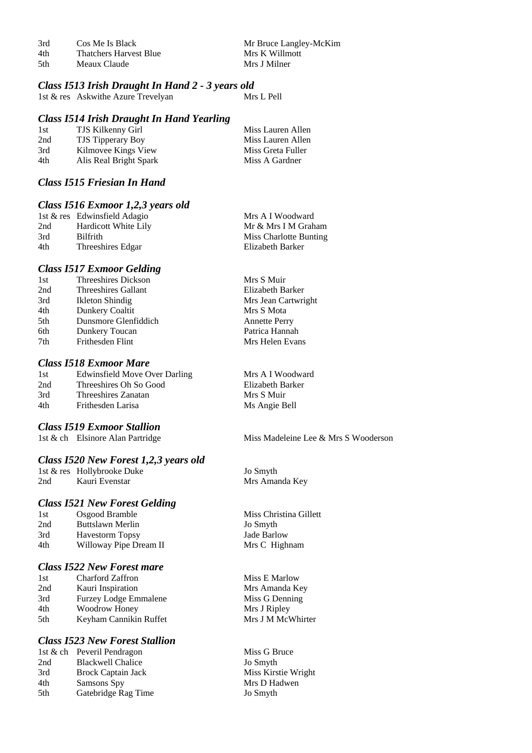| 3rd | Cos Me Is Black               | Mr Bruce Langley-McKim |
|-----|-------------------------------|------------------------|
| 4th | <b>Thatchers Harvest Blue</b> | Mrs K Willmott         |
| 5th | Meaux Claude                  | Mrs J Milner           |

#### *Class I513 Irish Draught In Hand 2 - 3 years old*

|  | 1st & res Askwithe Azure Trevelyan |  | Mrs L Pell |
|--|------------------------------------|--|------------|
|--|------------------------------------|--|------------|

#### *Class I514 Irish Draught In Hand Yearling*

| 1st | TJS Kilkenny Girl        | Miss Lauren Allen |
|-----|--------------------------|-------------------|
| 2nd | <b>TJS</b> Tipperary Boy | Miss Lauren Allen |
| 3rd | Kilmovee Kings View      | Miss Greta Fuller |
| 4th | Alis Real Bright Spark   | Miss A Gardner    |

### *Class I515 Friesian In Hand*

### *Class I516 Exmoor 1,2,3 years old*

|                   | Mrs A I Woodward                                     |
|-------------------|------------------------------------------------------|
|                   | Mr & Mrs I M Graham                                  |
| <b>Bilfrith</b>   | Miss Charlotte Bunting                               |
| Threeshires Edgar | Elizabeth Barker                                     |
|                   | 1st & res Edwinsfield Adagio<br>Hardicott White Lily |

#### *Class I517 Exmoor Gelding*

| 1st | Threeshires Dickson  | Mrs S Muir           |
|-----|----------------------|----------------------|
| 2nd | Threeshires Gallant  | Elizabeth Barker     |
| 3rd | Ikleton Shindig      | Mrs Jean Cartwright  |
| 4th | Dunkery Coaltit      | Mrs S Mota           |
| 5th | Dunsmore Glenfiddich | <b>Annette Perry</b> |
| 6th | Dunkery Toucan       | Patrica Hannah       |
| 7th | Frithesden Flint     | Mrs Helen Evans      |
|     |                      |                      |

#### *Class I518 Exmoor Mare*

| 1st | <b>Edwinsfield Move Over Darling</b> |
|-----|--------------------------------------|
| 2nd | Threeshires Oh So Good               |
| 3rd | Threeshires Zanatan                  |
| 4th | Frithesden Larisa                    |

# *Class I519 Exmoor Stallion*

#### *Class I520 New Forest 1,2,3 years old*

1st & res Hollybrooke Duke Jo Smyth<br>
2nd Kauri Evenstar Mrs Ama 2nd Kauri Evenstar Mrs Amanda Key

#### *Class I521 New Forest Gelding*

| 1st | Osgood Bramble         |
|-----|------------------------|
| 2nd | Buttslawn Merlin       |
| 3rd | <b>Havestorm Topsy</b> |
| 4th | Willoway Pipe Dream II |

### *Class I522 New Forest mare*

| 1st | Charford Zaffron             | Miss E Marlow     |
|-----|------------------------------|-------------------|
| 2nd | Kauri Inspiration            | Mrs Amanda Key    |
| 3rd | <b>Furzey Lodge Emmalene</b> | Miss G Denning    |
| 4th | Woodrow Honey                | Mrs J Ripley      |
| 5th | Keyham Cannikin Ruffet       | Mrs J M McWhirter |
|     |                              |                   |

#### *Class I523 New Forest Stallion*

| 1st & ch Peveril Pendragon |
|----------------------------|
| <b>Blackwell Chalice</b>   |
| <b>Brock Captain Jack</b>  |
| Samsons Spy                |
| Gatebridge Rag Time        |
|                            |

Mrs A I Woodward Elizabeth Barker Mrs S Muir Ms Angie Bell

Miss Madeleine Lee & Mrs S Wooderson

Miss Christina Gillett Jo Smyth Jade Barlow Mrs C Highnam

Miss G Bruce Jo Smyth Miss Kirstie Wright Mrs D Hadwen Jo Smyth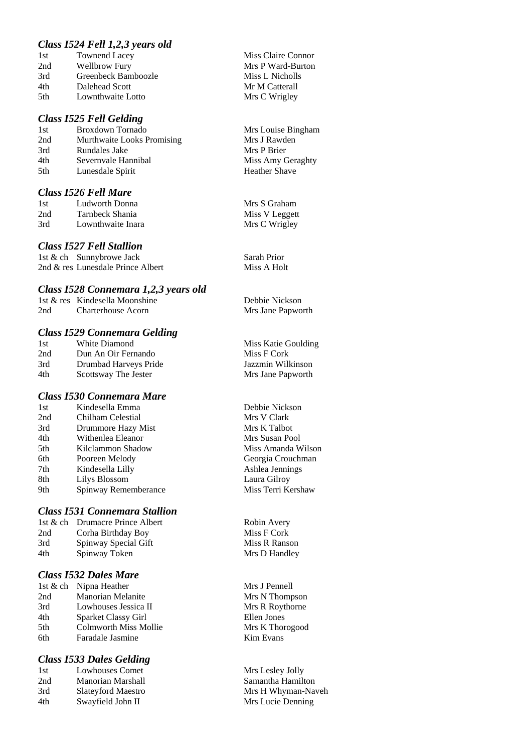#### *Class I524 Fell 1,2,3 years old*

| 1st | <b>Townend Lacey</b> |
|-----|----------------------|
| 2nd | Wellbrow Fury        |
| 3rd | Greenbeck Bamboozle  |
| 4th | Dalehead Scott       |
| 5th | Lownthwaite Lotto    |

#### *Class I525 Fell Gelding*

| 1st | <b>Broxdown Tornado</b>    |
|-----|----------------------------|
| 2nd | Murthwaite Looks Promising |
| 3rd | Rundales Jake              |
| 4th | Severnyale Hannibal        |
| 5th | Lunesdale Spirit           |
|     |                            |

### *Class I526 Fell Mare*

| 1st | Ludworth Donna    | Mrs S Graham   |
|-----|-------------------|----------------|
| 2nd | Tarnbeck Shania   | Miss V Leggett |
| 3rd | Lownthwaite Inara | Mrs C Wrigley  |

### *Class I527 Fell Stallion*

1st & ch Sunnybrowe Jack Sarah Prior 2nd & res Lunesdale Prince Albert Miss A Holt

#### *Class I528 Connemara 1,2,3 years old*

|     | 1st & res Kindesella Moonshine | Debbie Nickson  |
|-----|--------------------------------|-----------------|
| 2nd | <b>Charterhouse Acorn</b>      | Mrs Jane Papwo  |
|     | Class 1529 Connemara Gelding   |                 |
| 1st | White Diamond                  | Miss Katie Goul |
| 2nd | Dun An Oir Fernando            | Miss F Cork     |
| 3rd | Drumbad Harveys Pride          | Jazzmin Wilkins |
| 4th | Scottsway The Jester           | Mrs Jane Papwo: |

#### *Class I530 Connemara Mare*

| 1st | Kindesella Emma      |
|-----|----------------------|
| 2nd | Chilham Celestial    |
| 3rd | Drummore Hazy Mist   |
| 4th | Withenlea Eleanor    |
| 5th | Kilclammon Shadow    |
| 6th | Pooreen Melody       |
| 7th | Kindesella Lilly     |
| 8th | <b>Lilys Blossom</b> |
| 9th | Spinway Rememberance |
|     |                      |

### *Class I531 Connemara Stallion*

|     | 1st & ch Drumacre Prince Albert |
|-----|---------------------------------|
| 2nd | Corha Birthday Boy              |
| 3rd | Spinway Special Gift            |
| 4th | Spinway Token                   |

### *Class I532 Dales Mare*

1st & ch Nipna Heather Mrs J Pennell 2nd Manorian Melanite Mrs N Thompson 3rd Lowhouses Jessica II Mrs R Roythorne 4th Sparket Classy Girl Ellen Jones 5th Colmworth Miss Mollie Mrs K Thorogood 6th Faradale Jasmine Kim Evans

#### *Class I533 Dales Gelding*

| 1st | <b>Lowhouses Comet</b>   |
|-----|--------------------------|
| 2nd | <b>Manorian Marshall</b> |
| 3rd | Slateyford Maestro       |
| 4th | Swayfield John II        |

Miss Claire Connor Mrs P Ward-Burton Miss L Nicholls Mr M Catterall Mrs C Wrigley

Mrs Louise Bingham Mrs J Rawden Mrs P Brier Miss Amy Geraghty Heather Shave

Papworth

e Goulding Vilkinson Papworth

Debbie Nickson Mrs V Clark Mrs K Talbot Mrs Susan Pool Miss Amanda Wilson Georgia Crouchman Ashlea Jennings Laura Gilroy Miss Terri Kershaw

Robin Avery Miss F Cork **Miss R Ranson** Mrs D Handley

Mrs Lesley Jolly Samantha Hamilton Mrs H Whyman-Naveh Mrs Lucie Denning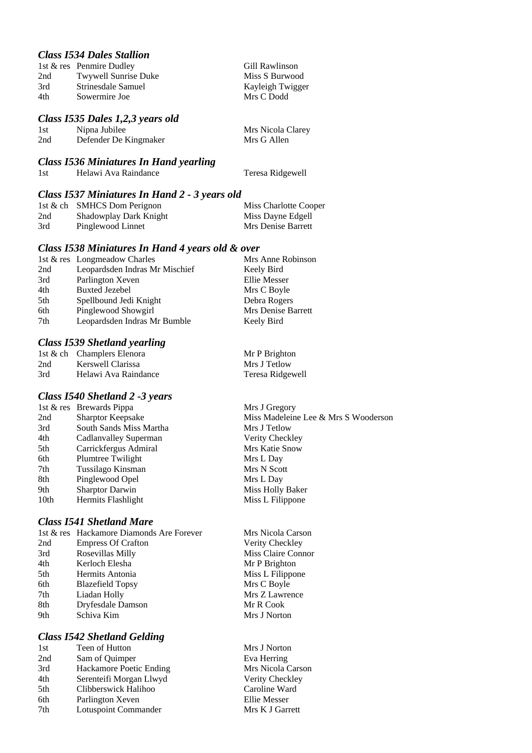### *Class I534 Dales Stallion*

|     | 1st & res Penmire Dudley | Gill Rawlinson   |
|-----|--------------------------|------------------|
| 2nd | Twywell Sunrise Duke     | Miss S Burwood   |
| 3rd | Strinesdale Samuel       | Kayleigh Twigger |
| 4th | Sowermire Joe            | Mrs C Dodd       |
|     |                          |                  |

#### *Class I535 Dales 1,2,3 years old*

| 1st | Nipna Jubilee         | Mrs Nicola Clarey |
|-----|-----------------------|-------------------|
| 2nd | Defender De Kingmaker | Mrs G Allen       |

### *Class I536 Miniatures In Hand yearling*

| Teresa Ridgewell |
|------------------|
|                  |

#### *Class I537 Miniatures In Hand 2 - 3 years old*

|     | 1st & ch SMHCS Dom Perignon | Miss Charlotte Cooper |
|-----|-----------------------------|-----------------------|
| 2nd | Shadowplay Dark Knight      | Miss Dayne Edgell     |
| 3rd | Pinglewood Linnet           | Mrs Denise Barrett    |

#### *Class I538 Miniatures In Hand 4 years old & over*

|     | 1st & res Longmeadow Charles   | Mrs Anne Robinson  |
|-----|--------------------------------|--------------------|
| 2nd | Leopardsden Indras Mr Mischief | Keely Bird         |
| 3rd | Parlington Xeven               | Ellie Messer       |
| 4th | Buxted Jezebel                 | Mrs C Boyle        |
| 5th | Spellbound Jedi Knight         | Debra Rogers       |
| 6th | Pinglewood Showgirl            | Mrs Denise Barrett |
| 7th | Leopardsden Indras Mr Bumble   | Keely Bird         |

#### *Class I539 Shetland yearling*

|     | 1st & ch Champlers Elenora | Mr P Brighton    |
|-----|----------------------------|------------------|
| 2nd | Kerswell Clarissa          | Mrs J Tetlow     |
| 3rd | Helawi Ava Raindance       | Teresa Ridgewell |

#### *Class I540 Shetland 2 -3 years*

|                  | 1st & res Brewards Pippa | Mrs J Gregory                        |
|------------------|--------------------------|--------------------------------------|
| 2nd              | <b>Sharptor Keepsake</b> | Miss Madeleine Lee & Mrs S Wooderson |
| 3rd              | South Sands Miss Martha  | Mrs J Tetlow                         |
| 4th              | Cadlanvalley Superman    | Verity Checkley                      |
| 5th              | Carrickfergus Admiral    | Mrs Katie Snow                       |
| 6th              | Plumtree Twilight        | Mrs L Day                            |
| 7th              | Tussilago Kinsman        | Mrs N Scott                          |
| 8th              | Pinglewood Opel          | Mrs L Day                            |
| 9th              | <b>Sharptor Darwin</b>   | Miss Holly Baker                     |
| 10 <sub>th</sub> | Hermits Flashlight       | Miss L Filippone                     |
|                  |                          |                                      |

#### *Class I541 Shetland Mare*

|     | 1st & res Hackamore Diamonds Are Forever | Mrs Nicola C   |
|-----|------------------------------------------|----------------|
| 2nd | <b>Empress Of Crafton</b>                | Verity Checkl  |
| 3rd | Rosevillas Milly                         | Miss Claire C  |
| 4th | Kerloch Elesha                           | Mr P Brighton  |
| 5th | Hermits Antonia                          | Miss L Filippe |
| 6th | <b>Blazefield Topsy</b>                  | Mrs C Boyle    |
| 7th | Liadan Holly                             | Mrs Z Lawren   |
| 8th | Dryfesdale Damson                        | Mr R Cook      |
| 9th | Schiva Kim                               | Mrs J Norton   |

#### *Class I542 Shetland Gelding*

| 1st | Teen of Hutton          | Mrs J Norton    |
|-----|-------------------------|-----------------|
| 2nd | Sam of Quimper          | Eva Herring     |
| 3rd | Hackamore Poetic Ending | Mrs Nicola Cars |
| 4th | Serenteifi Morgan Llwyd | Verity Checkley |
| 5th | Clibberswick Halihoo    | Caroline Ward   |
| 6th | Parlington Xeven        | Ellie Messer    |
| 7th | Lotuspoint Commander    | Mrs K J Garrett |
|     |                         |                 |

Mrs Nicola Carson Verity Checkley Miss Claire Connor Mr P Brighton Miss L Filippone Mrs C Boyle Mrs Z Lawrence Mr R Cook

Mrs J Norton Eva Herring Mrs Nicola Carson Verity Checkley Caroline Ward Ellie Messer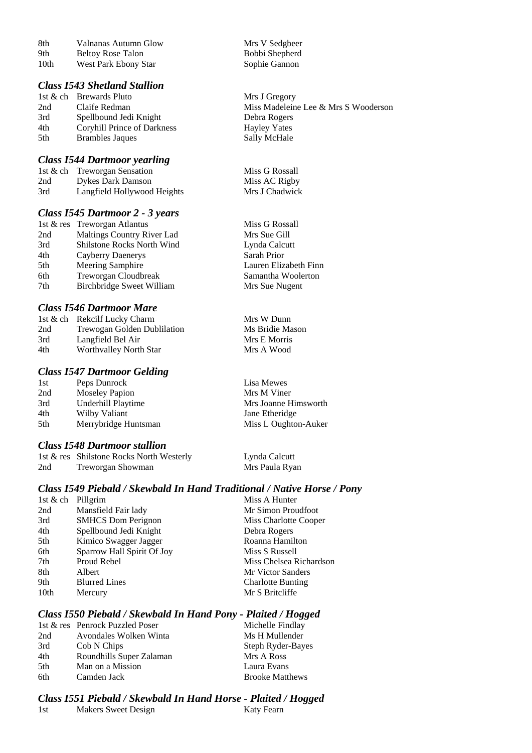| -8th | Valnanas Autumn Glow     |
|------|--------------------------|
| 9th  | <b>Beltoy Rose Talon</b> |

#### *Class I543 Shetland Stallion*

1st & ch Brewards Pluto Mrs J Gregory 3rd Spellbound Jedi Knight Debra Rogers 4th Coryhill Prince of Darkness Hayley Yates 5th Brambles Jaques Sally McHale

#### *Class I544 Dartmoor yearling*

|     | 1st & ch Treworgan Sensation | Miss G Rossall |
|-----|------------------------------|----------------|
| 2nd | <b>Dykes Dark Damson</b>     | Miss AC Rigby  |
| 3rd | Langfield Hollywood Heights  | Mrs J Chadwick |

#### *Class I545 Dartmoor 2 - 3 years*

|     | 1st & res Treworgan Atlantus      |
|-----|-----------------------------------|
| 2nd | Maltings Country River Lad        |
| 3rd | <b>Shilstone Rocks North Wind</b> |
| 4th | Cayberry Daenerys                 |
| 5th | Meering Samphire                  |
| 6th | Treworgan Cloudbreak              |
| 7th | <b>Birchbridge Sweet William</b>  |
|     |                                   |

#### *Class I546 Dartmoor Mare*

|     | 1st & ch Rekcilf Lucky Charm | Mrs W Dunn      |
|-----|------------------------------|-----------------|
| 2nd | Trewogan Golden Dublilation  | Ms Bridie Mason |
| 3rd | Langfield Bel Air            | Mrs E Morris    |
| 4th | Worthvalley North Star       | Mrs A Wood      |

#### *Class I547 Dartmoor Gelding*

| 1st | Peps Dunrock          | Lisa Mewes           |
|-----|-----------------------|----------------------|
| 2nd | <b>Moseley Papion</b> | Mrs M Viner          |
| 3rd | Underhill Playtime    | Mrs Joanne Himsworth |
| 4th | Wilby Valiant         | Jane Etheridge       |
| 5th | Merrybridge Huntsman  | Miss L Oughton-Auker |

### *Class I548 Dartmoor stallion*

|     | 1st & res Shilstone Rocks North Westerly |
|-----|------------------------------------------|
| 2nd | Treworgan Showman                        |

Lynda Calcutt

#### *Class I549 Piebald / Skewbald In Hand Traditional / Native Horse / Pony*

| 1st & ch         | Pillgrim                   | Miss A Hunter            |
|------------------|----------------------------|--------------------------|
| 2nd              | Mansfield Fair lady        | Mr Simon Proudfoot       |
| 3rd              | <b>SMHCS</b> Dom Perignon  | Miss Charlotte Cooper    |
| 4th              | Spellbound Jedi Knight     | Debra Rogers             |
| 5th              | Kimico Swagger Jagger      | Roanna Hamilton          |
| 6th              | Sparrow Hall Spirit Of Joy | Miss S Russell           |
| 7th              | Proud Rebel                | Miss Chelsea Richardson  |
| 8th              | Albert                     | Mr Victor Sanders        |
| 9th              | <b>Blurred Lines</b>       | <b>Charlotte Bunting</b> |
| 10 <sub>th</sub> | Mercury                    | Mr S Britcliffe          |

### *Class I550 Piebald / Skewbald In Hand Pony - Plaited / Hogged*

|     | 1st & res Penrock Puzzled Poser | Michelle Findlay       |
|-----|---------------------------------|------------------------|
| 2nd | Avondales Wolken Winta          | Ms H Mullender         |
| 3rd | Cob N Chips                     | Steph Ryder-Bayes      |
| 4th | Roundhills Super Zalaman        | Mrs A Ross             |
| 5th | Man on a Mission                | Laura Evans            |
| 6th | Camden Jack                     | <b>Brooke Matthews</b> |

#### *Class I551 Piebald / Skewbald In Hand Horse - Plaited / Hogged*

| 1st | <b>Makers Sweet Design</b> |
|-----|----------------------------|
|-----|----------------------------|

Mrs V Sedgbeer Bobbi Shepherd 10th West Park Ebony Star Sophie Gannon

2nd Claife Redman Miss Madeleine Lee & Mrs S Wooderson

Miss G Rossall Mrs Sue Gill Lynda Calcutt Sarah Prior Lauren Elizabeth Finn Samantha Woolerton Mrs Sue Nugent

Mrs Paula Ryan

Katy Fearn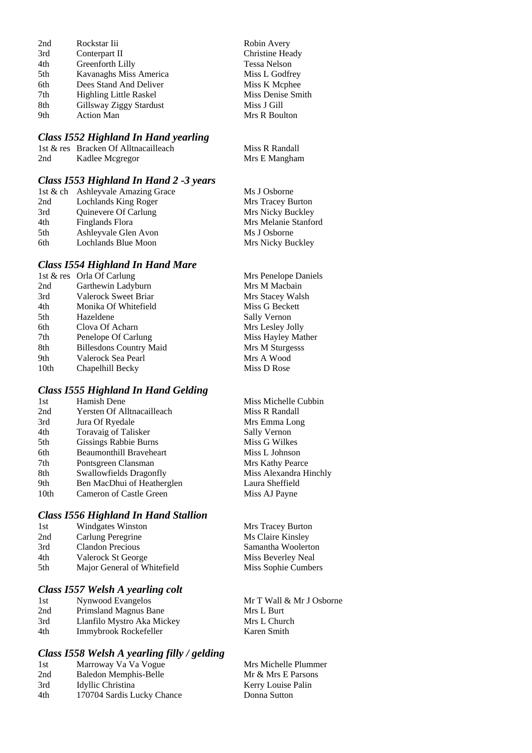| 2nd | Rockstar Iii                  | Robin Avery         |
|-----|-------------------------------|---------------------|
| 3rd | Conterpart II                 | Christine Heady     |
| 4th | Greenforth Lilly              | <b>Tessa Nelson</b> |
| 5th | Kavanaghs Miss America        | Miss L Godfrey      |
| 6th | Dees Stand And Deliver        | Miss K Mcphee       |
| 7th | <b>Highling Little Raskel</b> | Miss Denise Smith   |
| 8th | Gillsway Ziggy Stardust       | Miss J Gill         |
| 9th | <b>Action Man</b>             | Mrs R Boulton       |
|     |                               |                     |

Randall

# *Class I552 Highland In Hand yearling*

|     | 1st & res Bracken Of Alltnacailleach | Miss R Randall |
|-----|--------------------------------------|----------------|
| 2nd | Kadlee Mcgregor                      | Mrs E Mangham  |

# *Class I553 Highland In Hand 2 -3 years*

|     | 1st & ch Ashleyvale Amazing Grace | Ms J Osborne             |
|-----|-----------------------------------|--------------------------|
| 2nd | <b>Lochlands King Roger</b>       | <b>Mrs Tracey Burton</b> |
| 3rd | <b>Ouinevere Of Carlung</b>       | Mrs Nicky Buckley        |
| 4th | Finglands Flora                   | Mrs Melanie Stanford     |
| 5th | Ashleyvale Glen Avon              | Ms J Osborne             |
| 6th | Lochlands Blue Moon               | Mrs Nicky Buckley        |

# *Class I554 Highland In Hand Mare*

|      | 1st & res Orla Of Carlung      | Mrs Penelope Daniels |
|------|--------------------------------|----------------------|
| 2nd  | Garthewin Ladyburn             | Mrs M Macbain        |
| 3rd  | Valerock Sweet Briar           | Mrs Stacey Walsh     |
| 4th  | Monika Of Whitefield           | Miss G Beckett       |
| 5th  | Hazeldene                      | Sally Vernon         |
| 6th  | Clova Of Acharn                | Mrs Lesley Jolly     |
| 7th  | Penelope Of Carlung            | Miss Hayley Mather   |
| 8th  | <b>Billesdons Country Maid</b> | Mrs M Sturgesss      |
| 9th  | Valerock Sea Pearl             | Mrs A Wood           |
| 10th | Chapelhill Becky               | Miss D Rose          |
|      |                                |                      |

# *Class I555 Highland In Hand Gelding*

| 1st  | Hamish Dene                    | Miss Michelle Cubbin   |
|------|--------------------------------|------------------------|
| 2nd  | Yersten Of Alltnacailleach     | Miss R Randall         |
| 3rd  | Jura Of Ryedale                | Mrs Emma Long          |
| 4th  | Toravaig of Talisker           | Sally Vernon           |
| 5th  | <b>Gissings Rabbie Burns</b>   | Miss G Wilkes          |
| 6th  | <b>Beaumonthill Braveheart</b> | Miss L Johnson         |
| 7th  | Pontsgreen Clansman            | Mrs Kathy Pearce       |
| 8th  | Swallowfields Dragonfly        | Miss Alexandra Hinchly |
| 9th  | Ben MacDhui of Heatherglen     | Laura Sheffield        |
| 10th | Cameron of Castle Green        | Miss AJ Payne          |
|      |                                |                        |

# *Class I556 Highland In Hand Stallion*

| 1st | Windgates Winston           | Mrs Tracey Burton   |
|-----|-----------------------------|---------------------|
| 2nd | Carlung Peregrine           | Ms Claire Kinsley   |
| 3rd | Clandon Precious            | Samantha Woolerton  |
| 4th | Valerock St George          | Miss Beverley Neal  |
| 5th | Major General of Whitefield | Miss Sophie Cumbers |
|     |                             |                     |

# *Class I557 Welsh A yearling colt*

| 1st | Nynwood Evangelos          | Mr T Wall & Mr J Osborne |
|-----|----------------------------|--------------------------|
| 2nd | Primsland Magnus Bane      | Mrs L Burt               |
| 3rd | Llanfilo Mystro Aka Mickey | Mrs L Church             |
| 4th | Immybrook Rockefeller      | Karen Smith              |

# *Class I558 Welsh A yearling filly / gelding*

| Mrs Michelle Plummer                                                                             |
|--------------------------------------------------------------------------------------------------|
| Mr & Mrs E Parsons                                                                               |
| Kerry Louise Palin                                                                               |
| Donna Sutton                                                                                     |
| Marroway Va Va Vogue<br>Baledon Memphis-Belle<br>Idyllic Christina<br>170704 Sardis Lucky Chance |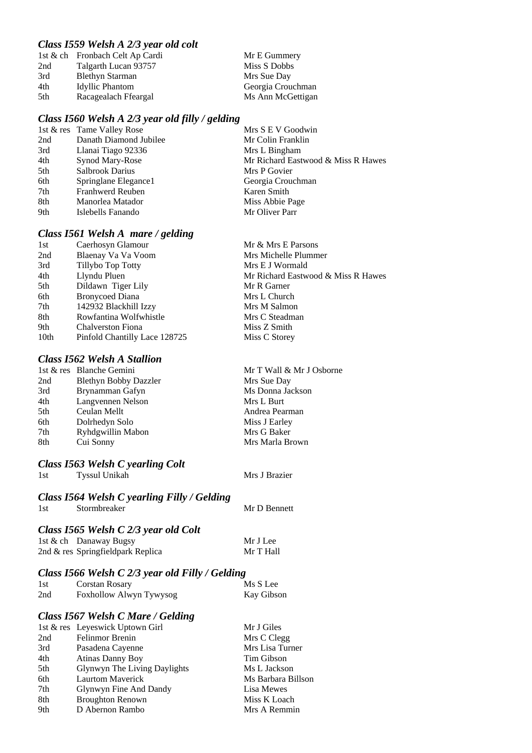### *Class I559 Welsh A 2/3 year old colt*

| Georgia Crouchman |
|-------------------|
| Ms Ann McGettigan |
|                   |

### *Class I560 Welsh A 2/3 year old filly / gelding*

| Mrs S E V Goodwin<br>1st & res Tame Valley Rose              |  |
|--------------------------------------------------------------|--|
| Danath Diamond Jubilee<br>2nd<br>Mr Colin Franklin           |  |
| 3rd<br>Mrs L Bingham<br>Llanai Tiago 92336                   |  |
| 4th<br>Synod Mary-Rose<br>Mr Richard Eastwood & Miss R Hawes |  |
| 5th<br>Salbrook Darius<br>Mrs P Govier                       |  |
| 6th<br>Georgia Crouchman<br>Springlane Elegance1             |  |
| 7th<br><b>Franhwerd Reuben</b><br>Karen Smith                |  |
| 8th<br>Manorlea Matador<br>Miss Abbie Page                   |  |
| 9th<br>Mr Oliver Parr<br>Islebells Fanando                   |  |

### *Class I561 Welsh A mare / gelding*

| Caerhosyn Glamour             | Mr & Mrs E Parsons                 |
|-------------------------------|------------------------------------|
| Blaenay Va Va Voom            | Mrs Michelle Plummer               |
| Tillybo Top Totty             | Mrs E J Wormald                    |
| Llyndu Pluen                  | Mr Richard Eastwood & Miss R Hawes |
| Dildawn Tiger Lily            | Mr R Garner                        |
| <b>Bronycoed Diana</b>        | Mrs L Church                       |
| 142932 Blackhill Izzy         | Mrs M Salmon                       |
| Rowfantina Wolfwhistle        | Mrs C Steadman                     |
| Chalverston Fiona             | Miss Z Smith                       |
| Pinfold Chantilly Lace 128725 | Miss C Storey                      |
|                               |                                    |

#### *Class I562 Welsh A Stallion*

|     | 1st & res Blanche Gemini     |
|-----|------------------------------|
| 2nd | <b>Blethyn Bobby Dazzler</b> |
| 3rd | Brynamman Gafyn              |
| 4th | Langvennen Nelson            |
| 5th | Ceulan Mellt                 |
| 6th | Dolrhedyn Solo               |
| 7th | Ryhdgwillin Mabon            |
| 8th | Cui Sonny                    |

#### *Class I563 Welsh C yearling Colt*

| 1st | Tyssul Unikah |
|-----|---------------|
|-----|---------------|

Mrs J Brazier

Mrs Sue Day Ms Donna Jackson Mrs L Burt Andrea Pearman Miss J Earley Mrs G Baker Mrs Marla Brown

Mr T Wall & Mr J Osborne

#### *Class I564 Welsh C yearling Filly / Gelding*  Stormbreaker Mr D Bennett

#### *Class I565 Welsh C 2/3 year old Colt*

| 1st & ch Danaway Bugsy            | Mr J Lee  |
|-----------------------------------|-----------|
| 2nd & res Springfieldpark Replica | Mr T Hall |

#### *Class I566 Welsh C 2/3 year old Filly / Gelding*

| 1st | Corstan Rosary          | Ms S Lee   |
|-----|-------------------------|------------|
| 2nd | Foxhollow Alwyn Tywysog | Kay Gibson |

### *Class I567 Welsh C Mare / Gelding*

|     | 1st & res Leyeswick Uptown Girl | Mr J Giles         |
|-----|---------------------------------|--------------------|
| 2nd | <b>Felinmor Brenin</b>          | Mrs C Clegg        |
| 3rd | Pasadena Cayenne                | Mrs Lisa Turner    |
| 4th | <b>Atinas Danny Boy</b>         | Tim Gibson         |
| 5th | Glynwyn The Living Daylights    | Ms L Jackson       |
| 6th | <b>Laurtom Maverick</b>         | Ms Barbara Billson |
| 7th | Glynwyn Fine And Dandy          | Lisa Mewes         |
| 8th | <b>Broughton Renown</b>         | Miss K Loach       |
| 9th | D Abernon Rambo                 | Mrs A Remmin       |
|     |                                 |                    |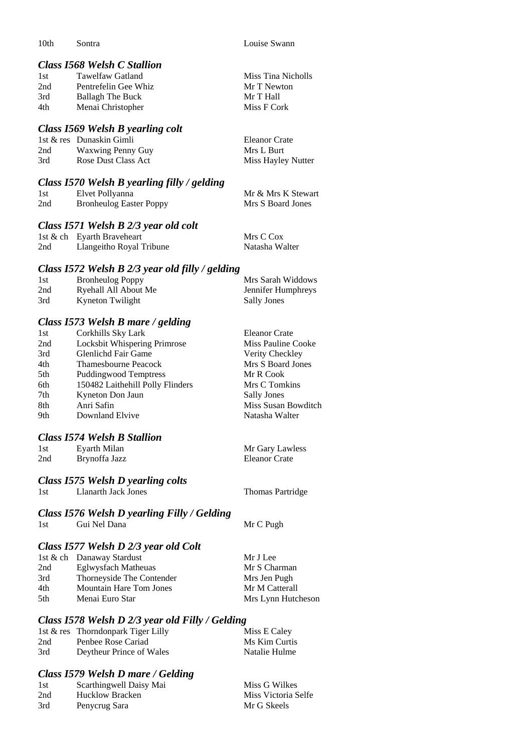| Sontra |
|--------|
|        |

na 10th Swann Louise Swann

### *Class I568 Welsh C Stallion*

| 1st | Tawelfaw Gatland        | Miss Tina Nicholls |
|-----|-------------------------|--------------------|
| 2nd | Pentrefelin Gee Whiz    | Mr T Newton        |
| 3rd | <b>Ballagh The Buck</b> | Mr T Hall          |
| 4th | Menai Christopher       | Miss F Cork        |

#### *Class I569 Welsh B yearling colt*

|     | 1st & res Dunaskin Gimli | Eleanor Crate      |
|-----|--------------------------|--------------------|
| 2nd | <b>Waxwing Penny Guy</b> | Mrs L Burt         |
| 3rd | Rose Dust Class Act      | Miss Hayley Nutter |

### *Class I570 Welsh B yearling filly / gelding*

| 1st | Elvet Pollyanna                | Mr & Mrs K Stewart |
|-----|--------------------------------|--------------------|
| 2nd | <b>Bronheulog Easter Poppy</b> | Mrs S Board Jones  |

#### *Class I571 Welsh B 2/3 year old colt*

|     | 1st & ch Eyarth Braveheart | Mrs C Cox      |
|-----|----------------------------|----------------|
| 2nd | Llangeitho Royal Tribune   | Natasha Walter |

#### *Class I572 Welsh B 2/3 year old filly / gelding*

| 1st | <b>Bronheulog Poppy</b> | Mrs Sarah Widdows  |
|-----|-------------------------|--------------------|
| 2nd | Ryehall All About Me    | Jennifer Humphreys |
| 3rd | Kyneton Twilight        | Sally Jones        |

### *Class I573 Welsh B mare / gelding*

| 1st | Corkhills Sky Lark               | <b>Eleanor Crate</b> |
|-----|----------------------------------|----------------------|
| 2nd | Locksbit Whispering Primrose     | Miss Pauline Cooke   |
| 3rd | Glenlichd Fair Game              | Verity Checkley      |
| 4th | <b>Thamesbourne Peacock</b>      | Mrs S Board Jones    |
| 5th | <b>Puddingwood Temptress</b>     | Mr R Cook            |
| 6th | 150482 Laithehill Polly Flinders | Mrs C Tomkins        |
| 7th | Kyneton Don Jaun                 | <b>Sally Jones</b>   |
| 8th | Anri Safin                       | Miss Susan Bowditch  |
| 9th | Downland Elvive                  | Natasha Walter       |
|     |                                  |                      |

#### *Class I574 Welsh B Stallion*

| 1st | Evarth Milan  | Mr Gary Lawless |
|-----|---------------|-----------------|
| 2nd | Brynoffa Jazz | Eleanor Crate   |

#### *Class I575 Welsh D yearling colts*

1st Llanarth Jack Jones Thomas Partridge

### *Class I576 Welsh D yearling Filly / Gelding*

1st Gui Nel Dana Mr C Pugh

### *Class I577 Welsh D 2/3 year old Colt*

|      | 1st & ch Danaway Stardust      | Mr J Lee           |
|------|--------------------------------|--------------------|
| 2nd  | Eglwysfach Matheuas            | Mr S Charman       |
| 3rd  | Thorneyside The Contender      | Mrs Jen Pugh       |
| 4th  | <b>Mountain Hare Tom Jones</b> | Mr M Catterall     |
| .5th | Menai Euro Star                | Mrs Lynn Hutcheson |

### *Class I578 Welsh D 2/3 year old Filly / Gelding*

|     | 1st & res Thorndonpark Tiger Lilly | Miss E Caley  |
|-----|------------------------------------|---------------|
| 2nd | Penbee Rose Cariad                 | Ms Kim Curtis |
| 3rd | Deytheur Prince of Wales           | Natalie Hulme |

#### *Class I579 Welsh D mare / Gelding*

| 1st | Scarthingwell Daisy Mai | Miss G Wilkes       |
|-----|-------------------------|---------------------|
| 2nd | <b>Hucklow Bracken</b>  | Miss Victoria Selfe |
| 3rd | Penycrug Sara           | Mr G Skeels         |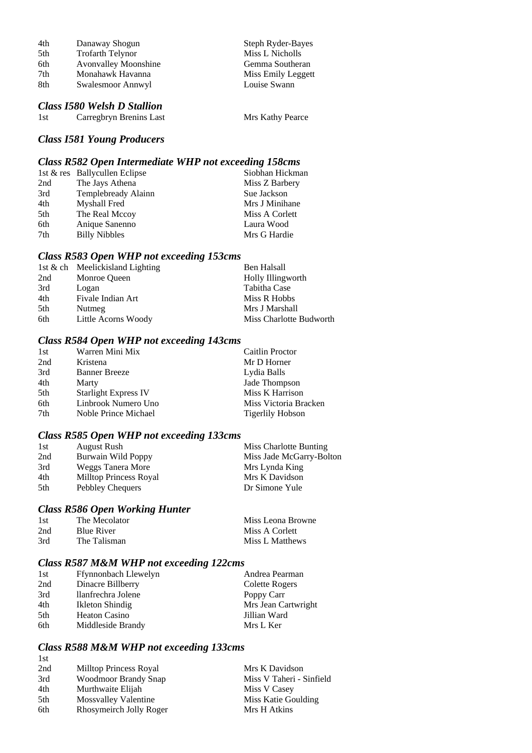| 4th | Danaway Shogun              | Steph Ryder-Bayes  |
|-----|-----------------------------|--------------------|
| 5th | <b>Trofarth Telynor</b>     | Miss L Nicholls    |
| 6th | <b>Avonvalley Moonshine</b> | Gemma Southeran    |
| 7th | Monahawk Havanna            | Miss Emily Leggett |
| 8th | Swalesmoor Annwyl           | Louise Swann       |
|     |                             |                    |

### *Class I580 Welsh D Stallion*

| 1st | Carregbryn Brenins Last | <b>Mrs Kathy Pearce</b> |
|-----|-------------------------|-------------------------|

### *Class I581 Young Producers*

### *Class R582 Open Intermediate WHP not exceeding 158cms*

|     | 1st & res Ballycullen Eclipse | Siobhan Hickman |
|-----|-------------------------------|-----------------|
| 2nd | The Jays Athena               | Miss Z Barbery  |
| 3rd | Templebready Alainn           | Sue Jackson     |
| 4th | Myshall Fred                  | Mrs J Minihane  |
| 5th | The Real Mccoy                | Miss A Corlett  |
| 6th | Anique Sanenno                | Laura Wood      |
| 7th | <b>Billy Nibbles</b>          | Mrs G Hardie    |

#### *Class R583 Open WHP not exceeding 153cms*

|     | 1st & ch Meelickisland Lighting | Ben Halsall             |
|-----|---------------------------------|-------------------------|
| 2nd | Monroe Oueen                    | Holly Illingworth       |
| 3rd | Logan                           | Tabitha Case            |
| 4th | Fivale Indian Art               | Miss R Hobbs            |
| 5th | Nutmeg                          | Mrs J Marshall          |
| 6th | Little Acorns Woody             | Miss Charlotte Budworth |

# *Class R584 Open WHP not exceeding 143cms*

| 1st | Warren Mini Mix             | Caitlin Proctor         |
|-----|-----------------------------|-------------------------|
| 2nd | Kristena                    | Mr D Horner             |
| 3rd | <b>Banner Breeze</b>        | Lydia Balls             |
| 4th | Marty                       | Jade Thompson           |
| 5th | <b>Starlight Express IV</b> | Miss K Harrison         |
| 6th | Linbrook Numero Uno         | Miss Victoria Bracken   |
| 7th | Noble Prince Michael        | <b>Tigerlily Hobson</b> |

### *Class R585 Open WHP not exceeding 133cms*

| 1st | August Rush              | Miss Charlotte Bunting   |
|-----|--------------------------|--------------------------|
| 2nd | Burwain Wild Poppy       | Miss Jade McGarry-Bolton |
| 3rd | <b>Weggs Tanera More</b> | Mrs Lynda King           |
| 4th | Milltop Princess Royal   | Mrs K Davidson           |
| 5th | Pebbley Chequers         | Dr Simone Yule           |

# *Class R586 Open Working Hunter*

| -1st | The Mecolator     | Miss Leona Browne |
|------|-------------------|-------------------|
| 2nd  | <b>Blue River</b> | Miss A Corlett    |
| 3rd  | The Talisman      | Miss L Matthews   |

### *Class R587 M&M WHP not exceeding 122cms*

| 1st | Ffynnonbach Llewelyn | Andrea Pearman      |
|-----|----------------------|---------------------|
| 2nd | Dinacre Billberry    | Colette Rogers      |
| 3rd | llanfrechra Jolene   | Poppy Carr          |
| 4th | Ikleton Shindig      | Mrs Jean Cartwright |
| 5th | <b>Heaton Casino</b> | Jillian Ward        |
| 6th | Middleside Brandy    | Mrs L Ker           |

#### *Class R588 M&M WHP not exceeding 133cms*  1st

| 2nd | Milltop Princess Royal      | Mrs K Davidson           |
|-----|-----------------------------|--------------------------|
| 3rd | <b>Woodmoor Brandy Snap</b> | Miss V Taheri - Sinfield |
| 4th | Murthwaite Elijah           | Miss V Casey             |
| 5th | <b>Mossvalley Valentine</b> | Miss Katie Goulding      |
| 6th | Rhosymeirch Jolly Roger     | Mrs H Atkins             |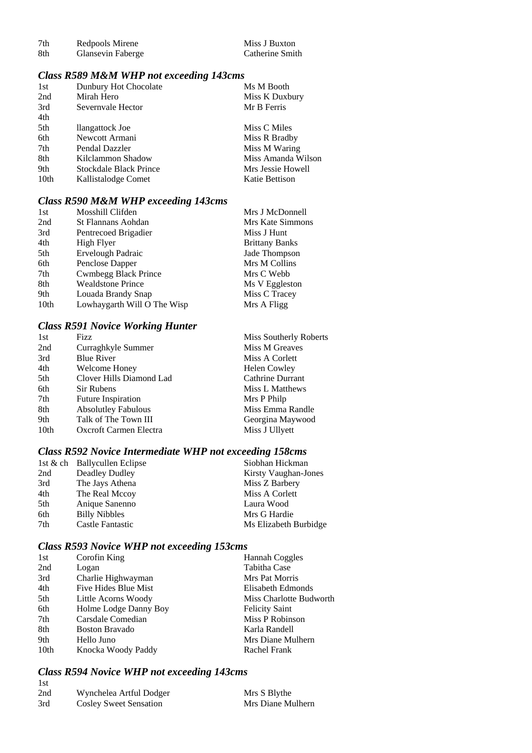| 7th  | Redpools Mirene   | Miss J Buxton   |
|------|-------------------|-----------------|
| -8th | Glansevin Faberge | Catherine Smith |

#### *Class R589 M&M WHP not exceeding 143cms*

| 1st  | Dunbury Hot Chocolate         | Ms M Booth         |
|------|-------------------------------|--------------------|
| 2nd  | Mirah Hero                    | Miss K Duxbury     |
| 3rd  | Severnyale Hector             | Mr B Ferris        |
| 4th  |                               |                    |
| 5th  | llangattock Joe               | Miss C Miles       |
| 6th  | Newcott Armani                | Miss R Bradby      |
| 7th  | Pendal Dazzler                | Miss M Waring      |
| 8th  | Kilclammon Shadow             | Miss Amanda Wilson |
| 9th  | <b>Stockdale Black Prince</b> | Mrs Jessie Howell  |
| 10th | Kallistalodge Comet           | Katie Bettison     |
|      |                               |                    |

### *Class R590 M&M WHP exceeding 143cms*

| 1st              | Mosshill Clifden            | Mrs J McDonnell       |
|------------------|-----------------------------|-----------------------|
| 2nd              | St Flannans Aohdan          | Mrs Kate Simmons      |
| 3rd              | Pentrecoed Brigadier        | Miss J Hunt           |
| 4th              | High Flyer                  | <b>Brittany Banks</b> |
| 5th              | <b>Ervelough Padraic</b>    | Jade Thompson         |
| 6th              | Penclose Dapper             | Mrs M Collins         |
| 7th              | <b>Cwmbegg Black Prince</b> | Mrs C Webb            |
| 8th              | <b>Wealdstone Prince</b>    | Ms V Eggleston        |
| 9th              | Louada Brandy Snap          | Miss C Tracey         |
| 10 <sub>th</sub> | Lowhaygarth Will O The Wisp | Mrs A Fligg           |

### *Class R591 Novice Working Hunter*

| <b>Fizz</b>                | Miss Southerly Roberts  |
|----------------------------|-------------------------|
| Curraghkyle Summer         | Miss M Greaves          |
| <b>Blue River</b>          | Miss A Corlett          |
| Welcome Honey              | <b>Helen Cowley</b>     |
| Clover Hills Diamond Lad   | <b>Cathrine Durrant</b> |
| Sir Rubens                 | Miss L Matthews         |
| <b>Future Inspiration</b>  | Mrs P Philp             |
| <b>Absolutley Fabulous</b> | Miss Emma Randle        |
| Talk of The Town III       | Georgina Maywood        |
| Oxcroft Carmen Electra     | Miss J Ullyett          |
|                            |                         |

# *Class R592 Novice Intermediate WHP not exceeding 158cms*

|     | 1st & ch Ballycullen Eclipse | Siobhan Hickman       |
|-----|------------------------------|-----------------------|
| 2nd | Deadley Dudley               | Kirsty Vaughan-Jones  |
| 3rd | The Jays Athena              | Miss Z Barbery        |
| 4th | The Real Mccoy               | Miss A Corlett        |
| 5th | Anique Sanenno               | Laura Wood            |
| 6th | <b>Billy Nibbles</b>         | Mrs G Hardie          |
| 7th | Castle Fantastic             | Ms Elizabeth Burbidge |

# *Class R593 Novice WHP not exceeding 153cms*

| 1st  | Corofin King          | Hannah Coggles          |
|------|-----------------------|-------------------------|
| 2nd  | Logan                 | Tabitha Case            |
| 3rd  | Charlie Highwayman    | Mrs Pat Morris          |
| 4th  | Five Hides Blue Mist  | Elisabeth Edmonds       |
| 5th  | Little Acorns Woody   | Miss Charlotte Budworth |
| 6th  | Holme Lodge Danny Boy | <b>Felicity Saint</b>   |
| 7th  | Carsdale Comedian     | Miss P Robinson         |
| 8th  | Boston Bravado        | Karla Randell           |
| 9th  | Hello Juno            | Mrs Diane Mulhern       |
| 10th | Knocka Woody Paddy    | Rachel Frank            |

# *Class R594 Novice WHP not exceeding 143cms*

| -1st |                               |                   |
|------|-------------------------------|-------------------|
| 2nd  | Wynchelea Artful Dodger       | Mrs S Blythe      |
| 3rd  | <b>Cosley Sweet Sensation</b> | Mrs Diane Mulhern |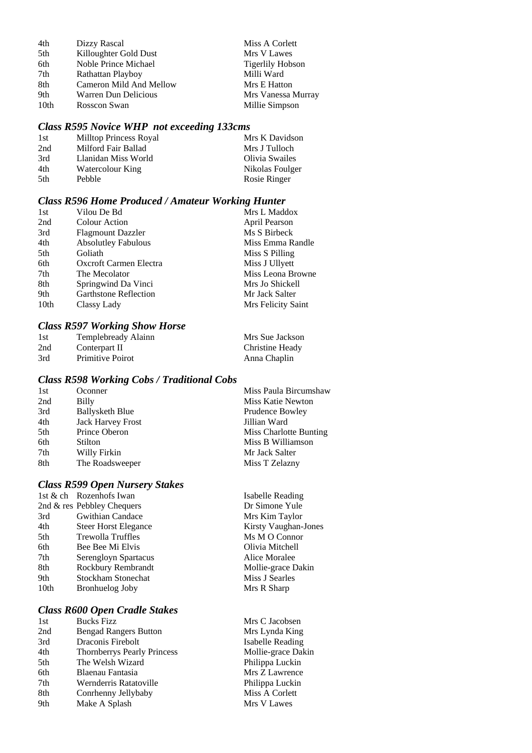| 4th              | Dizzy Rascal            | Miss A Corlett          |
|------------------|-------------------------|-------------------------|
| 5th              | Killoughter Gold Dust   | Mrs V Lawes             |
| 6th              | Noble Prince Michael    | <b>Tigerlily Hobson</b> |
| 7th              | Rathattan Playboy       | Milli Ward              |
| 8th              | Cameron Mild And Mellow | Mrs E Hatton            |
| 9th              | Warren Dun Delicious    | Mrs Vanessa Murray      |
| 10 <sub>th</sub> | Rosscon Swan            | Millie Simpson          |

#### *Class R595 Novice WHP not exceeding 133cms*

| 1st | Milltop Princess Royal | Mrs K Davidson  |
|-----|------------------------|-----------------|
| 2nd | Milford Fair Ballad    | Mrs J Tulloch   |
| 3rd | Llanidan Miss World    | Olivia Swailes  |
| 4th | Watercolour King       | Nikolas Foulger |
| 5th | Pebble                 | Rosie Ringer    |

### *Class R596 Home Produced / Amateur Working Hunter*

| 1st  | Vilou De Bd                  | Mrs L Maddox       |
|------|------------------------------|--------------------|
| 2nd  | Colour Action                | April Pearson      |
| 3rd  | <b>Flagmount Dazzler</b>     | Ms S Birbeck       |
| 4th  | <b>Absolutley Fabulous</b>   | Miss Emma Randle   |
| 5th  | Goliath                      | Miss S Pilling     |
| 6th  | Oxcroft Carmen Electra       | Miss J Ullyett     |
| 7th  | The Mecolator                | Miss Leona Browne  |
| 8th  | Springwind Da Vinci          | Mrs Jo Shickell    |
| 9th  | <b>Garthstone Reflection</b> | Mr Jack Salter     |
| 10th | Classy Lady                  | Mrs Felicity Saint |

#### *Class R597 Working Show Horse*

| 1st | Templebready Alainn | Mrs Sue Jackson |
|-----|---------------------|-----------------|
| 2nd | Conterpart II       | Christine Heady |
| 3rd | Primitive Poirot    | Anna Chaplin    |

#### *Class R598 Working Cobs / Traditional Cobs*

| 1st | Oconner                  | Miss Paula Bircumshaw  |
|-----|--------------------------|------------------------|
| 2nd | Billy                    | Miss Katie Newton      |
| 3rd | <b>Ballysketh Blue</b>   | Prudence Bowley        |
| 4th | <b>Jack Harvey Frost</b> | Jillian Ward           |
| 5th | Prince Oberon            | Miss Charlotte Bunting |
| 6th | Stilton                  | Miss B Williamson      |
| 7th | Willy Firkin             | Mr Jack Salter         |
| 8th | The Roadsweeper          | Miss T Zelazny         |
|     |                          |                        |

### *Class R599 Open Nursery Stakes*

|                  | 1st $\&$ ch Rozenhofs Iwan  |
|------------------|-----------------------------|
|                  | 2nd & res Pebbley Chequers  |
| 3rd              | <b>Gwithian Candace</b>     |
| 4th              | <b>Steer Horst Elegance</b> |
| 5th              | Trewolla Truffles           |
| 6th              | Bee Bee Mi Elvis            |
| 7th              | Serengloyn Spartacus        |
| 8th              | Rockbury Rembrandt          |
| 9th              | Stockham Stonechat          |
| 10 <sub>th</sub> | <b>Bronhuelog Joby</b>      |

#### *Class R600 Open Cradle Stakes*

| <b>Bucks Fizz</b>                  |
|------------------------------------|
| <b>Bengad Rangers Button</b>       |
| Draconis Firebolt                  |
| <b>Thornberrys Pearly Princess</b> |
| The Welsh Wizard                   |
| Blaenau Fantasia                   |
| Wernderris Ratatoville             |
| Conrhenny Jellybaby                |
| Make A Splash                      |
|                                    |

**Isabelle Reading** Dr Simone Yule Mrs Kim Taylor Kirsty Vaughan-Jones  $Ms$  M O Connor Olivia Mitchell Alice Moralee Mollie-grace Dakin Miss J Searles Mrs R Sharp

Mrs C Jacobsen Mrs Lynda King Isabelle Reading Mollie-grace Dakin Philippa Luckin Mrs Z Lawrence Philippa Luckin Miss A Corlett Mrs V Lawes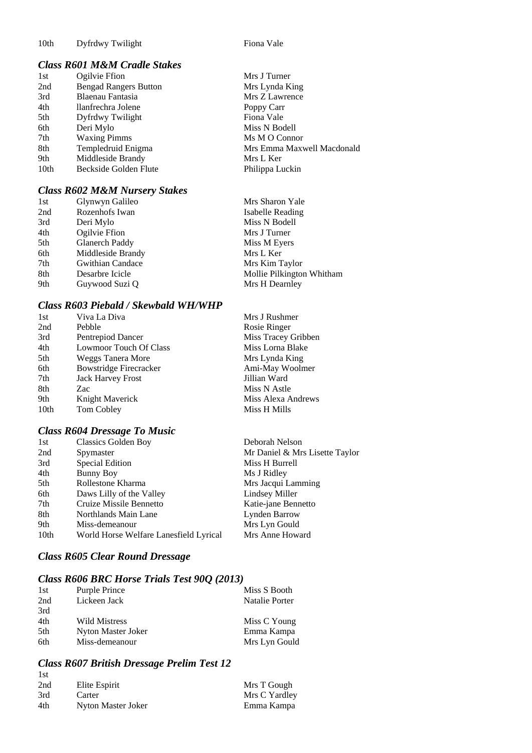### *Class R601 M&M Cradle Stakes*

| 1st  | Ogilvie Ffion                | Mrs J Turner               |
|------|------------------------------|----------------------------|
| 2nd  | <b>Bengad Rangers Button</b> | Mrs Lynda King             |
| 3rd  | Blaenau Fantasia             | Mrs Z Lawrence             |
| 4th  | llanfrechra Jolene           | Poppy Carr                 |
| 5th  | Dyfrdwy Twilight             | Fiona Vale                 |
| 6th  | Deri Mylo                    | Miss N Bodell              |
| 7th  | <b>Waxing Pimms</b>          | Ms M O Connor              |
| 8th  | Templedruid Enigma           | Mrs Emma Maxwell Macdonald |
| 9th  | Middleside Brandy            | Mrs L Ker                  |
| 10th | Beckside Golden Flute        | Philippa Luckin            |
|      |                              |                            |

#### *Class R602 M&M Nursery Stakes*

| 1st | Glynwyn Galileo         | Mrs Sharon Yale           |
|-----|-------------------------|---------------------------|
| 2nd | Rozenhofs Iwan          | Isabelle Reading          |
| 3rd | Deri Mylo               | Miss N Bodell             |
| 4th | Ogilvie Ffion           | Mrs J Turner              |
| 5th | <b>Glanerch Paddy</b>   | Miss M Eyers              |
| 6th | Middleside Brandy       | Mrs L Ker                 |
| 7th | <b>Gwithian Candace</b> | Mrs Kim Taylor            |
| 8th | Desarbre Icicle         | Mollie Pilkington Whitham |
| 9th | Guywood Suzi Q          | Mrs H Dearnley            |

### *Class R603 Piebald / Skewbald WH/WHP*

| 1st  | Viva La Diva                  | Mrs J Rushmer       |
|------|-------------------------------|---------------------|
| 2nd  | Pebble                        | Rosie Ringer        |
| 3rd  | Pentrepiod Dancer             | Miss Tracey Gribben |
| 4th  | <b>Lowmoor Touch Of Class</b> | Miss Lorna Blake    |
| 5th  | Weggs Tanera More             | Mrs Lynda King      |
| 6th  | <b>Bowstridge Firecracker</b> | Ami-May Woolmer     |
| 7th  | <b>Jack Harvey Frost</b>      | Jillian Ward        |
| 8th  | Zac                           | Miss N Astle        |
| 9th  | Knight Maverick               | Miss Alexa Andrews  |
| 10th | Tom Cobley                    | Miss H Mills        |
|      |                               |                     |

#### *Class R604 Dressage To Music*

| <b>Classics Golden Boy</b>             | Deborah Nelson                 |
|----------------------------------------|--------------------------------|
| Spymaster                              | Mr Daniel & Mrs Lisette Taylor |
| <b>Special Edition</b>                 | Miss H Burrell                 |
| <b>Bunny Boy</b>                       | Ms J Ridley                    |
| Rollestone Kharma                      | Mrs Jacqui Lamming             |
| Daws Lilly of the Valley               | Lindsey Miller                 |
| Cruize Missile Bennetto                | Katie-jane Bennetto            |
| Northlands Main Lane                   | Lynden Barrow                  |
| Miss-demeanour                         | Mrs Lyn Gould                  |
| World Horse Welfare Lanesfield Lyrical | Mrs Anne Howard                |
|                                        |                                |

### *Class R605 Clear Round Dressage*

# *Class R606 BRC Horse Trials Test 90Q (2013)*

| 1st | Purple Prince      | Miss S Booth   |
|-----|--------------------|----------------|
| 2nd | Lickeen Jack       | Natalie Porter |
| 3rd |                    |                |
| 4th | Wild Mistress      | Miss C Young   |
| 5th | Nyton Master Joker | Emma Kampa     |
| 6th | Miss-demeanour     | Mrs Lyn Gould  |

#### *Class R607 British Dressage Prelim Test 12*  1st

| 2nd | Elite Espirit      | Mrs T Gough   |
|-----|--------------------|---------------|
| 3rd | Carter             | Mrs C Yardley |
| 4th | Nyton Master Joker | Emma Kampa    |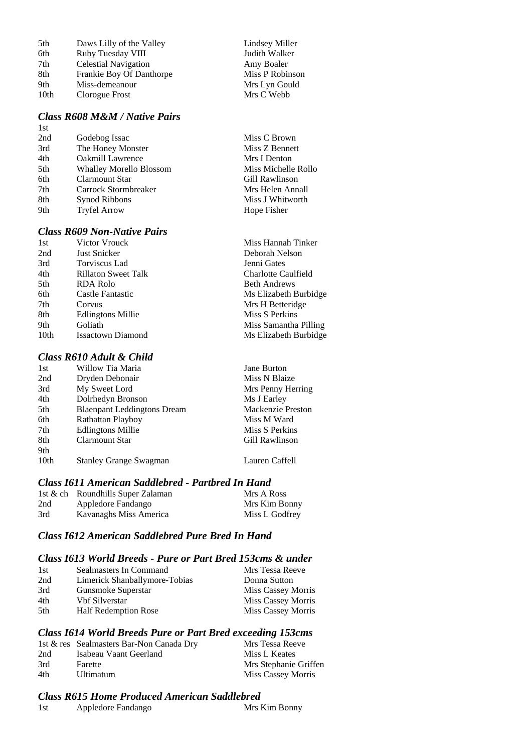| 5th              | Daws Lilly of the Valley    |
|------------------|-----------------------------|
| 6th              | Ruby Tuesday VIII           |
| 7th              | <b>Celestial Navigation</b> |
| 8th              | Frankie Boy Of Danthorpe    |
| 9th              | Miss-demeanour              |
| 10 <sub>th</sub> | Clorogue Frost              |

### *Class R608 M&M / Native Pairs*

| 1st |                                |                     |
|-----|--------------------------------|---------------------|
| 2nd | Godebog Issac                  | Miss C Brown        |
| 3rd | The Honey Monster              | Miss Z Bennett      |
| 4th | <b>Oakmill Lawrence</b>        | Mrs I Denton        |
| 5th | <b>Whalley Morello Blossom</b> | Miss Michelle Rollo |
| 6th | <b>Clarmount Star</b>          | Gill Rawlinson      |
| 7th | Carrock Stormbreaker           | Mrs Helen Annall    |
| 8th | Synod Ribbons                  | Miss J Whitworth    |
| 9th | <b>Tryfel Arrow</b>            | Hope Fisher         |
|     |                                |                     |

Lindsey Miller Judith Walker Amy Boaler Miss P Robinson Mrs Lyn Gould Mrs C Webb

### *Class R609 Non-Native Pairs*

| 1st  | Victor Vrouck              | Miss Hannah Tinker    |
|------|----------------------------|-----------------------|
| 2nd  | Just Snicker               | Deborah Nelson        |
| 3rd  | Torviscus Lad              | Jenni Gates           |
| 4th  | <b>Rillaton Sweet Talk</b> | Charlotte Caulfield   |
| 5th  | RDA Rolo                   | <b>Beth Andrews</b>   |
| 6th  | Castle Fantastic           | Ms Elizabeth Burbidge |
| 7th  | Corvus                     | Mrs H Betteridge      |
| 8th  | <b>Edlingtons Millie</b>   | Miss S Perkins        |
| 9th  | Goliath                    | Miss Samantha Pilling |
| 10th | <b>Issactown Diamond</b>   | Ms Elizabeth Burbidge |
|      |                            |                       |

### *Class R610 Adult & Child*

| 1st              | Willow Tia Maria                   | Jane Burton       |
|------------------|------------------------------------|-------------------|
| 2nd              | Dryden Debonair                    | Miss N Blaize     |
| 3rd              | My Sweet Lord                      | Mrs Penny Herring |
| 4th              | Dolrhedyn Bronson                  | Ms J Earley       |
| 5th              | <b>Blaenpant Leddingtons Dream</b> | Mackenzie Preston |
| 6th              | Rathattan Playboy                  | Miss M Ward       |
| 7th              | <b>Edlingtons Millie</b>           | Miss S Perkins    |
| 8th              | Clarmount Star                     | Gill Rawlinson    |
| 9th              |                                    |                   |
| 10 <sub>th</sub> | <b>Stanley Grange Swagman</b>      | Lauren Caffell    |

#### *Class I611 American Saddlebred - Partbred In Hand*

|     | 1st & ch Roundhills Super Zalaman | Mrs A Ross     |
|-----|-----------------------------------|----------------|
| 2nd | Appledore Fandango                | Mrs Kim Bonny  |
| 3rd | Kavanaghs Miss America            | Miss L Godfrey |

### *Class I612 American Saddlebred Pure Bred In Hand*

#### *Class I613 World Breeds - Pure or Part Bred 153cms & under*

| 1st | Sealmasters In Command        | Mrs Tessa Reeve    |
|-----|-------------------------------|--------------------|
| 2nd | Limerick Shanballymore-Tobias | Donna Sutton       |
| 3rd | Gunsmoke Superstar            | Miss Cassey Morris |
| 4th | <b>Vbf Silverstar</b>         | Miss Cassey Morris |
| 5th | <b>Half Redemption Rose</b>   | Miss Cassey Morris |

#### *Class I614 World Breeds Pure or Part Bred exceeding 153cms*

|     | 1st & res Sealmasters Bar-Non Canada Dry | Mrs Tessa Reeve       |
|-----|------------------------------------------|-----------------------|
| 2nd | Isabeau Vaant Geerland                   | Miss L Keates         |
| 3rd | Farette                                  | Mrs Stephanie Griffen |
| 4th | Ultimatum                                | Miss Cassey Morris    |

#### *Class R615 Home Produced American Saddlebred*

| 1st<br>Appledore Fandango | Mrs Kim Bonny |
|---------------------------|---------------|
|---------------------------|---------------|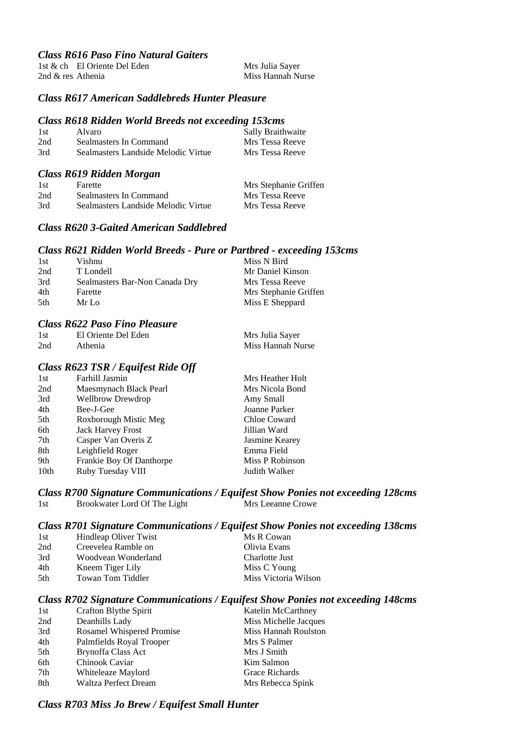#### *Class R616 Paso Fino Natural Gaiters*

1st & ch El Oriente Del Eden Mrs Julia Sayer<br>2nd & res Athenia Miss Hannah Ni Miss Hannah Nurse

#### *Class R617 American Saddlebreds Hunter Pleasure*

#### *Class R618 Ridden World Breeds not exceeding 153cms*

| -1st | Alvaro                              | <b>Sally Braithwaite</b> |
|------|-------------------------------------|--------------------------|
| 2nd  | Sealmasters In Command              | Mrs Tessa Reeve          |
| 3rd  | Sealmasters Landside Melodic Virtue | Mrs Tessa Reeve          |

#### *Class R619 Ridden Morgan*

| 1st | Farette                             | Mrs Stephanie Griffen |
|-----|-------------------------------------|-----------------------|
| 2nd | Sealmasters In Command              | Mrs Tessa Reeve       |
| 3rd | Sealmasters Landside Melodic Virtue | Mrs Tessa Reeve       |

#### *Class R620 3-Gaited American Saddlebred*

#### *Class R621 Ridden World Breeds - Pure or Partbred - exceeding 153cms*

| -1st | Vishnu                         | Miss N Bird           |
|------|--------------------------------|-----------------------|
| 2nd  | T Londell                      | Mr Daniel Kinson      |
| 3rd  | Sealmasters Bar-Non Canada Dry | Mrs Tessa Reeve       |
| 4th  | Farette                        | Mrs Stephanie Griffen |
| 5th  | Mr Lo                          | Miss E Sheppard       |

#### *Class R622 Paso Fino Pleasure*

| 1st | El Oriente Del Eden | Mrs Julia Sayer   |
|-----|---------------------|-------------------|
| 2nd | Athenia             | Miss Hannah Nurse |

#### *Class R623 TSR / Equifest Ride Off*

|      | $\mathcal{L}$ as <i>KO25 T5K/ Lquifest Kate</i> $\mathcal{O}_H$ |                  |
|------|-----------------------------------------------------------------|------------------|
| 1st  | Farhill Jasmin                                                  | Mrs Heather Holt |
| 2nd  | Maesmynach Black Pearl                                          | Mrs Nicola Bond  |
| 3rd  | <b>Wellbrow Drewdrop</b>                                        | Amy Small        |
| 4th  | Bee-J-Gee                                                       | Joanne Parker    |
| 5th  | Roxborough Mistic Meg                                           | Chloe Coward     |
| 6th  | <b>Jack Harvey Frost</b>                                        | Jillian Ward     |
| 7th  | Casper Van Overis Z                                             | Jasmine Kearey   |
| 8th  | Leighfield Roger                                                | Emma Field       |
| 9th  | Frankie Boy Of Danthorpe                                        | Miss P Robinson  |
| 10th | Ruby Tuesday VIII                                               | Judith Walker    |
|      |                                                                 |                  |

|     |                              | Class R700 Signature Communications / Equifest Show Ponies not exceeding 128cms |
|-----|------------------------------|---------------------------------------------------------------------------------|
| 1st | Brookwater Lord Of The Light | Mrs Leeanne Crowe                                                               |

# *Class R701 Signature Communications / Equifest Show Ponies not exceeding 138cms*

| 1st  | Hindleap Oliver Twist | Ms R Cowan           |
|------|-----------------------|----------------------|
| 2nd  | Creevelea Ramble on   | Olivia Evans         |
| 3rd  | Woodvean Wonderland   | Charlotte Just       |
| 4th  | Kneem Tiger Lily      | Miss C Young         |
| .5th | Towan Tom Tiddler     | Miss Victoria Wilson |
|      |                       |                      |

#### *Class R702 Signature Communications / Equifest Show Ponies not exceeding 148cms*

| 1st | Crafton Blythe Spirit     | Katelin McCarthney    |
|-----|---------------------------|-----------------------|
| 2nd | Deanhills Lady            | Miss Michelle Jacques |
| 3rd | Rosamel Whispered Promise | Miss Hannah Roulston  |
| 4th | Palmfields Royal Trooper  | Mrs S Palmer          |
| 5th | Brynoffa Class Act        | Mrs J Smith           |
| 6th | Chinook Caviar            | Kim Salmon            |
| 7th | Whiteleaze Maylord        | Grace Richards        |
| 8th | Waltza Perfect Dream      | Mrs Rebecca Spink     |

#### *Class R703 Miss Jo Brew / Equifest Small Hunter*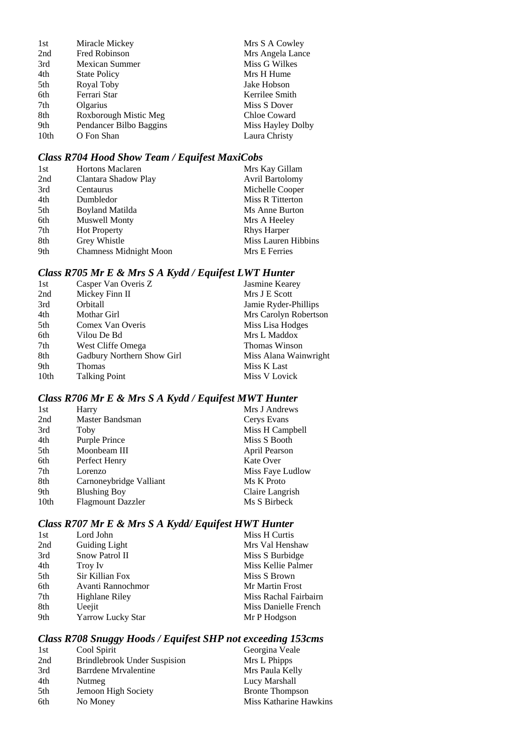| 1st              | Miracle Mickey          | Mrs S A Cowley    |
|------------------|-------------------------|-------------------|
| 2nd              | Fred Robinson           | Mrs Angela Lance  |
| 3rd              | <b>Mexican Summer</b>   | Miss G Wilkes     |
| 4th              | <b>State Policy</b>     | Mrs H Hume        |
| 5th              | Royal Toby              | Jake Hobson       |
| 6th              | Ferrari Star            | Kerrilee Smith    |
| 7th              | Olgarius                | Miss S Dover      |
| 8th              | Roxborough Mistic Meg   | Chloe Coward      |
| 9th              | Pendancer Bilbo Baggins | Miss Hayley Dolby |
| 10 <sub>th</sub> | O Fon Shan              | Laura Christy     |

# *Class R704 Hood Show Team / Equifest MaxiCobs*

| 1st | Hortons Maclaren              | Mrs Kay Gillam      |
|-----|-------------------------------|---------------------|
| 2nd | Clantara Shadow Play          | Avril Bartolomy     |
| 3rd | Centaurus                     | Michelle Cooper     |
| 4th | Dumbledor                     | Miss R Titterton    |
| 5th | <b>Boyland Matilda</b>        | Ms Anne Burton      |
| 6th | <b>Muswell Monty</b>          | Mrs A Heeley        |
| 7th | <b>Hot Property</b>           | <b>Rhys Harper</b>  |
| 8th | Grey Whistle                  | Miss Lauren Hibbins |
| 9th | <b>Chamness Midnight Moon</b> | Mrs E Ferries       |

# *Class R705 Mr E & Mrs S A Kydd / Equifest LWT Hunter*

| 1st  | Casper Van Overis Z        | Jasmine Kearey        |
|------|----------------------------|-----------------------|
| 2nd  | Mickey Finn II             | Mrs J E Scott         |
| 3rd  | Orbitall                   | Jamie Ryder-Phillips  |
| 4th  | Mothar Girl                | Mrs Carolyn Robertson |
| 5th  | Comex Van Overis           | Miss Lisa Hodges      |
| 6th  | Vilou De Bd                | Mrs L Maddox          |
| 7th  | West Cliffe Omega          | <b>Thomas Winson</b>  |
| 8th  | Gadbury Northern Show Girl | Miss Alana Wainwright |
| 9th  | <b>Thomas</b>              | Miss K Last           |
| 10th | <b>Talking Point</b>       | Miss V Lovick         |

# *Class R706 Mr E & Mrs S A Kydd / Equifest MWT Hunter*

| 1st              | Harry                    | Mrs J Andrews    |
|------------------|--------------------------|------------------|
| 2nd              | Master Bandsman          | Cerys Evans      |
| 3rd              | Toby                     | Miss H Campbell  |
| 4th              | Purple Prince            | Miss S Booth     |
| 5th              | Moonbeam III             | April Pearson    |
| 6th              | Perfect Henry            | Kate Over        |
| 7th              | Lorenzo                  | Miss Faye Ludlow |
| 8th              | Carnoneybridge Valliant  | Ms K Proto       |
| 9th              | <b>Blushing Boy</b>      | Claire Langrish  |
| 10 <sub>th</sub> | <b>Flagmount Dazzler</b> | Ms S Birbeck     |

### *Class R707 Mr E & Mrs S A Kydd/ Equifest HWT Hunter*

| 1st | Lord John                | Miss H Curtis         |
|-----|--------------------------|-----------------------|
| 2nd | <b>Guiding Light</b>     | Mrs Val Henshaw       |
| 3rd | Snow Patrol II           | Miss S Burbidge       |
| 4th | Troy Iv                  | Miss Kellie Palmer    |
| 5th | Sir Killian Fox          | Miss S Brown          |
| 6th | Avanti Rannochmor        | Mr Martin Frost       |
| 7th | <b>Highlane Riley</b>    | Miss Rachal Fairbairn |
| 8th | Ueejit                   | Miss Danielle French  |
| 9th | <b>Yarrow Lucky Star</b> | Mr P Hodgson          |
|     |                          |                       |

# *Class R708 Snuggy Hoods / Equifest SHP not exceeding 153cms*

| 1st | Cool Spirit                         | Georgina Veale         |
|-----|-------------------------------------|------------------------|
| 2nd | <b>Brindlebrook Under Suspision</b> | Mrs L Phipps           |
| 3rd | Barrdene Mrvalentine                | Mrs Paula Kelly        |
| 4th | Nutmeg                              | Lucy Marshall          |
| 5th | Jemoon High Society                 | <b>Bronte Thompson</b> |
| 6th | No Money                            | Miss Katharine Hawkins |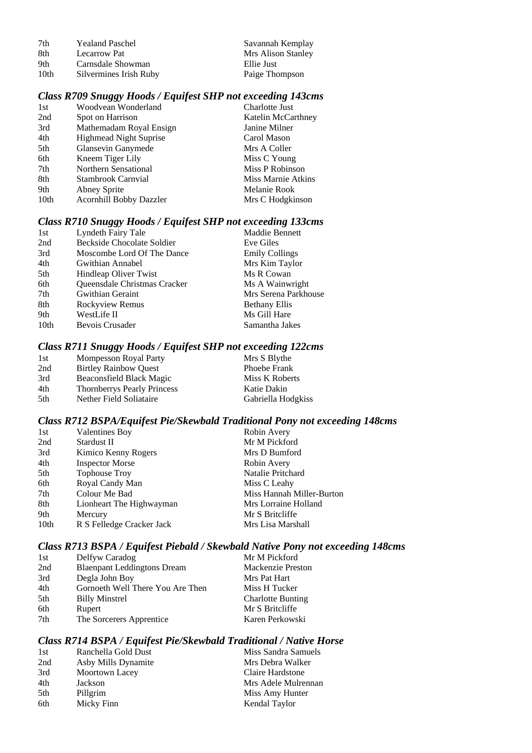| 7th              | <b>Yealand Paschel</b> | Savannah Kemplay   |
|------------------|------------------------|--------------------|
| -8th             | Lecarrow Pat           | Mrs Alison Stanley |
| 9th              | Carnsdale Showman      | Ellie Just         |
| 10 <sub>th</sub> | Silvermines Irish Ruby | Paige Thompson     |

# *Class R709 Snuggy Hoods / Equifest SHP not exceeding 143cms*

| 1st  | Woodvean Wonderland            | Charlotte Just     |
|------|--------------------------------|--------------------|
| 2nd  | Spot on Harrison               | Katelin McCarthney |
| 3rd  | Mathemadam Royal Ensign        | Janine Milner      |
| 4th  | <b>Highmead Night Suprise</b>  | Carol Mason        |
| 5th  | Glansevin Ganymede             | Mrs A Coller       |
| 6th  | Kneem Tiger Lily               | Miss C Young       |
| 7th  | Northern Sensational           | Miss P Robinson    |
| 8th  | Stambrook Carnvial             | Miss Marnie Atkins |
| 9th  | Abney Sprite                   | Melanie Rook       |
| 10th | <b>Acornhill Bobby Dazzler</b> | Mrs C Hodgkinson   |

# *Class R710 Snuggy Hoods / Equifest SHP not exceeding 133cms*

| Lyndeth Fairy Tale           | Maddie Bennett        |
|------------------------------|-----------------------|
| Beckside Chocolate Soldier   | Eve Giles             |
| Moscombe Lord Of The Dance   | <b>Emily Collings</b> |
| Gwithian Annabel             | Mrs Kim Taylor        |
| Hindleap Oliver Twist        | Ms R Cowan            |
| Queensdale Christmas Cracker | Ms A Wainwright       |
| Gwithian Geraint             | Mrs Serena Parkhouse  |
| Rockyview Remus              | <b>Bethany Ellis</b>  |
| WestLife II                  | Ms Gill Hare          |
| Bevois Crusader              | Samantha Jakes        |
|                              |                       |

#### *Class R711 Snuggy Hoods / Equifest SHP not exceeding 122cms*

| 1st | <b>Mompesson Royal Party</b>       | Mrs S Blythe       |
|-----|------------------------------------|--------------------|
| 2nd | <b>Birtley Rainbow Ouest</b>       | Phoebe Frank       |
| 3rd | <b>Beaconsfield Black Magic</b>    | Miss K Roberts     |
| 4th | <b>Thornberrys Pearly Princess</b> | Katie Dakin        |
| 5th | Nether Field Soliataire            | Gabriella Hodgkiss |

# *Class R712 BSPA/Equifest Pie/Skewbald Traditional Pony not exceeding 148cms*

| <b>Valentines Boy</b>     | Robin Avery               |
|---------------------------|---------------------------|
| Stardust II               | Mr M Pickford             |
| Kimico Kenny Rogers       | Mrs D Bumford             |
| <b>Inspector Morse</b>    | Robin Avery               |
| Tophouse Troy             | Natalie Pritchard         |
| Royal Candy Man           | Miss C Leahy              |
| Colour Me Bad             | Miss Hannah Miller-Burton |
| Lionheart The Highwayman  | Mrs Lorraine Holland      |
| Mercury                   | Mr S Britcliffe           |
| R S Felledge Cracker Jack | Mrs Lisa Marshall         |
|                           |                           |

# *Class R713 BSPA / Equifest Piebald / Skewbald Native Pony not exceeding 148cms*

| 1st | Delfyw Caradog                     | Mr M Pickford            |  |
|-----|------------------------------------|--------------------------|--|
| 2nd | <b>Blaenpant Leddingtons Dream</b> | Mackenzie Preston        |  |
| 3rd | Degla John Boy                     | Mrs Pat Hart             |  |
| 4th | Gornoeth Well There You Are Then   | Miss H Tucker            |  |
| 5th | <b>Billy Minstrel</b>              | <b>Charlotte Bunting</b> |  |
| 6th | Rupert                             | Mr S Britcliffe          |  |
| 7th | The Sorcerers Apprentice           | Karen Perkowski          |  |
|     |                                    |                          |  |

### *Class R714 BSPA / Equifest Pie/Skewbald Traditional / Native Horse*

| 1st | Ranchella Gold Dust | Miss Sandra Samuels |
|-----|---------------------|---------------------|
| 2nd | Asby Mills Dynamite | Mrs Debra Walker    |
| 3rd | Moortown Lacey      | Claire Hardstone    |
| 4th | Jackson             | Mrs Adele Mulrennan |
| 5th | Pillgrim            | Miss Amy Hunter     |
| 6th | Micky Finn          | Kendal Taylor       |
|     |                     |                     |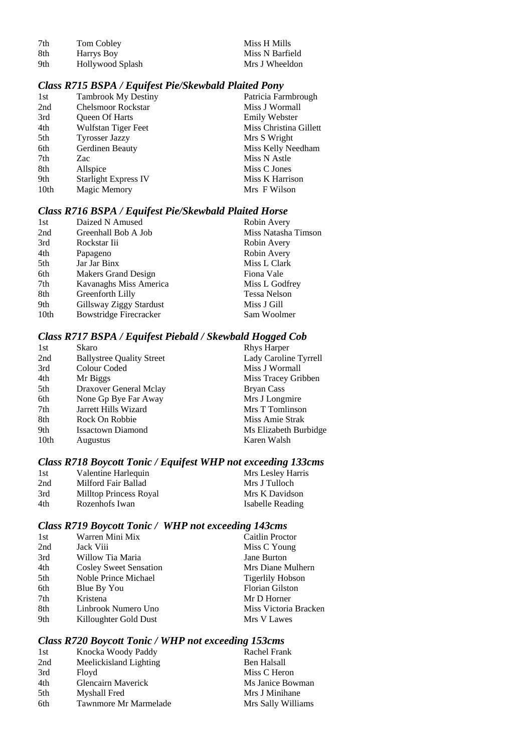| 7th  | Tom Cobley       | Miss H Mills    |
|------|------------------|-----------------|
| -8th | Harrys Boy       | Miss N Barfield |
| -9th | Hollywood Splash | Mrs J Wheeldon  |

### *Class R715 BSPA / Equifest Pie/Skewbald Plaited Pony*

| 1st              | <b>Tambrook My Destiny</b>  | Patricia Farmbrough    |
|------------------|-----------------------------|------------------------|
| 2nd              | <b>Chelsmoor Rockstar</b>   | Miss J Wormall         |
| 3rd              | Queen Of Harts              | <b>Emily Webster</b>   |
| 4th              | Wulfstan Tiger Feet         | Miss Christina Gillett |
| 5th              | <b>Tyrosser Jazzy</b>       | Mrs S Wright           |
| 6th              | Gerdinen Beauty             | Miss Kelly Needham     |
| 7th              | Zac                         | Miss N Astle           |
| 8th              | Allspice                    | Miss C Jones           |
| 9th              | <b>Starlight Express IV</b> | Miss K Harrison        |
| 10 <sub>th</sub> | Magic Memory                | Mrs F Wilson           |
|                  |                             |                        |

### *Class R716 BSPA / Equifest Pie/Skewbald Plaited Horse*

| 1st              | Daized N Amused         | Robin Avery         |
|------------------|-------------------------|---------------------|
| 2nd              | Greenhall Bob A Job     | Miss Natasha Timson |
| 3rd              | Rockstar Iii            | Robin Avery         |
| 4th              | Papageno                | Robin Avery         |
| 5th              | Jar Jar Binx            | Miss L Clark        |
| 6th              | Makers Grand Design     | Fiona Vale          |
| 7th              | Kavanaghs Miss America  | Miss L Godfrey      |
| 8th              | Greenforth Lilly        | <b>Tessa Nelson</b> |
| 9th              | Gillsway Ziggy Stardust | Miss J Gill         |
| 10 <sub>th</sub> | Bowstridge Firecracker  | Sam Woolmer         |
|                  |                         |                     |

### *Class R717 BSPA / Equifest Piebald / Skewbald Hogged Cob*

| 1st  | Skaro                            | <b>Rhys Harper</b>    |
|------|----------------------------------|-----------------------|
| 2nd  | <b>Ballystree Quality Street</b> | Lady Caroline Tyrrell |
| 3rd  | Colour Coded                     | Miss J Wormall        |
| 4th  | Mr Biggs                         | Miss Tracey Gribben   |
| 5th  | Draxover General Mclay           | <b>Bryan Cass</b>     |
| 6th  | None Gp Bye Far Away             | Mrs J Longmire        |
| 7th  | Jarrett Hills Wizard             | Mrs T Tomlinson       |
| 8th  | Rock On Robbie                   | Miss Amie Strak       |
| 9th  | <b>Issactown Diamond</b>         | Ms Elizabeth Burbidge |
| 10th | <b>Augustus</b>                  | Karen Walsh           |
|      |                                  |                       |

# *Class R718 Boycott Tonic / Equifest WHP not exceeding 133cms*

| 1st | Valentine Harlequin    | Mrs Lesley Harris |
|-----|------------------------|-------------------|
| 2nd | Milford Fair Ballad    | Mrs J Tulloch     |
| 3rd | Milltop Princess Royal | Mrs K Davidson    |
| 4th | Rozenhofs Iwan         | Isabelle Reading  |

# *Class R719 Boycott Tonic / WHP not exceeding 143cms*

| 1st | Warren Mini Mix               | Caitlin Proctor         |
|-----|-------------------------------|-------------------------|
| 2nd | Jack Viii                     | Miss C Young            |
| 3rd | Willow Tia Maria              | Jane Burton             |
| 4th | <b>Cosley Sweet Sensation</b> | Mrs Diane Mulhern       |
| 5th | Noble Prince Michael          | <b>Tigerlily Hobson</b> |
| 6th | Blue By You                   | Florian Gilston         |
| 7th | Kristena                      | Mr D Horner             |
| 8th | Linbrook Numero Uno           | Miss Victoria Bracken   |
| 9th | Killoughter Gold Dust         | Mrs V Lawes             |
|     |                               |                         |

# *Class R720 Boycott Tonic / WHP not exceeding 153cms*

| 1st | Knocka Woody Paddy        | Rachel Frank       |
|-----|---------------------------|--------------------|
| 2nd | Meelickisland Lighting    | Ben Halsall        |
| 3rd | Floyd                     | Miss C Heron       |
| 4th | <b>Glencairn Mayerick</b> | Ms Janice Bowman   |
| 5th | Myshall Fred              | Mrs J Minihane     |
| 6th | Tawnmore Mr Marmelade     | Mrs Sally Williams |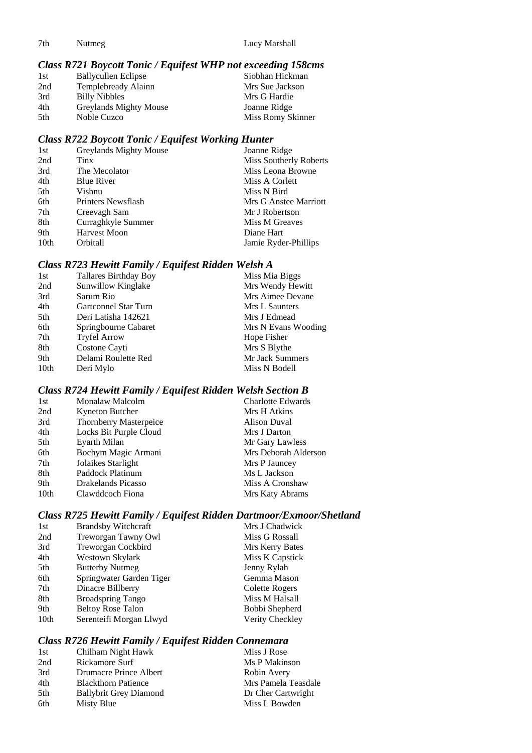```
7th Nutmeg Lucy Marshall
```
# *Class R721 Boycott Tonic / Equifest WHP not exceeding 158cms*

| 1st | <b>Ballycullen Eclipse</b> | Siobhan Hickman   |
|-----|----------------------------|-------------------|
| 2nd | Templebready Alainn        | Mrs Sue Jackson   |
| 3rd | <b>Billy Nibbles</b>       | Mrs G Hardie      |
| 4th | Greylands Mighty Mouse     | Joanne Ridge      |
| 5th | Noble Cuzco                | Miss Romy Skinner |

# *Class R722 Boycott Tonic / Equifest Working Hunter*

| 1st              | Greylands Mighty Mouse | Joanne Ridge           |
|------------------|------------------------|------------------------|
| 2nd              | Tinx                   | Miss Southerly Roberts |
| 3rd              | The Mecolator          | Miss Leona Browne      |
| 4th              | <b>Blue River</b>      | Miss A Corlett         |
| 5th              | Vishnu                 | Miss N Bird            |
| 6th              | Printers Newsflash     | Mrs G Anstee Marriott  |
| 7th              | Creevagh Sam           | Mr J Robertson         |
| 8th              | Curraghkyle Summer     | Miss M Greaves         |
| 9th              | <b>Harvest Moon</b>    | Diane Hart             |
| 10 <sub>th</sub> | Orbitall               | Jamie Ryder-Phillips   |

# *Class R723 Hewitt Family / Equifest Ridden Welsh A*

| 1st              | <b>Tallares Birthday Boy</b> | Miss Mia Biggs      |
|------------------|------------------------------|---------------------|
| 2nd              | Sunwillow Kinglake           | Mrs Wendy Hewitt    |
| 3rd              | Sarum Rio                    | Mrs Aimee Devane    |
| 4th              | Gartconnel Star Turn         | Mrs L Saunters      |
| 5th              | Deri Latisha 142621          | Mrs J Edmead        |
| 6th              | Springbourne Cabaret         | Mrs N Evans Wooding |
| 7th              | <b>Tryfel Arrow</b>          | Hope Fisher         |
| 8th              | Costone Cayti                | Mrs S Blythe        |
| 9th              | Delami Roulette Red          | Mr Jack Summers     |
| 10 <sub>th</sub> | Deri Mylo                    | Miss N Bodell       |

# *Class R724 Hewitt Family / Equifest Ridden Welsh Section B*

| 1st              | Monalaw Malcolm        | <b>Charlotte Edwards</b> |
|------------------|------------------------|--------------------------|
| 2nd              | Kyneton Butcher        | Mrs H Atkins             |
| 3rd              | Thornberry Masterpeice | Alison Duval             |
| 4th              | Locks Bit Purple Cloud | Mrs J Darton             |
| 5th              | Eyarth Milan           | Mr Gary Lawless          |
| 6th              | Bochym Magic Armani    | Mrs Deborah Alderson     |
| 7th              | Jolaikes Starlight     | Mrs P Jauncey            |
| 8th              | Paddock Platinum       | Ms L Jackson             |
| 9th              | Drakelands Picasso     | Miss A Cronshaw          |
| 10 <sub>th</sub> | Clawddcoch Fiona       | Mrs Katy Abrams          |

### *Class R725 Hewitt Family / Equifest Ridden Dartmoor/Exmoor/Shetland*

| 1st              | <b>Brandsby Witchcraft</b> | Mrs J Chadwick  |
|------------------|----------------------------|-----------------|
| 2nd              | Treworgan Tawny Owl        | Miss G Rossall  |
| 3rd              | Treworgan Cockbird         | Mrs Kerry Bates |
| 4th              | Westown Skylark            | Miss K Capstick |
| 5th              | <b>Butterby Nutmeg</b>     | Jenny Rylah     |
| 6th              | Springwater Garden Tiger   | Gemma Mason     |
| 7th              | Dinacre Billberry          | Colette Rogers  |
| 8th              | <b>Broadspring Tango</b>   | Miss M Halsall  |
| 9th              | <b>Beltoy Rose Talon</b>   | Bobbi Shepherd  |
| 10 <sub>th</sub> | Serenteifi Morgan Llwyd    | Verity Checkley |
|                  |                            |                 |

### *Class R726 Hewitt Family / Equifest Ridden Connemara*

| 1st | Chilham Night Hawk            | Miss J Rose         |
|-----|-------------------------------|---------------------|
| 2nd | Rickamore Surf                | Ms P Makinson       |
| 3rd | Drumacre Prince Albert        | Robin Avery         |
| 4th | <b>Blackthorn Patience</b>    | Mrs Pamela Teasdale |
| 5th | <b>Ballybrit Grey Diamond</b> | Dr Cher Cartwright  |
| 6th | Misty Blue                    | Miss L Bowden       |
|     |                               |                     |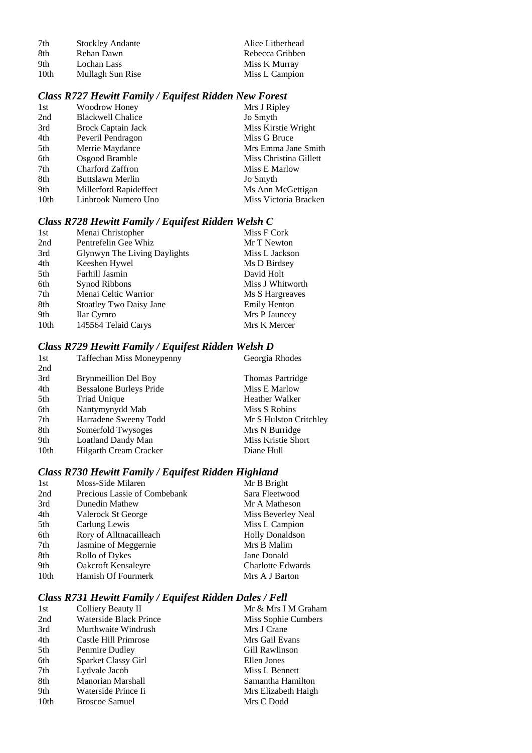| 7th  | <b>Stockley Andante</b> | Alice Litherhead |
|------|-------------------------|------------------|
| -8th | Rehan Dawn              | Rebecca Gribben  |
| 9th  | Lochan Lass             | Miss K Murray    |
| 10th | Mullagh Sun Rise        | Miss L Campion   |

# *Class R727 Hewitt Family / Equifest Ridden New Forest*

| 1st              | Woodrow Honey            | Mrs J Ripley           |
|------------------|--------------------------|------------------------|
| 2nd              | <b>Blackwell Chalice</b> | Jo Smyth               |
| 3rd              | Brock Captain Jack       | Miss Kirstie Wright    |
| 4th              | Peveril Pendragon        | Miss G Bruce           |
| 5th              | Merrie Maydance          | Mrs Emma Jane Smith    |
| 6th              | Osgood Bramble           | Miss Christina Gillett |
| 7th              | Charford Zaffron         | Miss E Marlow          |
| 8th              | <b>Buttslawn Merlin</b>  | Jo Smyth               |
| 9th              | Millerford Rapideffect   | Ms Ann McGettigan      |
| 10 <sub>th</sub> | Linbrook Numero Uno      | Miss Victoria Bracken  |

# *Class R728 Hewitt Family / Equifest Ridden Welsh C*

| Menai Christopher              | Miss F Cork         |
|--------------------------------|---------------------|
| Pentrefelin Gee Whiz           | Mr T Newton         |
| Glynwyn The Living Daylights   | Miss L Jackson      |
| Keeshen Hywel                  | Ms D Birdsey        |
| Farhill Jasmin                 | David Holt          |
| Synod Ribbons                  | Miss J Whitworth    |
| Menai Celtic Warrior           | Ms S Hargreaves     |
| <b>Stoatley Two Daisy Jane</b> | <b>Emily Henton</b> |
| Ilar Cymro                     | Mrs P Jauncey       |
| 145564 Telaid Carys            | Mrs K Mercer        |
|                                |                     |

# *Class R729 Hewitt Family / Equifest Ridden Welsh D*

| 1st              | <b>Taffechan Miss Moneypenny</b> | Georgia Rhodes          |
|------------------|----------------------------------|-------------------------|
| 2nd              |                                  |                         |
| 3rd              | <b>Brynmeillion Del Boy</b>      | <b>Thomas Partridge</b> |
| 4th              | <b>Bessalone Burleys Pride</b>   | Miss E Marlow           |
| 5th              | Triad Unique                     | Heather Walker          |
| 6th              | Nantymynydd Mab                  | Miss S Robins           |
| 7th              | Harradene Sweeny Todd            | Mr S Hulston Critchley  |
| 8th              | Somerfold Twysoges               | Mrs N Burridge          |
| 9th              | Loatland Dandy Man               | Miss Kristie Short      |
| 10 <sub>th</sub> | Hilgarth Cream Cracker           | Diane Hull              |

# *Class R730 Hewitt Family / Equifest Ridden Highland*

| 1st              | Moss-Side Milaren            | Mr B Bright              |
|------------------|------------------------------|--------------------------|
| 2nd              | Precious Lassie of Combebank | Sara Fleetwood           |
| 3rd              | Dunedin Mathew               | Mr A Matheson            |
| 4th              | Valerock St George           | Miss Beverley Neal       |
| 5th              | Carlung Lewis                | Miss L Campion           |
| 6th              | Rory of Alltnacailleach      | <b>Holly Donaldson</b>   |
| 7th              | Jasmine of Meggernie         | Mrs B Malim              |
| 8th              | Rollo of Dykes               | Jane Donald              |
| 9th              | Oakcroft Kensaleyre          | <b>Charlotte Edwards</b> |
| 10 <sub>th</sub> | Hamish Of Fourmerk           | Mrs A J Barton           |

# *Class R731 Hewitt Family / Equifest Ridden Dales / Fell*

| 1st              | Colliery Beauty II     | Mr & Mrs I M Graham |
|------------------|------------------------|---------------------|
| 2nd              | Waterside Black Prince | Miss Sophie Cumbers |
| 3rd              | Murthwaite Windrush    | Mrs J Crane         |
| 4th              | Castle Hill Primrose   | Mrs Gail Evans      |
| 5th              | Penmire Dudley         | Gill Rawlinson      |
| 6th              | Sparket Classy Girl    | Ellen Jones         |
| 7th              | Lydvale Jacob          | Miss L Bennett      |
| 8th              | Manorian Marshall      | Samantha Hamilton   |
| 9th              | Waterside Prince Ii    | Mrs Elizabeth Haigh |
| 10 <sub>th</sub> | <b>Broscoe Samuel</b>  | Mrs C Dodd          |
|                  |                        |                     |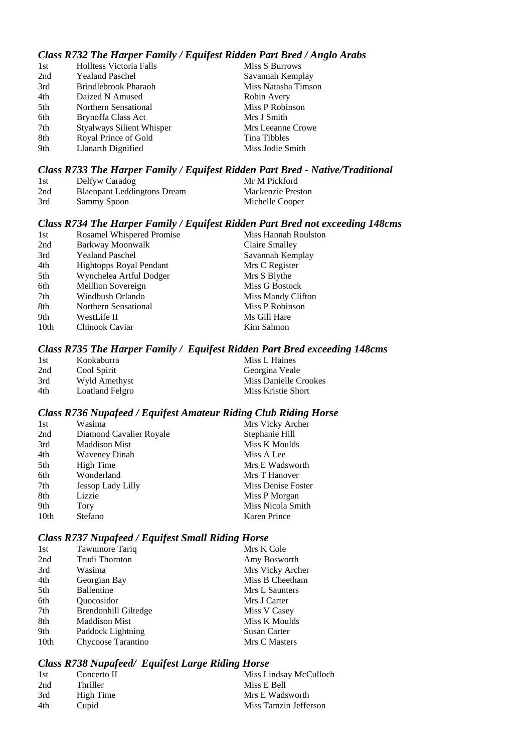### *Class R732 The Harper Family / Equifest Ridden Part Bred / Anglo Arabs*

| 1st | <b>Holltess Victoria Falls</b>   | Miss S Burrows      |
|-----|----------------------------------|---------------------|
| 2nd | <b>Yealand Paschel</b>           | Savannah Kemplay    |
| 3rd | Brindlebrook Pharaoh             | Miss Natasha Timson |
| 4th | Daized N Amused                  | Robin Avery         |
| 5th | Northern Sensational             | Miss P Robinson     |
| 6th | Brynoffa Class Act               | Mrs J Smith         |
| 7th | <b>Styalways Silient Whisper</b> | Mrs Leeanne Crowe   |
| 8th | Royal Prince of Gold             | Tina Tibbles        |
| 9th | Llanarth Dignified               | Miss Jodie Smith    |

### *Class R733 The Harper Family / Equifest Ridden Part Bred - Native/Traditional*

| 1st | Delfyw Caradog                     | Mr M Pickford     |
|-----|------------------------------------|-------------------|
| 2nd | <b>Blaenpant Leddingtons Dream</b> | Mackenzie Preston |
| 3rd | Sammy Spoon                        | Michelle Cooper   |

# *Class R734 The Harper Family / Equifest Ridden Part Bred not exceeding 148cms*

| 1st  | Rosamel Whispered Promise      | Miss Hannah Roulston |
|------|--------------------------------|----------------------|
| 2nd  | Barkway Moonwalk               | Claire Smalley       |
| 3rd  | <b>Yealand Paschel</b>         | Savannah Kemplay     |
| 4th  | <b>Hightopps Royal Pendant</b> | Mrs C Register       |
| 5th  | Wynchelea Artful Dodger        | Mrs S Blythe         |
| 6th  | Meillion Sovereign             | Miss G Bostock       |
| 7th  | Windbush Orlando               | Miss Mandy Clifton   |
| 8th  | Northern Sensational           | Miss P Robinson      |
| 9th  | WestLife II                    | Ms Gill Hare         |
| 10th | Chinook Caviar                 | Kim Salmon           |
|      |                                |                      |

#### *Class R735 The Harper Family / Equifest Ridden Part Bred exceeding 148cms*

| 1st | Kookaburra      | Miss L Haines         |
|-----|-----------------|-----------------------|
| 2nd | Cool Spirit     | Georgina Veale        |
| 3rd | Wyld Amethyst   | Miss Danielle Crookes |
| 4th | Loatland Felgro | Miss Kristie Short    |

### *Class R736 Nupafeed / Equifest Amateur Riding Club Riding Horse*

| 1st              | Wasima                   | Mrs Vicky Archer    |
|------------------|--------------------------|---------------------|
| 2nd              | Diamond Cavalier Royale  | Stephanie Hill      |
| 3rd              | <b>Maddison Mist</b>     | Miss K Moulds       |
| 4th              | <b>Waveney Dinah</b>     | Miss A Lee          |
| 5th              | High Time                | Mrs E Wadsworth     |
| 6th              | Wonderland               | Mrs T Hanover       |
| 7th              | <b>Jessop Lady Lilly</b> | Miss Denise Foster  |
| 8th              | Lizzie                   | Miss P Morgan       |
| 9th              | Tory                     | Miss Nicola Smith   |
| 10 <sub>th</sub> | Stefano                  | <b>Karen Prince</b> |

#### *Class R737 Nupafeed / Equifest Small Riding Horse*

| 1st  | Tawnmore Tariq       | Mrs K Cole       |
|------|----------------------|------------------|
| 2nd  | Trudi Thornton       | Amy Bosworth     |
| 3rd  | Wasima               | Mrs Vicky Archer |
| 4th  | Georgian Bay         | Miss B Cheetham  |
| 5th  | Ballentine           | Mrs L Saunters   |
| 6th  | Ouocosidor           | Mrs J Carter     |
| 7th  | Brendonhill Giltedge | Miss V Casey     |
| 8th  | <b>Maddison Mist</b> | Miss K Moulds    |
| 9th  | Paddock Lightning    | Susan Carter     |
| 10th | Chycoose Tarantino   | Mrs C Masters    |
|      |                      |                  |

# *Class R738 Nupafeed/ Equifest Large Riding Horse*

| 1st | Concerto II | Miss Lindsay McCulloch |
|-----|-------------|------------------------|
| 2nd | Thriller    | Miss E Bell            |
| 3rd | High Time   | Mrs E Wadsworth        |
| 4th | Cupid       | Miss Tamzin Jefferson  |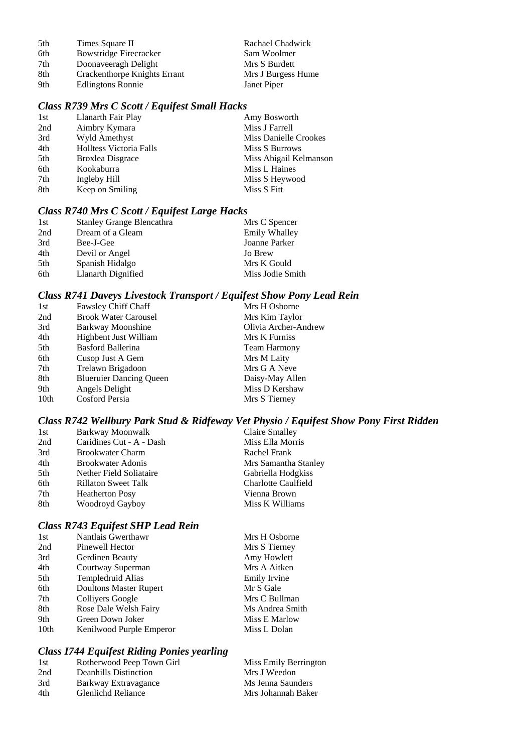| 5th | Times Square II               | Rachael Chadwick   |
|-----|-------------------------------|--------------------|
| 6th | <b>Bowstridge Firecracker</b> | Sam Woolmer        |
| 7th | Doonaveeragh Delight          | Mrs S Burdett      |
| 8th | Crackenthorpe Knights Errant  | Mrs J Burgess Hume |
| 9th | <b>Edlingtons Ronnie</b>      | Janet Piper        |

# *Class R739 Mrs C Scott / Equifest Small Hacks*

| 1st | Llanarth Fair Play             | Amy Bosworth           |
|-----|--------------------------------|------------------------|
| 2nd | Aimbry Kymara                  | Miss J Farrell         |
| 3rd | Wyld Amethyst                  | Miss Danielle Crookes  |
| 4th | <b>Holltess Victoria Falls</b> | Miss S Burrows         |
| 5th | <b>Broxlea Disgrace</b>        | Miss Abigail Kelmanson |
| 6th | Kookaburra                     | Miss L Haines          |
| 7th | Ingleby Hill                   | Miss S Heywood         |
| 8th | Keep on Smiling                | Miss S Fitt            |
|     |                                |                        |

# *Class R740 Mrs C Scott / Equifest Large Hacks*

| 1st | <b>Stanley Grange Blencathra</b> | Mrs C Spencer        |
|-----|----------------------------------|----------------------|
| 2nd | Dream of a Gleam                 | <b>Emily Whalley</b> |
| 3rd | Bee-J-Gee                        | Joanne Parker        |
| 4th | Devil or Angel                   | Jo Brew              |
| 5th | Spanish Hidalgo                  | Mrs K Gould          |
| 6th | Llanarth Dignified               | Miss Jodie Smith     |

# *Class R741 Daveys Livestock Transport / Equifest Show Pony Lead Rein*

| 1st  | Fawsley Chiff Chaff            | Mrs H Osborne        |
|------|--------------------------------|----------------------|
| 2nd  | <b>Brook Water Carousel</b>    | Mrs Kim Taylor       |
| 3rd  | Barkway Moonshine              | Olivia Archer-Andrew |
| 4th  | Highbent Just William          | Mrs K Furniss        |
| 5th  | <b>Basford Ballerina</b>       | <b>Team Harmony</b>  |
| 6th  | Cusop Just A Gem               | Mrs M Laity          |
| 7th  | Trelawn Brigadoon              | Mrs G A Neve         |
| 8th  | <b>Blueruier Dancing Queen</b> | Daisy-May Allen      |
| 9th  | Angels Delight                 | Miss D Kershaw       |
| 10th | Cosford Persia                 | Mrs S Tierney        |
|      |                                |                      |

# *Class R742 Wellbury Park Stud & Ridfeway Vet Physio / Equifest Show Pony First Ridden*

| 1st | Barkway Moonwalk           | Claire Smalley       |
|-----|----------------------------|----------------------|
| 2nd | Caridines Cut - A - Dash   | Miss Ella Morris     |
| 3rd | <b>Brookwater Charm</b>    | Rachel Frank         |
| 4th | <b>Brookwater Adonis</b>   | Mrs Samantha Stanley |
| 5th | Nether Field Soliataire    | Gabriella Hodgkiss   |
| 6th | <b>Rillaton Sweet Talk</b> | Charlotte Caulfield  |
| 7th | <b>Heatherton Posy</b>     | Vienna Brown         |
| 8th | Woodroyd Gayboy            | Miss K Williams      |

# *Class R743 Equifest SHP Lead Rein*

| 1st  | Nantlais Gwerthawr            | Mrs H Osborne   |
|------|-------------------------------|-----------------|
| 2nd  | Pinewell Hector               | Mrs S Tierney   |
| 3rd  | Gerdinen Beauty               | Amy Howlett     |
| 4th  | Courtway Superman             | Mrs A Aitken    |
| 5th  | Templedruid Alias             | Emily Irvine    |
| 6th  | <b>Doultons Master Rupert</b> | Mr S Gale       |
| 7th  | Colliyers Google              | Mrs C Bullman   |
| 8th  | Rose Dale Welsh Fairy         | Ms Andrea Smith |
| 9th  | Green Down Joker              | Miss E Marlow   |
| 10th | Kenilwood Purple Emperor      | Miss L Dolan    |

# *Class I744 Equifest Riding Ponies yearling*

| 1st | Rotherwood Peep Town Girl    | Miss Emily Berrington |
|-----|------------------------------|-----------------------|
| 2nd | <b>Deanhills Distinction</b> | Mrs J Weedon          |
| 3rd | Barkway Extravagance         | Ms Jenna Saunders     |
| 4th | Glenlichd Reliance           | Mrs Johannah Baker    |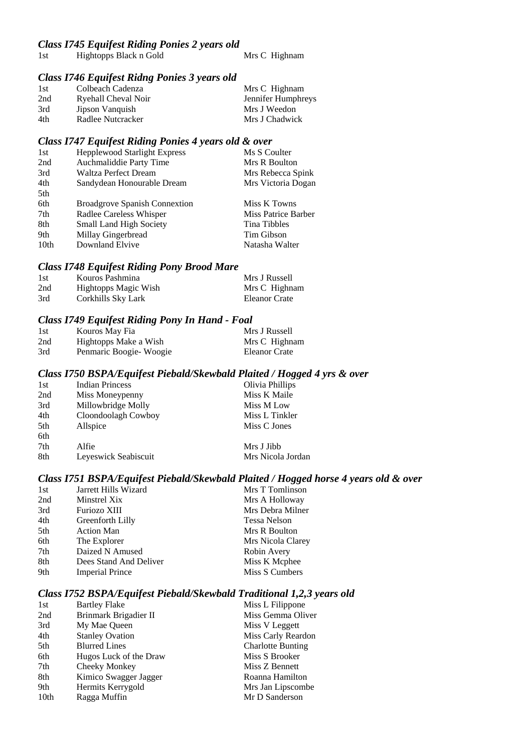#### *Class I745 Equifest Riding Ponies 2 years old*  1st Hightopps Black n Gold

#### *Class I746 Equifest Ridng Ponies 3 years old*

| 1st | Colbeach Cadenza    | Mrs C Highnam      |
|-----|---------------------|--------------------|
| 2nd | Ryehall Cheval Noir | Jennifer Humphreys |
| 3rd | Jipson Vanquish     | Mrs J Weedon       |
| 4th | Radlee Nutcracker   | Mrs J Chadwick     |

#### *Class I747 Equifest Riding Ponies 4 years old & over*

| 1st | <b>Hepplewood Starlight Express</b>  | Ms S Coulter        |
|-----|--------------------------------------|---------------------|
| 2nd | Auchmaliddie Party Time              | Mrs R Boulton       |
| 3rd | <b>Waltza Perfect Dream</b>          | Mrs Rebecca Spink   |
| 4th | Sandydean Honourable Dream           | Mrs Victoria Dogan  |
| 5th |                                      |                     |
| 6th | <b>Broadgrove Spanish Connextion</b> | Miss K Towns        |
| 7th | Radlee Careless Whisper              | Miss Patrice Barber |
|     |                                      |                     |
| 8th | <b>Small Land High Society</b>       | Tina Tibbles        |
| 9th | Millay Gingerbread                   | Tim Gibson          |

#### *Class I748 Equifest Riding Pony Brood Mare*

| -1st | Kouros Pashmina      | Mrs J Russell |
|------|----------------------|---------------|
| 2nd  | Hightopps Magic Wish | Mrs C Highnam |
| 3rd  | Corkhills Sky Lark   | Eleanor Crate |

#### *Class I749 Equifest Riding Pony In Hand - Foal*

| 1st | Kouros May Fia          | Mrs J Russell |
|-----|-------------------------|---------------|
| 2nd | Hightopps Make a Wish   | Mrs C Highnam |
| 3rd | Penmaric Boogie- Woogie | Eleanor Crate |

#### *Class I750 BSPA/Equifest Piebald/Skewbald Plaited / Hogged 4 yrs & over*

| 1st | <b>Indian Princess</b> | Olivia Phillips   |
|-----|------------------------|-------------------|
| 2nd | Miss Moneypenny        | Miss K Maile      |
| 3rd | Millowbridge Molly     | Miss M Low        |
| 4th | Cloondoolagh Cowboy    | Miss L Tinkler    |
| 5th | Allspice               | Miss C Jones      |
| 6th |                        |                   |
| 7th | Alfie                  | Mrs J Jibb        |
| 8th | Leyeswick Seabiscuit   | Mrs Nicola Jordan |

# *Class I751 BSPA/Equifest Piebald/Skewbald Plaited / Hogged horse 4 years old & over*

| 1st | Jarrett Hills Wizard   | Mrs T Tomlinson     |
|-----|------------------------|---------------------|
| 2nd | Minstrel Xix           | Mrs A Holloway      |
| 3rd | Furiozo XIII           | Mrs Debra Milner    |
| 4th | Greenforth Lilly       | <b>Tessa Nelson</b> |
| 5th | <b>Action Man</b>      | Mrs R Boulton       |
| 6th | The Explorer           | Mrs Nicola Clarey   |
| 7th | Daized N Amused        | Robin Avery         |
| 8th | Dees Stand And Deliver | Miss K Mcphee       |
| 9th | <b>Imperial Prince</b> | Miss S Cumbers      |

# *Class I752 BSPA/Equifest Piebald/Skewbald Traditional 1,2,3 years old*

| 1st              | <b>Bartley Flake</b>   | Miss L Filippone         |
|------------------|------------------------|--------------------------|
| 2nd              | Brinmark Brigadier II  | Miss Gemma Oliver        |
| 3rd              | My Mae Queen           | Miss V Leggett           |
| 4th              | <b>Stanley Ovation</b> | Miss Carly Reardon       |
| 5th              | <b>Blurred Lines</b>   | <b>Charlotte Bunting</b> |
| 6th              | Hugos Luck of the Draw | Miss S Brooker           |
| 7th              | Cheeky Monkey          | Miss Z Bennett           |
| 8th              | Kimico Swagger Jagger  | Roanna Hamilton          |
| 9th              | Hermits Kerrygold      | Mrs Jan Lipscombe        |
| 10 <sub>th</sub> | Ragga Muffin           | Mr D Sanderson           |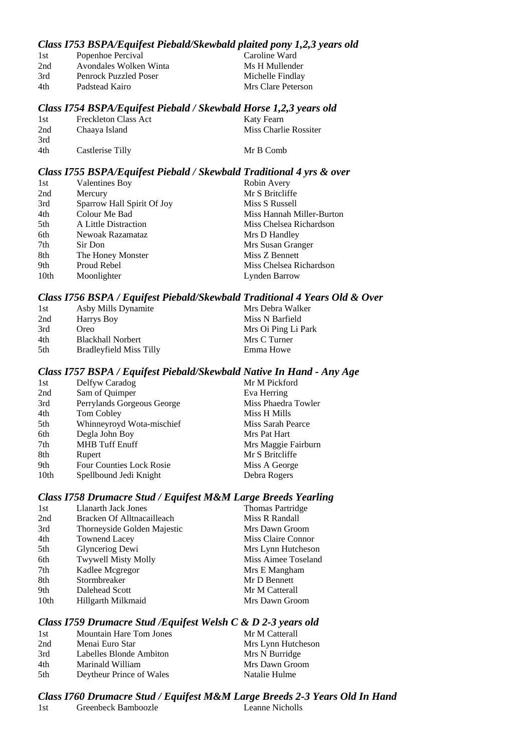### *Class I753 BSPA/Equifest Piebald/Skewbald plaited pony 1,2,3 years old*

| 1st | Popenhoe Percival            | Caroline Ward      |
|-----|------------------------------|--------------------|
| 2nd | Avondales Wolken Winta       | Ms H Mullender     |
| 3rd | <b>Penrock Puzzled Poser</b> | Michelle Findlay   |
| 4th | Padstead Kairo               | Mrs Clare Peterson |

#### *Class I754 BSPA/Equifest Piebald / Skewbald Horse 1,2,3 years old*

| 1st | <b>Freckleton Class Act</b> | Katy Fearn            |
|-----|-----------------------------|-----------------------|
| 2nd | Chaaya Island               | Miss Charlie Rossiter |
| 3rd |                             |                       |
| 4th | Castlerise Tilly            | Mr B Comb             |

### *Class I755 BSPA/Equifest Piebald / Skewbald Traditional 4 yrs & over*

| 1st  | <b>Valentines Boy</b>      | Robin Avery               |
|------|----------------------------|---------------------------|
| 2nd  | Mercury                    | Mr S Britcliffe           |
| 3rd  | Sparrow Hall Spirit Of Joy | Miss S Russell            |
| 4th  | Colour Me Bad              | Miss Hannah Miller-Burton |
| 5th  | A Little Distraction       | Miss Chelsea Richardson   |
| 6th  | Newoak Razamataz           | Mrs D Handley             |
| 7th  | Sir Don                    | Mrs Susan Granger         |
| 8th  | The Honey Monster          | Miss Z Bennett            |
| 9th  | Proud Rebel                | Miss Chelsea Richardson   |
| 10th | Moonlighter                | Lynden Barrow             |
|      |                            |                           |

#### *Class I756 BSPA / Equifest Piebald/Skewbald Traditional 4 Years Old & Over*

| 1st  | Asby Mills Dynamite            | Mrs Debra Walker    |
|------|--------------------------------|---------------------|
| 2nd  | Harrys Boy                     | Miss N Barfield     |
| 3rd  | Oreo                           | Mrs Oi Ping Li Park |
| 4th  | <b>Blackhall Norbert</b>       | Mrs C Turner        |
| .5th | <b>Bradleyfield Miss Tilly</b> | Emma Howe           |
|      |                                |                     |

#### *Class I757 BSPA / Equifest Piebald/Skewbald Native In Hand - Any Age*

| 1st              | Delfyw Caradog             | Mr M Pickford       |
|------------------|----------------------------|---------------------|
| 2nd              | Sam of Quimper             | Eva Herring         |
| 3rd              | Perrylands Gorgeous George | Miss Phaedra Towler |
| 4th              | Tom Cobley                 | Miss H Mills        |
| 5th              | Whinneyroyd Wota-mischief  | Miss Sarah Pearce   |
| 6th              | Degla John Boy             | Mrs Pat Hart        |
| 7th              | <b>MHB</b> Tuff Enuff      | Mrs Maggie Fairburn |
| 8th              | Rupert                     | Mr S Britcliffe     |
| 9th              | Four Counties Lock Rosie   | Miss A George       |
| 10 <sub>th</sub> | Spellbound Jedi Knight     | Debra Rogers        |
|                  |                            |                     |

### *Class I758 Drumacre Stud / Equifest M&M Large Breeds Yearling*

| 1st              | <b>Llanarth Jack Jones</b>  | <b>Thomas Partridge</b> |
|------------------|-----------------------------|-------------------------|
| 2nd              | Bracken Of Alltnacailleach  | Miss R Randall          |
| 3rd              | Thorneyside Golden Majestic | Mrs Dawn Groom          |
| 4th              | <b>Townend Lacey</b>        | Miss Claire Connor      |
| 5th              | Glynceriog Dewi             | Mrs Lynn Hutcheson      |
| 6th              | <b>Twywell Misty Molly</b>  | Miss Aimee Toseland     |
| 7th              | Kadlee Mcgregor             | Mrs E Mangham           |
| 8th              | Stormbreaker                | Mr D Bennett            |
| 9th              | Dalehead Scott              | Mr M Catterall          |
| 10 <sub>th</sub> | Hillgarth Milkmaid          | Mrs Dawn Groom          |

### *Class I759 Drumacre Stud /Equifest Welsh C & D 2-3 years old*

| 1st | <b>Mountain Hare Tom Jones</b> | Mr M Catterall     |
|-----|--------------------------------|--------------------|
| 2nd | Menai Euro Star                | Mrs Lynn Hutcheson |
| 3rd | Labelles Blonde Ambiton        | Mrs N Burridge     |
| 4th | Marinald William               | Mrs Dawn Groom     |
| 5th | Deytheur Prince of Wales       | Natalie Hulme      |
|     |                                |                    |

#### *Class I760 Drumacre Stud / Equifest M&M Large Breeds 2-3 Years Old In Hand*  1st Greenbeck Bamboozle Leanne Nicholls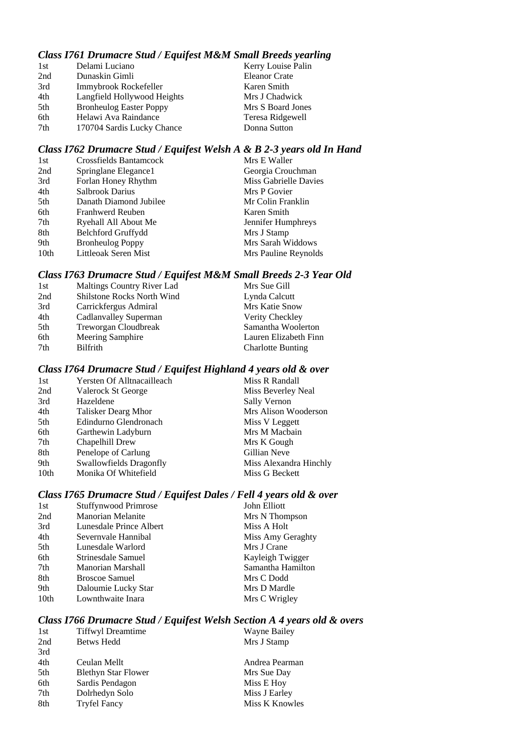# *Class I761 Drumacre Stud / Equifest M&M Small Breeds yearling*

|     | . .                            |                      | . . |
|-----|--------------------------------|----------------------|-----|
| 1st | Delami Luciano                 | Kerry Louise Palin   |     |
| 2nd | Dunaskin Gimli                 | <b>Eleanor Crate</b> |     |
| 3rd | Immybrook Rockefeller          | Karen Smith          |     |
| 4th | Langfield Hollywood Heights    | Mrs J Chadwick       |     |
| 5th | <b>Bronheulog Easter Poppy</b> | Mrs S Board Jones    |     |
| 6th | Helawi Ava Raindance           | Teresa Ridgewell     |     |
| 7th | 170704 Sardis Lucky Chance     | Donna Sutton         |     |
|     |                                |                      |     |

#### *Class I762 Drumacre Stud / Equifest Welsh A & B 2-3 years old In Hand*

| 1st              | Crossfields Bantamcock  | Mrs E Waller          |
|------------------|-------------------------|-----------------------|
| 2nd              | Springlane Elegance1    | Georgia Crouchman     |
| 3rd              | Forlan Honey Rhythm     | Miss Gabrielle Davies |
| 4th              | Salbrook Darius         | Mrs P Govier          |
| 5th              | Danath Diamond Jubilee  | Mr Colin Franklin     |
| 6th              | Franhwerd Reuben        | Karen Smith           |
| 7th              | Ryehall All About Me    | Jennifer Humphreys    |
| 8th              | Belchford Gruffydd      | Mrs J Stamp           |
| 9th              | <b>Bronheulog Poppy</b> | Mrs Sarah Widdows     |
| 10 <sub>th</sub> | Littleoak Seren Mist    | Mrs Pauline Reynolds  |

#### *Class I763 Drumacre Stud / Equifest M&M Small Breeds 2-3 Year Old*

| 1st | Maltings Country River Lad        | Mrs Sue Gill             |
|-----|-----------------------------------|--------------------------|
| 2nd | <b>Shilstone Rocks North Wind</b> | Lynda Calcutt            |
| 3rd | Carrickfergus Admiral             | <b>Mrs Katie Snow</b>    |
| 4th | Cadlanvalley Superman             | Verity Checkley          |
| 5th | Treworgan Cloudbreak              | Samantha Woolerton       |
| 6th | Meering Samphire                  | Lauren Elizabeth Finn    |
| 7th | <b>Bilfrith</b>                   | <b>Charlotte Bunting</b> |

# *Class I764 Drumacre Stud / Equifest Highland 4 years old & over*

| Yersten Of Alltnacailleach     | Miss R Randall         |
|--------------------------------|------------------------|
| Valerock St George             | Miss Beverley Neal     |
| Hazeldene                      | Sally Vernon           |
| Talisker Dearg Mhor            | Mrs Alison Wooderson   |
| Edindurno Glendronach          | Miss V Leggett         |
| Garthewin Ladyburn             | Mrs M Macbain          |
| Chapelhill Drew                | Mrs K Gough            |
| Penelope of Carlung            | Gillian Neve           |
| <b>Swallowfields Dragonfly</b> | Miss Alexandra Hinchly |
| Monika Of Whitefield           | Miss G Beckett         |
|                                |                        |

### *Class I765 Drumacre Stud / Equifest Dales / Fell 4 years old & over*

| 1st  | <b>Stuffynwood Primrose</b> | John Elliott      |
|------|-----------------------------|-------------------|
| 2nd  | Manorian Melanite           | Mrs N Thompson    |
| 3rd  | Lunesdale Prince Albert     | Miss A Holt       |
| 4th  | Severnyale Hannibal         | Miss Amy Geraghty |
| 5th  | Lunesdale Warlord           | Mrs J Crane       |
| 6th  | Strinesdale Samuel          | Kayleigh Twigger  |
| 7th  | Manorian Marshall           | Samantha Hamilton |
| 8th  | <b>Broscoe Samuel</b>       | Mrs C Dodd        |
| 9th  | Daloumie Lucky Star         | Mrs D Mardle      |
| 10th | Lownthwaite Inara           | Mrs C Wrigley     |
|      |                             |                   |

### *Class I766 Drumacre Stud / Equifest Welsh Section A 4 years old & overs*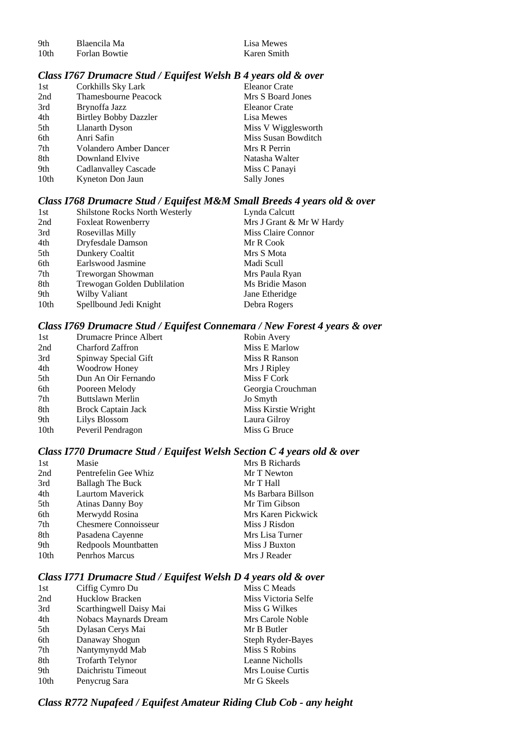| 9th  | Blaencila Ma  |
|------|---------------|
| 10th | Forlan Bowtie |

#### Lisa Mewes Karen Smith

#### *Class I767 Drumacre Stud / Equifest Welsh B 4 years old & over*

| 1st  | Corkhills Sky Lark           | <b>Eleanor Crate</b> |
|------|------------------------------|----------------------|
| 2nd  | <b>Thamesbourne Peacock</b>  | Mrs S Board Jones    |
| 3rd  | Brynoffa Jazz                | Eleanor Crate        |
| 4th  | <b>Birtley Bobby Dazzler</b> | Lisa Mewes           |
| 5th  | Llanarth Dyson               | Miss V Wigglesworth  |
| 6th  | Anri Safin                   | Miss Susan Bowditch  |
| 7th  | Volandero Amber Dancer       | Mrs R Perrin         |
| 8th  | Downland Elvive              | Natasha Walter       |
| 9th  | Cadlanvalley Cascade         | Miss C Panayi        |
| 10th | Kyneton Don Jaun             | <b>Sally Jones</b>   |

#### *Class I768 Drumacre Stud / Equifest M&M Small Breeds 4 years old & over*

| 1st              | <b>Shilstone Rocks North Westerly</b> | Lynda Calcutt            |
|------------------|---------------------------------------|--------------------------|
| 2nd              | <b>Foxleat Rowenberry</b>             | Mrs J Grant & Mr W Hardy |
| 3rd              | Rosevillas Milly                      | Miss Claire Connor       |
| 4th              | Dryfesdale Damson                     | Mr R Cook                |
| 5th              | Dunkery Coaltit                       | Mrs S Mota               |
| 6th              | Earlswood Jasmine                     | Madi Scull               |
| 7th              | Treworgan Showman                     | Mrs Paula Ryan           |
| 8th              | Trewogan Golden Dublilation           | Ms Bridie Mason          |
| 9th              | Wilby Valiant                         | Jane Etheridge           |
| 10 <sub>th</sub> | Spellbound Jedi Knight                | Debra Rogers             |
|                  |                                       |                          |

# *Class I769 Drumacre Stud / Equifest Connemara / New Forest 4 years & over*

| Drumacre Prince Albert  | Robin Avery         |
|-------------------------|---------------------|
| <b>Charford Zaffron</b> | Miss E Marlow       |
| Spinway Special Gift    | Miss R Ranson       |
| Woodrow Honey           | Mrs J Ripley        |
| Dun An Oir Fernando     | Miss F Cork         |
| Pooreen Melody          | Georgia Crouchman   |
| Buttslawn Merlin        | Jo Smyth            |
| Brock Captain Jack      | Miss Kirstie Wright |
| Lilys Blossom           | Laura Gilroy        |
| Peveril Pendragon       | Miss G Bruce        |
|                         |                     |

### *Class I770 Drumacre Stud / Equifest Welsh Section C 4 years old & over*

| Mrs B Richards     |
|--------------------|
| Mr T Newton        |
| Mr T Hall          |
| Ms Barbara Billson |
| Mr Tim Gibson      |
| Mrs Karen Pickwick |
| Miss J Risdon      |
| Mrs Lisa Turner    |
| Miss J Buxton      |
| Mrs J Reader       |
|                    |

# *Class I771 Drumacre Stud / Equifest Welsh D 4 years old & over*

| Ciffig Cymro Du         | Miss C Meads        |
|-------------------------|---------------------|
| <b>Hucklow Bracken</b>  | Miss Victoria Selfe |
| Scarthingwell Daisy Mai | Miss G Wilkes       |
| Nobacs Maynards Dream   | Mrs Carole Noble    |
| Dylasan Cerys Mai       | Mr B Butler         |
| Danaway Shogun          | Steph Ryder-Bayes   |
| Nantymynydd Mab         | Miss S Robins       |
| <b>Trofarth Telynor</b> | Leanne Nicholls     |
| Daichristu Timeout      | Mrs Louise Curtis   |
| Penycrug Sara           | Mr G Skeels         |
|                         |                     |

*Class R772 Nupafeed / Equifest Amateur Riding Club Cob - any height*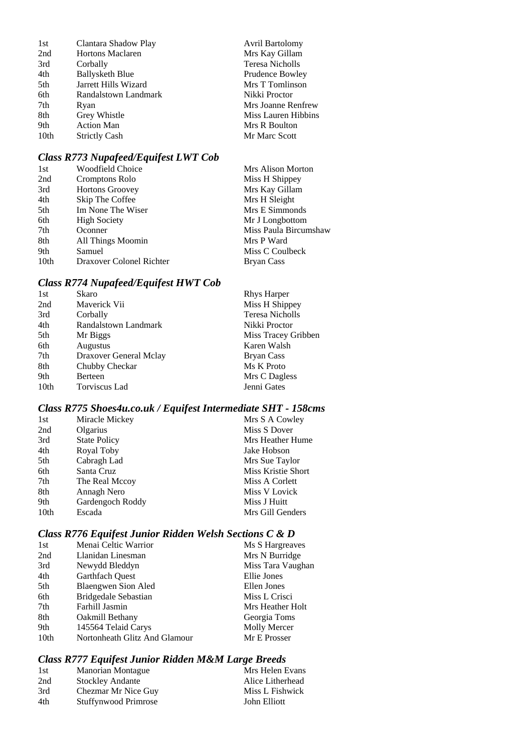| Clantara Shadow Play    | <b>Avril Bartolomy</b> |
|-------------------------|------------------------|
| <b>Hortons Maclaren</b> | Mrs Kay Gillam         |
| Corbally                | Teresa Nicholls        |
| <b>Ballysketh Blue</b>  | Prudence Bowley        |
| Jarrett Hills Wizard    | Mrs T Tomlinson        |
| Randalstown Landmark    | Nikki Proctor          |
| Ryan                    | Mrs Joanne Renfrew     |
| <b>Grey Whistle</b>     | Miss Lauren Hibbins    |
| <b>Action Man</b>       | Mrs R Boulton          |
| <b>Strictly Cash</b>    | Mr Marc Scott          |
|                         |                        |

# *Class R773 Nupafeed/Equifest LWT Cob*

| 1st              | <b>Woodfield Choice</b>  | Mrs Alison Morton     |
|------------------|--------------------------|-----------------------|
| 2nd              | Cromptons Rolo           | Miss H Shippey        |
| 3rd              | <b>Hortons Groovey</b>   | Mrs Kay Gillam        |
| 4th              | Skip The Coffee          | Mrs H Sleight         |
| 5th              | Im None The Wiser        | Mrs E Simmonds        |
| 6th              | <b>High Society</b>      | Mr J Longbottom       |
| 7th              | Oconner                  | Miss Paula Bircumshaw |
| 8th              | All Things Moomin        | Mrs P Ward            |
| 9th              | Samuel                   | Miss C Coulbeck       |
| 10 <sub>th</sub> | Draxover Colonel Richter | Bryan Cass            |

# *Class R774 Nupafeed/Equifest HWT Cob*

| Skaro                  | <b>Rhys Harper</b>  |
|------------------------|---------------------|
| Maverick Vii           | Miss H Shippey      |
| Corbally               | Teresa Nicholls     |
| Randalstown Landmark   | Nikki Proctor       |
| Mr Biggs               | Miss Tracey Gribben |
| Augustus               | Karen Walsh         |
| Draxover General Mclay | <b>Bryan Cass</b>   |
| Chubby Checkar         | Ms K Proto          |
| <b>Berteen</b>         | Mrs C Dagless       |
| Torviscus Lad          | Jenni Gates         |
|                        |                     |

# *Class R775 Shoes4u.co.uk / Equifest Intermediate SHT - 158cms*

| 1st              | Miracle Mickey      | Mrs S A Cowley            |
|------------------|---------------------|---------------------------|
| 2nd              | Olgarius            | Miss S Dover              |
| 3rd              | <b>State Policy</b> | Mrs Heather Hume          |
| 4th              | Royal Toby          | Jake Hobson               |
| 5th              | Cabragh Lad         | Mrs Sue Taylor            |
| 6th              | Santa Cruz          | <b>Miss Kristie Short</b> |
| 7th              | The Real Mccoy      | Miss A Corlett            |
| 8th              | Annagh Nero         | Miss V Lovick             |
| 9th              | Gardengoch Roddy    | Miss J Huitt              |
| 10 <sub>th</sub> | Escada              | Mrs Gill Genders          |

### *Class R776 Equifest Junior Ridden Welsh Sections C & D*

| 1st              | Menai Celtic Warrior          | Ms S Hargreaves   |
|------------------|-------------------------------|-------------------|
| 2nd              | Llanidan Linesman             | Mrs N Burridge    |
| 3rd              | Newydd Bleddyn                | Miss Tara Vaughan |
| 4th              | Garthfach Quest               | Ellie Jones       |
| 5th              | Blaengwen Sion Aled           | Ellen Jones       |
| 6th              | Bridgedale Sebastian          | Miss L Crisci     |
| 7th              | Farhill Jasmin                | Mrs Heather Holt  |
| 8th              | Oakmill Bethany               | Georgia Toms      |
| 9th              | 145564 Telaid Carys           | Molly Mercer      |
| 10 <sub>th</sub> | Nortonheath Glitz And Glamour | Mr E Prosser      |

# *Class R777 Equifest Junior Ridden M&M Large Breeds*

| 1st | <b>Manorian Montague</b> | Mrs Helen Evans  |
|-----|--------------------------|------------------|
| 2nd | <b>Stockley Andante</b>  | Alice Litherhead |
| 3rd | Chezmar Mr Nice Guy      | Miss L Fishwick  |
| 4th | Stuffynwood Primrose     | John Elliott     |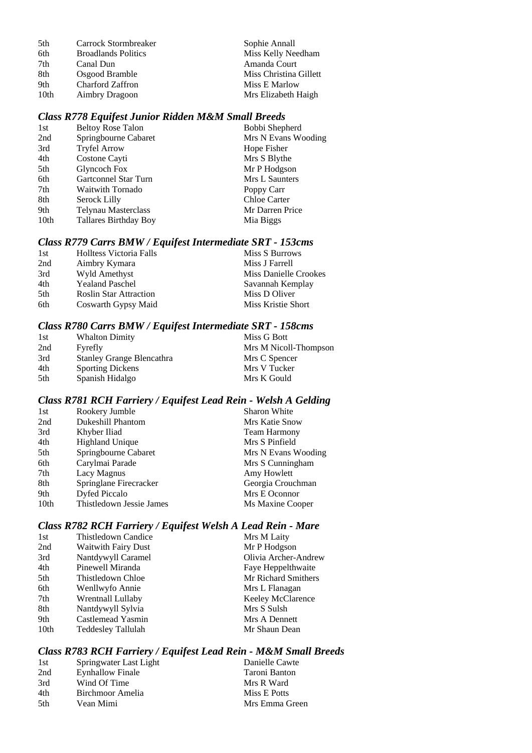| 5th  | Carrock Stormbreaker       | Sophie Annall          |
|------|----------------------------|------------------------|
| 6th  | <b>Broadlands Politics</b> | Miss Kelly Needham     |
| 7th  | Canal Dun                  | Amanda Court           |
| 8th  | Osgood Bramble             | Miss Christina Gillett |
| 9th  | <b>Charford Zaffron</b>    | Miss E Marlow          |
| 10th | Aimbry Dragoon             | Mrs Elizabeth Haigh    |

# *Class R778 Equifest Junior Ridden M&M Small Breeds*

| <b>Beltoy Rose Talon</b>     | Bobbi Shepherd      |
|------------------------------|---------------------|
| Springbourne Cabaret         | Mrs N Evans Wooding |
| <b>Tryfel Arrow</b>          | Hope Fisher         |
| Costone Cayti                | Mrs S Blythe        |
| Glyncoch Fox                 | Mr P Hodgson        |
| Gartconnel Star Turn         | Mrs L Saunters      |
| Waitwith Tornado             | Poppy Carr          |
| Serock Lilly                 | Chloe Carter        |
| Telynau Masterclass          | Mr Darren Price     |
| <b>Tallares Birthday Boy</b> | Mia Biggs           |
|                              |                     |

### *Class R779 Carrs BMW / Equifest Intermediate SRT - 153cms*

| <b>Holltess Victoria Falls</b> | Miss S Burrows        |
|--------------------------------|-----------------------|
| Aimbry Kymara                  | Miss J Farrell        |
| Wyld Amethyst                  | Miss Danielle Crookes |
| <b>Yealand Paschel</b>         | Savannah Kemplay      |
| <b>Roslin Star Attraction</b>  | Miss D Oliver         |
| Coswarth Gypsy Maid            | Miss Kristie Short    |
|                                |                       |

# *Class R780 Carrs BMW / Equifest Intermediate SRT - 158cms*

| 1st | <b>Whalton Dimity</b>            | Miss G Bott           |
|-----|----------------------------------|-----------------------|
| 2nd | Fyrefly                          | Mrs M Nicoll-Thompson |
| 3rd | <b>Stanley Grange Blencathra</b> | Mrs C Spencer         |
| 4th | <b>Sporting Dickens</b>          | Mrs V Tucker          |
| 5th | Spanish Hidalgo                  | Mrs K Gould           |

### *Class R781 RCH Farriery / Equifest Lead Rein - Welsh A Gelding*

| 1st              | Rookery Jumble           | <b>Sharon White</b> |
|------------------|--------------------------|---------------------|
| 2nd              | Dukeshill Phantom        | Mrs Katie Snow      |
| 3rd              | Khyber Iliad             | <b>Team Harmony</b> |
| 4th              | <b>Highland Unique</b>   | Mrs S Pinfield      |
| 5th              | Springbourne Cabaret     | Mrs N Evans Wooding |
| 6th              | Carylmai Parade          | Mrs S Cunningham    |
| 7th              | Lacy Magnus              | Amy Howlett         |
| 8th              | Springlane Firecracker   | Georgia Crouchman   |
| 9th              | Dyfed Piccalo            | Mrs E Oconnor       |
| 10 <sub>th</sub> | Thistledown Jessie James | Ms Maxine Cooper    |

# *Class R782 RCH Farriery / Equifest Welsh A Lead Rein - Mare*

| 1st  | Thistledown Candice        | Mrs M Laity          |
|------|----------------------------|----------------------|
| 2nd  | <b>Waitwith Fairy Dust</b> | Mr P Hodgson         |
| 3rd  | Nantdywyll Caramel         | Olivia Archer-Andrew |
| 4th  | Pinewell Miranda           | Faye Heppelthwaite   |
| 5th  | Thistledown Chloe          | Mr Richard Smithers  |
| 6th  | Wenllwyfo Annie            | Mrs L Flanagan       |
| 7th  | Wrentnall Lullaby          | Keeley McClarence    |
| 8th  | Nantdywyll Sylvia          | Mrs S Sulsh          |
| 9th  | Castlemead Yasmin          | Mrs A Dennett        |
| 10th | Teddesley Tallulah         | Mr Shaun Dean        |

# *Class R783 RCH Farriery / Equifest Lead Rein - M&M Small Breeds*

| 1st  | Springwater Last Light  | Danielle Cawte |
|------|-------------------------|----------------|
| 2nd  | <b>Eynhallow Finale</b> | Taroni Banton  |
| 3rd  | Wind Of Time            | Mrs R Ward     |
| 4th  | Birchmoor Amelia        | Miss E Potts   |
| .5th | Vean Mimi               | Mrs Emma Green |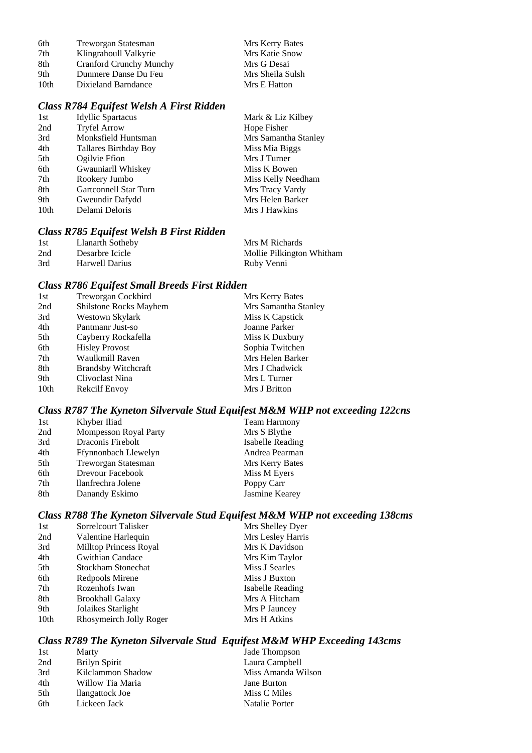| 6th              | Treworgan Statesman            | Mrs Kerry Bates       |
|------------------|--------------------------------|-----------------------|
| 7th              | Klingrahoull Valkyrie          | <b>Mrs Katie Snow</b> |
| 8th              | <b>Cranford Crunchy Munchy</b> | Mrs G Desai           |
| 9th              | Dunmere Danse Du Feu           | Mrs Sheila Sulsh      |
| 10 <sub>th</sub> | Dixieland Barndance            | Mrs E Hatton          |

# *Class R784 Equifest Welsh A First Ridden*

| <b>Idyllic Spartacus</b>     | Mark & Liz Kilbey    |
|------------------------------|----------------------|
| <b>Tryfel Arrow</b>          | Hope Fisher          |
| Monksfield Huntsman          | Mrs Samantha Stanley |
| <b>Tallares Birthday Boy</b> | Miss Mia Biggs       |
| Ogilvie Ffion                | Mrs J Turner         |
| Gwauniarll Whiskey           | Miss K Bowen         |
| Rookery Jumbo                | Miss Kelly Needham   |
| Gartconnell Star Turn        | Mrs Tracy Vardy      |
| Gweundir Dafydd              | Mrs Helen Barker     |
| Delami Deloris               | Mrs J Hawkins        |
|                              |                      |

# *Class R785 Equifest Welsh B First Ridden*

| 1st | Llanarth Sotheby | Mrs M Richards            |
|-----|------------------|---------------------------|
| 2nd | Desarbre Icicle  | Mollie Pilkington Whitham |
| 3rd | Harwell Darius   | Ruby Venni                |

# *Class R786 Equifest Small Breeds First Ridden*

| 1st  | Treworgan Cockbird         | Mrs Kerry Bates      |
|------|----------------------------|----------------------|
| 2nd  | Shilstone Rocks Mayhem     | Mrs Samantha Stanley |
| 3rd  | Westown Skylark            | Miss K Capstick      |
| 4th  | Pantmanr Just-so           | Joanne Parker        |
| 5th  | Cayberry Rockafella        | Miss K Duxbury       |
| 6th  | <b>Hisley Provost</b>      | Sophia Twitchen      |
| 7th  | Waulkmill Raven            | Mrs Helen Barker     |
| 8th  | <b>Brandsby Witchcraft</b> | Mrs J Chadwick       |
| 9th  | Clivoclast Nina            | Mrs L Turner         |
| 10th | Rekcilf Envoy              | Mrs J Britton        |

# *Class R787 The Kyneton Silvervale Stud Equifest M&M WHP not exceeding 122cns*

| 1st | Khyber Iliad          | <b>Team Harmony</b> |
|-----|-----------------------|---------------------|
| 2nd | Mompesson Royal Party | Mrs S Blythe        |
| 3rd | Draconis Firebolt     | Isabelle Reading    |
| 4th | Ffynnonbach Llewelyn  | Andrea Pearman      |
| 5th | Treworgan Statesman   | Mrs Kerry Bates     |
| 6th | Drevour Facebook      | Miss M Eyers        |
| 7th | llanfrechra Jolene    | Poppy Carr          |
| 8th | Danandy Eskimo        | Jasmine Kearey      |

# *Class R788 The Kyneton Silvervale Stud Equifest M&M WHP not exceeding 138cms*

| 1st  | Sorrelcourt Talisker    | Mrs Shelley Dyer  |
|------|-------------------------|-------------------|
| 2nd  | Valentine Harlequin     | Mrs Lesley Harris |
| 3rd  | Milltop Princess Royal  | Mrs K Davidson    |
| 4th  | Gwithian Candace        | Mrs Kim Taylor    |
| 5th  | Stockham Stonechat      | Miss J Searles    |
| 6th  | Redpools Mirene         | Miss J Buxton     |
| 7th  | Rozenhofs Iwan          | Isabelle Reading  |
| 8th  | <b>Brookhall Galaxy</b> | Mrs A Hitcham     |
| 9th  | Jolaikes Starlight      | Mrs P Jauncey     |
| 10th | Rhosymeirch Jolly Roger | Mrs H Atkins      |
|      |                         |                   |

### *Class R789 The Kyneton Silvervale Stud Equifest M&M WHP Exceeding 143cms*

| 1st | Marty             | Jade Thompson      |  |
|-----|-------------------|--------------------|--|
| 2nd | Brilyn Spirit     | Laura Campbell     |  |
| 3rd | Kilclammon Shadow | Miss Amanda Wilson |  |
| 4th | Willow Tia Maria  | Jane Burton        |  |
| 5th | llangattock Joe   | Miss C Miles       |  |
| 6th | Lickeen Jack      | Natalie Porter     |  |